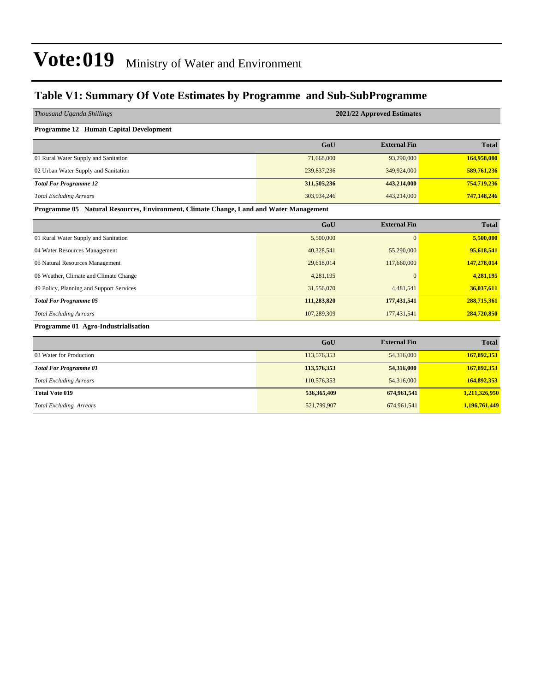### **Table V1: Summary Of Vote Estimates by Programme and Sub-SubProgramme**

| Thousand Uganda Shillings                                                              |             | 2021/22 Approved Estimates |               |
|----------------------------------------------------------------------------------------|-------------|----------------------------|---------------|
| Programme 12 Human Capital Development                                                 |             |                            |               |
|                                                                                        | GoU         | <b>External Fin</b>        | <b>Total</b>  |
| 01 Rural Water Supply and Sanitation                                                   | 71,668,000  | 93,290,000                 | 164,958,000   |
| 02 Urban Water Supply and Sanitation                                                   | 239,837,236 | 349,924,000                | 589,761,236   |
| <b>Total For Programme 12</b>                                                          | 311,505,236 | 443,214,000                | 754,719,236   |
| <b>Total Excluding Arrears</b>                                                         | 303,934,246 | 443,214,000                | 747,148,246   |
| Programme 05 Natural Resources, Environment, Climate Change, Land and Water Management |             |                            |               |
|                                                                                        | GoU         | <b>External Fin</b>        | <b>Total</b>  |
| 01 Rural Water Supply and Sanitation                                                   | 5,500,000   | $\overline{0}$             | 5,500,000     |
| 04 Water Resources Management                                                          | 40,328,541  | 55,290,000                 | 95,618,541    |
| 05 Natural Resources Management                                                        | 29,618,014  | 117,660,000                | 147,278,014   |
| 06 Weather, Climate and Climate Change                                                 | 4,281,195   | $\overline{0}$             | 4,281,195     |
| 49 Policy, Planning and Support Services                                               | 31,556,070  | 4,481,541                  | 36,037,611    |
| <b>Total For Programme 05</b>                                                          | 111,283,820 | 177,431,541                | 288,715,361   |
| <b>Total Excluding Arrears</b>                                                         | 107,289,309 | 177,431,541                | 284,720,850   |
| Programme 01 Agro-Industrialisation                                                    |             |                            |               |
|                                                                                        | GoU         | <b>External Fin</b>        | <b>Total</b>  |
| 03 Water for Production                                                                | 113,576,353 | 54,316,000                 | 167,892,353   |
| <b>Total For Programme 01</b>                                                          | 113,576,353 | 54,316,000                 | 167,892,353   |
| <b>Total Excluding Arrears</b>                                                         | 110,576,353 | 54,316,000                 | 164,892,353   |
| <b>Total Vote 019</b>                                                                  | 536,365,409 | 674,961,541                | 1,211,326,950 |
| <b>Total Excluding Arrears</b>                                                         | 521,799,907 | 674,961,541                | 1,196,761,449 |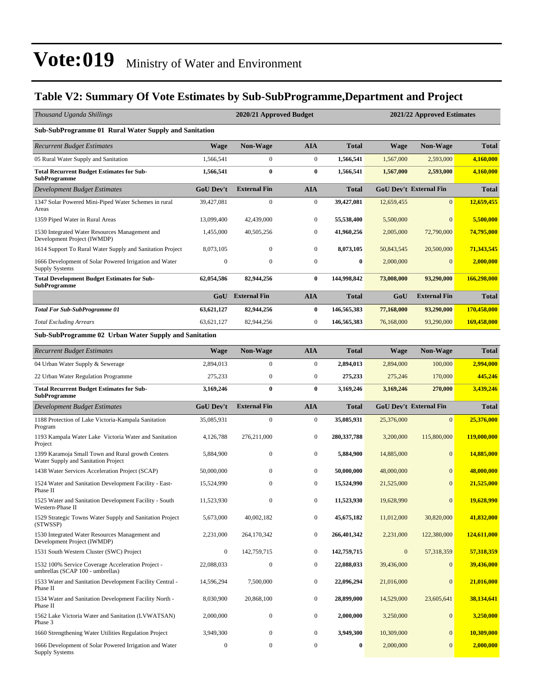### **Table V2: Summary Of Vote Estimates by Sub-SubProgramme,Department and Project**

| Thousand Uganda Shillings                                                                |                  | 2020/21 Approved Budget |                  |               |                  | 2021/22 Approved Estimates    |              |  |
|------------------------------------------------------------------------------------------|------------------|-------------------------|------------------|---------------|------------------|-------------------------------|--------------|--|
| <b>Sub-SubProgramme 01 Rural Water Supply and Sanitation</b>                             |                  |                         |                  |               |                  |                               |              |  |
| <b>Recurrent Budget Estimates</b>                                                        | <b>Wage</b>      | Non-Wage                | <b>AIA</b>       | <b>Total</b>  | <b>Wage</b>      | <b>Non-Wage</b>               | <b>Total</b> |  |
| 05 Rural Water Supply and Sanitation                                                     | 1,566,541        | $\mathbf{0}$            | $\boldsymbol{0}$ | 1,566,541     | 1,567,000        | 2,593,000                     | 4,160,000    |  |
| <b>Total Recurrent Budget Estimates for Sub-</b><br><b>SubProgramme</b>                  | 1,566,541        | $\bf{0}$                | $\bf{0}$         | 1,566,541     | 1,567,000        | 2,593,000                     | 4,160,000    |  |
| Development Budget Estimates                                                             | <b>GoU Dev't</b> | <b>External Fin</b>     | AIA              | Total         |                  | <b>GoU Dev't External Fin</b> | <b>Total</b> |  |
| 1347 Solar Powered Mini-Piped Water Schemes in rural<br>Areas                            | 39,427,081       | $\mathbf{0}$            | $\boldsymbol{0}$ | 39,427,081    | 12,659,455       | $\overline{0}$                | 12,659,455   |  |
| 1359 Piped Water in Rural Areas                                                          | 13,099,400       | 42,439,000              | $\mathbf{0}$     | 55,538,400    | 5,500,000        | $\mathbf{0}$                  | 5,500,000    |  |
| 1530 Integrated Water Resources Management and<br>Development Project (IWMDP)            | 1,455,000        | 40,505,256              | $\boldsymbol{0}$ | 41,960,256    | 2,005,000        | 72,790,000                    | 74,795,000   |  |
| 1614 Support To Rural Water Supply and Sanitation Project                                | 8,073,105        | $\mathbf{0}$            | $\boldsymbol{0}$ | 8,073,105     | 50,843,545       | 20,500,000                    | 71,343,545   |  |
| 1666 Development of Solar Powered Irrigation and Water<br><b>Supply Systems</b>          | $\mathbf{0}$     | $\mathbf{0}$            | $\boldsymbol{0}$ | 0             | 2,000,000        | $\boldsymbol{0}$              | 2,000,000    |  |
| <b>Total Development Budget Estimates for Sub-</b><br><b>SubProgramme</b>                | 62,054,586       | 82,944,256              | $\bf{0}$         | 144,998,842   | 73,008,000       | 93,290,000                    | 166,298,000  |  |
|                                                                                          | GoU              | <b>External Fin</b>     | <b>AIA</b>       | <b>Total</b>  | GoU              | <b>External Fin</b>           | <b>Total</b> |  |
| <b>Total For Sub-SubProgramme 01</b>                                                     | 63,621,127       | 82,944,256              | $\bf{0}$         | 146,565,383   | 77,168,000       | 93,290,000                    | 170,458,000  |  |
| <b>Total Excluding Arrears</b>                                                           | 63,621,127       | 82,944,256              | $\boldsymbol{0}$ | 146,565,383   | 76,168,000       | 93,290,000                    | 169,458,000  |  |
| Sub-SubProgramme 02 Urban Water Supply and Sanitation                                    |                  |                         |                  |               |                  |                               |              |  |
| <b>Recurrent Budget Estimates</b>                                                        | Wage             | <b>Non-Wage</b>         | AIA              | Total         | <b>Wage</b>      | <b>Non-Wage</b>               | <b>Total</b> |  |
| 04 Urban Water Supply & Sewerage                                                         | 2,894,013        | $\mathbf{0}$            | $\boldsymbol{0}$ | 2,894,013     | 2,894,000        | 100,000                       | 2,994,000    |  |
| 22 Urban Water Regulation Programme                                                      | 275,233          | $\mathbf{0}$            | $\boldsymbol{0}$ | 275,233       | 275,246          | 170,000                       | 445,246      |  |
| <b>Total Recurrent Budget Estimates for Sub-</b><br><b>SubProgramme</b>                  | 3,169,246        | $\bf{0}$                | $\bf{0}$         | 3,169,246     | 3,169,246        | 270,000                       | 3,439,246    |  |
| Development Budget Estimates                                                             | <b>GoU Dev't</b> | <b>External Fin</b>     | <b>AIA</b>       | <b>Total</b>  |                  | <b>GoU Dev't External Fin</b> | <b>Total</b> |  |
| 1188 Protection of Lake Victoria-Kampala Sanitation<br>Program                           | 35,085,931       | $\mathbf{0}$            | $\boldsymbol{0}$ | 35,085,931    | 25,376,000       | $\overline{0}$                | 25,376,000   |  |
| 1193 Kampala Water Lake Victoria Water and Sanitation<br>Project                         | 4,126,788        | 276, 211, 000           | $\boldsymbol{0}$ | 280, 337, 788 | 3,200,000        | 115,800,000                   | 119,000,000  |  |
| 1399 Karamoja Small Town and Rural growth Centers<br>Water Supply and Sanitation Project | 5,884,900        | $\mathbf{0}$            | $\boldsymbol{0}$ | 5,884,900     | 14,885,000       | $\overline{0}$                | 14,885,000   |  |
| 1438 Water Services Acceleration Project (SCAP)                                          | 50,000,000       | $\mathbf{0}$            | $\mathbf{0}$     | 50,000,000    | 48,000,000       | $\mathbf{0}$                  | 48,000,000   |  |
| 1524 Water and Sanitation Development Facility - East-<br>Phase II                       | 15,524,990       | $\mathbf{0}$            | $\boldsymbol{0}$ | 15,524,990    | 21,525,000       | $\mathbf{0}$                  | 21,525,000   |  |
| 1525 Water and Sanitation Development Facility - South<br>Western-Phase II               | 11,523,930       | $\mathbf{0}$            | $\boldsymbol{0}$ | 11,523,930    | 19,628,990       | $\mathbf{0}$                  | 19,628,990   |  |
| 1529 Strategic Towns Water Supply and Sanitation Project<br>(STWSSP)                     | 5,673,000        | 40,002,182              | $\boldsymbol{0}$ | 45,675,182    | 11,012,000       | 30,820,000                    | 41,832,000   |  |
| 1530 Integrated Water Resources Management and<br>Development Project (IWMDP)            | 2,231,000        | 264,170,342             | $\boldsymbol{0}$ | 266,401,342   | 2,231,000        | 122,380,000                   | 124,611,000  |  |
| 1531 South Western Cluster (SWC) Project                                                 | $\mathbf{0}$     | 142,759,715             | $\boldsymbol{0}$ | 142,759,715   | $\boldsymbol{0}$ | 57,318,359                    | 57,318,359   |  |
| 1532 100% Service Coverage Acceleration Project -<br>umbrellas (SCAP 100 - umbrellas)    | 22,088,033       | $\boldsymbol{0}$        | $\boldsymbol{0}$ | 22,088,033    | 39,436,000       | $\mathbf{0}$                  | 39,436,000   |  |
| 1533 Water and Sanitation Development Facility Central -<br>Phase II                     | 14,596,294       | 7,500,000               | $\boldsymbol{0}$ | 22,096,294    | 21,016,000       | $\mathbf{0}$                  | 21,016,000   |  |
| 1534 Water and Sanitation Development Facility North -<br>Phase II                       | 8,030,900        | 20,868,100              | $\boldsymbol{0}$ | 28,899,000    | 14,529,000       | 23,605,641                    | 38,134,641   |  |
| 1562 Lake Victoria Water and Sanitation (LVWATSAN)<br>Phase 3                            | 2,000,000        | $\boldsymbol{0}$        | $\boldsymbol{0}$ | 2,000,000     | 3,250,000        | $\mathbf{0}$                  | 3,250,000    |  |
| 1660 Strengthening Water Utilities Regulation Project                                    | 3,949,300        | $\mathbf{0}$            | $\boldsymbol{0}$ | 3,949,300     | 10,309,000       | $\mathbf{0}$                  | 10,309,000   |  |
| 1666 Development of Solar Powered Irrigation and Water<br><b>Supply Systems</b>          | $\bf{0}$         | $\boldsymbol{0}$        | $\boldsymbol{0}$ | 0             | 2,000,000        | $\mathbf{0}$                  | 2,000,000    |  |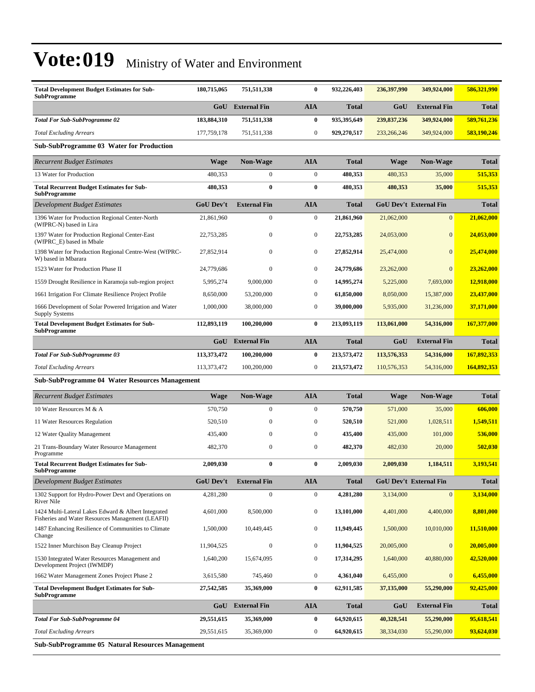| <b>Total Development Budget Estimates for Sub-</b><br><b>SubProgramme</b>                                | 180,715,065      | 751,511,338             | $\bf{0}$         | 932,226,403  | 236,397,990 | 349,924,000                   | 586,321,990  |
|----------------------------------------------------------------------------------------------------------|------------------|-------------------------|------------------|--------------|-------------|-------------------------------|--------------|
|                                                                                                          | GoU              | <b>External Fin</b>     | <b>AIA</b>       | <b>Total</b> | GoU         | <b>External Fin</b>           | <b>Total</b> |
| <b>Total For Sub-SubProgramme 02</b>                                                                     | 183,884,310      | 751,511,338             | $\bf{0}$         | 935,395,649  | 239,837,236 | 349,924,000                   | 589,761,236  |
| <b>Total Excluding Arrears</b>                                                                           | 177,759,178      | 751,511,338             | $\boldsymbol{0}$ | 929,270,517  | 233,266,246 | 349,924,000                   | 583,190,246  |
| <b>Sub-SubProgramme 03 Water for Production</b>                                                          |                  |                         |                  |              |             |                               |              |
| <b>Recurrent Budget Estimates</b>                                                                        | <b>Wage</b>      | <b>Non-Wage</b>         | <b>AIA</b>       | <b>Total</b> | <b>Wage</b> | <b>Non-Wage</b>               | <b>Total</b> |
| 13 Water for Production                                                                                  | 480,353          | $\overline{0}$          | $\boldsymbol{0}$ | 480,353      | 480,353     | 35,000                        | 515,353      |
| <b>Total Recurrent Budget Estimates for Sub-</b><br><b>SubProgramme</b>                                  | 480,353          | $\bf{0}$                | $\bf{0}$         | 480,353      | 480,353     | 35,000                        | 515,353      |
| Development Budget Estimates                                                                             | <b>GoU Dev't</b> | <b>External Fin</b>     | <b>AIA</b>       | <b>Total</b> |             | <b>GoU Dev't External Fin</b> | <b>Total</b> |
| 1396 Water for Production Regional Center-North<br>(WfPRC-N) based in Lira                               | 21,861,960       | $\boldsymbol{0}$        | $\boldsymbol{0}$ | 21,861,960   | 21,062,000  | $\overline{0}$                | 21,062,000   |
| 1397 Water for Production Regional Center-East<br>(WfPRC_E) based in Mbale                               | 22,753,285       | $\boldsymbol{0}$        | $\boldsymbol{0}$ | 22,753,285   | 24,053,000  | $\boldsymbol{0}$              | 24,053,000   |
| 1398 Water for Production Regional Centre-West (WfPRC-<br>W) based in Mbarara                            | 27,852,914       | $\boldsymbol{0}$        | $\boldsymbol{0}$ | 27,852,914   | 25,474,000  | $\boldsymbol{0}$              | 25,474,000   |
| 1523 Water for Production Phase II                                                                       | 24,779,686       | $\mathbf{0}$            | $\boldsymbol{0}$ | 24,779,686   | 23,262,000  | $\overline{0}$                | 23,262,000   |
| 1559 Drought Resilience in Karamoja sub-region project                                                   | 5,995,274        | 9,000,000               | $\mathbf{0}$     | 14,995,274   | 5,225,000   | 7,693,000                     | 12,918,000   |
| 1661 Irrigation For Climate Resilience Project Profile                                                   | 8,650,000        | 53,200,000              | $\boldsymbol{0}$ | 61,850,000   | 8,050,000   | 15,387,000                    | 23,437,000   |
| 1666 Development of Solar Powered Irrigation and Water<br><b>Supply Systems</b>                          | 1,000,000        | 38,000,000              | $\boldsymbol{0}$ | 39,000,000   | 5,935,000   | 31,236,000                    | 37,171,000   |
| <b>Total Development Budget Estimates for Sub-</b><br><b>SubProgramme</b>                                | 112,893,119      | 100,200,000             | $\bf{0}$         | 213,093,119  | 113,061,000 | 54,316,000                    | 167,377,000  |
|                                                                                                          |                  | <b>GoU</b> External Fin | <b>AIA</b>       | <b>Total</b> | GoU         | <b>External Fin</b>           | <b>Total</b> |
| <b>Total For Sub-SubProgramme 03</b>                                                                     | 113,373,472      | 100,200,000             | $\bf{0}$         | 213,573,472  | 113,576,353 | 54,316,000                    | 167,892,353  |
| <b>Total Excluding Arrears</b>                                                                           | 113,373,472      | 100,200,000             | $\mathbf{0}$     | 213,573,472  | 110,576,353 | 54,316,000                    | 164,892,353  |
| <b>Sub-SubProgramme 04 Water Resources Management</b>                                                    |                  |                         |                  |              |             |                               |              |
| <b>Recurrent Budget Estimates</b>                                                                        | <b>Wage</b>      | <b>Non-Wage</b>         | <b>AIA</b>       | <b>Total</b> | Wage        | <b>Non-Wage</b>               | <b>Total</b> |
| 10 Water Resources M & A                                                                                 | 570,750          | $\boldsymbol{0}$        | $\mathbf{0}$     | 570,750      | 571,000     | 35,000                        | 606,000      |
| 11 Water Resources Regulation                                                                            | 520,510          | $\boldsymbol{0}$        | $\boldsymbol{0}$ | 520,510      | 521,000     | 1,028,511                     | 1,549,511    |
| 12 Water Quality Management                                                                              | 435,400          | $\mathbf{0}$            | $\boldsymbol{0}$ | 435,400      | 435,000     | 101,000                       | 536,000      |
| 21 Trans-Boundary Water Resource Management<br>Programme                                                 | 482,370          | $\boldsymbol{0}$        | $\boldsymbol{0}$ | 482,370      | 482,030     | 20,000                        | 502,030      |
| <b>Total Recurrent Budget Estimates for Sub-</b><br><b>SubProgramme</b>                                  | 2,009,030        | $\bf{0}$                | $\bf{0}$         | 2,009,030    | 2,009,030   | 1,184,511                     | 3,193,541    |
| <b>Development Budget Estimates</b>                                                                      | <b>GoU Dev't</b> | <b>External Fin</b>     | <b>AIA</b>       | <b>Total</b> |             | GoU Dev't External Fin        | <b>Total</b> |
| 1302 Support for Hydro-Power Devt and Operations on<br>River Nile                                        | 4,281,280        | $\mathbf{0}$            | $\boldsymbol{0}$ | 4,281,280    | 3,134,000   | $\mathbf{0}$                  | 3,134,000    |
| 1424 Multi-Lateral Lakes Edward & Albert Integrated<br>Fisheries and Water Resources Management (LEAFII) | 4,601,000        | 8,500,000               | $\boldsymbol{0}$ | 13,101,000   | 4,401,000   | 4,400,000                     | 8,801,000    |
| 1487 Enhancing Resilience of Communities to Climate<br>Change                                            | 1,500,000        | 10,449,445              | $\boldsymbol{0}$ | 11,949,445   | 1,500,000   | 10,010,000                    | 11,510,000   |
| 1522 Inner Murchison Bay Cleanup Project                                                                 | 11,904,525       | $\boldsymbol{0}$        | $\boldsymbol{0}$ | 11,904,525   | 20,005,000  | $\mathbf{0}$                  | 20,005,000   |
| 1530 Integrated Water Resources Management and<br>Development Project (IWMDP)                            | 1,640,200        | 15,674,095              | $\boldsymbol{0}$ | 17,314,295   | 1,640,000   | 40,880,000                    | 42,520,000   |
| 1662 Water Management Zones Project Phase 2                                                              | 3,615,580        | 745,460                 | $\boldsymbol{0}$ | 4,361,040    | 6,455,000   | $\mathbf{0}$                  | 6,455,000    |
| <b>Total Development Budget Estimates for Sub-</b><br><b>SubProgramme</b>                                | 27,542,585       | 35,369,000              | 0                | 62,911,585   | 37,135,000  | 55,290,000                    | 92,425,000   |
|                                                                                                          | GoU              | <b>External Fin</b>     | <b>AIA</b>       | <b>Total</b> | GoU         | <b>External Fin</b>           | <b>Total</b> |
| <b>Total For Sub-SubProgramme 04</b>                                                                     | 29,551,615       | 35,369,000              | $\bf{0}$         | 64,920,615   | 40,328,541  | 55,290,000                    | 95,618,541   |
| <b>Total Excluding Arrears</b>                                                                           | 29,551,615       | 35,369,000              | $\bf{0}$         | 64,920,615   | 38,334,030  | 55,290,000                    | 93,624,030   |

**Sub-SubProgramme 05 Natural Resources Management**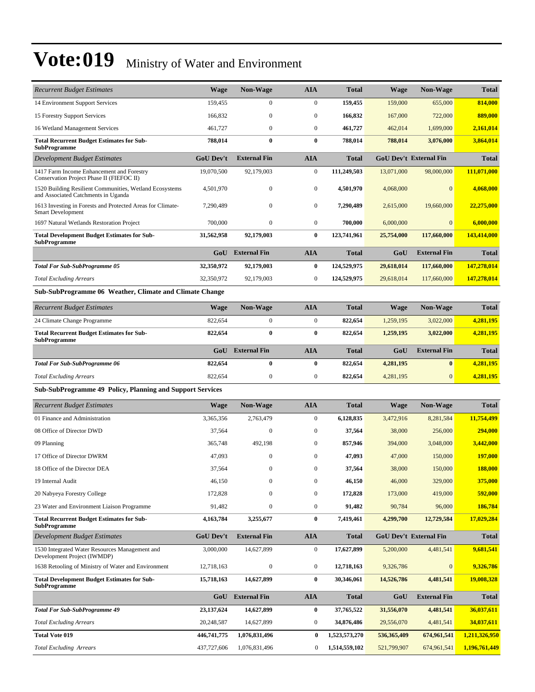| <b>Recurrent Budget Estimates</b>                                                              | <b>Wage</b>      | <b>Non-Wage</b>     | <b>AIA</b>       | <b>Total</b>  | <b>Wage</b>   | <b>Non-Wage</b>               | <b>Total</b>  |
|------------------------------------------------------------------------------------------------|------------------|---------------------|------------------|---------------|---------------|-------------------------------|---------------|
| 14 Environment Support Services                                                                | 159,455          | 0                   | $\boldsymbol{0}$ | 159,455       | 159,000       | 655,000                       | 814,000       |
| 15 Forestry Support Services                                                                   | 166,832          | $\boldsymbol{0}$    | $\boldsymbol{0}$ | 166,832       | 167,000       | 722,000                       | 889,000       |
| 16 Wetland Management Services                                                                 | 461,727          | $\boldsymbol{0}$    | $\boldsymbol{0}$ | 461,727       | 462,014       | 1,699,000                     | 2,161,014     |
| <b>Total Recurrent Budget Estimates for Sub-</b><br><b>SubProgramme</b>                        | 788,014          | $\bf{0}$            | $\bf{0}$         | 788,014       | 788,014       | 3,076,000                     | 3,864,014     |
| Development Budget Estimates                                                                   | <b>GoU Dev't</b> | <b>External Fin</b> | <b>AIA</b>       | <b>Total</b>  |               | <b>GoU Dev't External Fin</b> | <b>Total</b>  |
| 1417 Farm Income Enhancement and Forestry<br>Conservation Project Phase II (FIEFOC II)         | 19,070,500       | 92,179,003          | $\boldsymbol{0}$ | 111,249,503   | 13,071,000    | 98,000,000                    | 111,071,000   |
| 1520 Building Resilient Communities, Wetland Ecosystems<br>and Associated Catchments in Uganda | 4,501,970        | $\boldsymbol{0}$    | $\boldsymbol{0}$ | 4,501,970     | 4,068,000     | $\Omega$                      | 4,068,000     |
| 1613 Investing in Forests and Protected Areas for Climate-<br><b>Smart Development</b>         | 7,290,489        | $\mathbf{0}$        | $\boldsymbol{0}$ | 7,290,489     | 2,615,000     | 19,660,000                    | 22,275,000    |
| 1697 Natural Wetlands Restoration Project                                                      | 700,000          | $\boldsymbol{0}$    | $\boldsymbol{0}$ | 700,000       | 6,000,000     | $\mathbf{0}$                  | 6,000,000     |
| <b>Total Development Budget Estimates for Sub-</b><br><b>SubProgramme</b>                      | 31,562,958       | 92,179,003          | $\bf{0}$         | 123,741,961   | 25,754,000    | 117,660,000                   | 143,414,000   |
|                                                                                                | GoU              | <b>External Fin</b> | <b>AIA</b>       | <b>Total</b>  | GoU           | <b>External Fin</b>           | <b>Total</b>  |
| <b>Total For Sub-SubProgramme 05</b>                                                           | 32,350,972       | 92,179,003          | $\bf{0}$         | 124,529,975   | 29,618,014    | 117,660,000                   | 147,278,014   |
| <b>Total Excluding Arrears</b>                                                                 | 32,350,972       | 92,179,003          | $\boldsymbol{0}$ | 124,529,975   | 29,618,014    | 117,660,000                   | 147,278,014   |
| Sub-SubProgramme 06 Weather, Climate and Climate Change                                        |                  |                     |                  |               |               |                               |               |
| <b>Recurrent Budget Estimates</b>                                                              | Wage             | <b>Non-Wage</b>     | <b>AIA</b>       | <b>Total</b>  | <b>Wage</b>   | <b>Non-Wage</b>               | <b>Total</b>  |
| 24 Climate Change Programme                                                                    | 822,654          | $\mathbf{0}$        | $\boldsymbol{0}$ | 822,654       | 1,259,195     | 3,022,000                     | 4,281,195     |
| <b>Total Recurrent Budget Estimates for Sub-</b><br><b>SubProgramme</b>                        | 822,654          | $\bf{0}$            | $\bf{0}$         | 822,654       | 1,259,195     | 3,022,000                     | 4,281,195     |
|                                                                                                | GoU              | <b>External Fin</b> | <b>AIA</b>       | <b>Total</b>  | GoU           | <b>External Fin</b>           | <b>Total</b>  |
| <b>Total For Sub-SubProgramme 06</b>                                                           | 822,654          | $\bf{0}$            | $\bf{0}$         | 822,654       | 4,281,195     | $\bf{0}$                      | 4,281,195     |
| <b>Total Excluding Arrears</b>                                                                 | 822,654          | $\boldsymbol{0}$    | $\boldsymbol{0}$ | 822,654       | 4,281,195     | $\overline{0}$                | 4,281,195     |
| Sub-SubProgramme 49 Policy, Planning and Support Services                                      |                  |                     |                  |               |               |                               |               |
| <b>Recurrent Budget Estimates</b>                                                              | Wage             | <b>Non-Wage</b>     | <b>AIA</b>       | <b>Total</b>  | <b>Wage</b>   | <b>Non-Wage</b>               | Total         |
| 01 Finance and Administration                                                                  | 3,365,356        | 2,763,479           | $\boldsymbol{0}$ | 6,128,835     | 3,472,916     | 8,281,584                     | 11,754,499    |
| 08 Office of Director DWD                                                                      | 37,564           | $\boldsymbol{0}$    | $\boldsymbol{0}$ | 37,564        | 38,000        | 256,000                       | 294,000       |
| 09 Planning                                                                                    | 365,748          | 492.198             | $\boldsymbol{0}$ | 857,946       | 394,000       | 3,048,000                     | 3,442,000     |
| 17 Office of Director DWRM                                                                     | 47,093           | $\boldsymbol{0}$    | $\mathbf{0}$     | 47,093        | 47,000        | 150,000                       | 197,000       |
| 18 Office of the Director DEA                                                                  | 37,564           | $\mathbf{0}$        | $\mathbf{0}$     | 37,564        | 38,000        | 150,000                       | 188,000       |
| 19 Internal Audit                                                                              | 46,150           | $\boldsymbol{0}$    | $\boldsymbol{0}$ | 46,150        | 46,000        | 329,000                       | 375,000       |
| 20 Nabyeva Forestry College                                                                    | 172,828          | $\mathbf{0}$        | $\boldsymbol{0}$ | 172,828       | 173,000       | 419,000                       | 592,000       |
| 23 Water and Environment Liaison Programme                                                     | 91,482           | $\boldsymbol{0}$    | $\boldsymbol{0}$ | 91,482        | 90,784        | 96,000                        | 186,784       |
| <b>Total Recurrent Budget Estimates for Sub-</b><br><b>SubProgramme</b>                        | 4,163,784        | 3,255,677           | $\bf{0}$         | 7,419,461     | 4,299,700     | 12,729,584                    | 17,029,284    |
| Development Budget Estimates                                                                   | <b>GoU Dev't</b> | <b>External Fin</b> | <b>AIA</b>       | <b>Total</b>  |               | GoU Dev't External Fin        | <b>Total</b>  |
| 1530 Integrated Water Resources Management and<br>Development Project (IWMDP)                  | 3,000,000        | 14,627,899          | $\boldsymbol{0}$ | 17,627,899    | 5,200,000     | 4,481,541                     | 9,681,541     |
| 1638 Retooling of Ministry of Water and Environment                                            | 12,718,163       | $\boldsymbol{0}$    | $\boldsymbol{0}$ | 12,718,163    | 9,326,786     | $\boldsymbol{0}$              | 9,326,786     |
| <b>Total Development Budget Estimates for Sub-</b><br><b>SubProgramme</b>                      | 15,718,163       | 14,627,899          | $\bf{0}$         | 30,346,061    | 14,526,786    | 4,481,541                     | 19,008,328    |
|                                                                                                | GoU              | <b>External Fin</b> | <b>AIA</b>       | <b>Total</b>  | GoU           | <b>External Fin</b>           | <b>Total</b>  |
| <b>Total For Sub-SubProgramme 49</b>                                                           | 23,137,624       | 14,627,899          | $\bf{0}$         | 37,765,522    | 31,556,070    | 4,481,541                     | 36,037,611    |
| <b>Total Excluding Arrears</b>                                                                 | 20,248,587       | 14,627,899          | $\boldsymbol{0}$ | 34,876,486    | 29,556,070    | 4,481,541                     | 34,037,611    |
| <b>Total Vote 019</b>                                                                          | 446,741,775      | 1,076,831,496       | 0                | 1,523,573,270 | 536, 365, 409 | 674,961,541                   | 1,211,326,950 |
| <b>Total Excluding Arrears</b>                                                                 | 437,727,606      | 1,076,831,496       | $\boldsymbol{0}$ | 1,514,559,102 | 521,799,907   | 674,961,541                   | 1,196,761,449 |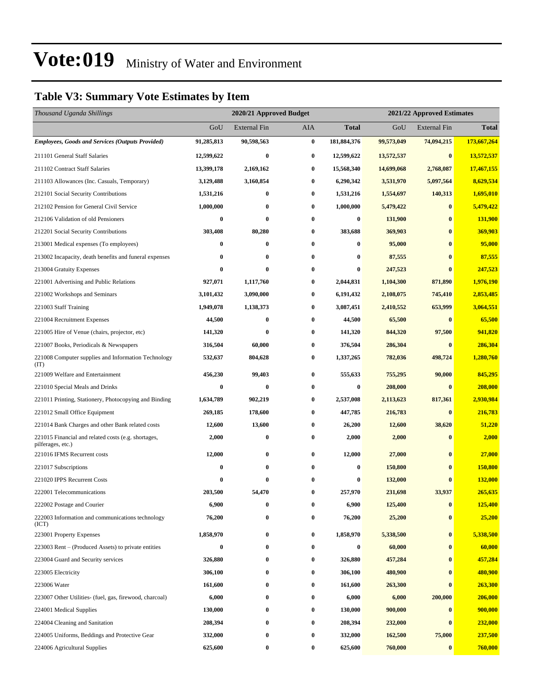### **Table V3: Summary Vote Estimates by Item**

| Thousand Uganda Shillings                                                |            | 2020/21 Approved Budget |                  |                  | 2021/22 Approved Estimates |                  |              |  |
|--------------------------------------------------------------------------|------------|-------------------------|------------------|------------------|----------------------------|------------------|--------------|--|
|                                                                          | GoU        | External Fin            | AIA              | <b>Total</b>     | GoU                        | External Fin     | <b>Total</b> |  |
| <b>Employees, Goods and Services (Outputs Provided)</b>                  | 91,285,813 | 90,598,563              | $\bf{0}$         | 181,884,376      | 99,573,049                 | 74,094,215       | 173,667,264  |  |
| 211101 General Staff Salaries                                            | 12,599,622 | $\bf{0}$                | $\bf{0}$         | 12,599,622       | 13,572,537                 | $\bf{0}$         | 13,572,537   |  |
| 211102 Contract Staff Salaries                                           | 13,399,178 | 2,169,162               | $\bf{0}$         | 15,568,340       | 14,699,068                 | 2,768,087        | 17,467,155   |  |
| 211103 Allowances (Inc. Casuals, Temporary)                              | 3,129,488  | 3,160,854               | 0                | 6,290,342        | 3,531,970                  | 5,097,564        | 8,629,534    |  |
| 212101 Social Security Contributions                                     | 1,531,216  | $\bf{0}$                | 0                | 1,531,216        | 1,554,697                  | 140,313          | 1,695,010    |  |
| 212102 Pension for General Civil Service                                 | 1,000,000  | $\bf{0}$                | $\bf{0}$         | 1,000,000        | 5,479,422                  | $\bf{0}$         | 5,479,422    |  |
| 212106 Validation of old Pensioners                                      | 0          | $\bf{0}$                | $\bf{0}$         | $\bf{0}$         | 131,900                    | $\bf{0}$         | 131,900      |  |
| 212201 Social Security Contributions                                     | 303,408    | 80,280                  | $\bf{0}$         | 383,688          | 369,903                    | $\bf{0}$         | 369,903      |  |
| 213001 Medical expenses (To employees)                                   | 0          | $\bf{0}$                | $\bf{0}$         | $\bf{0}$         | 95,000                     | $\bf{0}$         | 95,000       |  |
| 213002 Incapacity, death benefits and funeral expenses                   | 0          | $\bf{0}$                | 0                | $\bf{0}$         | 87,555                     | $\bf{0}$         | 87,555       |  |
| 213004 Gratuity Expenses                                                 | 0          | $\bf{0}$                | 0                | $\bf{0}$         | 247,523                    | $\bf{0}$         | 247,523      |  |
| 221001 Advertising and Public Relations                                  | 927,071    | 1,117,760               | 0                | 2,044,831        | 1,104,300                  | 871,890          | 1,976,190    |  |
| 221002 Workshops and Seminars                                            | 3,101,432  | 3,090,000               | 0                | 6,191,432        | 2,108,075                  | 745,410          | 2,853,485    |  |
| 221003 Staff Training                                                    | 1,949,078  | 1,138,373               | 0                | 3,087,451        | 2,410,552                  | 653,999          | 3,064,551    |  |
| 221004 Recruitment Expenses                                              | 44,500     | $\bf{0}$                | $\bf{0}$         | 44,500           | 65,500                     | $\bf{0}$         | 65,500       |  |
| 221005 Hire of Venue (chairs, projector, etc)                            | 141,320    | $\bf{0}$                | $\bf{0}$         | 141,320          | 844,320                    | 97,500           | 941,820      |  |
| 221007 Books, Periodicals & Newspapers                                   | 316,504    | 60,000                  | $\bf{0}$         | 376,504          | 286,304                    | $\bf{0}$         | 286,304      |  |
| 221008 Computer supplies and Information Technology<br>(TT)              | 532,637    | 804,628                 | $\boldsymbol{0}$ | 1,337,265        | 782,036                    | 498,724          | 1,280,760    |  |
| 221009 Welfare and Entertainment                                         | 456,230    | 99,403                  | $\bf{0}$         | 555,633          | 755,295                    | 90,000           | 845,295      |  |
| 221010 Special Meals and Drinks                                          | 0          | $\bf{0}$                | 0                | $\bf{0}$         | 208,000                    | $\bf{0}$         | 208,000      |  |
| 221011 Printing, Stationery, Photocopying and Binding                    | 1,634,789  | 902,219                 | $\boldsymbol{0}$ | 2,537,008        | 2,113,623                  | 817,361          | 2,930,984    |  |
| 221012 Small Office Equipment                                            | 269,185    | 178,600                 | $\bf{0}$         | 447,785          | 216,783                    | $\bf{0}$         | 216,783      |  |
| 221014 Bank Charges and other Bank related costs                         | 12,600     | 13,600                  | $\bf{0}$         | 26,200           | 12,600                     | 38,620           | 51,220       |  |
| 221015 Financial and related costs (e.g. shortages,<br>pilferages, etc.) | 2,000      | 0                       | 0                | 2,000            | 2,000                      | $\bf{0}$         | 2,000        |  |
| 221016 IFMS Recurrent costs                                              | 12,000     | $\bf{0}$                | $\bf{0}$         | 12,000           | 27,000                     | $\bf{0}$         | 27,000       |  |
| 221017 Subscriptions                                                     | 0          | $\bf{0}$                | 0                | $\bf{0}$         | 150,800                    | $\bf{0}$         | 150,800      |  |
| 221020 IPPS Recurrent Costs                                              | 0          | $\bf{0}$                | $\bf{0}$         | $\bf{0}$         | 132,000                    | $\mathbf{0}$     | 132,000      |  |
| 222001 Telecommunications                                                | 203,500    | 54,470                  | $\bf{0}$         | 257,970          | 231,698                    | 33,937           | 265,635      |  |
| 222002 Postage and Courier                                               | 6,900      | 0                       | $\bf{0}$         | 6,900            | 125,400                    | $\bf{0}$         | 125,400      |  |
| 222003 Information and communications technology<br>(ICT)                | 76,200     | $\bf{0}$                | 0                | 76,200           | 25,200                     | $\bf{0}$         | 25,200       |  |
| 223001 Property Expenses                                                 | 1,858,970  | $\bf{0}$                | $\bf{0}$         | 1,858,970        | 5,338,500                  | $\boldsymbol{0}$ | 5,338,500    |  |
| 223003 Rent – (Produced Assets) to private entities                      | 0          | $\bf{0}$                | $\bf{0}$         | $\boldsymbol{0}$ | 60,000                     | $\bf{0}$         | 60,000       |  |
| 223004 Guard and Security services                                       | 326,880    | 0                       | $\bf{0}$         | 326,880          | 457,284                    | $\bf{0}$         | 457,284      |  |
| 223005 Electricity                                                       | 306,100    | $\bf{0}$                | $\boldsymbol{0}$ | 306,100          | 480,900                    | $\bf{0}$         | 480,900      |  |
| 223006 Water                                                             | 161,600    | 0                       | $\bf{0}$         | 161,600          | 263,300                    | $\bf{0}$         | 263,300      |  |
| 223007 Other Utilities- (fuel, gas, firewood, charcoal)                  | 6,000      | $\bf{0}$                | $\bf{0}$         | 6,000            | 6,000                      | 200,000          | 206,000      |  |
| 224001 Medical Supplies                                                  | 130,000    | 0                       | $\bf{0}$         | 130,000          | 900,000                    | $\bf{0}$         | 900,000      |  |
| 224004 Cleaning and Sanitation                                           | 208,394    | 0                       | $\bf{0}$         | 208,394          | 232,000                    | $\bf{0}$         | 232,000      |  |
| 224005 Uniforms, Beddings and Protective Gear                            | 332,000    | $\bf{0}$                | $\bf{0}$         | 332,000          | 162,500                    | 75,000           | 237,500      |  |
| 224006 Agricultural Supplies                                             | 625,600    | $\bf{0}$                | $\bf{0}$         | 625,600          | 760,000                    | $\bf{0}$         | 760,000      |  |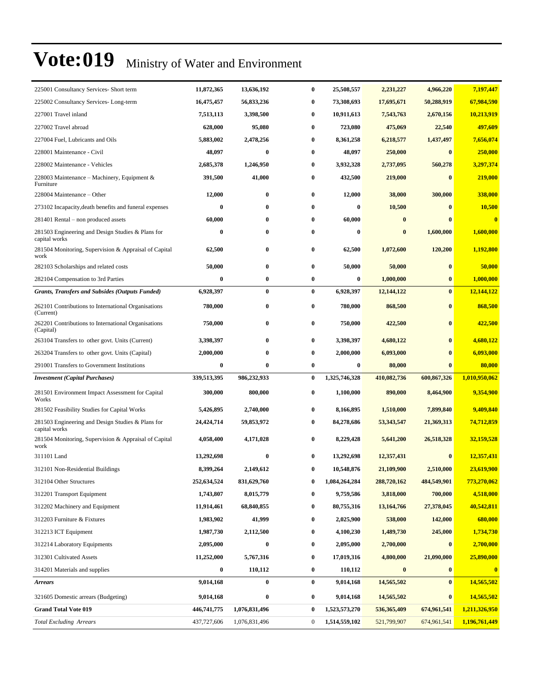| 225001 Consultancy Services- Short term                            | 11,872,365  | 13,636,192    | 0                | 25,508,557    | 2,231,227   | 4,966,220   | 7,197,447               |
|--------------------------------------------------------------------|-------------|---------------|------------------|---------------|-------------|-------------|-------------------------|
| 225002 Consultancy Services-Long-term                              | 16,475,457  | 56,833,236    | 0                | 73,308,693    | 17,695,671  | 50,288,919  | 67,984,590              |
| 227001 Travel inland                                               | 7,513,113   | 3,398,500     | 0                | 10,911,613    | 7,543,763   | 2,670,156   | 10,213,919              |
| 227002 Travel abroad                                               | 628,000     | 95,080        | 0                | 723,080       | 475,069     | 22,540      | 497,609                 |
| 227004 Fuel, Lubricants and Oils                                   | 5,883,002   | 2,478,256     | 0                | 8,361,258     | 6,218,577   | 1,437,497   | 7,656,074               |
| 228001 Maintenance - Civil                                         | 48,097      | $\bf{0}$      | 0                | 48,097        | 250,000     | $\bf{0}$    | 250,000                 |
| 228002 Maintenance - Vehicles                                      | 2,685,378   | 1,246,950     | 0                | 3,932,328     | 2,737,095   | 560,278     | 3,297,374               |
| 228003 Maintenance – Machinery, Equipment &<br>Furniture           | 391,500     | 41,000        | 0                | 432,500       | 219,000     | $\bf{0}$    | 219,000                 |
| 228004 Maintenance - Other                                         | 12,000      | $\bf{0}$      | 0                | 12,000        | 38,000      | 300,000     | 338,000                 |
| 273102 Incapacity, death benefits and funeral expenses             | $\bf{0}$    | $\bf{0}$      | 0                | $\bf{0}$      | 10,500      | $\bf{0}$    | 10,500                  |
| 281401 Rental – non produced assets                                | 60,000      | $\bf{0}$      | 0                | 60,000        | $\bf{0}$    |             | $\overline{\mathbf{0}}$ |
| 281503 Engineering and Design Studies & Plans for<br>capital works | $\bf{0}$    | $\bf{0}$      | 0                | $\bf{0}$      | $\bf{0}$    | 1,600,000   | 1,600,000               |
| 281504 Monitoring, Supervision & Appraisal of Capital<br>work      | 62,500      | $\bf{0}$      | 0                | 62,500        | 1,072,600   | 120,200     | 1,192,800               |
| 282103 Scholarships and related costs                              | 50,000      | $\bf{0}$      | 0                | 50,000        | 50,000      | $\bf{0}$    | 50,000                  |
| 282104 Compensation to 3rd Parties                                 | $\bf{0}$    | $\bf{0}$      | 0                | $\bf{0}$      | 1,000,000   | $\bf{0}$    | 1,000,000               |
| <b>Grants, Transfers and Subsides (Outputs Funded)</b>             | 6,928,397   | $\bf{0}$      | $\bf{0}$         | 6,928,397     | 12,144,122  | $\bf{0}$    | 12,144,122              |
| 262101 Contributions to International Organisations<br>(Current)   | 780,000     | $\bf{0}$      | 0                | 780,000       | 868,500     | $\bf{0}$    | 868,500                 |
| 262201 Contributions to International Organisations<br>(Capital)   | 750,000     | $\bf{0}$      | 0                | 750,000       | 422,500     | $\bf{0}$    | 422,500                 |
| 263104 Transfers to other govt. Units (Current)                    | 3,398,397   | $\bf{0}$      | 0                | 3,398,397     | 4,680,122   | $\bf{0}$    | 4,680,122               |
| 263204 Transfers to other govt. Units (Capital)                    | 2,000,000   | $\bf{0}$      | 0                | 2,000,000     | 6,093,000   | $\bf{0}$    | 6,093,000               |
| 291001 Transfers to Government Institutions                        | $\bf{0}$    | $\bf{0}$      | 0                | $\bf{0}$      | 80,000      | $\bf{0}$    | 80,000                  |
| <b>Investment</b> (Capital Purchases)                              | 339,513,395 | 986,232,933   | $\bf{0}$         | 1,325,746,328 | 410,082,736 | 600,867,326 | 1,010,950,062           |
| 281501 Environment Impact Assessment for Capital<br>Works          | 300,000     | 800,000       | 0                | 1,100,000     | 890,000     | 8,464,900   | 9,354,900               |
| 281502 Feasibility Studies for Capital Works                       | 5,426,895   | 2,740,000     | 0                | 8,166,895     | 1,510,000   | 7,899,840   | 9,409,840               |
| 281503 Engineering and Design Studies & Plans for<br>capital works | 24,424,714  | 59,853,972    | 0                | 84,278,686    | 53,343,547  | 21,369,313  | 74,712,859              |
| 281504 Monitoring, Supervision & Appraisal of Capital<br>work      | 4,058,400   | 4,171,028     | 0                | 8,229,428     | 5,641,200   | 26,518,328  | 32,159,528              |
| 311101 Land                                                        | 13,292,698  | 0             | 0                | 13,292,698    | 12,357,431  |             | 12,357,431              |
| 312101 Non-Residential Buildings                                   | 8,399,264   | 2,149,612     | 0                | 10,548,876    | 21,109,900  | 2,510,000   | 23.619.900              |
| 312104 Other Structures                                            | 252,634,524 | 831,629,760   | 0                | 1,084,264,284 | 288,720,162 | 484,549,901 | 773,270,062             |
| 312201 Transport Equipment                                         | 1,743,807   | 8,015,779     | 0                | 9,759,586     | 3,818,000   | 700,000     | 4,518,000               |
| 312202 Machinery and Equipment                                     | 11,914,461  | 68,840,855    | 0                | 80,755,316    | 13,164,766  | 27,378,045  | 40,542,811              |
| 312203 Furniture & Fixtures                                        | 1,983,902   | 41,999        | 0                | 2,025,900     | 538,000     | 142,000     | 680,000                 |
| 312213 ICT Equipment                                               | 1,987,730   | 2,112,500     | 0                | 4,100,230     | 1,489,730   | 245,000     | 1,734,730               |
| 312214 Laboratory Equipments                                       | 2,095,000   | $\bf{0}$      | 0                | 2,095,000     | 2,700,000   | $\bf{0}$    | 2,700,000               |
| 312301 Cultivated Assets                                           | 11,252,000  | 5,767,316     | 0                | 17,019,316    | 4,800,000   | 21,090,000  | 25,890,000              |
| 314201 Materials and supplies                                      | $\bf{0}$    | 110,112       | 0                | 110,112       | $\bf{0}$    | $\bf{0}$    | $\bf{0}$                |
| <b>Arrears</b>                                                     | 9,014,168   | $\bf{0}$      | $\bf{0}$         | 9,014,168     | 14,565,502  | $\bf{0}$    | 14,565,502              |
| 321605 Domestic arrears (Budgeting)                                | 9,014,168   | $\bf{0}$      | 0                | 9,014,168     | 14,565,502  | $\bf{0}$    | 14,565,502              |
| <b>Grand Total Vote 019</b>                                        | 446,741,775 | 1,076,831,496 | 0                | 1,523,573,270 | 536,365,409 | 674,961,541 | 1,211,326,950           |
| <b>Total Excluding Arrears</b>                                     | 437,727,606 | 1,076,831,496 | $\boldsymbol{0}$ | 1,514,559,102 | 521,799,907 | 674,961,541 | 1,196,761,449           |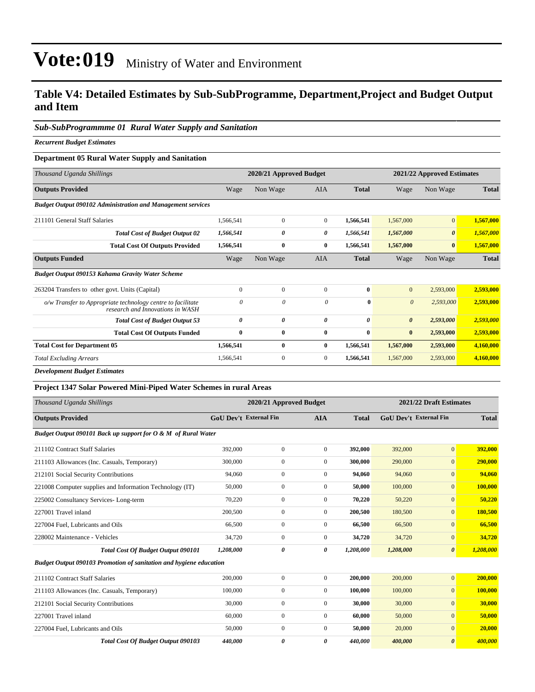### **Table V4: Detailed Estimates by Sub-SubProgramme, Department,Project and Budget Output and Item**

#### *Sub-SubProgrammme 01 Rural Water Supply and Sanitation*

*Recurrent Budget Estimates*

#### **Department 05 Rural Water Supply and Sanitation**

| Thousand Uganda Shillings                                                                       |                | 2020/21 Approved Budget |                       |                       |                       | 2021/22 Approved Estimates |              |
|-------------------------------------------------------------------------------------------------|----------------|-------------------------|-----------------------|-----------------------|-----------------------|----------------------------|--------------|
| <b>Outputs Provided</b>                                                                         | Wage           | Non Wage                | <b>AIA</b>            | <b>Total</b>          | Wage                  | Non Wage                   | <b>Total</b> |
| <b>Budget Output 090102 Administration and Management services</b>                              |                |                         |                       |                       |                       |                            |              |
| 211101 General Staff Salaries                                                                   | 1,566,541      | $\mathbf{0}$            | $\mathbf{0}$          | 1,566,541             | 1,567,000             | $\vert 0 \vert$            | 1,567,000    |
| <b>Total Cost of Budget Output 02</b>                                                           | 1,566,541      | 0                       | 0                     | 1,566,541             | 1,567,000             | $\boldsymbol{\theta}$      | 1,567,000    |
| <b>Total Cost Of Outputs Provided</b>                                                           | 1,566,541      | $\bf{0}$                | $\bf{0}$              | 1,566,541             | 1,567,000             | $\bf{0}$                   | 1,567,000    |
| <b>Outputs Funded</b>                                                                           | Wage           | Non Wage                | <b>AIA</b>            | <b>Total</b>          | Wage                  | Non Wage                   | <b>Total</b> |
| Budget Output 090153 Kahama Gravity Water Scheme                                                |                |                         |                       |                       |                       |                            |              |
| 263204 Transfers to other govt. Units (Capital)                                                 | $\overline{0}$ | $\mathbf{0}$            | $\mathbf{0}$          | $\bf{0}$              | $\overline{0}$        | 2,593,000                  | 2,593,000    |
| o/w Transfer to Appropriate technology centre to facilitate<br>research and Innovations in WASH | $\theta$       | $\theta$                | $\theta$              | $\mathbf{0}$          | $\boldsymbol{\theta}$ | 2,593,000                  | 2,593,000    |
| <b>Total Cost of Budget Output 53</b>                                                           | 0              | 0                       | $\boldsymbol{\theta}$ | $\boldsymbol{\theta}$ | $\boldsymbol{\theta}$ | 2,593,000                  | 2,593,000    |
| <b>Total Cost Of Outputs Funded</b>                                                             | $\bf{0}$       | $\bf{0}$                | $\bf{0}$              | $\bf{0}$              | $\bf{0}$              | 2,593,000                  | 2,593,000    |
| <b>Total Cost for Department 05</b>                                                             | 1,566,541      | $\bf{0}$                | $\bf{0}$              | 1,566,541             | 1,567,000             | 2,593,000                  | 4,160,000    |
| <b>Total Excluding Arrears</b>                                                                  | 1,566,541      | $\mathbf{0}$            | $\mathbf{0}$          | 1,566,541             | 1,567,000             | 2,593,000                  | 4,160,000    |
| <b>Development Budget Estimates</b>                                                             |                |                         |                       |                       |                       |                            |              |

#### **Project 1347 Solar Powered Mini-Piped Water Schemes in rural Areas**

| Thousand Uganda Shillings                                          |                               | 2021/22 Draft Estimates<br>2020/21 Approved Budget |                |              |                               |                       |              |
|--------------------------------------------------------------------|-------------------------------|----------------------------------------------------|----------------|--------------|-------------------------------|-----------------------|--------------|
| <b>Outputs Provided</b>                                            | <b>GoU Dev't External Fin</b> |                                                    | <b>AIA</b>     | <b>Total</b> | <b>GoU Dev't External Fin</b> |                       | <b>Total</b> |
| Budget Output 090101 Back up support for O & M of Rural Water      |                               |                                                    |                |              |                               |                       |              |
| 211102 Contract Staff Salaries                                     | 392,000                       | $\mathbf{0}$                                       | $\overline{0}$ | 392,000      | 392,000                       | $\overline{0}$        | 392,000      |
| 211103 Allowances (Inc. Casuals, Temporary)                        | 300,000                       | $\mathbf{0}$                                       | $\overline{0}$ | 300,000      | 290,000                       | $\overline{0}$        | 290,000      |
| 212101 Social Security Contributions                               | 94,060                        | $\boldsymbol{0}$                                   | $\overline{0}$ | 94,060       | 94,060                        | $\overline{0}$        | 94,060       |
| 221008 Computer supplies and Information Technology (IT)           | 50,000                        | $\boldsymbol{0}$                                   | $\overline{0}$ | 50,000       | 100,000                       | $\overline{0}$        | 100,000      |
| 225002 Consultancy Services-Long-term                              | 70,220                        | $\mathbf{0}$                                       | $\overline{0}$ | 70,220       | 50,220                        | $\overline{0}$        | 50,220       |
| 227001 Travel inland                                               | 200,500                       | $\mathbf{0}$                                       | $\overline{0}$ | 200,500      | 180,500                       | $\overline{0}$        | 180,500      |
| 227004 Fuel, Lubricants and Oils                                   | 66,500                        | $\mathbf{0}$                                       | $\overline{0}$ | 66,500       | 66,500                        | $\overline{0}$        | 66,500       |
| 228002 Maintenance - Vehicles                                      | 34,720                        | $\boldsymbol{0}$                                   | $\overline{0}$ | 34,720       | 34,720                        | $\mathbf{0}$          | 34,720       |
| <b>Total Cost Of Budget Output 090101</b>                          | 1,208,000                     | 0                                                  | 0              | 1,208,000    | 1,208,000                     | $\boldsymbol{\theta}$ | 1,208,000    |
| Budget Output 090103 Promotion of sanitation and hygiene education |                               |                                                    |                |              |                               |                       |              |
| 211102 Contract Staff Salaries                                     | 200,000                       | $\mathbf{0}$                                       | $\Omega$       | 200,000      | 200,000                       | $\overline{0}$        | 200,000      |
| 211103 Allowances (Inc. Casuals, Temporary)                        | 100,000                       | $\mathbf{0}$                                       | $\overline{0}$ | 100,000      | 100,000                       | $\overline{0}$        | 100,000      |
| 212101 Social Security Contributions                               | 30,000                        | $\mathbf{0}$                                       | $\overline{0}$ | 30,000       | 30,000                        | $\overline{0}$        | 30,000       |
| 227001 Travel inland                                               | 60,000                        | $\boldsymbol{0}$                                   | $\overline{0}$ | 60,000       | 50,000                        | $\mathbf{0}$          | 50,000       |
| 227004 Fuel, Lubricants and Oils                                   | 50,000                        | $\mathbf{0}$                                       | $\overline{0}$ | 50,000       | 20,000                        | $\overline{0}$        | 20,000       |
| Total Cost Of Budget Output 090103                                 | 440,000                       | 0                                                  | 0              | 440,000      | 400,000                       | $\boldsymbol{\theta}$ | 400,000      |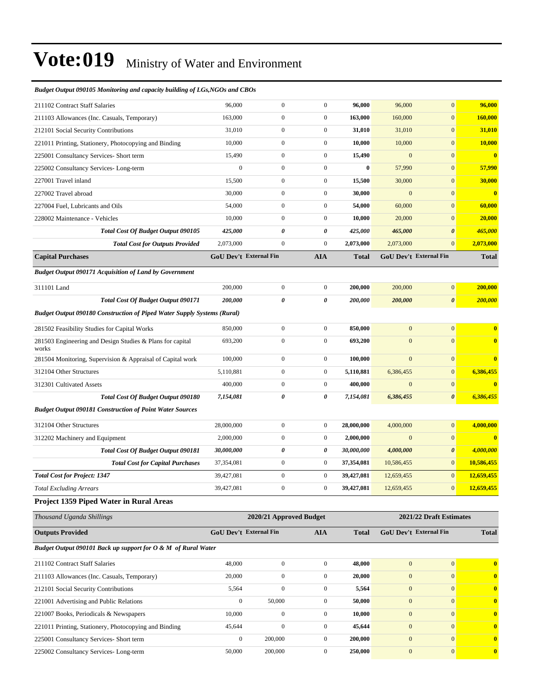| 211102 Contract Staff Salaries                                                 | 96,000           | $\overline{0}$                | $\boldsymbol{0}$      | 96,000       | 96,000                        | $\boldsymbol{0}$        | 96,000           |
|--------------------------------------------------------------------------------|------------------|-------------------------------|-----------------------|--------------|-------------------------------|-------------------------|------------------|
| 211103 Allowances (Inc. Casuals, Temporary)                                    | 163,000          | $\boldsymbol{0}$              | $\boldsymbol{0}$      | 163,000      | 160,000                       | $\boldsymbol{0}$        | 160,000          |
| 212101 Social Security Contributions                                           | 31,010           | $\boldsymbol{0}$              | $\boldsymbol{0}$      | 31,010       | 31,010                        | $\boldsymbol{0}$        | 31,010           |
| 221011 Printing, Stationery, Photocopying and Binding                          | 10,000           | $\boldsymbol{0}$              | $\boldsymbol{0}$      | 10,000       | 10,000                        | $\boldsymbol{0}$        | 10,000           |
| 225001 Consultancy Services- Short term                                        | 15,490           | $\mathbf{0}$                  | $\boldsymbol{0}$      | 15,490       | $\mathbf{0}$                  | $\boldsymbol{0}$        | $\mathbf{0}$     |
| 225002 Consultancy Services-Long-term                                          | $\mathbf{0}$     | $\mathbf{0}$                  | $\boldsymbol{0}$      | $\bf{0}$     | 57,990                        | $\mathbf{0}$            | 57,990           |
| 227001 Travel inland                                                           | 15,500           | $\mathbf{0}$                  | $\boldsymbol{0}$      | 15,500       | 30,000                        | $\boldsymbol{0}$        | 30,000           |
| 227002 Travel abroad                                                           | 30,000           | $\boldsymbol{0}$              | $\boldsymbol{0}$      | 30,000       | $\mathbf{0}$                  | $\boldsymbol{0}$        | $\bf{0}$         |
| 227004 Fuel, Lubricants and Oils                                               | 54,000           | $\overline{0}$                | $\boldsymbol{0}$      | 54,000       | 60,000                        | $\mathbf{0}$            | 60,000           |
| 228002 Maintenance - Vehicles                                                  | 10,000           | $\mathbf{0}$                  | $\boldsymbol{0}$      | 10,000       | 20,000                        | $\boldsymbol{0}$        | 20,000           |
| Total Cost Of Budget Output 090105                                             | 425,000          | 0                             | 0                     | 425,000      | 465,000                       | $\boldsymbol{\theta}$   | 465,000          |
| <b>Total Cost for Outputs Provided</b>                                         | 2,073,000        | $\boldsymbol{0}$              | $\boldsymbol{0}$      | 2,073,000    | 2,073,000                     | $\boldsymbol{0}$        | 2,073,000        |
| <b>Capital Purchases</b>                                                       |                  | <b>GoU Dev't External Fin</b> | AIA                   | <b>Total</b> | GoU Dev't External Fin        |                         | <b>Total</b>     |
| <b>Budget Output 090171 Acquisition of Land by Government</b>                  |                  |                               |                       |              |                               |                         |                  |
| 311101 Land                                                                    | 200,000          | $\boldsymbol{0}$              | $\boldsymbol{0}$      | 200,000      | 200,000                       | $\boldsymbol{0}$        | 200,000          |
| Total Cost Of Budget Output 090171                                             | 200,000          | 0                             | $\boldsymbol{\theta}$ | 200,000      | 200,000                       | $\boldsymbol{\theta}$   | 200,000          |
| <b>Budget Output 090180 Construction of Piped Water Supply Systems (Rural)</b> |                  |                               |                       |              |                               |                         |                  |
| 281502 Feasibility Studies for Capital Works                                   | 850,000          | $\overline{0}$                | $\boldsymbol{0}$      | 850,000      | $\boldsymbol{0}$              | $\boldsymbol{0}$        | $\mathbf{0}$     |
| 281503 Engineering and Design Studies & Plans for capital<br>works             | 693,200          | $\overline{0}$                | $\boldsymbol{0}$      | 693,200      | $\mathbf{0}$                  | $\overline{0}$          | $\bf{0}$         |
| 281504 Monitoring, Supervision & Appraisal of Capital work                     | 100,000          | $\mathbf{0}$                  | $\boldsymbol{0}$      | 100,000      | $\mathbf{0}$                  | $\boldsymbol{0}$        | $\bf{0}$         |
| 312104 Other Structures                                                        | 5,110,881        | $\overline{0}$                | $\boldsymbol{0}$      | 5,110,881    | 6,386,455                     | $\mathbf{0}$            | 6,386,455        |
| 312301 Cultivated Assets                                                       | 400,000          | $\overline{0}$                | $\boldsymbol{0}$      | 400,000      | $\mathbf{0}$                  | $\mathbf{0}$            |                  |
| <b>Total Cost Of Budget Output 090180</b>                                      | 7,154,081        | 0                             | 0                     | 7,154,081    | 6,386,455                     | $\boldsymbol{\theta}$   | 6,386,455        |
| <b>Budget Output 090181 Construction of Point Water Sources</b>                |                  |                               |                       |              |                               |                         |                  |
| 312104 Other Structures                                                        | 28,000,000       | $\boldsymbol{0}$              | $\boldsymbol{0}$      | 28,000,000   | 4,000,000                     | $\boldsymbol{0}$        | 4,000,000        |
| 312202 Machinery and Equipment                                                 | 2,000,000        | $\mathbf{0}$                  | $\boldsymbol{0}$      | 2,000,000    | $\mathbf{0}$                  | $\mathbf{0}$            |                  |
| <b>Total Cost Of Budget Output 090181</b>                                      | 30,000,000       | 0                             | 0                     | 30,000,000   | 4,000,000                     | $\boldsymbol{\theta}$   | 4,000,000        |
| <b>Total Cost for Capital Purchases</b>                                        | 37,354,081       | $\boldsymbol{0}$              | $\boldsymbol{0}$      | 37,354,081   | 10,586,455                    | $\mathbf{0}$            | 10,586,455       |
| <b>Total Cost for Project: 1347</b>                                            | 39,427,081       | $\boldsymbol{0}$              | $\mathbf{0}$          | 39,427,081   | 12,659,455                    | $\mathbf{0}$            | 12,659,455       |
| <b>Total Excluding Arrears</b>                                                 | 39,427,081       | $\boldsymbol{0}$              | $\boldsymbol{0}$      | 39,427,081   | 12,659,455                    | $\bf{0}$                | 12,659,455       |
| <b>Project 1359 Piped Water in Rural Areas</b>                                 |                  |                               |                       |              |                               |                         |                  |
| Thousand Uganda Shillings                                                      |                  | 2020/21 Approved Budget       |                       |              |                               | 2021/22 Draft Estimates |                  |
| <b>Outputs Provided</b>                                                        |                  | <b>GoU Dev't External Fin</b> | AIA                   | <b>Total</b> | <b>GoU Dev't External Fin</b> |                         | <b>Total</b>     |
| Budget Output 090101 Back up support for O & M of Rural Water                  |                  |                               |                       |              |                               |                         |                  |
| 211102 Contract Staff Salaries                                                 | 48,000           | $\boldsymbol{0}$              | $\boldsymbol{0}$      | 48,000       | $\boldsymbol{0}$              | $\boldsymbol{0}$        | $\bf{0}$         |
| 211103 Allowances (Inc. Casuals, Temporary)                                    | 20,000           | $\mathbf{0}$                  | $\boldsymbol{0}$      | 20,000       | $\boldsymbol{0}$              | $\boldsymbol{0}$        | $\bf{0}$         |
| 212101 Social Security Contributions                                           | 5,564            | $\overline{0}$                | $\boldsymbol{0}$      | 5,564        | $\boldsymbol{0}$              | $\mathbf{0}$            | $\bf{0}$         |
| 221001 Advertising and Public Relations                                        | $\boldsymbol{0}$ | 50,000                        | $\boldsymbol{0}$      | 50,000       | $\mathbf{0}$                  | $\mathbf{0}$            | $\bf{0}$         |
| 221007 Books, Periodicals & Newspapers                                         | 10,000           | $\mathbf{0}$                  | $\boldsymbol{0}$      | 10,000       | $\boldsymbol{0}$              | $\mathbf{0}$            | $\bf{0}$         |
| 221011 Printing, Stationery, Photocopying and Binding                          | 45,644           | $\boldsymbol{0}$              | $\boldsymbol{0}$      | 45,644       | $\boldsymbol{0}$              | $\boldsymbol{0}$        | $\boldsymbol{0}$ |

225001 Consultancy Services- Short term 0 200,000 0 **200,000** 0 0 **0** 225002 Consultancy Services- Long-term 50,000 200,000 0 **250,000** 0 0 **0**

#### *Budget Output 090105 Monitoring and capacity building of LGs,NGOs and CBOs*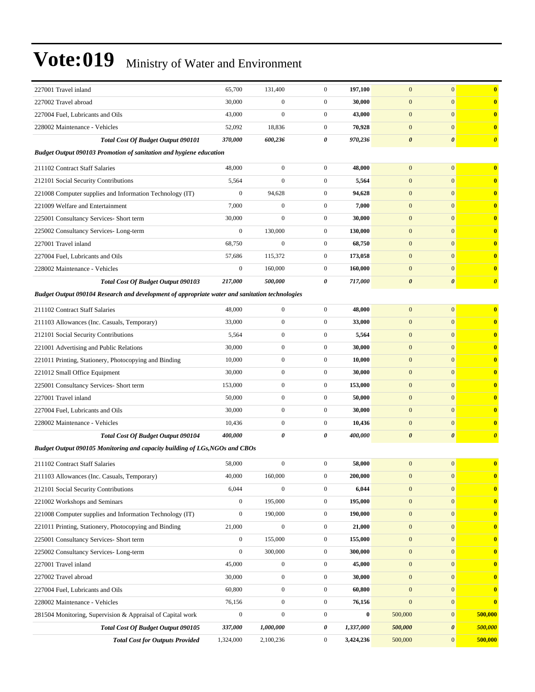| 227001 Travel inland                                                                           | 65,700           | 131,400          | $\boldsymbol{0}$ | 197,100   | $\mathbf{0}$          | $\mathbf{0}$          | $\overline{\mathbf{0}}$ |
|------------------------------------------------------------------------------------------------|------------------|------------------|------------------|-----------|-----------------------|-----------------------|-------------------------|
| 227002 Travel abroad                                                                           | 30,000           | $\boldsymbol{0}$ | $\boldsymbol{0}$ | 30,000    | $\boldsymbol{0}$      | $\mathbf{0}$          | $\bf{0}$                |
| 227004 Fuel, Lubricants and Oils                                                               | 43,000           | $\boldsymbol{0}$ | $\boldsymbol{0}$ | 43,000    | $\boldsymbol{0}$      | $\mathbf{0}$          | $\overline{\mathbf{0}}$ |
| 228002 Maintenance - Vehicles                                                                  | 52,092           | 18,836           | $\boldsymbol{0}$ | 70,928    | $\mathbf{0}$          | $\mathbf{0}$          | $\bf{0}$                |
| <b>Total Cost Of Budget Output 090101</b>                                                      | 370,000          | 600,236          | 0                | 970,236   | $\boldsymbol{\theta}$ | $\boldsymbol{\theta}$ | $\boldsymbol{\theta}$   |
| <b>Budget Output 090103 Promotion of sanitation and hygiene education</b>                      |                  |                  |                  |           |                       |                       |                         |
| 211102 Contract Staff Salaries                                                                 | 48,000           | $\boldsymbol{0}$ | $\boldsymbol{0}$ | 48,000    | $\boldsymbol{0}$      | $\mathbf{0}$          | $\overline{\mathbf{0}}$ |
| 212101 Social Security Contributions                                                           | 5,564            | $\overline{0}$   | $\boldsymbol{0}$ | 5,564     | $\boldsymbol{0}$      | $\overline{0}$        | $\mathbf{0}$            |
| 221008 Computer supplies and Information Technology (IT)                                       | $\mathbf{0}$     | 94,628           | $\boldsymbol{0}$ | 94,628    | $\boldsymbol{0}$      | $\mathbf{0}$          | $\overline{\mathbf{0}}$ |
| 221009 Welfare and Entertainment                                                               | 7,000            | $\mathbf{0}$     | $\boldsymbol{0}$ | 7,000     | $\boldsymbol{0}$      | $\mathbf{0}$          | $\bf{0}$                |
| 225001 Consultancy Services- Short term                                                        | 30,000           | $\boldsymbol{0}$ | $\boldsymbol{0}$ | 30,000    | $\boldsymbol{0}$      | $\mathbf{0}$          | $\mathbf{0}$            |
| 225002 Consultancy Services-Long-term                                                          | $\boldsymbol{0}$ | 130,000          | $\boldsymbol{0}$ | 130,000   | $\boldsymbol{0}$      | $\mathbf{0}$          | $\mathbf{0}$            |
| 227001 Travel inland                                                                           | 68,750           | $\overline{0}$   | $\boldsymbol{0}$ | 68,750    | $\boldsymbol{0}$      | $\overline{0}$        | $\mathbf{0}$            |
| 227004 Fuel. Lubricants and Oils                                                               | 57,686           | 115,372          | $\boldsymbol{0}$ | 173,058   | $\boldsymbol{0}$      | $\mathbf{0}$          | $\overline{\mathbf{0}}$ |
| 228002 Maintenance - Vehicles                                                                  | $\boldsymbol{0}$ | 160,000          | $\boldsymbol{0}$ | 160,000   | $\boldsymbol{0}$      | $\mathbf{0}$          | $\bf{0}$                |
| <b>Total Cost Of Budget Output 090103</b>                                                      | 217,000          | 500,000          | 0                | 717,000   | $\boldsymbol{\theta}$ | 0                     | $\boldsymbol{\theta}$   |
| Budget Output 090104 Research and development of appropriate water and sanitation technologies |                  |                  |                  |           |                       |                       |                         |
| 211102 Contract Staff Salaries                                                                 | 48,000           | $\boldsymbol{0}$ | $\boldsymbol{0}$ | 48,000    | $\boldsymbol{0}$      | $\mathbf{0}$          | $\overline{\mathbf{0}}$ |
| 211103 Allowances (Inc. Casuals, Temporary)                                                    | 33,000           | $\boldsymbol{0}$ | $\boldsymbol{0}$ | 33,000    | $\boldsymbol{0}$      | $\mathbf{0}$          | $\bf{0}$                |
| 212101 Social Security Contributions                                                           | 5,564            | $\mathbf{0}$     | $\boldsymbol{0}$ | 5,564     | $\boldsymbol{0}$      | $\mathbf{0}$          | $\overline{\mathbf{0}}$ |
| 221001 Advertising and Public Relations                                                        | 30,000           | $\boldsymbol{0}$ | $\boldsymbol{0}$ | 30,000    | $\boldsymbol{0}$      | $\mathbf{0}$          | $\mathbf{0}$            |
| 221011 Printing, Stationery, Photocopying and Binding                                          | 10,000           | $\boldsymbol{0}$ | $\boldsymbol{0}$ | 10,000    | $\boldsymbol{0}$      | $\overline{0}$        | $\mathbf{0}$            |
| 221012 Small Office Equipment                                                                  | 30,000           | $\mathbf{0}$     | $\boldsymbol{0}$ | 30,000    | $\boldsymbol{0}$      | $\overline{0}$        | $\mathbf{0}$            |
| 225001 Consultancy Services- Short term                                                        | 153,000          | $\boldsymbol{0}$ | $\boldsymbol{0}$ | 153,000   | $\boldsymbol{0}$      | $\mathbf{0}$          | $\bf{0}$                |
| 227001 Travel inland                                                                           | 50,000           | $\mathbf{0}$     | $\boldsymbol{0}$ | 50,000    | $\boldsymbol{0}$      | $\mathbf{0}$          | $\overline{\mathbf{0}}$ |
| 227004 Fuel, Lubricants and Oils                                                               | 30,000           | $\boldsymbol{0}$ | $\boldsymbol{0}$ | 30,000    | $\mathbf{0}$          | $\mathbf{0}$          | $\mathbf{0}$            |
| 228002 Maintenance - Vehicles                                                                  | 10,436           | $\boldsymbol{0}$ | $\boldsymbol{0}$ | 10,436    | $\boldsymbol{0}$      | $\mathbf{0}$          | $\mathbf{0}$            |
| Total Cost Of Budget Output 090104                                                             | 400,000          | 0                | 0                | 400,000   | $\boldsymbol{\theta}$ | $\boldsymbol{\theta}$ | $\boldsymbol{\theta}$   |
| Budget Output 090105 Monitoring and capacity building of LGs, NGOs and CBOs                    |                  |                  |                  |           |                       |                       |                         |
| 211102 Contract Staff Salaries                                                                 | 58,000           | $\boldsymbol{0}$ | $\boldsymbol{0}$ | 58,000    | $\overline{0}$        | $\overline{0}$        | $\overline{\mathbf{0}}$ |
| 211103 Allowances (Inc. Casuals, Temporary)                                                    | 40,000           | 160,000          | $\boldsymbol{0}$ | 200,000   | $\boldsymbol{0}$      | $\mathbf{0}$          | $\overline{\mathbf{0}}$ |
| 212101 Social Security Contributions                                                           | 6,044            | $\boldsymbol{0}$ | $\boldsymbol{0}$ | 6,044     | $\mathbf{0}$          | $\mathbf{0}$          | $\bf{0}$                |
| 221002 Workshops and Seminars                                                                  | $\boldsymbol{0}$ | 195,000          | $\boldsymbol{0}$ | 195,000   | $\boldsymbol{0}$      | $\mathbf{0}$          | $\bf{0}$                |
| 221008 Computer supplies and Information Technology (IT)                                       | $\boldsymbol{0}$ | 190,000          | $\boldsymbol{0}$ | 190,000   | $\boldsymbol{0}$      | $\mathbf{0}$          | $\bf{0}$                |
| 221011 Printing, Stationery, Photocopying and Binding                                          | 21,000           | $\boldsymbol{0}$ | $\boldsymbol{0}$ | 21,000    | $\boldsymbol{0}$      | $\boldsymbol{0}$      | $\boldsymbol{0}$        |
| 225001 Consultancy Services- Short term                                                        | $\mathbf{0}$     | 155,000          | $\boldsymbol{0}$ | 155,000   | $\boldsymbol{0}$      | $\boldsymbol{0}$      | $\bf{0}$                |
| 225002 Consultancy Services-Long-term                                                          | $\boldsymbol{0}$ | 300,000          | $\boldsymbol{0}$ | 300,000   | $\boldsymbol{0}$      | $\mathbf{0}$          | $\bf{0}$                |
| 227001 Travel inland                                                                           | 45,000           | $\boldsymbol{0}$ | $\boldsymbol{0}$ | 45,000    | $\boldsymbol{0}$      | $\boldsymbol{0}$      | $\bf{0}$                |
| 227002 Travel abroad                                                                           | 30,000           | $\boldsymbol{0}$ | $\boldsymbol{0}$ | 30,000    | $\boldsymbol{0}$      | $\mathbf{0}$          | $\bf{0}$                |
| 227004 Fuel, Lubricants and Oils                                                               | 60,800           | $\boldsymbol{0}$ | $\boldsymbol{0}$ | 60,800    | $\boldsymbol{0}$      | $\boldsymbol{0}$      | $\boldsymbol{0}$        |
| 228002 Maintenance - Vehicles                                                                  | 76,156           | $\boldsymbol{0}$ | $\boldsymbol{0}$ | 76,156    | $\boldsymbol{0}$      | $\boldsymbol{0}$      | $\bf{0}$                |
| 281504 Monitoring, Supervision & Appraisal of Capital work                                     | $\boldsymbol{0}$ | $\boldsymbol{0}$ | $\boldsymbol{0}$ | $\bf{0}$  | 500,000               | $\boldsymbol{0}$      | 500,000                 |
| Total Cost Of Budget Output 090105                                                             | 337,000          | 1,000,000        | 0                | 1,337,000 | 500,000               | 0                     | 500,000                 |
| <b>Total Cost for Outputs Provided</b>                                                         | 1,324,000        | 2,100,236        | $\boldsymbol{0}$ | 3,424,236 | 500,000               | $\boldsymbol{0}$      | 500,000                 |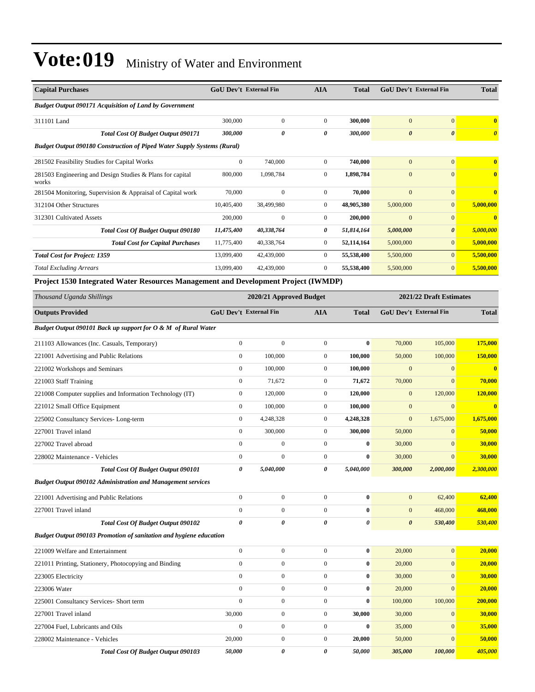| <b>Capital Purchases</b>                                                           |                       | <b>GoU Dev't External Fin</b> | <b>AIA</b>       | <b>Total</b> |                       | GoU Dev't External Fin        | <b>Total</b>          |
|------------------------------------------------------------------------------------|-----------------------|-------------------------------|------------------|--------------|-----------------------|-------------------------------|-----------------------|
| <b>Budget Output 090171 Acquisition of Land by Government</b>                      |                       |                               |                  |              |                       |                               |                       |
| 311101 Land                                                                        | 300,000               | $\boldsymbol{0}$              | $\boldsymbol{0}$ | 300,000      | $\mathbf{0}$          | $\overline{0}$                | $\bf{0}$              |
| <b>Total Cost Of Budget Output 090171</b>                                          | 300,000               | 0                             | 0                | 300,000      | $\boldsymbol{\theta}$ | $\boldsymbol{\theta}$         | $\boldsymbol{\theta}$ |
| <b>Budget Output 090180 Construction of Piped Water Supply Systems (Rural)</b>     |                       |                               |                  |              |                       |                               |                       |
| 281502 Feasibility Studies for Capital Works                                       | $\mathbf{0}$          | 740,000                       | $\boldsymbol{0}$ | 740,000      | $\mathbf{0}$          | $\mathbf{0}$                  | $\bf{0}$              |
| 281503 Engineering and Design Studies & Plans for capital<br>works                 | 800,000               | 1,098,784                     | $\boldsymbol{0}$ | 1,898,784    | $\mathbf{0}$          | $\overline{0}$                | $\bf{0}$              |
| 281504 Monitoring, Supervision & Appraisal of Capital work                         | 70,000                | $\boldsymbol{0}$              | $\boldsymbol{0}$ | 70,000       | $\mathbf{0}$          | $\mathbf{0}$                  | $\mathbf{0}$          |
| 312104 Other Structures                                                            | 10,405,400            | 38,499,980                    | $\boldsymbol{0}$ | 48,905,380   | 5,000,000             | $\overline{0}$                | 5,000,000             |
| 312301 Cultivated Assets                                                           | 200,000               | $\boldsymbol{0}$              | $\boldsymbol{0}$ | 200,000      | $\mathbf{0}$          | $\mathbf{0}$                  | $\bf{0}$              |
| <b>Total Cost Of Budget Output 090180</b>                                          | 11,475,400            | 40,338,764                    | 0                | 51,814,164   | 5,000,000             | 0                             | 5,000,000             |
| <b>Total Cost for Capital Purchases</b>                                            | 11,775,400            | 40,338,764                    | $\boldsymbol{0}$ | 52,114,164   | 5,000,000             | $\mathbf{0}$                  | 5,000,000             |
| <b>Total Cost for Project: 1359</b>                                                | 13,099,400            | 42,439,000                    | 0                | 55,538,400   | 5,500,000             | $\overline{0}$                | 5,500,000             |
| <b>Total Excluding Arrears</b>                                                     | 13,099,400            | 42,439,000                    | $\boldsymbol{0}$ | 55,538,400   | 5,500,000             | $\mathbf{0}$                  | 5,500,000             |
| Project 1530 Integrated Water Resources Management and Development Project (IWMDP) |                       |                               |                  |              |                       |                               |                       |
| Thousand Uganda Shillings                                                          |                       | 2020/21 Approved Budget       |                  |              |                       | 2021/22 Draft Estimates       |                       |
| <b>Outputs Provided</b>                                                            |                       | <b>GoU Dev't External Fin</b> | <b>AIA</b>       | <b>Total</b> |                       | <b>GoU Dev't External Fin</b> | <b>Total</b>          |
| Budget Output 090101 Back up support for O & M of Rural Water                      |                       |                               |                  |              |                       |                               |                       |
| 211103 Allowances (Inc. Casuals, Temporary)                                        | $\mathbf{0}$          | $\boldsymbol{0}$              | $\boldsymbol{0}$ | $\bf{0}$     | 70,000                | 105,000                       | 175,000               |
| 221001 Advertising and Public Relations                                            | $\boldsymbol{0}$      | 100,000                       | $\boldsymbol{0}$ | 100,000      | 50,000                | 100,000                       | 150,000               |
| 221002 Workshops and Seminars                                                      | $\mathbf{0}$          | 100,000                       | $\boldsymbol{0}$ | 100,000      | $\mathbf{0}$          | $\mathbf{0}$                  | $\bf{0}$              |
| 221003 Staff Training                                                              | $\mathbf{0}$          | 71,672                        | $\boldsymbol{0}$ | 71,672       | 70,000                | $\overline{0}$                | 70,000                |
| 221008 Computer supplies and Information Technology (IT)                           | $\mathbf{0}$          | 120,000                       | $\boldsymbol{0}$ | 120,000      | $\mathbf{0}$          | 120,000                       | 120,000               |
| 221012 Small Office Equipment                                                      | $\mathbf{0}$          | 100,000                       | $\boldsymbol{0}$ | 100,000      | $\mathbf{0}$          | $\boldsymbol{0}$              | $\bf{0}$              |
| 225002 Consultancy Services-Long-term                                              | $\mathbf{0}$          | 4,248,328                     | $\boldsymbol{0}$ | 4,248,328    | $\mathbf{0}$          | 1,675,000                     | 1,675,000             |
| 227001 Travel inland                                                               | $\mathbf{0}$          | 300,000                       | $\boldsymbol{0}$ | 300,000      | 50,000                | $\overline{0}$                | 50,000                |
| 227002 Travel abroad                                                               | $\boldsymbol{0}$      | $\boldsymbol{0}$              | $\boldsymbol{0}$ | $\bf{0}$     | 30,000                | $\mathbf{0}$                  | 30,000                |
| 228002 Maintenance - Vehicles                                                      | $\mathbf{0}$          | $\boldsymbol{0}$              | $\mathbf{0}$     | $\bf{0}$     | 30,000                | $\mathbf{0}$                  | 30,000                |
| <b>Total Cost Of Budget Output 090101</b>                                          | 0                     | 5,040,000                     | 0                | 5,040,000    | 300,000               | 2.000.000                     | 2,300,000             |
| <b>Budget Output 090102 Administration and Management services</b>                 |                       |                               |                  |              |                       |                               |                       |
| 221001 Advertising and Public Relations                                            | $\mathbf{0}$          | $\boldsymbol{0}$              | $\boldsymbol{0}$ | $\bf{0}$     | $\mathbf{0}$          | 62,400                        | 62,400                |
| 227001 Travel inland                                                               | $\mathbf{0}$          | $\overline{0}$                | $\boldsymbol{0}$ | $\pmb{0}$    | $\mathbf{0}$          | 468,000                       | 468,000               |
| Total Cost Of Budget Output 090102                                                 | $\boldsymbol{\theta}$ | 0                             | 0                | 0            | $\boldsymbol{\theta}$ | 530,400                       | 530,400               |
| <b>Budget Output 090103 Promotion of sanitation and hygiene education</b>          |                       |                               |                  |              |                       |                               |                       |
| 221009 Welfare and Entertainment                                                   | $\boldsymbol{0}$      | $\boldsymbol{0}$              | $\overline{0}$   | $\pmb{0}$    | 20,000                | $\mathbf{0}$                  | 20,000                |
| 221011 Printing, Stationery, Photocopying and Binding                              | $\mathbf{0}$          | $\boldsymbol{0}$              | $\boldsymbol{0}$ | $\bf{0}$     | 20,000                | $\mathbf{0}$                  | 20,000                |
| 223005 Electricity                                                                 | $\mathbf{0}$          | $\boldsymbol{0}$              | $\boldsymbol{0}$ | $\bf{0}$     | 30,000                | $\overline{0}$                | 30,000                |
| 223006 Water                                                                       | $\mathbf{0}$          | $\boldsymbol{0}$              | $\boldsymbol{0}$ | $\bf{0}$     | 20,000                | $\mathbf{0}$                  | 20,000                |
| 225001 Consultancy Services- Short term                                            | $\mathbf{0}$          | $\boldsymbol{0}$              | $\boldsymbol{0}$ | $\bf{0}$     | 100,000               | 100,000                       | 200,000               |
| 227001 Travel inland                                                               | 30,000                | $\boldsymbol{0}$              | $\boldsymbol{0}$ | 30,000       | 30,000                | $\boldsymbol{0}$              | 30,000                |
| 227004 Fuel, Lubricants and Oils                                                   | $\mathbf{0}$          | $\boldsymbol{0}$              | $\boldsymbol{0}$ | $\bf{0}$     | 35,000                | $\mathbf{0}$                  | 35,000                |
| 228002 Maintenance - Vehicles                                                      | 20,000                | $\boldsymbol{0}$              | $\boldsymbol{0}$ | 20,000       | 50,000                | $\overline{0}$                | 50,000                |
| Total Cost Of Budget Output 090103                                                 | 50,000                | 0                             | 0                | 50,000       | 305,000               | 100,000                       | 405,000               |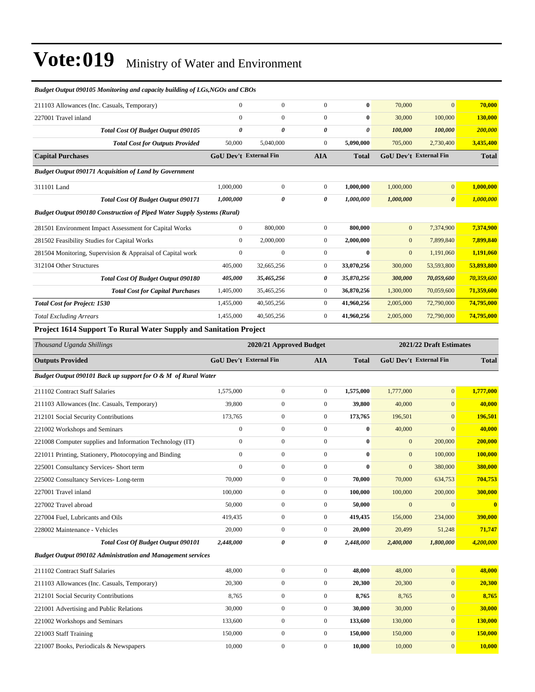| Budget Output 090105 Monitoring and capacity building of LGs, NGOs and CBOs     |                        |                                      |                                      |                   |                               |                        |                   |  |  |
|---------------------------------------------------------------------------------|------------------------|--------------------------------------|--------------------------------------|-------------------|-------------------------------|------------------------|-------------------|--|--|
| 211103 Allowances (Inc. Casuals, Temporary)                                     | $\overline{0}$         | $\mathbf{0}$                         | $\boldsymbol{0}$                     | $\bf{0}$          | 70,000                        | $\mathbf{0}$           | 70,000            |  |  |
| 227001 Travel inland                                                            | $\overline{0}$         | $\mathbf{0}$                         | $\boldsymbol{0}$                     | $\bf{0}$          | 30,000                        | 100,000                | 130,000           |  |  |
| Total Cost Of Budget Output 090105                                              | 0                      | 0                                    | $\boldsymbol{\theta}$                | $\theta$          | 100.000                       | 100,000                | <b>200,000</b>    |  |  |
| <b>Total Cost for Outputs Provided</b>                                          | 50,000                 | 5,040,000                            | $\boldsymbol{0}$                     | 5,090,000         | 705,000                       | 2,730,400              | 3,435,400         |  |  |
| <b>Capital Purchases</b>                                                        | GoU Dev't External Fin |                                      | <b>AIA</b>                           | <b>Total</b>      | <b>GoU Dev't External Fin</b> |                        | <b>Total</b>      |  |  |
| <b>Budget Output 090171 Acquisition of Land by Government</b>                   |                        |                                      |                                      |                   |                               |                        |                   |  |  |
| 311101 Land                                                                     | 1,000,000              | $\mathbf{0}$                         | $\boldsymbol{0}$                     | 1,000,000         | 1,000,000                     | $\overline{0}$         | 1,000,000         |  |  |
| <b>Total Cost Of Budget Output 090171</b>                                       | 1,000,000              | 0                                    | 0                                    | 1,000,000         | 1,000,000                     | $\boldsymbol{\theta}$  | 1,000,000         |  |  |
| <b>Budget Output 090180 Construction of Piped Water Supply Systems (Rural)</b>  |                        |                                      |                                      |                   |                               |                        |                   |  |  |
| 281501 Environment Impact Assessment for Capital Works                          | $\mathbf{0}$           | 800,000                              | $\boldsymbol{0}$                     | 800,000           | $\mathbf{0}$                  | 7,374,900              | 7,374,900         |  |  |
| 281502 Feasibility Studies for Capital Works                                    | $\overline{0}$         | 2,000,000                            | $\boldsymbol{0}$                     | 2,000,000         | $\boldsymbol{0}$              | 7,899,840              | 7,899,840         |  |  |
| 281504 Monitoring, Supervision & Appraisal of Capital work                      | $\overline{0}$         | $\boldsymbol{0}$                     | $\boldsymbol{0}$                     | $\bf{0}$          | $\mathbf{0}$                  | 1,191,060              | 1,191,060         |  |  |
| 312104 Other Structures                                                         | 405,000                | 32,665,256                           | $\boldsymbol{0}$                     | 33,070,256        | 300,000                       | 53,593,800             | 53,893,800        |  |  |
| Total Cost Of Budget Output 090180                                              | 405,000                | 35,465,256                           | 0                                    | 35,870,256        | 300,000                       | 70,059,600             | 70,359,600        |  |  |
| <b>Total Cost for Capital Purchases</b>                                         | 1,405,000              | 35,465,256                           | $\boldsymbol{0}$                     | 36,870,256        | 1,300,000                     | 70,059,600             | 71,359,600        |  |  |
| <b>Total Cost for Project: 1530</b>                                             | 1,455,000              | 40,505,256                           | $\boldsymbol{0}$                     | 41,960,256        | 2,005,000                     | 72,790,000             | 74,795,000        |  |  |
| <b>Total Excluding Arrears</b>                                                  | 1,455,000              | 40,505,256                           | $\boldsymbol{0}$                     | 41,960,256        | 2,005,000                     | 72,790,000             | 74,795,000        |  |  |
| Project 1614 Support To Rural Water Supply and Sanitation Project               |                        |                                      |                                      |                   |                               |                        |                   |  |  |
| 2021/22 Draft Estimates<br>Thousand Uganda Shillings<br>2020/21 Approved Budget |                        |                                      |                                      |                   |                               |                        |                   |  |  |
| <b>Outputs Provided</b>                                                         | GoU Dev't External Fin |                                      | <b>AIA</b>                           | <b>Total</b>      | <b>GoU Dev't External Fin</b> |                        | <b>Total</b>      |  |  |
| Budget Output 090101 Back up support for $O \& M$ of Rural Water                |                        |                                      |                                      |                   |                               |                        |                   |  |  |
|                                                                                 |                        |                                      |                                      |                   |                               |                        |                   |  |  |
| 211102 Contract Staff Salaries                                                  | 1,575,000              | $\boldsymbol{0}$                     | $\boldsymbol{0}$                     | 1,575,000         | 1,777,000                     | $\mathbf{0}$           | 1,777,000         |  |  |
| 211103 Allowances (Inc. Casuals, Temporary)                                     | 39,800                 | $\boldsymbol{0}$                     | $\boldsymbol{0}$                     | 39,800            | 40,000                        | $\mathbf{0}$           | 40,000            |  |  |
| 212101 Social Security Contributions                                            | 173,765                | $\boldsymbol{0}$                     | $\boldsymbol{0}$                     | 173,765           | 196,501                       | $\overline{0}$         | 196,501           |  |  |
| 221002 Workshops and Seminars                                                   | $\overline{0}$         | $\boldsymbol{0}$                     | $\boldsymbol{0}$                     | $\bf{0}$          | 40,000                        | $\mathbf{0}$           | 40,000            |  |  |
| 221008 Computer supplies and Information Technology (IT)                        | $\overline{0}$         | $\boldsymbol{0}$                     | $\boldsymbol{0}$                     | $\bf{0}$          | $\boldsymbol{0}$              | 200,000                | 200,000           |  |  |
| 221011 Printing, Stationery, Photocopying and Binding                           | $\boldsymbol{0}$       | $\boldsymbol{0}$                     | $\boldsymbol{0}$                     | $\bf{0}$          | $\boldsymbol{0}$              | 100,000                | 100,000           |  |  |
| 225001 Consultancy Services- Short term                                         | $\overline{0}$         | $\mathbf{0}$                         | $\boldsymbol{0}$                     | $\bf{0}$          | $\mathbf{0}$                  | 380,000                | 380,000           |  |  |
| 225002 Consultancy Services-Long-term                                           | 70,000                 | $\boldsymbol{0}$                     | $\boldsymbol{0}$                     | 70,000            | 70,000                        | 634,753                | 704,753           |  |  |
| 227001 Travel inland                                                            | 100,000                | $\boldsymbol{0}$                     | $\boldsymbol{0}$                     | 100,000           | 100,000                       | 200,000                | 300,000           |  |  |
| 227002 Travel abroad                                                            | 50,000                 | $\boldsymbol{0}$                     | $\boldsymbol{0}$                     | 50,000            | $\boldsymbol{0}$              | $\overline{0}$         | $\mathbf{0}$      |  |  |
| 227004 Fuel, Lubricants and Oils                                                | 419,435                | $\boldsymbol{0}$<br>$\boldsymbol{0}$ | $\boldsymbol{0}$                     | 419,435           | 156,000                       | 234,000                | 390,000           |  |  |
| 228002 Maintenance - Vehicles                                                   |                        |                                      | $\boldsymbol{0}$                     | 20,000            | 20,499                        | 51,248                 | 71,747            |  |  |
| Total Cost Of Budget Output 090101                                              | 20,000                 |                                      |                                      |                   |                               |                        |                   |  |  |
|                                                                                 | 2,448,000              | 0                                    | $\pmb{\theta}$                       | 2,448,000         | 2,400,000                     | 1,800,000              | 4,200,000         |  |  |
| <b>Budget Output 090102 Administration and Management services</b>              |                        |                                      |                                      |                   |                               |                        |                   |  |  |
| 211102 Contract Staff Salaries                                                  | 48,000                 | $\boldsymbol{0}$                     | $\boldsymbol{0}$                     | 48,000            | 48,000                        | $\boldsymbol{0}$       | 48,000            |  |  |
| 211103 Allowances (Inc. Casuals, Temporary)                                     | 20,300                 | $\boldsymbol{0}$                     | $\boldsymbol{0}$                     | 20,300            | 20,300                        | $\bf{0}$               | 20,300            |  |  |
| 212101 Social Security Contributions                                            | 8,765                  | $\boldsymbol{0}$                     | $\boldsymbol{0}$                     | 8,765             | 8,765                         | $\bf{0}$               | 8,765             |  |  |
| 221001 Advertising and Public Relations                                         | 30,000                 | $\boldsymbol{0}$                     | $\boldsymbol{0}$                     | 30,000            | 30,000                        | $\bf{0}$               | 30,000            |  |  |
| 221002 Workshops and Seminars                                                   | 133,600                | $\boldsymbol{0}$                     | $\boldsymbol{0}$                     | 133,600           | 130,000                       | $\mathbf{0}$           | 130,000           |  |  |
| 221003 Staff Training<br>221007 Books, Periodicals & Newspapers                 | 150,000<br>10,000      | $\boldsymbol{0}$<br>$\boldsymbol{0}$ | $\boldsymbol{0}$<br>$\boldsymbol{0}$ | 150,000<br>10,000 | 150,000<br>10,000             | $\boldsymbol{0}$<br> 0 | 150,000<br>10,000 |  |  |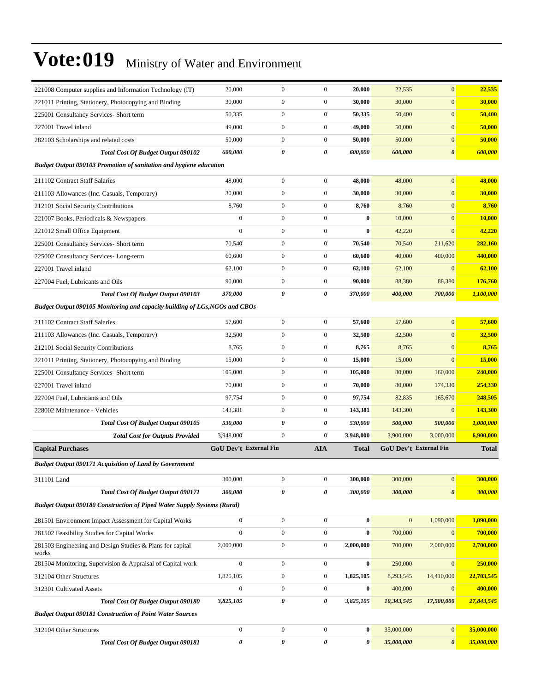| 221008 Computer supplies and Information Technology (IT)                       | 20,000                 | $\boldsymbol{0}$      | $\boldsymbol{0}$ | 20,000       | 22,535       | $\overline{0}$                | 22,535        |
|--------------------------------------------------------------------------------|------------------------|-----------------------|------------------|--------------|--------------|-------------------------------|---------------|
| 221011 Printing, Stationery, Photocopying and Binding                          | 30,000                 | $\boldsymbol{0}$      | $\boldsymbol{0}$ | 30,000       | 30,000       | $\boldsymbol{0}$              | 30,000        |
| 225001 Consultancy Services- Short term                                        | 50,335                 | $\boldsymbol{0}$      | $\boldsymbol{0}$ | 50,335       | 50,400       | $\boldsymbol{0}$              | 50,400        |
| 227001 Travel inland                                                           | 49,000                 | $\boldsymbol{0}$      | $\boldsymbol{0}$ | 49,000       | 50,000       | $\overline{0}$                | 50,000        |
| 282103 Scholarships and related costs                                          | 50,000                 | $\overline{0}$        | $\boldsymbol{0}$ | 50,000       | 50,000       | $\overline{0}$                | 50,000        |
| <b>Total Cost Of Budget Output 090102</b>                                      | 600,000                | 0                     | 0                | 600,000      | 600,000      | 0                             | 600,000       |
| <b>Budget Output 090103 Promotion of sanitation and hygiene education</b>      |                        |                       |                  |              |              |                               |               |
| 211102 Contract Staff Salaries                                                 | 48,000                 | $\boldsymbol{0}$      | $\boldsymbol{0}$ | 48,000       | 48,000       | $\overline{0}$                | 48,000        |
| 211103 Allowances (Inc. Casuals, Temporary)                                    | 30,000                 | $\boldsymbol{0}$      | $\boldsymbol{0}$ | 30,000       | 30,000       | $\overline{0}$                | 30,000        |
| 212101 Social Security Contributions                                           | 8,760                  | $\boldsymbol{0}$      | $\boldsymbol{0}$ | 8,760        | 8,760        | $\overline{0}$                | 8,760         |
| 221007 Books, Periodicals & Newspapers                                         | $\mathbf{0}$           | $\overline{0}$        | $\boldsymbol{0}$ | $\bf{0}$     | 10,000       | $\overline{0}$                | <b>10,000</b> |
| 221012 Small Office Equipment                                                  | $\mathbf{0}$           | $\boldsymbol{0}$      | $\boldsymbol{0}$ | $\bf{0}$     | 42,220       | $\mathbf{0}$                  | 42,220        |
| 225001 Consultancy Services- Short term                                        | 70,540                 | $\boldsymbol{0}$      | $\boldsymbol{0}$ | 70,540       | 70,540       | 211,620                       | 282,160       |
| 225002 Consultancy Services-Long-term                                          | 60,600                 | $\boldsymbol{0}$      | $\boldsymbol{0}$ | 60,600       | 40,000       | 400,000                       | 440,000       |
| 227001 Travel inland                                                           | 62,100                 | $\boldsymbol{0}$      | $\boldsymbol{0}$ | 62,100       | 62,100       | $\mathbf{0}$                  | 62,100        |
| 227004 Fuel, Lubricants and Oils                                               | 90,000                 | $\boldsymbol{0}$      | $\boldsymbol{0}$ | 90,000       | 88,380       | 88,380                        | 176,760       |
| Total Cost Of Budget Output 090103                                             | 370,000                | 0                     | 0                | 370,000      | 400,000      | 700,000                       | 1,100,000     |
| Budget Output 090105 Monitoring and capacity building of LGs, NGOs and CBOs    |                        |                       |                  |              |              |                               |               |
| 211102 Contract Staff Salaries                                                 | 57,600                 | $\boldsymbol{0}$      | $\boldsymbol{0}$ | 57,600       | 57,600       | $\overline{0}$                | 57,600        |
| 211103 Allowances (Inc. Casuals, Temporary)                                    | 32,500                 | $\boldsymbol{0}$      | $\boldsymbol{0}$ | 32,500       | 32,500       | $\mathbf{0}$                  | 32,500        |
| 212101 Social Security Contributions                                           | 8,765                  | $\boldsymbol{0}$      | $\boldsymbol{0}$ | 8,765        | 8,765        | $\overline{0}$                | 8,765         |
| 221011 Printing, Stationery, Photocopying and Binding                          | 15,000                 | $\overline{0}$        | $\boldsymbol{0}$ | 15,000       | 15,000       | $\overline{0}$                | 15,000        |
| 225001 Consultancy Services- Short term                                        | 105,000                | $\boldsymbol{0}$      | $\boldsymbol{0}$ | 105,000      | 80,000       | 160,000                       | 240,000       |
| 227001 Travel inland                                                           | 70,000                 | $\boldsymbol{0}$      | $\boldsymbol{0}$ | 70,000       | 80,000       | 174,330                       | 254,330       |
| 227004 Fuel, Lubricants and Oils                                               | 97,754                 | $\boldsymbol{0}$      | $\boldsymbol{0}$ | 97,754       | 82,835       | 165,670                       | 248,505       |
| 228002 Maintenance - Vehicles                                                  | 143,381                | $\boldsymbol{0}$      | $\boldsymbol{0}$ | 143,381      | 143,300      | $\mathbf{0}$                  | 143,300       |
| <b>Total Cost Of Budget Output 090105</b>                                      | 530,000                | 0                     | 0                | 530,000      | 500,000      | 500,000                       | 1,000,000     |
| <b>Total Cost for Outputs Provided</b>                                         | 3,948,000              | $\boldsymbol{0}$      | $\overline{0}$   | 3,948,000    | 3,900,000    | 3,000,000                     | 6,900,000     |
| <b>Capital Purchases</b>                                                       | GoU Dev't External Fin |                       | <b>AIA</b>       | <b>Total</b> |              | <b>GoU Dev't External Fin</b> | <b>Total</b>  |
| <b>Budget Output 090171 Acquisition of Land by Government</b>                  |                        |                       |                  |              |              |                               |               |
| 311101 Land                                                                    | 300,000                | $\boldsymbol{0}$      | $\boldsymbol{0}$ | 300,000      | 300,000      | $\boldsymbol{0}$              | 300,000       |
| <b>Total Cost Of Budget Output 090171</b>                                      | 300,000                | $\boldsymbol{\theta}$ | 0                | 300,000      | 300,000      | 0                             | 300,000       |
| <b>Budget Output 090180 Construction of Piped Water Supply Systems (Rural)</b> |                        |                       |                  |              |              |                               |               |
| 281501 Environment Impact Assessment for Capital Works                         | $\boldsymbol{0}$       | $\boldsymbol{0}$      | $\boldsymbol{0}$ | $\bf{0}$     | $\mathbf{0}$ | 1,090,000                     | 1,090,000     |
| 281502 Feasibility Studies for Capital Works                                   | $\boldsymbol{0}$       | $\boldsymbol{0}$      | $\boldsymbol{0}$ | $\bf{0}$     | 700,000      | $\boldsymbol{0}$              | 700,000       |
| 281503 Engineering and Design Studies & Plans for capital<br>works             | 2,000,000              | $\boldsymbol{0}$      | $\boldsymbol{0}$ | 2,000,000    | 700,000      | 2,000,000                     | 2,700,000     |
| 281504 Monitoring, Supervision & Appraisal of Capital work                     | $\boldsymbol{0}$       | $\boldsymbol{0}$      | $\boldsymbol{0}$ | $\bf{0}$     | 250,000      | $\mathbf{0}$                  | 250,000       |
| 312104 Other Structures                                                        | 1,825,105              | $\boldsymbol{0}$      | $\boldsymbol{0}$ | 1,825,105    | 8,293,545    | 14,410,000                    | 22,703,545    |
| 312301 Cultivated Assets                                                       | $\boldsymbol{0}$       | $\boldsymbol{0}$      | $\boldsymbol{0}$ | $\bf{0}$     | 400,000      | $\mathbf{0}$                  | 400,000       |
| Total Cost Of Budget Output 090180                                             | 3,825,105              | 0                     | 0                | 3,825,105    | 10,343,545   | 17,500,000                    | 27,843,545    |
| <b>Budget Output 090181 Construction of Point Water Sources</b>                |                        |                       |                  |              |              |                               |               |
| 312104 Other Structures                                                        | $\mathbf{0}$           | $\boldsymbol{0}$      | $\boldsymbol{0}$ | $\bf{0}$     | 35,000,000   | $\mathbf{0}$                  | 35,000,000    |
| Total Cost Of Budget Output 090181                                             | $\pmb{\theta}$         | 0                     | 0                | 0            | 35,000,000   | $\boldsymbol{\theta}$         | 35,000,000    |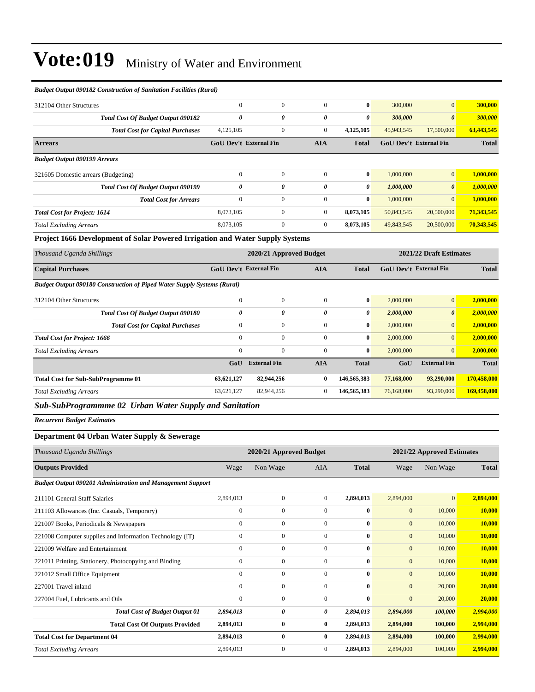| риизет Ошриг 070102 Сонзи испон ор заништон г аспитез (Kurar)                        |              |                               |                  |              |            |                               |              |
|--------------------------------------------------------------------------------------|--------------|-------------------------------|------------------|--------------|------------|-------------------------------|--------------|
| 312104 Other Structures                                                              | $\Omega$     | $\overline{0}$                | $\Omega$         | $\bf{0}$     | 300,000    | $\overline{0}$                | 300,000      |
| <b>Total Cost Of Budget Output 090182</b>                                            | $\theta$     | 0                             | 0                | 0            | 300,000    | $\theta$                      | 300,000      |
| <b>Total Cost for Capital Purchases</b>                                              | 4,125,105    | $\boldsymbol{0}$              | $\mathbf{0}$     | 4,125,105    | 45,943,545 | 17,500,000                    | 63,443,545   |
| <b>Arrears</b>                                                                       |              | GoU Dev't External Fin        | <b>AIA</b>       | <b>Total</b> |            | <b>GoU Dev't External Fin</b> | <b>Total</b> |
| <b>Budget Output 090199 Arrears</b>                                                  |              |                               |                  |              |            |                               |              |
| 321605 Domestic arrears (Budgeting)                                                  | $\Omega$     | $\boldsymbol{0}$              | $\overline{0}$   | $\bf{0}$     | 1,000,000  | $\mathbf{0}$                  | 1,000,000    |
| <b>Total Cost Of Budget Output 090199</b>                                            | 0            | 0                             | 0                | 0            | 1,000,000  | $\boldsymbol{\theta}$         | 1,000,000    |
| <b>Total Cost for Arrears</b>                                                        | $\mathbf{0}$ | $\mathbf{0}$                  | $\boldsymbol{0}$ | $\bf{0}$     | 1,000,000  | $\mathbf{0}$                  | 1,000,000    |
| <b>Total Cost for Project: 1614</b>                                                  | 8,073,105    | $\mathbf{0}$                  | $\Omega$         | 8,073,105    | 50,843,545 | 20,500,000                    | 71,343,545   |
| <b>Total Excluding Arrears</b>                                                       | 8,073,105    | $\mathbf{0}$                  | $\mathbf{0}$     | 8,073,105    | 49,843,545 | 20,500,000                    | 70,343,545   |
| <b>Project 1666 Development of Solar Powered Irrigation and Water Supply Systems</b> |              |                               |                  |              |            |                               |              |
| Thousand Uganda Shillings                                                            |              | 2020/21 Approved Budget       |                  |              |            | 2021/22 Draft Estimates       |              |
| <b>Capital Purchases</b>                                                             |              | <b>GoU Dev't External Fin</b> | <b>AIA</b>       | <b>Total</b> |            | GoU Dev't External Fin        | <b>Total</b> |
| <b>Budget Output 090180 Construction of Piped Water Supply Systems (Rural)</b>       |              |                               |                  |              |            |                               |              |
| 312104 Other Structures                                                              | $\mathbf{0}$ | $\mathbf{0}$                  | $\overline{0}$   | $\bf{0}$     | 2,000,000  | $\overline{0}$                | 2,000,000    |
| <b>Total Cost Of Budget Output 090180</b>                                            | 0            | $\theta$                      | $\theta$         | 0            | 2,000,000  | $\theta$                      | 2,000,000    |
| <b>Total Cost for Capital Purchases</b>                                              | $\mathbf{0}$ | $\mathbf{0}$                  | $\mathbf{0}$     | $\bf{0}$     | 2,000,000  | $\Omega$                      | 2,000,000    |
| <b>Total Cost for Project: 1666</b>                                                  | $\Omega$     | $\mathbf{0}$                  | $\overline{0}$   | $\bf{0}$     | 2,000,000  | $\mathbf{0}$                  | 2,000,000    |
| <b>Total Excluding Arrears</b>                                                       | $\mathbf{0}$ | $\mathbf{0}$                  | $\Omega$         | $\bf{0}$     | 2,000,000  | $\Omega$                      | 2,000,000    |
|                                                                                      | GoU          | <b>External Fin</b>           | <b>AIA</b>       | <b>Total</b> | GoU        | <b>External Fin</b>           | <b>Total</b> |
| <b>Total Cost for Sub-SubProgramme 01</b>                                            | 63,621,127   | 82,944,256                    | 0                | 146,565,383  | 77,168,000 | 93,290,000                    | 170,458,000  |

*Total Excluding Arrears* 63,621,127 82,944,256 0 **146,565,383** 76,168,000 93,290,000 **169,458,000**

*Budget Output 090182 Construction of Sanitation Facilities (Rural)*

*Sub-SubProgrammme 02 Urban Water Supply and Sanitation*

*Recurrent Budget Estimates*

#### **Department 04 Urban Water Supply & Sewerage**

| Thousand Uganda Shillings                                         |              | 2020/21 Approved Budget |                |              |              | 2021/22 Approved Estimates |              |
|-------------------------------------------------------------------|--------------|-------------------------|----------------|--------------|--------------|----------------------------|--------------|
| <b>Outputs Provided</b>                                           | Wage         | Non Wage                | AIA            | <b>Total</b> | Wage         | Non Wage                   | <b>Total</b> |
| <b>Budget Output 090201 Administration and Management Support</b> |              |                         |                |              |              |                            |              |
| 211101 General Staff Salaries                                     | 2,894,013    | $\mathbf{0}$            | $\overline{0}$ | 2,894,013    | 2,894,000    | $\overline{0}$             | 2,894,000    |
| 211103 Allowances (Inc. Casuals, Temporary)                       | $\mathbf{0}$ | $\mathbf{0}$            | $\mathbf{0}$   | $\bf{0}$     | $\mathbf{0}$ | 10,000                     | 10,000       |
| 221007 Books, Periodicals & Newspapers                            | $\mathbf{0}$ | $\mathbf{0}$            | $\Omega$       | $\bf{0}$     | $\mathbf{0}$ | 10,000                     | 10,000       |
| 221008 Computer supplies and Information Technology (IT)          | $\mathbf{0}$ | $\mathbf{0}$            | $\mathbf{0}$   | $\bf{0}$     | $\mathbf{0}$ | 10,000                     | 10,000       |
| 221009 Welfare and Entertainment                                  | $\mathbf{0}$ | $\mathbf{0}$            | $\Omega$       | $\bf{0}$     | $\mathbf{0}$ | 10,000                     | 10,000       |
| 221011 Printing, Stationery, Photocopying and Binding             | $\mathbf{0}$ | $\mathbf{0}$            | $\mathbf{0}$   | $\bf{0}$     | $\mathbf{0}$ | 10,000                     | 10,000       |
| 221012 Small Office Equipment                                     | $\mathbf{0}$ | $\mathbf{0}$            | $\mathbf{0}$   | $\bf{0}$     | $\mathbf{0}$ | 10,000                     | 10,000       |
| 227001 Travel inland                                              | $\mathbf{0}$ | $\mathbf{0}$            | $\mathbf{0}$   | $\bf{0}$     | $\mathbf{0}$ | 20,000                     | 20,000       |
| 227004 Fuel, Lubricants and Oils                                  | $\mathbf{0}$ | $\Omega$                | $\Omega$       | $\mathbf{0}$ | $\mathbf{0}$ | 20,000                     | 20,000       |
| <b>Total Cost of Budget Output 01</b>                             | 2,894,013    | 0                       | 0              | 2,894,013    | 2,894,000    | 100,000                    | 2,994,000    |
| <b>Total Cost Of Outputs Provided</b>                             | 2,894,013    | $\bf{0}$                | $\bf{0}$       | 2,894,013    | 2,894,000    | 100,000                    | 2,994,000    |
| <b>Total Cost for Department 04</b>                               | 2,894,013    | $\bf{0}$                | $\bf{0}$       | 2,894,013    | 2,894,000    | 100,000                    | 2,994,000    |
| <b>Total Excluding Arrears</b>                                    | 2,894,013    | $\mathbf{0}$            | $\overline{0}$ | 2.894.013    | 2,894,000    | 100,000                    | 2,994,000    |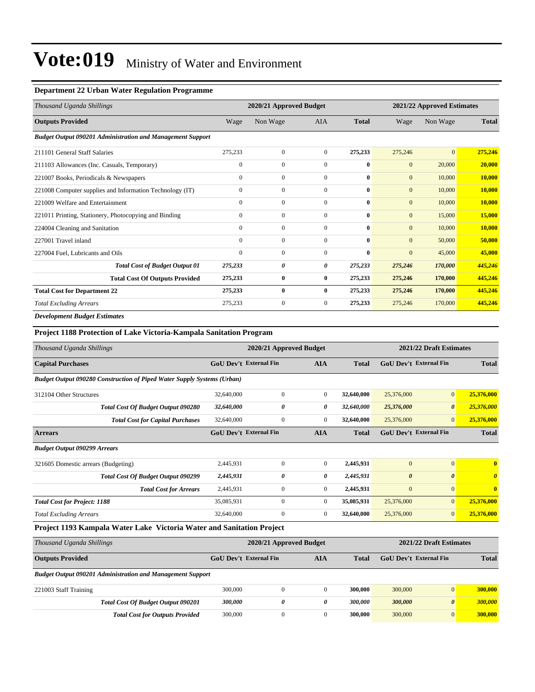#### **Department 22 Urban Water Regulation Programme**

| Thousand Uganda Shillings                                         |              | 2020/21 Approved Budget |                |              | 2021/22 Approved Estimates |                |              |
|-------------------------------------------------------------------|--------------|-------------------------|----------------|--------------|----------------------------|----------------|--------------|
| <b>Outputs Provided</b>                                           | Wage         | Non Wage                | <b>AIA</b>     | <b>Total</b> | Wage                       | Non Wage       | <b>Total</b> |
| <b>Budget Output 090201 Administration and Management Support</b> |              |                         |                |              |                            |                |              |
| 211101 General Staff Salaries                                     | 275,233      | $\mathbf{0}$            | $\overline{0}$ | 275,233      | 275,246                    | $\overline{0}$ | 275,246      |
| 211103 Allowances (Inc. Casuals, Temporary)                       | $\mathbf{0}$ | $\mathbf{0}$            | $\Omega$       | $\bf{0}$     | $\mathbf{0}$               | 20,000         | 20,000       |
| 221007 Books, Periodicals & Newspapers                            | $\mathbf{0}$ | $\mathbf{0}$            | $\mathbf{0}$   | $\bf{0}$     | $\mathbf{0}$               | 10,000         | 10,000       |
| 221008 Computer supplies and Information Technology (IT)          | $\bf{0}$     | $\mathbf{0}$            | $\Omega$       | $\bf{0}$     | $\mathbf{0}$               | 10,000         | 10,000       |
| 221009 Welfare and Entertainment                                  | $\mathbf{0}$ | $\mathbf{0}$            | $\mathbf{0}$   | 0            | $\mathbf{0}$               | 10,000         | 10,000       |
| 221011 Printing, Stationery, Photocopying and Binding             | $\mathbf{0}$ | $\mathbf{0}$            | $\mathbf{0}$   | $\bf{0}$     | $\mathbf{0}$               | 15,000         | 15,000       |
| 224004 Cleaning and Sanitation                                    | $\mathbf{0}$ | $\mathbf{0}$            | $\Omega$       | $\mathbf{0}$ | $\mathbf{0}$               | 10,000         | 10,000       |
| 227001 Travel inland                                              | $\mathbf{0}$ | $\mathbf{0}$            | $\mathbf{0}$   | $\bf{0}$     | $\mathbf{0}$               | 50,000         | 50,000       |
| 227004 Fuel, Lubricants and Oils                                  | $\mathbf{0}$ | $\mathbf{0}$            | $\mathbf{0}$   | $\mathbf{0}$ | $\mathbf{0}$               | 45,000         | 45,000       |
| <b>Total Cost of Budget Output 01</b>                             | 275,233      | 0                       | 0              | 275,233      | 275,246                    | 170,000        | 445,246      |
| <b>Total Cost Of Outputs Provided</b>                             | 275,233      | $\bf{0}$                | $\bf{0}$       | 275,233      | 275,246                    | 170,000        | 445,246      |
| <b>Total Cost for Department 22</b>                               | 275,233      | $\bf{0}$                | $\bf{0}$       | 275,233      | 275,246                    | 170,000        | 445,246      |
| <b>Total Excluding Arrears</b>                                    | 275,233      | $\boldsymbol{0}$        | $\mathbf{0}$   | 275,233      | 275,246                    | 170,000        | 445,246      |
| <b>Development Budget Estimates</b>                               |              |                         |                |              |                            |                |              |

### **Project 1188 Protection of Lake Victoria-Kampala Sanitation Program**

| Thousand Uganda Shillings                                                      |                               | 2020/21 Approved Budget |                |              |                               | 2021/22 Draft Estimates |                       |
|--------------------------------------------------------------------------------|-------------------------------|-------------------------|----------------|--------------|-------------------------------|-------------------------|-----------------------|
| <b>Capital Purchases</b>                                                       | <b>GoU Dev't External Fin</b> |                         | <b>AIA</b>     | <b>Total</b> | <b>GoU Dev't External Fin</b> |                         | <b>Total</b>          |
| <b>Budget Output 090280 Construction of Piped Water Supply Systems (Urban)</b> |                               |                         |                |              |                               |                         |                       |
| 312104 Other Structures                                                        | 32,640,000                    | $\mathbf{0}$            | $\overline{0}$ | 32,640,000   | 25,376,000                    | $\mathbf{0}$            | 25,376,000            |
| Total Cost Of Budget Output 090280                                             | 32,640,000                    | 0                       | 0              | 32,640,000   | 25,376,000                    | $\boldsymbol{\theta}$   | 25,376,000            |
| <b>Total Cost for Capital Purchases</b>                                        | 32,640,000                    | $\mathbf{0}$            | $\overline{0}$ | 32,640,000   | 25,376,000                    | $\overline{0}$          | 25,376,000            |
| <b>Arrears</b>                                                                 | <b>GoU Dev't External Fin</b> |                         | <b>AIA</b>     | <b>Total</b> | <b>GoU Dev't External Fin</b> |                         | <b>Total</b>          |
| <b>Budget Output 090299 Arrears</b>                                            |                               |                         |                |              |                               |                         |                       |
| 321605 Domestic arrears (Budgeting)                                            | 2,445,931                     | $\mathbf{0}$            | $\overline{0}$ | 2,445,931    | $\mathbf{0}$                  | $\mathbf{0}$            | $\mathbf{0}$          |
| <b>Total Cost Of Budget Output 090299</b>                                      | 2,445,931                     | 0                       | 0              | 2,445,931    | $\boldsymbol{\theta}$         | $\boldsymbol{\theta}$   | $\boldsymbol{\theta}$ |
| <b>Total Cost for Arrears</b>                                                  | 2,445,931                     | $\mathbf{0}$            | $\overline{0}$ | 2,445,931    | $\overline{0}$                | $\mathbf{0}$            | $\mathbf{0}$          |
| <b>Total Cost for Project: 1188</b>                                            | 35,085,931                    | $\mathbf{0}$            | $\overline{0}$ | 35,085,931   | 25,376,000                    | $\overline{0}$          | 25,376,000            |
| <b>Total Excluding Arrears</b>                                                 | 32,640,000                    | $\mathbf{0}$            | $\overline{0}$ | 32,640,000   | 25,376,000                    | $\overline{0}$          | 25,376,000            |
|                                                                                |                               |                         |                |              |                               |                         |                       |

#### **Project 1193 Kampala Water Lake Victoria Water and Sanitation Project**

| Thousand Uganda Shillings                                         | 2020/21 Approved Budget |              | 2021/22 Draft Estimates |              |                               |                       |              |
|-------------------------------------------------------------------|-------------------------|--------------|-------------------------|--------------|-------------------------------|-----------------------|--------------|
| <b>Outputs Provided</b>                                           | GoU Dev't External Fin  |              | AIA                     | <b>Total</b> | <b>GoU</b> Dev't External Fin |                       | <b>Total</b> |
| <b>Budget Output 090201 Administration and Management Support</b> |                         |              |                         |              |                               |                       |              |
| 221003 Staff Training                                             | 300,000                 | $\Omega$     |                         | 300,000      | 300,000                       | $\overline{0}$        | 300,000      |
| <b>Total Cost Of Budget Output 090201</b>                         | 300,000                 | 0            | 0                       | 300,000      | 300,000                       | $\boldsymbol{\theta}$ | 300,000      |
| <b>Total Cost for Outputs Provided</b>                            | 300,000                 | $\mathbf{0}$ |                         | 300,000      | 300,000                       | $\overline{0}$        | 300,000      |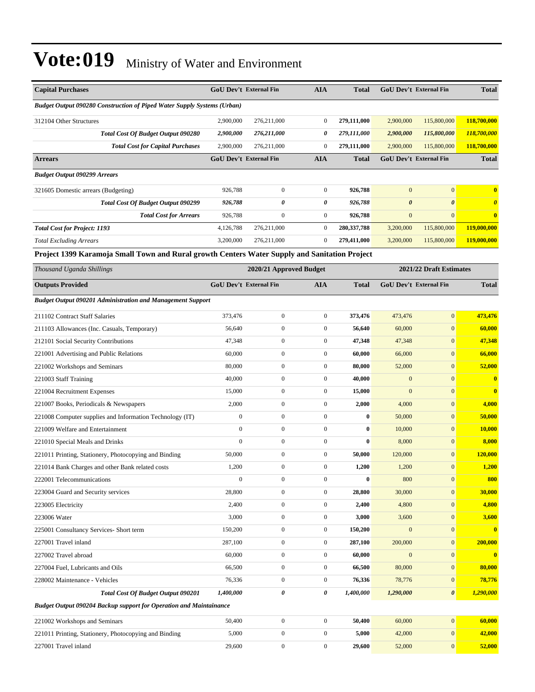| <b>Capital Purchases</b>                                                                      |                  | <b>GoU Dev't External Fin</b> | <b>AIA</b>       | <b>Total</b>  |                       | GoU Dev't External Fin        | <b>Total</b>            |
|-----------------------------------------------------------------------------------------------|------------------|-------------------------------|------------------|---------------|-----------------------|-------------------------------|-------------------------|
| <b>Budget Output 090280 Construction of Piped Water Supply Systems (Urban)</b>                |                  |                               |                  |               |                       |                               |                         |
| 312104 Other Structures                                                                       | 2,900,000        | 276,211,000                   | $\mathbf{0}$     | 279,111,000   | 2,900,000             | 115,800,000                   | 118,700,000             |
| <b>Total Cost Of Budget Output 090280</b>                                                     | 2,900,000        | 276,211,000                   | 0                | 279,111,000   | 2,900,000             | 115,800,000                   | 118,700,000             |
| <b>Total Cost for Capital Purchases</b>                                                       | 2,900,000        | 276,211,000                   | $\boldsymbol{0}$ | 279,111,000   | 2,900,000             | 115,800,000                   | 118,700,000             |
| <b>Arrears</b>                                                                                |                  | <b>GoU Dev't External Fin</b> | <b>AIA</b>       | <b>Total</b>  |                       | GoU Dev't External Fin        | Total                   |
| <b>Budget Output 090299 Arrears</b>                                                           |                  |                               |                  |               |                       |                               |                         |
| 321605 Domestic arrears (Budgeting)                                                           | 926,788          | $\boldsymbol{0}$              | $\boldsymbol{0}$ | 926,788       | $\mathbf{0}$          | $\mathbf{0}$                  | $\bf{0}$                |
| <b>Total Cost Of Budget Output 090299</b>                                                     | 926,788          | 0                             | 0                | 926,788       | $\boldsymbol{\theta}$ | $\boldsymbol{\theta}$         | $\boldsymbol{\theta}$   |
| <b>Total Cost for Arrears</b>                                                                 | 926,788          | $\overline{0}$                | $\boldsymbol{0}$ | 926,788       | $\mathbf{0}$          | $\mathbf{0}$                  | $\bf{0}$                |
| <b>Total Cost for Project: 1193</b>                                                           | 4,126,788        | 276,211,000                   | $\boldsymbol{0}$ | 280, 337, 788 | 3,200,000             | 115,800,000                   | 119,000,000             |
| <b>Total Excluding Arrears</b>                                                                | 3,200,000        | 276,211,000                   | $\boldsymbol{0}$ | 279,411,000   | 3,200,000             | 115,800,000                   | 119,000,000             |
| Project 1399 Karamoja Small Town and Rural growth Centers Water Supply and Sanitation Project |                  |                               |                  |               |                       |                               |                         |
| Thousand Uganda Shillings                                                                     |                  | 2020/21 Approved Budget       |                  |               |                       | 2021/22 Draft Estimates       |                         |
| <b>Outputs Provided</b>                                                                       |                  | GoU Dev't External Fin        | <b>AIA</b>       | <b>Total</b>  |                       | <b>GoU</b> Dev't External Fin | <b>Total</b>            |
| <b>Budget Output 090201 Administration and Management Support</b>                             |                  |                               |                  |               |                       |                               |                         |
| 211102 Contract Staff Salaries                                                                | 373,476          | $\boldsymbol{0}$              | $\boldsymbol{0}$ | 373,476       | 473,476               | $\mathbf{0}$                  | 473,476                 |
| 211103 Allowances (Inc. Casuals, Temporary)                                                   | 56,640           | $\boldsymbol{0}$              | $\boldsymbol{0}$ | 56,640        | 60,000                | $\mathbf{0}$                  | 60,000                  |
| 212101 Social Security Contributions                                                          | 47,348           | $\boldsymbol{0}$              | $\boldsymbol{0}$ | 47,348        | 47,348                | $\mathbf{0}$                  | 47,348                  |
| 221001 Advertising and Public Relations                                                       | 60,000           | $\boldsymbol{0}$              | $\boldsymbol{0}$ | 60,000        | 66,000                | $\mathbf{0}$                  | 66,000                  |
| 221002 Workshops and Seminars                                                                 | 80,000           | $\boldsymbol{0}$              | $\boldsymbol{0}$ | 80,000        | 52,000                | $\mathbf{0}$                  | 52,000                  |
| 221003 Staff Training                                                                         | 40,000           | 0                             | $\boldsymbol{0}$ | 40,000        | $\mathbf{0}$          | $\mathbf{0}$                  | $\bf{0}$                |
| 221004 Recruitment Expenses                                                                   | 15,000           | $\boldsymbol{0}$              | $\boldsymbol{0}$ | 15,000        | $\mathbf{0}$          | $\mathbf{0}$                  | $\overline{\mathbf{0}}$ |
| 221007 Books, Periodicals & Newspapers                                                        | 2,000            | $\boldsymbol{0}$              | $\boldsymbol{0}$ | 2,000         | 4,000                 | $\mathbf{0}$                  | 4,000                   |
| 221008 Computer supplies and Information Technology (IT)                                      | $\boldsymbol{0}$ | $\boldsymbol{0}$              | $\boldsymbol{0}$ | $\bf{0}$      | 50,000                | $\mathbf{0}$                  | 50,000                  |
| 221009 Welfare and Entertainment                                                              | $\boldsymbol{0}$ | $\boldsymbol{0}$              | $\boldsymbol{0}$ | $\bf{0}$      | 10,000                | $\mathbf{0}$                  | 10,000                  |
| 221010 Special Meals and Drinks                                                               | $\mathbf{0}$     | $\overline{0}$                | $\boldsymbol{0}$ | $\bf{0}$      | 8,000                 | $\mathbf{0}$                  | 8,000                   |
| 221011 Printing, Stationery, Photocopying and Binding                                         | 50,000           | $\boldsymbol{0}$              | $\boldsymbol{0}$ | 50,000        | 120,000               | $\mathbf{0}$                  | 120,000                 |
| 221014 Bank Charges and other Bank related costs                                              | 1,200            | $\boldsymbol{0}$              | $\boldsymbol{0}$ | 1,200         | 1,200                 | $\mathbf{0}$                  | 1,200                   |
| 222001 Telecommunications                                                                     | $\boldsymbol{0}$ | $\boldsymbol{0}$              | $\boldsymbol{0}$ | $\bf{0}$      | 800                   | $\mathbf{0}$                  | 800                     |
| 223004 Guard and Security services                                                            | 28,800           | 0                             | $\boldsymbol{0}$ | 28,800        | 30,000                | $\mathbf{0}$                  | 30,000                  |
| 223005 Electricity                                                                            | 2,400            | $\boldsymbol{0}$              | $\boldsymbol{0}$ | 2,400         | 4,800                 | $\mathbf{0}$                  | 4,800                   |
| 223006 Water                                                                                  | 3,000            | $\boldsymbol{0}$              | $\boldsymbol{0}$ | 3,000         | 3,600                 | $\mathbf{0}$                  | 3,600                   |
| 225001 Consultancy Services- Short term                                                       | 150,200          | $\boldsymbol{0}$              | $\boldsymbol{0}$ | 150,200       | $\mathbf{0}$          | $\mathbf{0}$                  | $\bf{0}$                |
| 227001 Travel inland                                                                          | 287,100          | $\boldsymbol{0}$              | $\boldsymbol{0}$ | 287,100       | 200,000               | $\mathbf{0}$                  | 200,000                 |
| 227002 Travel abroad                                                                          | 60,000           | $\boldsymbol{0}$              | $\boldsymbol{0}$ | 60,000        | $\mathbf{0}$          | $\mathbf{0}$                  | $\bf{0}$                |
| 227004 Fuel, Lubricants and Oils                                                              | 66,500           | $\boldsymbol{0}$              | $\boldsymbol{0}$ | 66,500        | 80,000                | $\mathbf{0}$                  | 80,000                  |
| 228002 Maintenance - Vehicles                                                                 | 76,336           | $\boldsymbol{0}$              | $\boldsymbol{0}$ | 76,336        | 78,776                | $\mathbf{0}$                  | 78,776                  |
| Total Cost Of Budget Output 090201                                                            | 1,400,000        | 0                             | 0                | 1,400,000     | 1,290,000             | $\boldsymbol{\theta}$         | 1,290,000               |
| <b>Budget Output 090204 Backup support for Operation and Maintainance</b>                     |                  |                               |                  |               |                       |                               |                         |
| 221002 Workshops and Seminars                                                                 | 50,400           | $\boldsymbol{0}$              | $\boldsymbol{0}$ | 50,400        | 60,000                | $\mathbf{0}$                  | 60,000                  |
| 221011 Printing, Stationery, Photocopying and Binding                                         | 5,000            | $\boldsymbol{0}$              | $\boldsymbol{0}$ | 5,000         | 42,000                | $\boldsymbol{0}$              | 42,000                  |
| 227001 Travel inland                                                                          | 29,600           | $\boldsymbol{0}$              | $\boldsymbol{0}$ | 29,600        | 52,000                | $\mathbf{0}$                  | 52,000                  |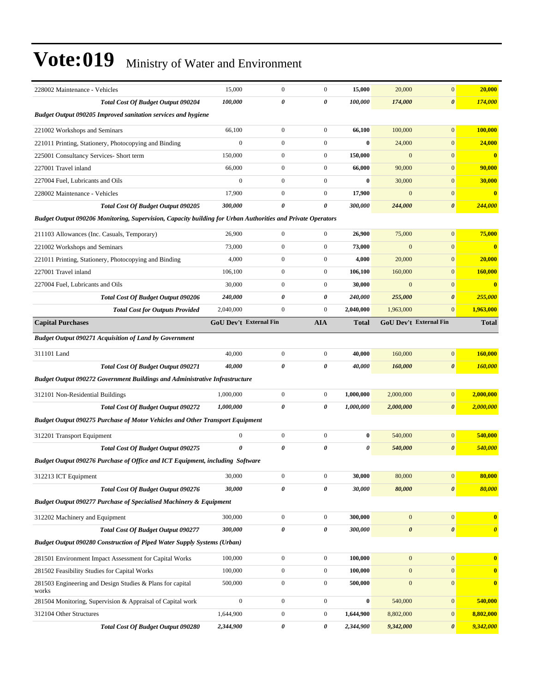| 228002 Maintenance - Vehicles                                                                               | 15,000                 | $\boldsymbol{0}$ | $\boldsymbol{0}$ | 15,000       | 20,000                | $\mathbf{0}$           | 20,000                  |
|-------------------------------------------------------------------------------------------------------------|------------------------|------------------|------------------|--------------|-----------------------|------------------------|-------------------------|
| Total Cost Of Budget Output 090204                                                                          | 100.000                | 0                | 0                | 100,000      | 174,000               | $\boldsymbol{\theta}$  | 174,000                 |
| <b>Budget Output 090205 Improved sanitation services and hygiene</b>                                        |                        |                  |                  |              |                       |                        |                         |
| 221002 Workshops and Seminars                                                                               | 66,100                 | $\boldsymbol{0}$ | $\boldsymbol{0}$ | 66,100       | 100,000               | $\mathbf{0}$           | 100,000                 |
| 221011 Printing, Stationery, Photocopying and Binding                                                       | $\boldsymbol{0}$       | $\boldsymbol{0}$ | $\mathbf{0}$     | $\bf{0}$     | 24,000                | $\mathbf{0}$           | 24,000                  |
| 225001 Consultancy Services- Short term                                                                     | 150,000                | $\boldsymbol{0}$ | $\boldsymbol{0}$ | 150,000      | $\boldsymbol{0}$      | $\mathbf{0}$           | $\overline{\mathbf{0}}$ |
| 227001 Travel inland                                                                                        | 66,000                 | $\boldsymbol{0}$ | $\boldsymbol{0}$ | 66,000       | 90,000                | $\mathbf{0}$           | 90,000                  |
| 227004 Fuel, Lubricants and Oils                                                                            | $\mathbf{0}$           | $\boldsymbol{0}$ | $\boldsymbol{0}$ | $\bf{0}$     | 30,000                | $\mathbf{0}$           | 30,000                  |
| 228002 Maintenance - Vehicles                                                                               | 17,900                 | $\boldsymbol{0}$ | $\boldsymbol{0}$ | 17,900       | $\mathbf{0}$          | $\mathbf{0}$           | $\overline{\mathbf{0}}$ |
| <b>Total Cost Of Budget Output 090205</b>                                                                   | 300,000                | 0                | 0                | 300,000      | 244,000               | $\pmb{\theta}$         | 244,000                 |
| Budget Output 090206 Monitoring, Supervision, Capacity building for Urban Authorities and Private Operators |                        |                  |                  |              |                       |                        |                         |
| 211103 Allowances (Inc. Casuals, Temporary)                                                                 | 26,900                 | $\boldsymbol{0}$ | $\boldsymbol{0}$ | 26,900       | 75,000                | $\mathbf{0}$           | 75,000                  |
| 221002 Workshops and Seminars                                                                               | 73,000                 | $\boldsymbol{0}$ | $\mathbf{0}$     | 73,000       | $\boldsymbol{0}$      | $\mathbf{0}$           | $\overline{\mathbf{0}}$ |
| 221011 Printing, Stationery, Photocopying and Binding                                                       | 4,000                  | $\boldsymbol{0}$ | $\boldsymbol{0}$ | 4,000        | 20,000                | $\mathbf{0}$           | 20,000                  |
| 227001 Travel inland                                                                                        | 106,100                | $\boldsymbol{0}$ | $\boldsymbol{0}$ | 106,100      | 160,000               | $\mathbf{0}$           | <b>160,000</b>          |
| 227004 Fuel, Lubricants and Oils                                                                            | 30,000                 | $\boldsymbol{0}$ | $\boldsymbol{0}$ | 30,000       | $\mathbf{0}$          | $\mathbf{0}$           | $\overline{\mathbf{0}}$ |
| <b>Total Cost Of Budget Output 090206</b>                                                                   | 240,000                | 0                | 0                | 240,000      | 255,000               | $\boldsymbol{\theta}$  | 255,000                 |
| <b>Total Cost for Outputs Provided</b>                                                                      | 2,040,000              | $\boldsymbol{0}$ | $\boldsymbol{0}$ | 2,040,000    | 1,963,000             | $\mathbf{0}$           | 1,963,000               |
| <b>Capital Purchases</b>                                                                                    | GoU Dev't External Fin |                  | <b>AIA</b>       | <b>Total</b> |                       | GoU Dev't External Fin | <b>Total</b>            |
| <b>Budget Output 090271 Acquisition of Land by Government</b>                                               |                        |                  |                  |              |                       |                        |                         |
| 311101 Land                                                                                                 | 40,000                 | $\boldsymbol{0}$ | $\boldsymbol{0}$ | 40,000       | 160,000               | $\mathbf{0}$           | 160,000                 |
| <b>Total Cost Of Budget Output 090271</b>                                                                   | <i><b>40,000</b></i>   | 0                | 0                | 40,000       | 160,000               | $\boldsymbol{\theta}$  | <b>160,000</b>          |
| <b>Budget Output 090272 Government Buildings and Administrative Infrastructure</b>                          |                        |                  |                  |              |                       |                        |                         |
| 312101 Non-Residential Buildings                                                                            | 1,000,000              | $\boldsymbol{0}$ | $\boldsymbol{0}$ | 1,000,000    | 2,000,000             | $\mathbf{0}$           | 2,000,000               |
| <b>Total Cost Of Budget Output 090272</b>                                                                   | 1,000,000              | 0                | 0                | 1,000,000    | 2,000,000             | $\boldsymbol{\theta}$  | 2,000,000               |
| <b>Budget Output 090275 Purchase of Motor Vehicles and Other Transport Equipment</b>                        |                        |                  |                  |              |                       |                        |                         |
| 312201 Transport Equipment                                                                                  | $\mathbf{0}$           | $\boldsymbol{0}$ | $\boldsymbol{0}$ | $\bf{0}$     | 540,000               | $\mathbf{0}$           | 540,000                 |
| <b>Total Cost Of Budget Output 090275</b>                                                                   | 0                      | 0                | 0                | 0            | 540,000               | $\boldsymbol{\theta}$  | 540,000                 |
| Budget Output 090276 Purchase of Office and ICT Equipment, including Software                               |                        |                  |                  |              |                       |                        |                         |
|                                                                                                             |                        |                  |                  |              |                       |                        |                         |
| 312213 ICT Equipment                                                                                        | 30,000                 | $\boldsymbol{0}$ | $\boldsymbol{0}$ | 30,000       | 80,000                | $\bf{0}$               | 80,000                  |
| Total Cost Of Budget Output 090276                                                                          | 30,000                 | 0                | 0                | 30,000       | 80,000                | $\pmb{\theta}$         | 80,000                  |
| <b>Budget Output 090277 Purchase of Specialised Machinery &amp; Equipment</b>                               |                        |                  |                  |              |                       |                        |                         |
| 312202 Machinery and Equipment                                                                              | 300,000                | $\boldsymbol{0}$ | $\boldsymbol{0}$ | 300,000      | $\mathbf{0}$          | $\mathbf{0}$           | $\bf{0}$                |
| <b>Total Cost Of Budget Output 090277</b>                                                                   | 300,000                | 0                | 0                | 300,000      | $\boldsymbol{\theta}$ | $\pmb{\theta}$         | $\boldsymbol{\theta}$   |
| Budget Output 090280 Construction of Piped Water Supply Systems (Urban)                                     |                        |                  |                  |              |                       |                        |                         |
| 281501 Environment Impact Assessment for Capital Works                                                      | 100,000                | $\boldsymbol{0}$ | $\boldsymbol{0}$ | 100,000      | $\mathbf{0}$          | $\boldsymbol{0}$       | $\bf{0}$                |
| 281502 Feasibility Studies for Capital Works                                                                | 100,000                | $\boldsymbol{0}$ | $\boldsymbol{0}$ | 100,000      | $\boldsymbol{0}$      | $\boldsymbol{0}$       | $\boldsymbol{0}$        |
| 281503 Engineering and Design Studies & Plans for capital<br>works                                          | 500,000                | $\boldsymbol{0}$ | $\boldsymbol{0}$ | 500,000      | $\boldsymbol{0}$      | $\boldsymbol{0}$       | $\bf{0}$                |
| 281504 Monitoring, Supervision & Appraisal of Capital work                                                  | $\boldsymbol{0}$       | $\boldsymbol{0}$ | $\boldsymbol{0}$ | $\bf{0}$     | 540,000               | $\mathbf{0}$           | 540,000                 |
| 312104 Other Structures                                                                                     | 1,644,900              | $\boldsymbol{0}$ | $\boldsymbol{0}$ | 1,644,900    | 8,802,000             | $\mathbf{0}$           | 8,802,000               |
| Total Cost Of Budget Output 090280                                                                          | 2,344,900              | 0                | 0                | 2,344,900    | 9,342,000             | $\boldsymbol{\theta}$  | 9,342,000               |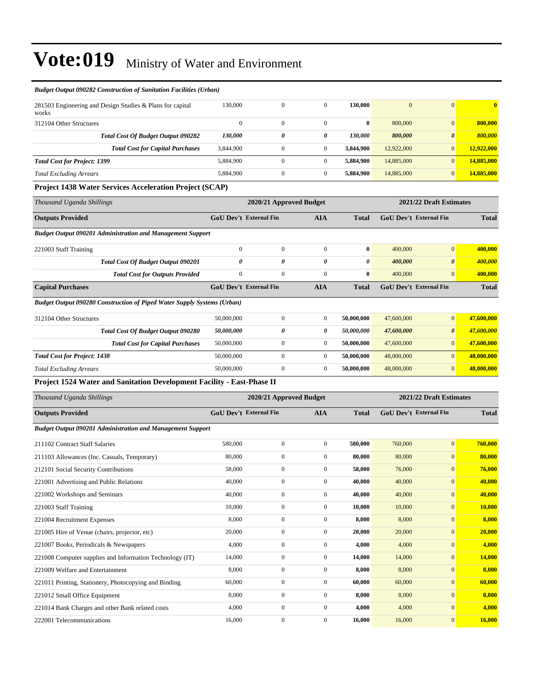| <b>Budget Output 090282 Construction of Sanitation Facilities (Urban)</b>      |                               |                  |                         |              |                        |                               |              |
|--------------------------------------------------------------------------------|-------------------------------|------------------|-------------------------|--------------|------------------------|-------------------------------|--------------|
| 281503 Engineering and Design Studies & Plans for capital<br>works             | 130,000                       | $\mathbf{0}$     | $\overline{0}$          | 130,000      | $\overline{0}$         | $\overline{0}$                | $\bf{0}$     |
| 312104 Other Structures                                                        | $\mathbf{0}$                  | $\mathbf{0}$     | $\mathbf{0}$            | $\bf{0}$     | 800,000                | $\mathbf{0}$                  | 800,000      |
| <b>Total Cost Of Budget Output 090282</b>                                      | 130,000                       | $\theta$         | 0                       | 130,000      | 800,000                | $\boldsymbol{\theta}$         | 800,000      |
| <b>Total Cost for Capital Purchases</b>                                        | 3,844,900                     | $\mathbf{0}$     | $\boldsymbol{0}$        | 3,844,900    | 12,922,000             | $\overline{0}$                | 12,922,000   |
| <b>Total Cost for Project: 1399</b>                                            | 5,884,900                     | $\mathbf{0}$     | $\boldsymbol{0}$        | 5,884,900    | 14,885,000             | $\overline{0}$                | 14,885,000   |
| <b>Total Excluding Arrears</b>                                                 | 5,884,900                     | $\overline{0}$   | $\boldsymbol{0}$        | 5,884,900    | 14,885,000             | $\overline{0}$                | 14,885,000   |
| <b>Project 1438 Water Services Acceleration Project (SCAP)</b>                 |                               |                  |                         |              |                        |                               |              |
| Thousand Uganda Shillings                                                      |                               |                  | 2020/21 Approved Budget |              |                        | 2021/22 Draft Estimates       |              |
| <b>Outputs Provided</b>                                                        | <b>GoU Dev't External Fin</b> |                  | <b>AIA</b>              | <b>Total</b> |                        | <b>GoU Dev't External Fin</b> | <b>Total</b> |
| <b>Budget Output 090201 Administration and Management Support</b>              |                               |                  |                         |              |                        |                               |              |
| 221003 Staff Training                                                          | $\overline{0}$                | $\overline{0}$   | $\mathbf{0}$            | $\bf{0}$     | 400,000                | $\overline{0}$                | 400,000      |
| Total Cost Of Budget Output 090201                                             | 0                             | $\theta$         | $\boldsymbol{\theta}$   | 0            | 400,000                | $\boldsymbol{\theta}$         | 400,000      |
| <b>Total Cost for Outputs Provided</b>                                         | $\overline{0}$                | $\overline{0}$   | $\boldsymbol{0}$        | $\bf{0}$     | 400,000                | $\overline{0}$                | 400,000      |
| <b>Capital Purchases</b>                                                       | <b>GoU Dev't External Fin</b> |                  | <b>AIA</b>              | <b>Total</b> |                        | GoU Dev't External Fin        | <b>Total</b> |
| <b>Budget Output 090280 Construction of Piped Water Supply Systems (Urban)</b> |                               |                  |                         |              |                        |                               |              |
| 312104 Other Structures                                                        | 50,000,000                    | $\boldsymbol{0}$ | $\boldsymbol{0}$        | 50,000,000   | 47,600,000             | $\boldsymbol{0}$              | 47,600,000   |
| Total Cost Of Budget Output 090280                                             | 50,000,000                    | 0                | 0                       | 50,000,000   | 47,600,000             | 0                             | 47,600,000   |
| <b>Total Cost for Capital Purchases</b>                                        | 50,000,000                    | $\overline{0}$   | $\boldsymbol{0}$        | 50,000,000   | 47,600,000             | $\overline{0}$                | 47,600,000   |
| <b>Total Cost for Project: 1438</b>                                            | 50,000,000                    | $\overline{0}$   | $\boldsymbol{0}$        | 50,000,000   | 48,000,000             | $\overline{0}$                | 48,000,000   |
| <b>Total Excluding Arrears</b>                                                 | 50,000,000                    | $\overline{0}$   | $\boldsymbol{0}$        | 50,000,000   | 48,000,000             | $\overline{0}$                | 48,000,000   |
| Project 1524 Water and Sanitation Development Facility - East-Phase II         |                               |                  |                         |              |                        |                               |              |
| Thousand Uganda Shillings                                                      |                               |                  | 2020/21 Approved Budget |              |                        | 2021/22 Draft Estimates       |              |
| <b>Outputs Provided</b>                                                        | GoU Dev't External Fin        |                  | <b>AIA</b>              | <b>Total</b> | GoU Dev't External Fin |                               | <b>Total</b> |
| <b>Budget Output 090201 Administration and Management Support</b>              |                               |                  |                         |              |                        |                               |              |
| 211102 Contract Staff Salaries                                                 | 580,000                       | $\overline{0}$   | $\boldsymbol{0}$        | 580,000      | 760,000                | $\boldsymbol{0}$              | 760,000      |
| 211103 Allowances (Inc. Casuals, Temporary)                                    | 80,000                        | $\mathbf{0}$     | $\boldsymbol{0}$        | 80,000       | 80,000                 | $\overline{0}$                | 80,000       |
| 212101 Social Security Contributions                                           | 58,000                        | $\mathbf{0}$     | $\overline{0}$          | 58,000       | 76,000                 | $\overline{0}$                | 76,000       |
| 221001 Advertising and Public Relations                                        | 40,000                        | $\boldsymbol{0}$ | $\boldsymbol{0}$        | 40,000       | 40,000                 | 0                             | 40,000       |
| 221002 Workshops and Seminars                                                  | 40,000                        | $\boldsymbol{0}$ | $\boldsymbol{0}$        | 40,000       | 40,000                 | $\boldsymbol{0}$              | 40,000       |
| 221003 Staff Training                                                          | 10,000                        | $\boldsymbol{0}$ | $\boldsymbol{0}$        | 10,000       | 10,000                 | $\boldsymbol{0}$              | 10,000       |
| 221004 Recruitment Expenses                                                    | 8,000                         | $\boldsymbol{0}$ | $\boldsymbol{0}$        | 8,000        | 8,000                  | $\boldsymbol{0}$              | 8,000        |
| 221005 Hire of Venue (chairs, projector, etc)                                  | 20,000                        | $\boldsymbol{0}$ | $\boldsymbol{0}$        | 20,000       | 20,000                 | $\boldsymbol{0}$              | 20,000       |
| 221007 Books, Periodicals & Newspapers                                         | 4,000                         | $\boldsymbol{0}$ | $\boldsymbol{0}$        | 4,000        | 4,000                  | $\boldsymbol{0}$              | 4,000        |
| 221008 Computer supplies and Information Technology (IT)                       | 14,000                        | $\boldsymbol{0}$ | $\boldsymbol{0}$        | 14,000       | 14,000                 | $\boldsymbol{0}$              | 14,000       |
| 221009 Welfare and Entertainment                                               | 8,000                         | $\boldsymbol{0}$ | $\boldsymbol{0}$        | 8,000        | 8,000                  | $\boldsymbol{0}$              | 8,000        |
| 221011 Printing, Stationery, Photocopying and Binding                          | 60,000                        | $\boldsymbol{0}$ | $\boldsymbol{0}$        | 60,000       | 60,000                 | $\boldsymbol{0}$              | 60,000       |
| 221012 Small Office Equipment                                                  | 8,000                         | $\boldsymbol{0}$ | $\boldsymbol{0}$        | 8,000        | 8,000                  | $\boldsymbol{0}$              | 8,000        |
| 221014 Bank Charges and other Bank related costs                               | 4,000                         | $\boldsymbol{0}$ | $\boldsymbol{0}$        | 4,000        | 4,000                  | $\boldsymbol{0}$              | 4,000        |
| 222001 Telecommunications                                                      | 16,000                        | $\boldsymbol{0}$ | $\boldsymbol{0}$        | 16,000       | 16,000                 | $\boldsymbol{0}$              | 16,000       |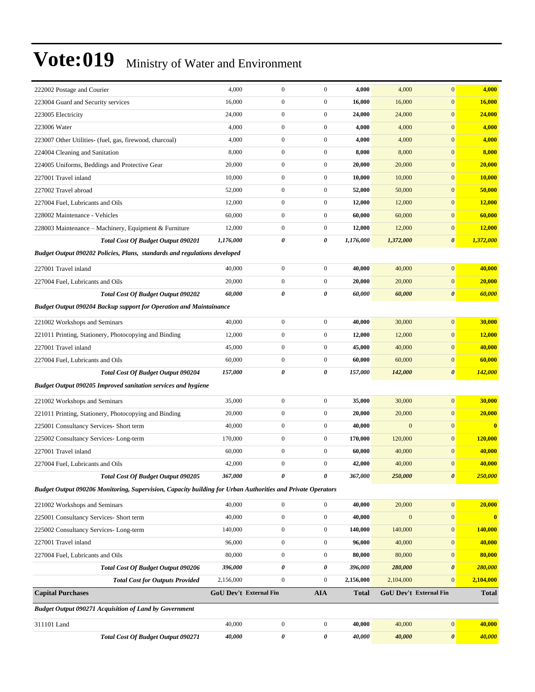| 222002 Postage and Courier                                                                                  | 4,000                  | $\boldsymbol{0}$ | $\mathbf{0}$     | 4,000        | 4,000        | $\overline{0}$         | 4,000          |
|-------------------------------------------------------------------------------------------------------------|------------------------|------------------|------------------|--------------|--------------|------------------------|----------------|
| 223004 Guard and Security services                                                                          | 16,000                 | $\boldsymbol{0}$ | $\boldsymbol{0}$ | 16,000       | 16,000       | $\mathbf{0}$           | 16,000         |
| 223005 Electricity                                                                                          | 24,000                 | $\boldsymbol{0}$ | $\boldsymbol{0}$ | 24,000       | 24,000       | $\mathbf{0}$           | 24,000         |
| 223006 Water                                                                                                | 4,000                  | $\boldsymbol{0}$ | $\boldsymbol{0}$ | 4,000        | 4,000        | $\mathbf{0}$           | 4,000          |
| 223007 Other Utilities- (fuel, gas, firewood, charcoal)                                                     | 4,000                  | $\boldsymbol{0}$ | $\boldsymbol{0}$ | 4,000        | 4,000        | $\mathbf{0}$           | 4,000          |
| 224004 Cleaning and Sanitation                                                                              | 8,000                  | $\boldsymbol{0}$ | $\boldsymbol{0}$ | 8,000        | 8,000        | $\mathbf{0}$           | 8,000          |
| 224005 Uniforms, Beddings and Protective Gear                                                               | 20,000                 | $\boldsymbol{0}$ | $\boldsymbol{0}$ | 20,000       | 20,000       | $\mathbf{0}$           | 20,000         |
| 227001 Travel inland                                                                                        | 10,000                 | $\boldsymbol{0}$ | $\boldsymbol{0}$ | 10,000       | 10,000       | $\mathbf{0}$           | 10,000         |
| 227002 Travel abroad                                                                                        | 52,000                 | $\boldsymbol{0}$ | $\boldsymbol{0}$ | 52,000       | 50,000       | $\mathbf{0}$           | 50,000         |
| 227004 Fuel, Lubricants and Oils                                                                            | 12,000                 | $\boldsymbol{0}$ | $\boldsymbol{0}$ | 12,000       | 12,000       | $\mathbf{0}$           | 12,000         |
| 228002 Maintenance - Vehicles                                                                               | 60,000                 | $\boldsymbol{0}$ | $\boldsymbol{0}$ | 60,000       | 60,000       | $\mathbf{0}$           | 60,000         |
| 228003 Maintenance – Machinery, Equipment & Furniture                                                       | 12,000                 | $\boldsymbol{0}$ | $\boldsymbol{0}$ | 12,000       | 12,000       | $\boldsymbol{0}$       | 12,000         |
| <b>Total Cost Of Budget Output 090201</b>                                                                   | 1,176,000              | 0                | 0                | 1,176,000    | 1,372,000    | 0                      | 1,372,000      |
| Budget Output 090202 Policies, Plans, standards and regulations developed                                   |                        |                  |                  |              |              |                        |                |
| 227001 Travel inland                                                                                        | 40,000                 | $\boldsymbol{0}$ | $\boldsymbol{0}$ | 40,000       | 40,000       | $\mathbf{0}$           | 40,000         |
| 227004 Fuel, Lubricants and Oils                                                                            | 20,000                 | $\boldsymbol{0}$ | $\boldsymbol{0}$ | 20,000       | 20,000       | $\mathbf{0}$           | 20,000         |
| <b>Total Cost Of Budget Output 090202</b>                                                                   | 60,000                 | 0                | 0                | 60,000       | 60,000       | $\boldsymbol{\theta}$  | 60,000         |
| <b>Budget Output 090204 Backup support for Operation and Maintainance</b>                                   |                        |                  |                  |              |              |                        |                |
| 221002 Workshops and Seminars                                                                               | 40,000                 | $\boldsymbol{0}$ | $\boldsymbol{0}$ | 40,000       | 30,000       | $\overline{0}$         | 30,000         |
| 221011 Printing, Stationery, Photocopying and Binding                                                       | 12,000                 | $\boldsymbol{0}$ | $\boldsymbol{0}$ | 12,000       | 12,000       | $\mathbf{0}$           | 12,000         |
| 227001 Travel inland                                                                                        | 45,000                 | $\boldsymbol{0}$ | $\boldsymbol{0}$ | 45,000       | 40,000       | $\mathbf{0}$           | 40,000         |
| 227004 Fuel, Lubricants and Oils                                                                            | 60,000                 | $\boldsymbol{0}$ | $\boldsymbol{0}$ | 60,000       | 60,000       | $\overline{0}$         | 60,000         |
| Total Cost Of Budget Output 090204                                                                          | 157,000                | 0                | 0                | 157,000      | 142,000      | $\pmb{\theta}$         | 142,000        |
| <b>Budget Output 090205 Improved sanitation services and hygiene</b>                                        |                        |                  |                  |              |              |                        |                |
| 221002 Workshops and Seminars                                                                               | 35,000                 | $\boldsymbol{0}$ | $\boldsymbol{0}$ | 35,000       | 30,000       | $\overline{0}$         | 30,000         |
| 221011 Printing, Stationery, Photocopying and Binding                                                       | 20,000                 | $\boldsymbol{0}$ | $\boldsymbol{0}$ | 20,000       | 20,000       | $\mathbf{0}$           | 20,000         |
| 225001 Consultancy Services- Short term                                                                     | 40,000                 | $\boldsymbol{0}$ | $\boldsymbol{0}$ | 40,000       | $\mathbf{0}$ | $\mathbf{0}$           | $\bf{0}$       |
| 225002 Consultancy Services-Long-term                                                                       | 170,000                | $\boldsymbol{0}$ | $\boldsymbol{0}$ | 170,000      | 120,000      | $\mathbf{0}$           | 120,000        |
| 227001 Travel inland                                                                                        | 60,000                 | $\boldsymbol{0}$ | $\boldsymbol{0}$ | 60,000       | 40,000       | $\mathbf{0}$           | 40,000         |
| 227004 Fuel, Lubricants and Oils                                                                            | 42,000                 | $\boldsymbol{0}$ | $\boldsymbol{0}$ | 42,000       | 40,000       | $\mathbf{0}$           | 40,000         |
| Total Cost Of Budget Output 090205                                                                          | 367,000                | 0                | 0                | 367,000      | 250,000      | 0                      | <b>250,000</b> |
| Budget Output 090206 Monitoring, Supervision, Capacity building for Urban Authorities and Private Operators |                        |                  |                  |              |              |                        |                |
| 221002 Workshops and Seminars                                                                               | 40,000                 | $\boldsymbol{0}$ | $\boldsymbol{0}$ | 40,000       | 20,000       | $\mathbf{0}$           | 20,000         |
| 225001 Consultancy Services- Short term                                                                     | 40,000                 | $\boldsymbol{0}$ | $\boldsymbol{0}$ | 40,000       | $\mathbf{0}$ | $\boldsymbol{0}$       | $\bf{0}$       |
| 225002 Consultancy Services-Long-term                                                                       | 140,000                | $\boldsymbol{0}$ | $\boldsymbol{0}$ | 140,000      | 140,000      | $\mathbf{0}$           | 140,000        |
| 227001 Travel inland                                                                                        | 96,000                 | $\boldsymbol{0}$ | $\boldsymbol{0}$ | 96,000       | 40,000       | $\boldsymbol{0}$       | 40,000         |
| 227004 Fuel, Lubricants and Oils                                                                            | 80,000                 | $\boldsymbol{0}$ | $\boldsymbol{0}$ | 80,000       | 80,000       | $\mathbf{0}$           | 80,000         |
| <b>Total Cost Of Budget Output 090206</b>                                                                   | 396,000                | 0                | 0                | 396,000      | 280,000      | 0                      | 280,000        |
| <b>Total Cost for Outputs Provided</b>                                                                      | 2,156,000              | $\boldsymbol{0}$ | $\boldsymbol{0}$ | 2,156,000    | 2,104,000    | $\overline{0}$         | 2,104,000      |
| <b>Capital Purchases</b>                                                                                    | GoU Dev't External Fin |                  | AIA              | <b>Total</b> |              | GoU Dev't External Fin | <b>Total</b>   |
| <b>Budget Output 090271 Acquisition of Land by Government</b>                                               |                        |                  |                  |              |              |                        |                |
|                                                                                                             |                        |                  |                  |              |              |                        |                |
| 311101 Land                                                                                                 | 40,000                 | $\boldsymbol{0}$ | $\boldsymbol{0}$ | 40,000       | 40,000       | $\boldsymbol{0}$       | 40,000         |
| Total Cost Of Budget Output 090271                                                                          | 40,000                 | 0                | 0                | 40,000       | 40,000       | $\pmb{\theta}$         | 40,000         |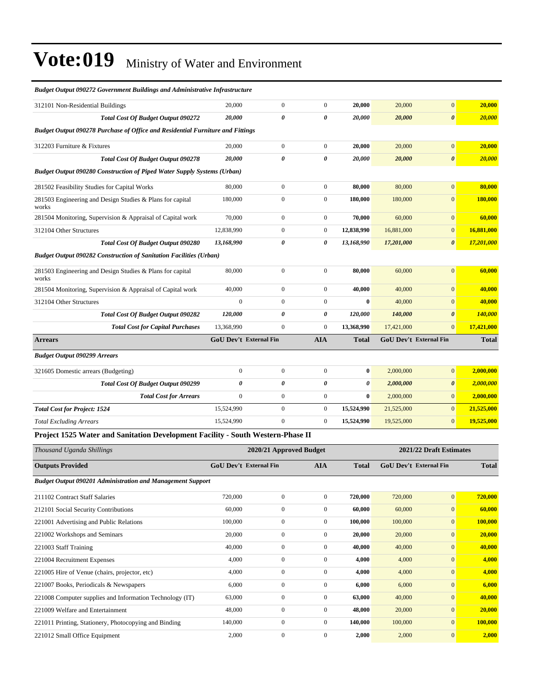| <b>Budget Output 090272 Government Buildings and Administrative Infrastructure</b>    |                               |                         |                       |              |            |                               |                |
|---------------------------------------------------------------------------------------|-------------------------------|-------------------------|-----------------------|--------------|------------|-------------------------------|----------------|
| 312101 Non-Residential Buildings                                                      | 20,000                        | $\boldsymbol{0}$        | $\overline{0}$        | 20,000       | 20,000     | $\mathbf{0}$                  | 20,000         |
| <b>Total Cost Of Budget Output 090272</b>                                             | 20,000                        | $\pmb{\theta}$          | $\boldsymbol{\theta}$ | 20,000       | 20,000     | $\boldsymbol{\theta}$         | 20,000         |
| <b>Budget Output 090278 Purchase of Office and Residential Furniture and Fittings</b> |                               |                         |                       |              |            |                               |                |
| 312203 Furniture & Fixtures                                                           | 20,000                        | $\boldsymbol{0}$        | $\mathbf{0}$          | 20,000       | 20,000     | $\mathbf{0}$                  | 20,000         |
| <b>Total Cost Of Budget Output 090278</b>                                             | 20,000                        | 0                       | 0                     | 20,000       | 20,000     | $\boldsymbol{\theta}$         | 20,000         |
| <b>Budget Output 090280 Construction of Piped Water Supply Systems (Urban)</b>        |                               |                         |                       |              |            |                               |                |
| 281502 Feasibility Studies for Capital Works                                          | 80,000                        | $\boldsymbol{0}$        | $\boldsymbol{0}$      | 80,000       | 80,000     | $\mathbf{0}$                  | 80,000         |
| 281503 Engineering and Design Studies & Plans for capital<br>works                    | 180,000                       | $\boldsymbol{0}$        | $\boldsymbol{0}$      | 180,000      | 180,000    | $\mathbf{0}$                  | 180,000        |
| 281504 Monitoring, Supervision & Appraisal of Capital work                            | 70,000                        | $\boldsymbol{0}$        | $\mathbf{0}$          | 70,000       | 60,000     | $\mathbf{0}$                  | 60,000         |
| 312104 Other Structures                                                               | 12,838,990                    | $\boldsymbol{0}$        | $\boldsymbol{0}$      | 12,838,990   | 16,881,000 | $\mathbf{0}$                  | 16,881,000     |
| <b>Total Cost Of Budget Output 090280</b>                                             | 13,168,990                    | 0                       | 0                     | 13,168,990   | 17,201,000 | $\boldsymbol{\theta}$         | 17,201,000     |
| <b>Budget Output 090282 Construction of Sanitation Facilities (Urban)</b>             |                               |                         |                       |              |            |                               |                |
| 281503 Engineering and Design Studies & Plans for capital<br>works                    | 80,000                        | $\boldsymbol{0}$        | $\boldsymbol{0}$      | 80,000       | 60,000     | $\mathbf{0}$                  | 60,000         |
| 281504 Monitoring, Supervision & Appraisal of Capital work                            | 40,000                        | $\mathbf{0}$            | $\boldsymbol{0}$      | 40,000       | 40,000     | $\mathbf{0}$                  | 40,000         |
| 312104 Other Structures                                                               | $\mathbf{0}$                  | $\mathbf{0}$            | $\mathbf{0}$          | $\bf{0}$     | 40,000     | $\mathbf{0}$                  | 40,000         |
| <b>Total Cost Of Budget Output 090282</b>                                             | 120,000                       | 0                       | 0                     | 120,000      | 140,000    | $\boldsymbol{\theta}$         | <b>140,000</b> |
| <b>Total Cost for Capital Purchases</b>                                               | 13,368,990                    | $\boldsymbol{0}$        | $\boldsymbol{0}$      | 13,368,990   | 17,421,000 | $\mathbf{0}$                  | 17,421,000     |
| <b>Arrears</b>                                                                        | <b>GoU Dev't External Fin</b> |                         | <b>AIA</b>            | <b>Total</b> |            | <b>GoU Dev't External Fin</b> | <b>Total</b>   |
| <b>Budget Output 090299 Arrears</b>                                                   |                               |                         |                       |              |            |                               |                |
| 321605 Domestic arrears (Budgeting)                                                   | $\boldsymbol{0}$              | $\mathbf{0}$            | $\boldsymbol{0}$      | $\bf{0}$     | 2,000,000  | $\mathbf{0}$                  | 2,000,000      |
| <b>Total Cost Of Budget Output 090299</b>                                             | 0                             | 0                       | 0                     | 0            | 2,000,000  | $\boldsymbol{\theta}$         | 2,000,000      |
| <b>Total Cost for Arrears</b>                                                         | $\mathbf{0}$                  | $\boldsymbol{0}$        | $\boldsymbol{0}$      | $\bf{0}$     | 2,000,000  | $\mathbf{0}$                  | 2,000,000      |
| <b>Total Cost for Project: 1524</b>                                                   | 15,524,990                    | $\boldsymbol{0}$        | $\boldsymbol{0}$      | 15,524,990   | 21,525,000 | $\mathbf{0}$                  | 21,525,000     |
| <b>Total Excluding Arrears</b>                                                        | 15,524,990                    | $\mathbf{0}$            | $\boldsymbol{0}$      | 15,524,990   | 19,525,000 | $\mathbf{0}$                  | 19,525,000     |
| Project 1525 Water and Sanitation Development Facility - South Western-Phase II       |                               |                         |                       |              |            |                               |                |
| Thousand Uganda Shillings                                                             |                               | 2020/21 Approved Budget |                       |              |            | 2021/22 Draft Estimates       |                |
| <b>Outputs Provided</b>                                                               | <b>GoU Dev't External Fin</b> |                         | <b>AIA</b>            | Total        |            | GoU Dev't External Fin        | <b>Total</b>   |
| <b>Budget Output 090201 Administration and Management Support</b>                     |                               |                         |                       |              |            |                               |                |
| 211102 Contract Staff Salaries                                                        | 720,000                       | $\boldsymbol{0}$        | $\mathbf{0}$          | 720,000      | 720,000    | $\mathbf{0}$                  | 720,000        |
| 212101 Social Security Contributions                                                  | 60,000                        | $\boldsymbol{0}$        | $\boldsymbol{0}$      | 60,000       | 60,000     | $\mathbf{0}$                  | 60,000         |
| 221001 Advertising and Public Relations                                               | 100,000                       | $\boldsymbol{0}$        | $\boldsymbol{0}$      | 100,000      | 100,000    | $\boldsymbol{0}$              | 100,000        |
| 221002 Workshops and Seminars                                                         | 20,000                        | $\boldsymbol{0}$        | $\boldsymbol{0}$      | 20,000       | 20,000     | $\mathbf{0}$                  | 20,000         |
| 221003 Staff Training                                                                 | 40,000                        | $\boldsymbol{0}$        | $\mathbf{0}$          | 40,000       | 40,000     | $\mathbf{0}$                  | 40,000         |
| 221004 Recruitment Expenses                                                           | 4,000                         | $\boldsymbol{0}$        | $\mathbf{0}$          | 4,000        | 4,000      | $\mathbf{0}$                  | 4,000          |
| 221005 Hire of Venue (chairs, projector, etc)                                         | 4,000                         | $\boldsymbol{0}$        | $\mathbf{0}$          | 4,000        | 4,000      | $\mathbf{0}$                  | 4,000          |
| 221007 Books, Periodicals & Newspapers                                                | 6,000                         | $\boldsymbol{0}$        | $\boldsymbol{0}$      | 6,000        | 6,000      | $\boldsymbol{0}$              | 6,000          |
| 221008 Computer supplies and Information Technology (IT)                              | 63,000                        | $\boldsymbol{0}$        | $\boldsymbol{0}$      | 63,000       | 40,000     | $\mathbf{0}$                  | 40,000         |
| 221009 Welfare and Entertainment                                                      | 48,000                        | $\boldsymbol{0}$        | $\mathbf{0}$          | 48,000       | 20,000     | $\mathbf{0}$                  | 20,000         |
| 221011 Printing, Stationery, Photocopying and Binding                                 | 140,000                       | $\boldsymbol{0}$        | $\boldsymbol{0}$      | 140,000      | 100,000    | $\boldsymbol{0}$              | 100,000        |
| 221012 Small Office Equipment                                                         | 2,000                         | $\boldsymbol{0}$        | $\mathbf{0}$          | 2,000        | 2,000      | $\mathbf{0}$                  | 2,000          |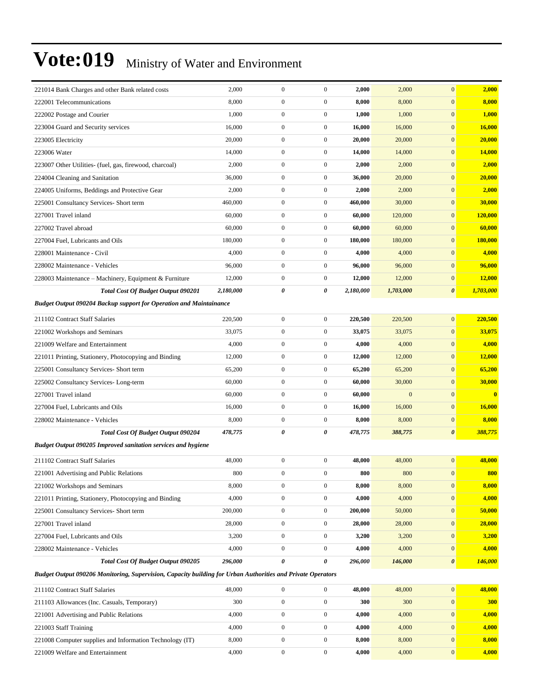| 221014 Bank Charges and other Bank related costs                                                            | 2,000     | $\boldsymbol{0}$ | $\boldsymbol{0}$ | 2,000     | 2,000        | $\overline{0}$        | 2,000     |
|-------------------------------------------------------------------------------------------------------------|-----------|------------------|------------------|-----------|--------------|-----------------------|-----------|
| 222001 Telecommunications                                                                                   | 8,000     | $\boldsymbol{0}$ | $\boldsymbol{0}$ | 8,000     | 8,000        | $\overline{0}$        | 8,000     |
| 222002 Postage and Courier                                                                                  | 1,000     | $\boldsymbol{0}$ | $\boldsymbol{0}$ | 1,000     | 1,000        | $\mathbf{0}$          | 1,000     |
| 223004 Guard and Security services                                                                          | 16,000    | $\boldsymbol{0}$ | $\boldsymbol{0}$ | 16,000    | 16,000       | $\overline{0}$        | 16,000    |
| 223005 Electricity                                                                                          | 20,000    | $\boldsymbol{0}$ | $\boldsymbol{0}$ | 20,000    | 20,000       | $\mathbf{0}$          | 20,000    |
| 223006 Water                                                                                                | 14,000    | $\boldsymbol{0}$ | $\boldsymbol{0}$ | 14,000    | 14,000       | $\mathbf{0}$          | 14,000    |
| 223007 Other Utilities- (fuel, gas, firewood, charcoal)                                                     | 2,000     | $\boldsymbol{0}$ | $\boldsymbol{0}$ | 2,000     | 2,000        | $\mathbf{0}$          | 2,000     |
| 224004 Cleaning and Sanitation                                                                              | 36,000    | $\boldsymbol{0}$ | $\boldsymbol{0}$ | 36,000    | 20,000       | $\mathbf{0}$          | 20,000    |
| 224005 Uniforms, Beddings and Protective Gear                                                               | 2,000     | $\boldsymbol{0}$ | $\boldsymbol{0}$ | 2,000     | 2,000        | $\mathbf{0}$          | 2,000     |
| 225001 Consultancy Services- Short term                                                                     | 460,000   | $\boldsymbol{0}$ | $\boldsymbol{0}$ | 460,000   | 30,000       | $\mathbf{0}$          | 30,000    |
| 227001 Travel inland                                                                                        | 60,000    | $\boldsymbol{0}$ | $\boldsymbol{0}$ | 60,000    | 120,000      | $\mathbf{0}$          | 120,000   |
| 227002 Travel abroad                                                                                        | 60,000    | $\boldsymbol{0}$ | $\boldsymbol{0}$ | 60,000    | 60,000       | $\mathbf{0}$          | 60,000    |
| 227004 Fuel, Lubricants and Oils                                                                            | 180,000   | $\boldsymbol{0}$ | $\boldsymbol{0}$ | 180,000   | 180,000      | $\mathbf{0}$          | 180,000   |
| 228001 Maintenance - Civil                                                                                  | 4,000     | $\boldsymbol{0}$ | $\boldsymbol{0}$ | 4,000     | 4,000        | $\mathbf{0}$          | 4,000     |
| 228002 Maintenance - Vehicles                                                                               | 96,000    | $\boldsymbol{0}$ | $\boldsymbol{0}$ | 96,000    | 96,000       | $\overline{0}$        | 96,000    |
| 228003 Maintenance – Machinery, Equipment & Furniture                                                       | 12,000    | $\mathbf{0}$     | $\boldsymbol{0}$ | 12,000    | 12,000       | $\mathbf{0}$          | 12,000    |
| <b>Total Cost Of Budget Output 090201</b>                                                                   | 2,180,000 | 0                | 0                | 2,180,000 | 1,703,000    | $\boldsymbol{\theta}$ | 1,703,000 |
| <b>Budget Output 090204 Backup support for Operation and Maintainance</b>                                   |           |                  |                  |           |              |                       |           |
| 211102 Contract Staff Salaries                                                                              | 220,500   | $\boldsymbol{0}$ | $\boldsymbol{0}$ | 220,500   | 220,500      | $\overline{0}$        | 220,500   |
| 221002 Workshops and Seminars                                                                               | 33,075    | $\boldsymbol{0}$ | $\boldsymbol{0}$ | 33,075    | 33,075       | $\overline{0}$        | 33,075    |
| 221009 Welfare and Entertainment                                                                            | 4,000     | $\boldsymbol{0}$ | $\boldsymbol{0}$ | 4,000     | 4,000        | $\overline{0}$        | 4,000     |
| 221011 Printing, Stationery, Photocopying and Binding                                                       | 12,000    | $\boldsymbol{0}$ | $\boldsymbol{0}$ | 12,000    | 12,000       | $\mathbf{0}$          | 12,000    |
| 225001 Consultancy Services- Short term                                                                     | 65,200    | $\boldsymbol{0}$ | $\boldsymbol{0}$ | 65,200    | 65,200       | $\mathbf{0}$          | 65,200    |
| 225002 Consultancy Services-Long-term                                                                       | 60,000    | $\boldsymbol{0}$ | $\boldsymbol{0}$ | 60,000    | 30,000       | $\overline{0}$        | 30,000    |
| 227001 Travel inland                                                                                        | 60,000    | $\boldsymbol{0}$ | $\boldsymbol{0}$ | 60,000    | $\mathbf{0}$ | $\overline{0}$        | $\bf{0}$  |
| 227004 Fuel, Lubricants and Oils                                                                            | 16,000    | $\boldsymbol{0}$ | $\boldsymbol{0}$ | 16,000    | 16,000       | $\overline{0}$        | 16,000    |
| 228002 Maintenance - Vehicles                                                                               | 8,000     | $\boldsymbol{0}$ | $\boldsymbol{0}$ | 8,000     | 8,000        | $\mathbf{0}$          | 8,000     |
| <b>Total Cost Of Budget Output 090204</b>                                                                   | 478,775   | 0                | 0                | 478,775   | 388,775      | 0                     | 388,775   |
| Budget Output 090205 Improved sanitation services and hygiene                                               |           |                  |                  |           |              |                       |           |
| 211102 Contract Staff Salaries                                                                              | 48,000    | $\boldsymbol{0}$ | $\boldsymbol{0}$ | 48,000    | 48,000       | $\overline{0}$        | 48,000    |
| 221001 Advertising and Public Relations                                                                     | 800       | $\boldsymbol{0}$ | $\boldsymbol{0}$ | 800       | 800          | $\mathbf{0}$          | 800       |
| 221002 Workshops and Seminars                                                                               | 8,000     | $\boldsymbol{0}$ | $\boldsymbol{0}$ | 8,000     | 8,000        | $\boldsymbol{0}$      | 8,000     |
| 221011 Printing, Stationery, Photocopying and Binding                                                       | 4,000     | $\boldsymbol{0}$ | $\boldsymbol{0}$ | 4,000     | 4,000        | $\boldsymbol{0}$      | 4,000     |
| 225001 Consultancy Services- Short term                                                                     | 200,000   | $\boldsymbol{0}$ | $\boldsymbol{0}$ | 200,000   | 50,000       | $\boldsymbol{0}$      | 50,000    |
| 227001 Travel inland                                                                                        | 28,000    | $\boldsymbol{0}$ | $\boldsymbol{0}$ | 28,000    | 28,000       | $\boldsymbol{0}$      | 28,000    |
| 227004 Fuel, Lubricants and Oils                                                                            | 3,200     | $\boldsymbol{0}$ | 0                | 3,200     | 3,200        | $\boldsymbol{0}$      | 3,200     |
| 228002 Maintenance - Vehicles                                                                               | 4,000     | $\boldsymbol{0}$ | 0                | 4,000     | 4,000        | $\boldsymbol{0}$      | 4,000     |
| <b>Total Cost Of Budget Output 090205</b>                                                                   | 296,000   | 0                | 0                | 296,000   | 146,000      | $\boldsymbol{\theta}$ | 146,000   |
| Budget Output 090206 Monitoring, Supervision, Capacity building for Urban Authorities and Private Operators |           |                  |                  |           |              |                       |           |
| 211102 Contract Staff Salaries                                                                              | 48,000    | $\boldsymbol{0}$ | $\boldsymbol{0}$ | 48,000    | 48,000       | $\boldsymbol{0}$      | 48,000    |
| 211103 Allowances (Inc. Casuals, Temporary)                                                                 | 300       | $\boldsymbol{0}$ | $\boldsymbol{0}$ | 300       | 300          | $\boldsymbol{0}$      | 300       |
| 221001 Advertising and Public Relations                                                                     | 4,000     | $\boldsymbol{0}$ | $\boldsymbol{0}$ | 4,000     | 4,000        | $\boldsymbol{0}$      | 4,000     |
| 221003 Staff Training                                                                                       | 4,000     | $\boldsymbol{0}$ | $\boldsymbol{0}$ | 4,000     | 4,000        | $\mathbf{0}$          | 4,000     |

221008 Computer supplies and Information Technology (IT) 8,000 0 0 0 8,000 8,000 8,000 0 8,000 221009 Welfare and Entertainment 4,000 0 0 **4,000** 4,000 0 **4,000**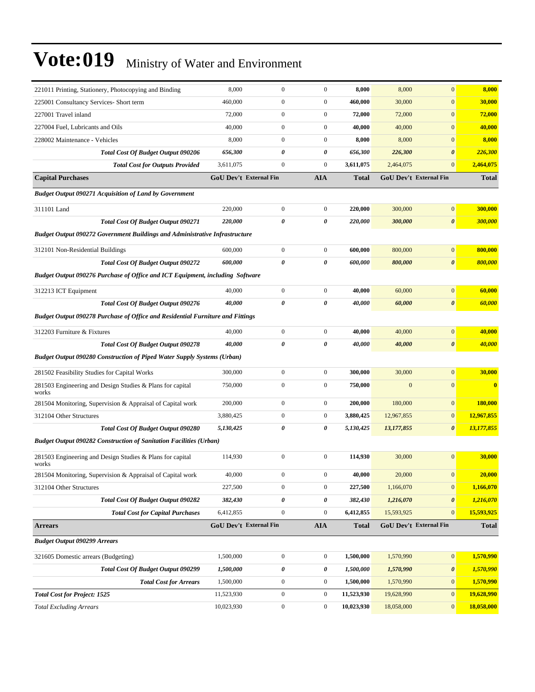| 221011 Printing, Stationery, Photocopying and Binding                                 | 8,000                         | $\mathbf{0}$     | $\boldsymbol{0}$ | 8,000        | 8,000        | $\mathbf{0}$                  | 8,000        |
|---------------------------------------------------------------------------------------|-------------------------------|------------------|------------------|--------------|--------------|-------------------------------|--------------|
| 225001 Consultancy Services- Short term                                               | 460,000                       | $\boldsymbol{0}$ | $\boldsymbol{0}$ | 460,000      | 30,000       | $\mathbf{0}$                  | 30,000       |
| 227001 Travel inland                                                                  | 72,000                        | $\boldsymbol{0}$ | $\boldsymbol{0}$ | 72,000       | 72,000       | $\mathbf{0}$                  | 72,000       |
| 227004 Fuel, Lubricants and Oils                                                      | 40,000                        | $\boldsymbol{0}$ | $\boldsymbol{0}$ | 40,000       | 40,000       | $\mathbf{0}$                  | 40,000       |
| 228002 Maintenance - Vehicles                                                         | 8,000                         | $\boldsymbol{0}$ | $\boldsymbol{0}$ | 8,000        | 8,000        | $\mathbf{0}$                  | 8,000        |
| <b>Total Cost Of Budget Output 090206</b>                                             | 656,300                       | 0                | 0                | 656,300      | 226,300      | $\boldsymbol{\theta}$         | 226,300      |
| <b>Total Cost for Outputs Provided</b>                                                | 3,611,075                     | $\boldsymbol{0}$ | $\boldsymbol{0}$ | 3,611,075    | 2,464,075    | $\mathbf{0}$                  | 2,464,075    |
| <b>Capital Purchases</b>                                                              | <b>GoU Dev't External Fin</b> |                  | <b>AIA</b>       | <b>Total</b> |              | GoU Dev't External Fin        | <b>Total</b> |
| <b>Budget Output 090271 Acquisition of Land by Government</b>                         |                               |                  |                  |              |              |                               |              |
| 311101 Land                                                                           | 220,000                       | $\boldsymbol{0}$ | $\boldsymbol{0}$ | 220,000      | 300,000      | $\mathbf{0}$                  | 300,000      |
| Total Cost Of Budget Output 090271                                                    | 220,000                       | 0                | 0                | 220,000      | 300,000      | $\boldsymbol{\theta}$         | 300,000      |
| <b>Budget Output 090272 Government Buildings and Administrative Infrastructure</b>    |                               |                  |                  |              |              |                               |              |
| 312101 Non-Residential Buildings                                                      | 600,000                       | $\boldsymbol{0}$ | $\boldsymbol{0}$ | 600,000      | 800,000      | $\mathbf{0}$                  | 800,000      |
| <b>Total Cost Of Budget Output 090272</b>                                             | 600,000                       | 0                | 0                | 600,000      | 800,000      | $\boldsymbol{\theta}$         | 800,000      |
| Budget Output 090276 Purchase of Office and ICT Equipment, including Software         |                               |                  |                  |              |              |                               |              |
| 312213 ICT Equipment                                                                  | 40,000                        | $\boldsymbol{0}$ | $\boldsymbol{0}$ | 40,000       | 60,000       | $\boldsymbol{0}$              | 60,000       |
| <b>Total Cost Of Budget Output 090276</b>                                             | 40,000                        | 0                | 0                | 40,000       | 60,000       | $\boldsymbol{\theta}$         | 60,000       |
| <b>Budget Output 090278 Purchase of Office and Residential Furniture and Fittings</b> |                               |                  |                  |              |              |                               |              |
| 312203 Furniture & Fixtures                                                           | 40,000                        | $\boldsymbol{0}$ | $\boldsymbol{0}$ | 40,000       | 40,000       | $\mathbf{0}$                  | 40,000       |
| <b>Total Cost Of Budget Output 090278</b>                                             | 40,000                        | 0                | 0                | 40,000       | 40,000       | $\boldsymbol{\theta}$         | 40,000       |
| <b>Budget Output 090280 Construction of Piped Water Supply Systems (Urban)</b>        |                               |                  |                  |              |              |                               |              |
| 281502 Feasibility Studies for Capital Works                                          | 300,000                       | $\boldsymbol{0}$ | $\boldsymbol{0}$ | 300,000      | 30,000       | $\mathbf{0}$                  | 30,000       |
| 281503 Engineering and Design Studies & Plans for capital<br>works                    | 750,000                       | $\boldsymbol{0}$ | $\boldsymbol{0}$ | 750,000      | $\mathbf{0}$ | $\mathbf{0}$                  | $\bf{0}$     |
| 281504 Monitoring, Supervision & Appraisal of Capital work                            | 200,000                       | $\boldsymbol{0}$ | $\boldsymbol{0}$ | 200,000      | 180,000      | $\mathbf{0}$                  | 180,000      |
| 312104 Other Structures                                                               | 3,880,425                     | $\boldsymbol{0}$ | $\boldsymbol{0}$ | 3,880,425    | 12,967,855   | $\mathbf{0}$                  | 12,967,855   |
| <b>Total Cost Of Budget Output 090280</b>                                             | 5,130,425                     | 0                | 0                | 5,130,425    | 13,177,855   | $\boldsymbol{\theta}$         | 13,177,855   |
| <b>Budget Output 090282 Construction of Sanitation Facilities (Urban)</b>             |                               |                  |                  |              |              |                               |              |
| 281503 Engineering and Design Studies & Plans for capital<br>works                    | 114,930                       | $\boldsymbol{0}$ | $\overline{0}$   | 114,930      | 30,000       | $\mathbf{0}$                  | 30,000       |
| 281504 Monitoring, Supervision & Appraisal of Capital work                            | 40,000                        | $\boldsymbol{0}$ | $\overline{0}$   | 40,000       | 20,000       | $\boldsymbol{0}$              | 20,000       |
| 312104 Other Structures                                                               | 227,500                       | $\boldsymbol{0}$ | $\boldsymbol{0}$ | 227,500      | 1,166,070    | $\mathbf{0}$                  | 1,166,070    |
| Total Cost Of Budget Output 090282                                                    | 382,430                       | 0                | 0                | 382,430      | 1,216,070    | $\boldsymbol{\theta}$         | 1,216,070    |
| <b>Total Cost for Capital Purchases</b>                                               | 6,412,855                     | $\boldsymbol{0}$ | $\boldsymbol{0}$ | 6,412,855    | 15,593,925   | $\mathbf{0}$                  | 15,593,925   |
| <b>Arrears</b>                                                                        | GoU Dev't External Fin        |                  | <b>AIA</b>       | <b>Total</b> |              | <b>GoU Dev't External Fin</b> | <b>Total</b> |
| <b>Budget Output 090299 Arrears</b>                                                   |                               |                  |                  |              |              |                               |              |
| 321605 Domestic arrears (Budgeting)                                                   | 1,500,000                     | $\boldsymbol{0}$ | $\boldsymbol{0}$ | 1,500,000    | 1,570,990    | $\mathbf{0}$                  | 1,570,990    |
| <b>Total Cost Of Budget Output 090299</b>                                             | 1,500,000                     | 0                | 0                | 1,500,000    | 1,570,990    | $\boldsymbol{\theta}$         | 1,570,990    |
| <b>Total Cost for Arrears</b>                                                         | 1,500,000                     | $\boldsymbol{0}$ | $\boldsymbol{0}$ | 1,500,000    | 1,570,990    | $\mathbf{0}$                  | 1,570,990    |
| <b>Total Cost for Project: 1525</b>                                                   | 11,523,930                    | $\boldsymbol{0}$ | $\boldsymbol{0}$ | 11,523,930   | 19,628,990   | $\mathbf{0}$                  | 19,628,990   |
| <b>Total Excluding Arrears</b>                                                        | 10,023,930                    | $\boldsymbol{0}$ | $\boldsymbol{0}$ | 10,023,930   | 18,058,000   | $\mathbf{0}$                  | 18,058,000   |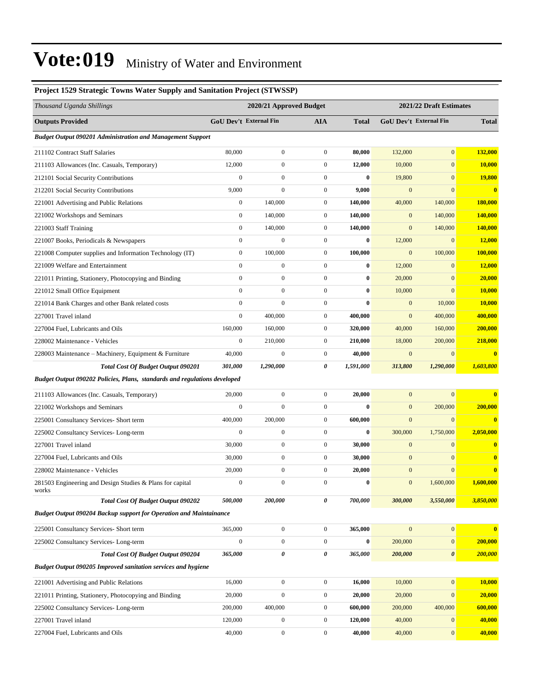### **Project 1529 Strategic Towns Water Supply and Sanitation Project (STWSSP)** *Thousand Uganda Shillings* **2020/21 Approved Budget 2021/22 Draft Estimates Outputs Provided GoU Dev't External Fin AIA Total GoU Dev't External Fin Total** *Budget Output 090201 Administration and Management Support* 211102 Contract Staff Salaries 80,000 0 0 **80,000** 132,000 0 **132,000** 211103 Allowances (Inc. Casuals, Temporary) 12,000 0 0 **12,000** 10,000 0 **10,000** 212101 Social Security Contributions 0 0 0 **0** 19,800 0 **19,800** 212201 Social Security Contributions 9,000 0 0 **9,000** 0 0 **0** 221001 Advertising and Public Relations 0 140,000 0 **140,000** 40,000 140,000 **180,000** 221002 Workshops and Seminars 0 140,000 0 **140,000** 0 140,000 **140,000** 221003 Staff Training 0 140,000 0 **140,000** 0 140,000 **140,000** 221007 Books, Periodicals & Newspapers 0 0 0 **0** 12,000 0 **12,000** 221008 Computer supplies and Information Technology (IT) 0 100,000 0 **100,000** 0 100,000 **100,000** 221009 Welfare and Entertainment 0 0 0 **0** 12,000 0 **12,000** 221011 Printing, Stationery, Photocopying and Binding 0 0 0 **0** 20,000 0 **20,000** 221012 Small Office Equipment 0 0 0 **0** 10,000 0 **10,000** 221014 Bank Charges and other Bank related costs 0 0 0 **0** 0 10,000 **10,000** 227001 Travel inland 0 400,000 0 **400,000** 0 400,000 **400,000** 227004 Fuel, Lubricants and Oils 160,000 160,000 0 **320,000** 40,000 160,000 **200,000** 228002 Maintenance - Vehicles 0 210,000 0 **210,000** 18,000 200,000 **218,000** 228003 Maintenance ±Machinery, Equipment & Furniture 40,000 0 0 **40,000** 0 0 **0** *Total Cost Of Budget Output 090201 301,000 1,290,000 0 1,591,000 313,800 1,290,000 1,603,800 Budget Output 090202 Policies, Plans, standards and regulations developed* 211103 Allowances (Inc. Casuals, Temporary) 20,000 0 0 **20,000** 0 0 **0** 221002 Workshops and Seminars 0 0 0 **0** 0 200,000 **200,000** 225001 Consultancy Services- Short term 400,000 200,000 0 **600,000** 0 0 **0** 225002 Consultancy Services- Long-term 0 0 0 **0** 300,000 1,750,000 **2,050,000** 227001 Travel inland 30,000 0 0 **30,000** 0 0 **0** 227004 Fuel, Lubricants and Oils 30,000 0 0 **30,000** 0 0 **0** 228002 Maintenance - Vehicles 20,000 0 0 **20,000** 0 0 **0** 281503 Engineering and Design Studies & Plans for capital works 0 0 0 **0** 0 1,600,000 **1,600,000** *Total Cost Of Budget Output 090202 500,000 200,000 0 700,000 300,000 3,550,000 3,850,000 Budget Output 090204 Backup support for Operation and Maintainance* 225001 Consultancy Services- Short term 365,000 0 0 **365,000** 0 0 **0** 225002 Consultancy Services- Long-term 0 0 0 **0** 200,000 0 **200,000** *Total Cost Of Budget Output 090204 365,000 0 0 365,000 200,000 0 200,000 Budget Output 090205 Improved sanitation services and hygiene* 221001 Advertising and Public Relations 16,000 0 0 **16,000** 10,000 0 **10,000** 221011 Printing, Stationery, Photocopying and Binding 20,000 0 0 **20,000** 20,000 0 **20,000** 225002 Consultancy Services- Long-term 200,000 400,000 0 **600,000** 200,000 400,000 **600,000** 227001 Travel inland 120,000 0 0 **120,000** 40,000 0 **40,000** 227004 Fuel, Lubricants and Oils 40,000 0 0 **40,000** 40,000 0 **40,000**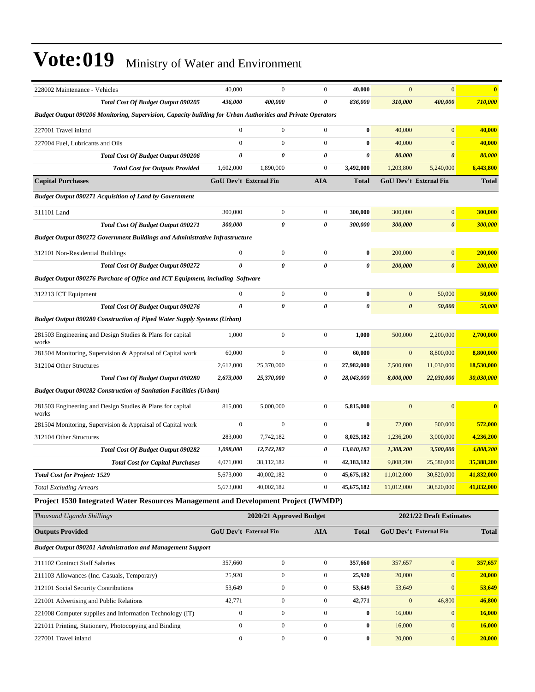| 228002 Maintenance - Vehicles                                                                               | 40,000                        | $\boldsymbol{0}$        | $\boldsymbol{0}$      | 40,000                | $\mathbf{0}$          | $\mathbf{0}$            | $\bf{0}$      |
|-------------------------------------------------------------------------------------------------------------|-------------------------------|-------------------------|-----------------------|-----------------------|-----------------------|-------------------------|---------------|
| <b>Total Cost Of Budget Output 090205</b>                                                                   | 436,000                       | 400,000                 | 0                     | 836,000               | 310,000               | 400,000                 | 710,000       |
| Budget Output 090206 Monitoring, Supervision, Capacity building for Urban Authorities and Private Operators |                               |                         |                       |                       |                       |                         |               |
| 227001 Travel inland                                                                                        | $\mathbf{0}$                  | $\overline{0}$          | $\mathbf{0}$          | $\bf{0}$              | 40,000                | $\mathbf{0}$            | 40,000        |
| 227004 Fuel, Lubricants and Oils                                                                            | $\mathbf{0}$                  | $\boldsymbol{0}$        | $\boldsymbol{0}$      | $\bf{0}$              | 40,000                | $\boldsymbol{0}$        | 40,000        |
| <b>Total Cost Of Budget Output 090206</b>                                                                   | $\boldsymbol{\theta}$         | 0                       | 0                     | $\boldsymbol{\theta}$ | 80,000                | $\boldsymbol{\theta}$   | 80,000        |
| <b>Total Cost for Outputs Provided</b>                                                                      | 1,602,000                     | 1,890,000               | $\boldsymbol{0}$      | 3,492,000             | 1,203,800             | 5,240,000               | 6,443,800     |
| <b>Capital Purchases</b>                                                                                    | <b>GoU Dev't External Fin</b> |                         | AIA                   | <b>Total</b>          |                       | GoU Dev't External Fin  | <b>Total</b>  |
| <b>Budget Output 090271 Acquisition of Land by Government</b>                                               |                               |                         |                       |                       |                       |                         |               |
| 311101 Land                                                                                                 | 300,000                       | $\boldsymbol{0}$        | $\mathbf{0}$          | 300,000               | 300,000               | $\mathbf{0}$            | 300,000       |
| <b>Total Cost Of Budget Output 090271</b>                                                                   | 300,000                       | 0                       | 0                     | 300,000               | 300,000               | $\boldsymbol{\theta}$   | 300,000       |
| <b>Budget Output 090272 Government Buildings and Administrative Infrastructure</b>                          |                               |                         |                       |                       |                       |                         |               |
| 312101 Non-Residential Buildings                                                                            | $\mathbf{0}$                  | $\boldsymbol{0}$        | $\boldsymbol{0}$      | $\bf{0}$              | 200,000               | $\mathbf{0}$            | 200,000       |
| <b>Total Cost Of Budget Output 090272</b>                                                                   | $\boldsymbol{\theta}$         | 0                       | $\boldsymbol{\theta}$ | $\boldsymbol{\theta}$ | 200,000               | $\boldsymbol{\theta}$   | 200,000       |
| Budget Output 090276 Purchase of Office and ICT Equipment, including Software                               |                               |                         |                       |                       |                       |                         |               |
| 312213 ICT Equipment                                                                                        | $\mathbf{0}$                  | $\mathbf{0}$            | $\boldsymbol{0}$      | $\bf{0}$              | $\mathbf{0}$          | 50,000                  | 50,000        |
| Total Cost Of Budget Output 090276                                                                          | 0                             | 0                       | 0                     | 0                     | $\boldsymbol{\theta}$ | 50,000                  | 50,000        |
| <b>Budget Output 090280 Construction of Piped Water Supply Systems (Urban)</b>                              |                               |                         |                       |                       |                       |                         |               |
| 281503 Engineering and Design Studies & Plans for capital<br>works                                          | 1,000                         | $\boldsymbol{0}$        | $\overline{0}$        | 1,000                 | 500,000               | 2,200,000               | 2,700,000     |
| 281504 Monitoring, Supervision & Appraisal of Capital work                                                  | 60,000                        | $\boldsymbol{0}$        | $\boldsymbol{0}$      | 60,000                | $\mathbf{0}$          | 8,800,000               | 8,800,000     |
| 312104 Other Structures                                                                                     | 2,612,000                     | 25,370,000              | $\boldsymbol{0}$      | 27,982,000            | 7,500,000             | 11,030,000              | 18,530,000    |
| <b>Total Cost Of Budget Output 090280</b>                                                                   | 2,673,000                     | 25,370,000              | 0                     | 28,043,000            | 8,000,000             | 22,030,000              | 30,030,000    |
| <b>Budget Output 090282 Construction of Sanitation Facilities (Urban)</b>                                   |                               |                         |                       |                       |                       |                         |               |
| 281503 Engineering and Design Studies & Plans for capital<br>works                                          | 815,000                       | 5,000,000               | $\overline{0}$        | 5,815,000             | $\overline{0}$        | $\Omega$                | $\mathbf{0}$  |
| 281504 Monitoring, Supervision & Appraisal of Capital work                                                  | $\boldsymbol{0}$              | $\boldsymbol{0}$        | $\boldsymbol{0}$      | $\bf{0}$              | 72,000                | 500,000                 | 572,000       |
| 312104 Other Structures                                                                                     | 283,000                       | 7,742,182               | $\boldsymbol{0}$      | 8,025,182             | 1,236,200             | 3,000,000               | 4,236,200     |
| <b>Total Cost Of Budget Output 090282</b>                                                                   | 1,098,000                     | 12,742,182              | 0                     | 13,840,182            | 1,308,200             | 3,500,000               | 4,808,200     |
| <b>Total Cost for Capital Purchases</b>                                                                     | 4,071,000                     | 38,112,182              | $\mathbf{0}$          | 42,183,182            | 9,808,200             | 25,580,000              | 35,388,200    |
| <b>Total Cost for Project: 1529</b>                                                                         | 5,673,000                     | 40,002,182              | $\boldsymbol{0}$      | 45,675,182            | 11,012,000            | 30,820,000              | 41,832,000    |
| <b>Total Excluding Arrears</b>                                                                              | 5,673,000                     | 40,002,182              | $\boldsymbol{0}$      | 45,675,182            | 11,012,000            | 30,820,000              | 41,832,000    |
| Project 1530 Integrated Water Resources Management and Development Project (IWMDP)                          |                               |                         |                       |                       |                       |                         |               |
| Thousand Uganda Shillings                                                                                   |                               | 2020/21 Approved Budget |                       |                       |                       | 2021/22 Draft Estimates |               |
| <b>Outputs Provided</b>                                                                                     | GoU Dev't External Fin        |                         | AIA                   | <b>Total</b>          |                       | GoU Dev't External Fin  | <b>Total</b>  |
| <b>Budget Output 090201 Administration and Management Support</b>                                           |                               |                         |                       |                       |                       |                         |               |
| 211102 Contract Staff Salaries                                                                              | 357,660                       | $\boldsymbol{0}$        | $\boldsymbol{0}$      | 357,660               | 357,657               | $\mathbf{0}$            | 357,657       |
| 211103 Allowances (Inc. Casuals, Temporary)                                                                 | 25,920                        | $\boldsymbol{0}$        | $\boldsymbol{0}$      | 25,920                | 20,000                | $\mathbf{0}$            | 20,000        |
| 212101 Social Security Contributions                                                                        | 53,649                        | $\boldsymbol{0}$        | $\boldsymbol{0}$      | 53,649                | 53,649                | $\boldsymbol{0}$        | 53,649        |
| 221001 Advertising and Public Relations                                                                     | 42,771                        | $\boldsymbol{0}$        | $\boldsymbol{0}$      | 42,771                | $\boldsymbol{0}$      | 46,800                  | 46,800        |
| 221008 Computer supplies and Information Technology (IT)                                                    | $\boldsymbol{0}$              | $\boldsymbol{0}$        | $\boldsymbol{0}$      | 0                     | 16,000                | $\boldsymbol{0}$        | <b>16,000</b> |
| 221011 Printing, Stationery, Photocopying and Binding                                                       | $\boldsymbol{0}$              | $\boldsymbol{0}$        | $\boldsymbol{0}$      | $\bf{0}$              | 16,000                | $\mathbf{0}$            | 16,000        |

227001 Travel inland 0 0 0 **0** 20,000 0 **20,000**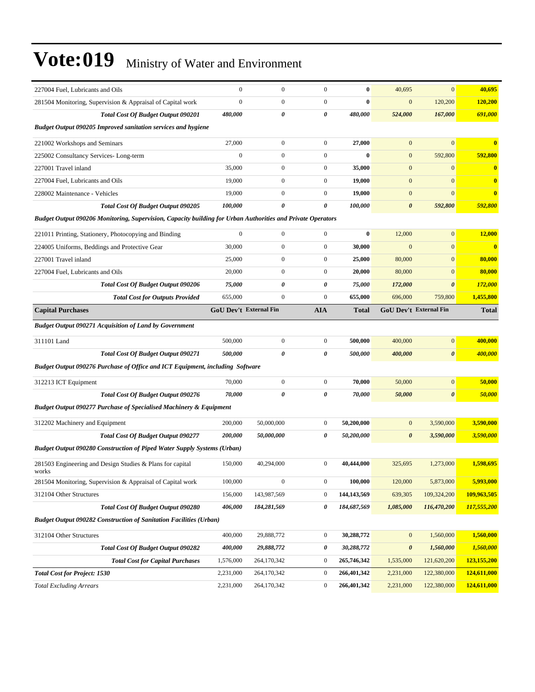| 227004 Fuel. Lubricants and Oils                                                                            | $\mathbf{0}$                  | $\boldsymbol{0}$ | $\boldsymbol{0}$      | $\bf{0}$     | 40,695                | $\overline{0}$                | 40,695         |
|-------------------------------------------------------------------------------------------------------------|-------------------------------|------------------|-----------------------|--------------|-----------------------|-------------------------------|----------------|
| 281504 Monitoring, Supervision & Appraisal of Capital work                                                  | $\mathbf{0}$                  | $\mathbf{0}$     | $\boldsymbol{0}$      | $\bf{0}$     | $\mathbf{0}$          | 120,200                       | 120,200        |
| <b>Total Cost Of Budget Output 090201</b>                                                                   | 480,000                       | 0                | $\boldsymbol{\theta}$ | 480,000      | 524,000               | 167,000                       | 691,000        |
| <b>Budget Output 090205 Improved sanitation services and hygiene</b>                                        |                               |                  |                       |              |                       |                               |                |
| 221002 Workshops and Seminars                                                                               | 27,000                        | $\mathbf{0}$     | $\boldsymbol{0}$      | 27,000       | $\mathbf{0}$          | $\overline{0}$                | $\mathbf{0}$   |
| 225002 Consultancy Services-Long-term                                                                       | $\mathbf{0}$                  | $\mathbf{0}$     | $\boldsymbol{0}$      | $\bf{0}$     | $\boldsymbol{0}$      | 592,800                       | 592,800        |
| 227001 Travel inland                                                                                        | 35,000                        | $\overline{0}$   | $\boldsymbol{0}$      | 35,000       | $\boldsymbol{0}$      | $\mathbf{0}$                  | $\bf{0}$       |
| 227004 Fuel. Lubricants and Oils                                                                            | 19,000                        | $\mathbf{0}$     | $\boldsymbol{0}$      | 19,000       | $\boldsymbol{0}$      | $\overline{0}$                | $\bf{0}$       |
| 228002 Maintenance - Vehicles                                                                               | 19,000                        | $\overline{0}$   | $\boldsymbol{0}$      | 19,000       | $\boldsymbol{0}$      | $\overline{0}$                | $\bf{0}$       |
| <b>Total Cost Of Budget Output 090205</b>                                                                   | 100,000                       | 0                | 0                     | 100,000      | $\boldsymbol{\theta}$ | 592,800                       | 592,800        |
| Budget Output 090206 Monitoring, Supervision, Capacity building for Urban Authorities and Private Operators |                               |                  |                       |              |                       |                               |                |
| 221011 Printing, Stationery, Photocopying and Binding                                                       | $\overline{0}$                | $\mathbf{0}$     | $\mathbf{0}$          | $\bf{0}$     | 12,000                | $\overline{0}$                | 12,000         |
| 224005 Uniforms, Beddings and Protective Gear                                                               | 30,000                        | $\boldsymbol{0}$ | $\boldsymbol{0}$      | 30,000       | $\mathbf{0}$          | $\mathbf{0}$                  | $\bf{0}$       |
| 227001 Travel inland                                                                                        | 25,000                        | $\mathbf{0}$     | $\boldsymbol{0}$      | 25,000       | 80,000                | $\overline{0}$                | 80,000         |
| 227004 Fuel, Lubricants and Oils                                                                            | 20,000                        | $\mathbf{0}$     | $\boldsymbol{0}$      | 20,000       | 80,000                | $\overline{0}$                | 80,000         |
| <b>Total Cost Of Budget Output 090206</b>                                                                   | 75,000                        | 0                | 0                     | 75,000       | 172,000               | $\boldsymbol{\theta}$         | <b>172,000</b> |
| <b>Total Cost for Outputs Provided</b>                                                                      | 655,000                       | $\mathbf{0}$     | $\mathbf{0}$          | 655,000      | 696,000               | 759,800                       | 1,455,800      |
| <b>Capital Purchases</b>                                                                                    | <b>GoU Dev't External Fin</b> |                  | <b>AIA</b>            | <b>Total</b> |                       | <b>GoU Dev't External Fin</b> | <b>Total</b>   |
| <b>Budget Output 090271 Acquisition of Land by Government</b>                                               |                               |                  |                       |              |                       |                               |                |
| 311101 Land                                                                                                 | 500,000                       | $\overline{0}$   | $\boldsymbol{0}$      | 500,000      | 400,000               | $\boldsymbol{0}$              | 400,000        |
| Total Cost Of Budget Output 090271                                                                          | 500,000                       | 0                | 0                     | 500,000      | 400,000               | 0                             | 400,000        |
| Budget Output 090276 Purchase of Office and ICT Equipment, including Software                               |                               |                  |                       |              |                       |                               |                |
| 312213 ICT Equipment                                                                                        | 70,000                        | $\mathbf{0}$     | $\boldsymbol{0}$      | 70,000       | 50,000                | $\boldsymbol{0}$              | 50,000         |
| <b>Total Cost Of Budget Output 090276</b>                                                                   | 70,000                        | 0                | 0                     | 70,000       | 50,000                | 0                             | 50,000         |
| <b>Budget Output 090277 Purchase of Specialised Machinery &amp; Equipment</b>                               |                               |                  |                       |              |                       |                               |                |
|                                                                                                             |                               |                  |                       |              |                       |                               |                |
| 312202 Machinery and Equipment                                                                              | 200,000                       | 50,000,000       | $\mathbf{0}$          | 50,200,000   | $\boldsymbol{0}$      | 3,590,000                     | 3,590,000      |
| <b>Total Cost Of Budget Output 090277</b>                                                                   | 200,000                       | 50,000,000       | 0                     | 50,200,000   | $\boldsymbol{\theta}$ | 3,590,000                     | 3,590,000      |
| <b>Budget Output 090280 Construction of Piped Water Supply Systems (Urban)</b>                              |                               |                  |                       |              |                       |                               |                |
| 281503 Engineering and Design Studies & Plans for capital<br>works                                          | 150,000                       | 40,294,000       | $\boldsymbol{0}$      | 40,444,000   | 325,695               | 1,273,000                     | 1,598,695      |
| 281504 Monitoring, Supervision & Appraisal of Capital work                                                  | 100,000                       | $\boldsymbol{0}$ | $\boldsymbol{0}$      | 100,000      | 120,000               | 5,873,000                     | 5,993,000      |
| 312104 Other Structures                                                                                     | 156,000                       | 143,987,569      | $\boldsymbol{0}$      | 144,143,569  | 639,305               | 109,324,200                   | 109,963,505    |
| Total Cost Of Budget Output 090280                                                                          | 406,000                       | 184,281,569      | 0                     | 184,687,569  | 1,085,000             | 116,470,200                   | 117,555,200    |
| <b>Budget Output 090282 Construction of Sanitation Facilities (Urban)</b>                                   |                               |                  |                       |              |                       |                               |                |
| 312104 Other Structures                                                                                     | 400,000                       | 29,888,772       | $\boldsymbol{0}$      | 30,288,772   | $\boldsymbol{0}$      | 1,560,000                     | 1,560,000      |
| Total Cost Of Budget Output 090282                                                                          | 400,000                       | 29,888,772       | 0                     | 30,288,772   | $\boldsymbol{\theta}$ | 1,560,000                     | 1,560,000      |
| <b>Total Cost for Capital Purchases</b>                                                                     | 1,576,000                     | 264,170,342      | $\bf{0}$              | 265,746,342  | 1,535,000             | 121,620,200                   | 123,155,200    |
| <b>Total Cost for Project: 1530</b>                                                                         | 2,231,000                     | 264,170,342      | $\boldsymbol{0}$      | 266,401,342  | 2,231,000             | 122,380,000                   | 124,611,000    |
| <b>Total Excluding Arrears</b>                                                                              | 2,231,000                     | 264,170,342      | $\boldsymbol{0}$      | 266,401,342  | 2,231,000             | 122,380,000                   | 124,611,000    |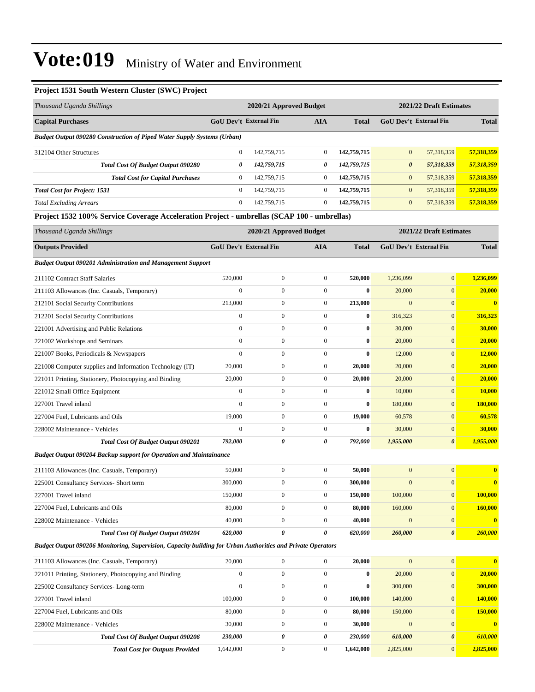### **Project 1531 South Western Cluster (SWC) Project**

| Thousand Uganda Shillings                                                                                   | 2021/22 Draft Estimates<br>2020/21 Approved Budget |                         |                  |              |                       |                               |                         |
|-------------------------------------------------------------------------------------------------------------|----------------------------------------------------|-------------------------|------------------|--------------|-----------------------|-------------------------------|-------------------------|
| <b>Capital Purchases</b>                                                                                    | <b>GoU Dev't External Fin</b>                      |                         | <b>AIA</b>       | <b>Total</b> |                       | <b>GoU Dev't External Fin</b> | <b>Total</b>            |
| <b>Budget Output 090280 Construction of Piped Water Supply Systems (Urban)</b>                              |                                                    |                         |                  |              |                       |                               |                         |
| 312104 Other Structures                                                                                     | $\mathbf{0}$                                       | 142,759,715             | $\boldsymbol{0}$ | 142,759,715  | $\mathbf{0}$          | 57,318,359                    | 57,318,359              |
| <b>Total Cost Of Budget Output 090280</b>                                                                   | 0                                                  | 142,759,715             | 0                | 142,759,715  | $\boldsymbol{\theta}$ | 57,318,359                    | 57,318,359              |
| <b>Total Cost for Capital Purchases</b>                                                                     | $\mathbf{0}$                                       | 142,759,715             | $\boldsymbol{0}$ | 142,759,715  | $\mathbf{0}$          | 57,318,359                    | 57,318,359              |
| <b>Total Cost for Project: 1531</b>                                                                         | $\mathbf{0}$                                       | 142,759,715             | $\boldsymbol{0}$ | 142,759,715  | $\mathbf{0}$          | 57,318,359                    | 57,318,359              |
| <b>Total Excluding Arrears</b>                                                                              | $\mathbf{0}$                                       | 142,759,715             | $\boldsymbol{0}$ | 142,759,715  | $\boldsymbol{0}$      | 57,318,359                    | 57,318,359              |
| Project 1532 100% Service Coverage Acceleration Project - umbrellas (SCAP 100 - umbrellas)                  |                                                    |                         |                  |              |                       |                               |                         |
| Thousand Uganda Shillings                                                                                   |                                                    | 2020/21 Approved Budget |                  |              |                       | 2021/22 Draft Estimates       |                         |
| <b>Outputs Provided</b>                                                                                     | <b>GoU Dev't External Fin</b>                      |                         | <b>AIA</b>       | <b>Total</b> |                       | GoU Dev't External Fin        | <b>Total</b>            |
| <b>Budget Output 090201 Administration and Management Support</b>                                           |                                                    |                         |                  |              |                       |                               |                         |
| 211102 Contract Staff Salaries                                                                              | 520,000                                            | $\boldsymbol{0}$        | $\boldsymbol{0}$ | 520,000      | 1,236,099             | $\mathbf{0}$                  | 1,236,099               |
| 211103 Allowances (Inc. Casuals, Temporary)                                                                 | $\mathbf{0}$                                       | $\boldsymbol{0}$        | $\boldsymbol{0}$ | $\bf{0}$     | 20,000                | $\mathbf{0}$                  | 20,000                  |
| 212101 Social Security Contributions                                                                        | 213,000                                            | $\boldsymbol{0}$        | $\boldsymbol{0}$ | 213,000      | $\mathbf{0}$          | $\mathbf{0}$                  | $\overline{\mathbf{0}}$ |
| 212201 Social Security Contributions                                                                        | $\mathbf{0}$                                       | $\boldsymbol{0}$        | $\boldsymbol{0}$ | $\bf{0}$     | 316,323               | $\mathbf{0}$                  | 316,323                 |
| 221001 Advertising and Public Relations                                                                     | $\mathbf{0}$                                       | $\boldsymbol{0}$        | $\boldsymbol{0}$ | $\bf{0}$     | 30,000                | $\mathbf{0}$                  | 30,000                  |
| 221002 Workshops and Seminars                                                                               | $\mathbf{0}$                                       | $\boldsymbol{0}$        | $\overline{0}$   | $\bf{0}$     | 20,000                | $\mathbf{0}$                  | 20,000                  |
| 221007 Books, Periodicals & Newspapers                                                                      | $\mathbf{0}$                                       | $\overline{0}$          | $\boldsymbol{0}$ | $\bf{0}$     | 12,000                | $\mathbf{0}$                  | <b>12,000</b>           |
| 221008 Computer supplies and Information Technology (IT)                                                    | 20,000                                             | $\boldsymbol{0}$        | $\boldsymbol{0}$ | 20,000       | 20,000                | $\mathbf{0}$                  | 20,000                  |
| 221011 Printing, Stationery, Photocopying and Binding                                                       | 20,000                                             | $\boldsymbol{0}$        | $\boldsymbol{0}$ | 20,000       | 20,000                | $\mathbf{0}$                  | 20,000                  |
| 221012 Small Office Equipment                                                                               | $\mathbf{0}$                                       | $\boldsymbol{0}$        | $\boldsymbol{0}$ | $\bf{0}$     | 10,000                | $\mathbf{0}$                  | 10,000                  |
| 227001 Travel inland                                                                                        | $\mathbf{0}$                                       | $\boldsymbol{0}$        | $\overline{0}$   | $\bf{0}$     | 180,000               | $\mathbf{0}$                  | 180,000                 |
| 227004 Fuel, Lubricants and Oils                                                                            | 19,000                                             | $\overline{0}$          | $\boldsymbol{0}$ | 19,000       | 60,578                | $\mathbf{0}$                  | 60,578                  |
| 228002 Maintenance - Vehicles                                                                               | $\mathbf{0}$                                       | $\overline{0}$          | $\boldsymbol{0}$ | $\bf{0}$     | 30,000                | $\mathbf{0}$                  | 30,000                  |
| <b>Total Cost Of Budget Output 090201</b>                                                                   | 792,000                                            | 0                       | 0                | 792,000      | 1,955,000             | $\boldsymbol{\theta}$         | 1,955,000               |
| <b>Budget Output 090204 Backup support for Operation and Maintainance</b>                                   |                                                    |                         |                  |              |                       |                               |                         |
| 211103 Allowances (Inc. Casuals, Temporary)                                                                 | 50,000                                             | $\boldsymbol{0}$        | $\boldsymbol{0}$ | 50,000       | $\mathbf{0}$          | $\mathbf{0}$                  | $\bf{0}$                |
| 225001 Consultancy Services- Short term                                                                     | 300,000                                            | $\boldsymbol{0}$        | $\overline{0}$   | 300,000      | $\mathbf{0}$          | $\mathbf{0}$                  | $\bf{0}$                |
| 227001 Travel inland                                                                                        | 150,000                                            | $\boldsymbol{0}$        | $\boldsymbol{0}$ | 150,000      | 100,000               | $\mathbf{0}$                  | 100,000                 |
| 227004 Fuel, Lubricants and Oils                                                                            | 80,000                                             | $\boldsymbol{0}$        | $\boldsymbol{0}$ | 80,000       | 160,000               | $\mathbf{0}$                  | 160,000                 |
| 228002 Maintenance - Vehicles                                                                               | 40,000                                             | $\boldsymbol{0}$        | $\boldsymbol{0}$ | 40,000       | $\mathbf{0}$          | $\mathbf{0}$                  | $\bf{0}$                |
| Total Cost Of Budget Output 090204                                                                          | 620,000                                            | 0                       | 0                | 620,000      | 260,000               | $\boldsymbol{\theta}$         | 260,000                 |
| Budget Output 090206 Monitoring, Supervision, Capacity building for Urban Authorities and Private Operators |                                                    |                         |                  |              |                       |                               |                         |
| 211103 Allowances (Inc. Casuals, Temporary)                                                                 | 20,000                                             | $\boldsymbol{0}$        | $\boldsymbol{0}$ | 20,000       | $\mathbf{0}$          | $\boldsymbol{0}$              | $\bf{0}$                |
| 221011 Printing, Stationery, Photocopying and Binding                                                       | $\boldsymbol{0}$                                   | $\boldsymbol{0}$        | $\boldsymbol{0}$ | $\bf{0}$     | 20,000                | $\mathbf{0}$                  | 20,000                  |
| 225002 Consultancy Services-Long-term                                                                       | $\boldsymbol{0}$                                   | $\boldsymbol{0}$        | $\boldsymbol{0}$ | $\bf{0}$     | 300,000               | $\mathbf{0}$                  | 300,000                 |
| 227001 Travel inland                                                                                        | 100,000                                            | $\boldsymbol{0}$        | $\boldsymbol{0}$ | 100,000      | 140,000               | $\mathbf{0}$                  | <b>140,000</b>          |
| 227004 Fuel, Lubricants and Oils                                                                            | 80,000                                             | $\boldsymbol{0}$        | $\boldsymbol{0}$ | 80,000       | 150,000               | $\mathbf{0}$                  | 150,000                 |
| 228002 Maintenance - Vehicles                                                                               | 30,000                                             | $\boldsymbol{0}$        | $\boldsymbol{0}$ | 30,000       | $\mathbf{0}$          | $\mathbf{0}$                  | $\bf{0}$                |
| <b>Total Cost Of Budget Output 090206</b>                                                                   | 230,000                                            | 0                       | 0                | 230,000      | 610,000               | $\boldsymbol{\theta}$         | 610,000                 |
| <b>Total Cost for Outputs Provided</b>                                                                      | 1,642,000                                          | $\boldsymbol{0}$        | $\boldsymbol{0}$ | 1,642,000    | 2,825,000             | $\mathbf{0}$                  | 2,825,000               |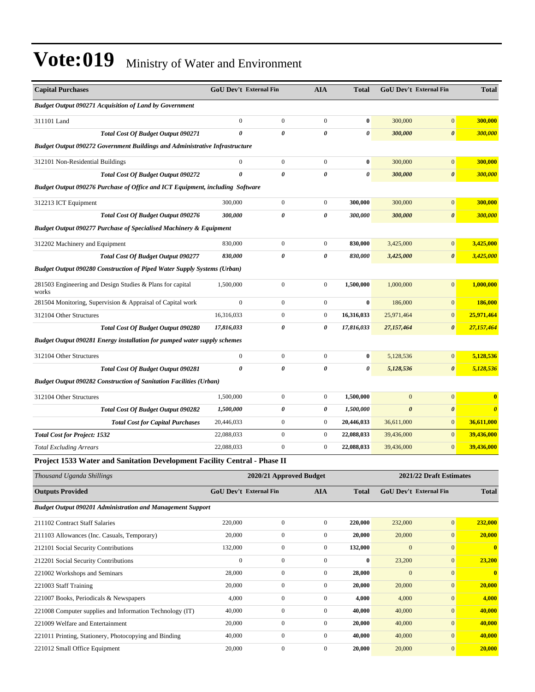| <b>Capital Purchases</b>                                                           | <b>GoU Dev't External Fin</b> |                         | <b>AIA</b>            | <b>Total</b> |                       | GoU Dev't External Fin  | <b>Total</b>          |
|------------------------------------------------------------------------------------|-------------------------------|-------------------------|-----------------------|--------------|-----------------------|-------------------------|-----------------------|
| <b>Budget Output 090271 Acquisition of Land by Government</b>                      |                               |                         |                       |              |                       |                         |                       |
| 311101 Land                                                                        | $\overline{0}$                | $\overline{0}$          | $\mathbf{0}$          | $\bf{0}$     | 300,000               | $\overline{0}$          | 300,000               |
| <b>Total Cost Of Budget Output 090271</b>                                          | $\theta$                      | 0                       | 0                     | 0            | 300,000               | $\boldsymbol{\theta}$   | 300,000               |
| <b>Budget Output 090272 Government Buildings and Administrative Infrastructure</b> |                               |                         |                       |              |                       |                         |                       |
| 312101 Non-Residential Buildings                                                   | $\mathbf{0}$                  | $\mathbf{0}$            | $\boldsymbol{0}$      | $\bf{0}$     | 300,000               | $\boldsymbol{0}$        | 300,000               |
| <b>Total Cost Of Budget Output 090272</b>                                          | $\theta$                      | $\theta$                | $\boldsymbol{\theta}$ | 0            | 300,000               | $\boldsymbol{\theta}$   | 300,000               |
| Budget Output 090276 Purchase of Office and ICT Equipment, including Software      |                               |                         |                       |              |                       |                         |                       |
| 312213 ICT Equipment                                                               | 300,000                       | $\boldsymbol{0}$        | $\boldsymbol{0}$      | 300,000      | 300,000               | $\overline{0}$          | 300,000               |
| <b>Total Cost Of Budget Output 090276</b>                                          | 300,000                       | $\boldsymbol{\theta}$   | 0                     | 300,000      | 300,000               | $\boldsymbol{\theta}$   | 300,000               |
| <b>Budget Output 090277 Purchase of Specialised Machinery &amp; Equipment</b>      |                               |                         |                       |              |                       |                         |                       |
| 312202 Machinery and Equipment                                                     | 830,000                       | $\boldsymbol{0}$        | $\boldsymbol{0}$      | 830,000      | 3,425,000             | $\overline{0}$          | 3,425,000             |
| <b>Total Cost Of Budget Output 090277</b>                                          | 830,000                       | 0                       | 0                     | 830,000      | 3,425,000             | $\boldsymbol{\theta}$   | 3,425,000             |
| <b>Budget Output 090280 Construction of Piped Water Supply Systems (Urban)</b>     |                               |                         |                       |              |                       |                         |                       |
| 281503 Engineering and Design Studies & Plans for capital<br>works                 | 1,500,000                     | $\boldsymbol{0}$        | $\mathbf{0}$          | 1,500,000    | 1,000,000             | $\overline{0}$          | 1.000.000             |
| 281504 Monitoring, Supervision & Appraisal of Capital work                         | $\mathbf{0}$                  | $\boldsymbol{0}$        | $\mathbf{0}$          | $\bf{0}$     | 186,000               | $\mathbf{0}$            | 186,000               |
| 312104 Other Structures                                                            | 16,316,033                    | $\boldsymbol{0}$        | $\boldsymbol{0}$      | 16,316,033   | 25,971,464            | $\overline{0}$          | 25,971,464            |
| Total Cost Of Budget Output 090280                                                 | 17,816,033                    | 0                       | 0                     | 17,816,033   | 27,157,464            | $\boldsymbol{\theta}$   | 27,157,464            |
| <b>Budget Output 090281 Energy installation for pumped water supply schemes</b>    |                               |                         |                       |              |                       |                         |                       |
| 312104 Other Structures                                                            | $\boldsymbol{0}$              | $\mathbf{0}$            | $\boldsymbol{0}$      | $\bf{0}$     | 5,128,536             | $\overline{0}$          | 5,128,536             |
| <b>Total Cost Of Budget Output 090281</b>                                          | 0                             | $\theta$                | 0                     | 0            | 5,128,536             | $\boldsymbol{\theta}$   | 5,128,536             |
| <b>Budget Output 090282 Construction of Sanitation Facilities (Urban)</b>          |                               |                         |                       |              |                       |                         |                       |
| 312104 Other Structures                                                            | 1,500,000                     | $\boldsymbol{0}$        | $\boldsymbol{0}$      | 1,500,000    | $\mathbf{0}$          | $\mathbf{0}$            | $\bf{0}$              |
| <b>Total Cost Of Budget Output 090282</b>                                          | 1,500,000                     | 0                       | 0                     | 1,500,000    | $\boldsymbol{\theta}$ | $\boldsymbol{\theta}$   | $\boldsymbol{\theta}$ |
| <b>Total Cost for Capital Purchases</b>                                            | 20,446,033                    | $\mathbf{0}$            | $\boldsymbol{0}$      | 20,446,033   | 36,611,000            | $\mathbf{0}$            | 36,611,000            |
| <b>Total Cost for Project: 1532</b>                                                | 22,088,033                    | $\boldsymbol{0}$        | $\boldsymbol{0}$      | 22,088,033   | 39,436,000            | $\overline{0}$          | 39,436,000            |
| <b>Total Excluding Arrears</b>                                                     | 22,088,033                    | $\boldsymbol{0}$        | $\boldsymbol{0}$      | 22,088,033   | 39,436,000            | $\mathbf{0}$            | 39,436,000            |
| Project 1533 Water and Sanitation Development Facility Central - Phase II          |                               |                         |                       |              |                       |                         |                       |
| Thousand Uganda Shillings                                                          |                               | 2020/21 Approved Budget |                       |              |                       | 2021/22 Draft Estimates |                       |
| <b>Outputs Provided</b>                                                            | <b>GoU Dev't External Fin</b> |                         | AIA                   | <b>Total</b> |                       | GoU Dev't External Fin  | <b>Total</b>          |
| <b>Budget Output 090201 Administration and Management Support</b>                  |                               |                         |                       |              |                       |                         |                       |
| 211102 Contract Staff Salaries                                                     | 220,000                       | $\boldsymbol{0}$        | $\boldsymbol{0}$      | 220,000      | 232,000               | $\vert 0 \vert$         | 232,000               |
| 211103 Allowances (Inc. Casuals, Temporary)                                        | 20,000                        | $\boldsymbol{0}$        | $\boldsymbol{0}$      | 20,000       | 20,000                | $\mathbf{0}$            | 20,000                |
| 212101 Social Security Contributions                                               | 132,000                       | $\boldsymbol{0}$        | $\boldsymbol{0}$      | 132,000      | $\boldsymbol{0}$      | $\boldsymbol{0}$        | $\mathbf{0}$          |
| 212201 Social Security Contributions                                               | $\boldsymbol{0}$              | $\boldsymbol{0}$        | $\boldsymbol{0}$      | $\bf{0}$     | 23,200                | $\mathbf{0}$            | 23,200                |
| 221002 Workshops and Seminars                                                      | 28,000                        | $\boldsymbol{0}$        | $\boldsymbol{0}$      | 28,000       | $\mathbf{0}$          | $\mathbf{0}$            | $\mathbf{0}$          |
| 221003 Staff Training                                                              | 20,000                        | $\boldsymbol{0}$        | $\boldsymbol{0}$      | 20,000       | 20,000                | $\mathbf{0}$            | 20,000                |
| 221007 Books, Periodicals & Newspapers                                             | 4,000                         | $\boldsymbol{0}$        | $\boldsymbol{0}$      | 4,000        | 4,000                 | $\mathbf{0}$            | 4,000                 |
| 221008 Computer supplies and Information Technology (IT)                           | 40,000                        | $\boldsymbol{0}$        | $\boldsymbol{0}$      | 40,000       | 40,000                | $\mathbf{0}$            | 40,000                |
| 221009 Welfare and Entertainment                                                   | 20,000                        | $\boldsymbol{0}$        | $\boldsymbol{0}$      | 20,000       | 40,000                | $\mathbf{0}$            | 40,000                |
| 221011 Printing, Stationery, Photocopying and Binding                              | 40,000                        | $\boldsymbol{0}$        | $\boldsymbol{0}$      | 40,000       | 40,000                | $\mathbf{0}$            | 40,000                |
| 221012 Small Office Equipment                                                      | 20,000                        | $\boldsymbol{0}$        | $\boldsymbol{0}$      | 20,000       | 20,000                | $\mathbf{0}$            | 20,000                |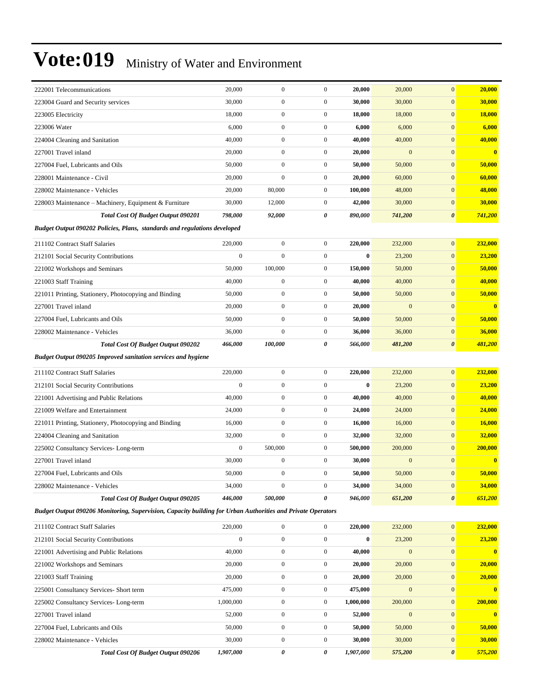| 222001 Telecommunications                                                                                   | 20,000           | $\boldsymbol{0}$ | 0                | 20,000    | 20,000           | $\mathbf{0}$          | 20,000                  |
|-------------------------------------------------------------------------------------------------------------|------------------|------------------|------------------|-----------|------------------|-----------------------|-------------------------|
| 223004 Guard and Security services                                                                          | 30,000           | $\boldsymbol{0}$ | $\boldsymbol{0}$ | 30,000    | 30,000           | $\mathbf{0}$          | 30,000                  |
| 223005 Electricity                                                                                          | 18,000           | $\boldsymbol{0}$ | $\boldsymbol{0}$ | 18,000    | 18,000           | $\mathbf{0}$          | 18,000                  |
| 223006 Water                                                                                                | 6,000            | $\boldsymbol{0}$ | $\boldsymbol{0}$ | 6,000     | 6,000            | $\mathbf{0}$          | 6,000                   |
| 224004 Cleaning and Sanitation                                                                              | 40,000           | $\boldsymbol{0}$ | $\boldsymbol{0}$ | 40,000    | 40,000           | $\boldsymbol{0}$      | 40,000                  |
| 227001 Travel inland                                                                                        | 20,000           | $\boldsymbol{0}$ | $\boldsymbol{0}$ | 20,000    | $\boldsymbol{0}$ | $\boldsymbol{0}$      | $\bf{0}$                |
| 227004 Fuel, Lubricants and Oils                                                                            | 50,000           | $\boldsymbol{0}$ | $\boldsymbol{0}$ | 50,000    | 50,000           | $\mathbf{0}$          | 50,000                  |
| 228001 Maintenance - Civil                                                                                  | 20,000           | $\boldsymbol{0}$ | $\boldsymbol{0}$ | 20,000    | 60,000           | $\mathbf{0}$          | 60,000                  |
| 228002 Maintenance - Vehicles                                                                               | 20,000           | 80,000           | $\boldsymbol{0}$ | 100,000   | 48,000           | $\mathbf{0}$          | 48,000                  |
| 228003 Maintenance – Machinery, Equipment & Furniture                                                       | 30,000           | 12,000           | $\boldsymbol{0}$ | 42,000    | 30,000           | $\boldsymbol{0}$      | 30,000                  |
| <b>Total Cost Of Budget Output 090201</b>                                                                   | 798,000          | 92,000           | 0                | 890,000   | 741,200          | $\pmb{\theta}$        | 741,200                 |
| Budget Output 090202 Policies, Plans, standards and regulations developed                                   |                  |                  |                  |           |                  |                       |                         |
| 211102 Contract Staff Salaries                                                                              | 220,000          | $\boldsymbol{0}$ | $\boldsymbol{0}$ | 220,000   | 232,000          | $\boldsymbol{0}$      | 232,000                 |
| 212101 Social Security Contributions                                                                        | $\mathbf{0}$     | $\boldsymbol{0}$ | $\boldsymbol{0}$ | $\bf{0}$  | 23,200           | $\boldsymbol{0}$      | 23,200                  |
| 221002 Workshops and Seminars                                                                               | 50,000           | 100,000          | $\boldsymbol{0}$ | 150,000   | 50,000           | $\mathbf{0}$          | 50,000                  |
| 221003 Staff Training                                                                                       | 40,000           | $\boldsymbol{0}$ | $\boldsymbol{0}$ | 40,000    | 40,000           | $\boldsymbol{0}$      | 40,000                  |
| 221011 Printing, Stationery, Photocopying and Binding                                                       | 50,000           | $\boldsymbol{0}$ | $\boldsymbol{0}$ | 50,000    | 50,000           | $\mathbf{0}$          | 50,000                  |
| 227001 Travel inland                                                                                        | 20,000           | $\boldsymbol{0}$ | $\boldsymbol{0}$ | 20,000    | $\mathbf{0}$     | $\boldsymbol{0}$      | $\bf{0}$                |
| 227004 Fuel, Lubricants and Oils                                                                            | 50,000           | $\boldsymbol{0}$ | $\boldsymbol{0}$ | 50,000    | 50,000           | $\boldsymbol{0}$      | 50,000                  |
| 228002 Maintenance - Vehicles                                                                               | 36,000           | $\boldsymbol{0}$ | $\boldsymbol{0}$ | 36,000    | 36,000           | $\boldsymbol{0}$      | 36,000                  |
| <b>Total Cost Of Budget Output 090202</b>                                                                   | 466,000          | 100,000          | 0                | 566,000   | 481,200          | 0                     | 481,200                 |
| <b>Budget Output 090205 Improved sanitation services and hygiene</b>                                        |                  |                  |                  |           |                  |                       |                         |
| 211102 Contract Staff Salaries                                                                              | 220,000          | $\boldsymbol{0}$ | $\boldsymbol{0}$ | 220,000   | 232,000          | $\boldsymbol{0}$      | 232,000                 |
| 212101 Social Security Contributions                                                                        | $\mathbf{0}$     | $\boldsymbol{0}$ | $\boldsymbol{0}$ | $\bf{0}$  | 23,200           | $\boldsymbol{0}$      | 23,200                  |
| 221001 Advertising and Public Relations                                                                     | 40,000           | $\boldsymbol{0}$ | $\mathbf{0}$     | 40,000    | 40,000           | $\mathbf{0}$          | 40,000                  |
| 221009 Welfare and Entertainment                                                                            | 24,000           | $\boldsymbol{0}$ | $\boldsymbol{0}$ | 24,000    | 24,000           | $\mathbf{0}$          | 24,000                  |
| 221011 Printing, Stationery, Photocopying and Binding                                                       | 16,000           | $\boldsymbol{0}$ | $\boldsymbol{0}$ | 16,000    | 16,000           | $\boldsymbol{0}$      | 16,000                  |
| 224004 Cleaning and Sanitation                                                                              | 32,000           | $\boldsymbol{0}$ | $\boldsymbol{0}$ | 32,000    | 32,000           | $\mathbf{0}$          | 32,000                  |
| 225002 Consultancy Services-Long-term                                                                       | $\mathbf{0}$     | 500,000          | $\boldsymbol{0}$ | 500,000   | 200,000          | $\boldsymbol{0}$      | 200,000                 |
| 227001 Travel inland                                                                                        | 30,000           | $\boldsymbol{0}$ | $\boldsymbol{0}$ | 30,000    | $\mathbf{0}$     | $\boldsymbol{0}$      | $\overline{\mathbf{0}}$ |
| 227004 Fuel, Lubricants and Oils                                                                            | 50,000           | $\boldsymbol{0}$ | $\overline{0}$   | 50,000    | 50,000           | $\mathbf{0}$          | 50,000                  |
| 228002 Maintenance - Vehicles                                                                               | 34,000           | $\boldsymbol{0}$ | $\boldsymbol{0}$ | 34,000    | 34,000           | $\bf{0}$              | 34,000                  |
| Total Cost Of Budget Output 090205                                                                          | 446,000          | 500,000          | 0                | 946,000   | 651,200          | $\boldsymbol{\theta}$ | 651,200                 |
| Budget Output 090206 Monitoring, Supervision, Capacity building for Urban Authorities and Private Operators |                  |                  |                  |           |                  |                       |                         |
| 211102 Contract Staff Salaries                                                                              | 220,000          | $\boldsymbol{0}$ | $\boldsymbol{0}$ | 220,000   | 232,000          | $\boldsymbol{0}$      | 232,000                 |
| 212101 Social Security Contributions                                                                        | $\boldsymbol{0}$ | $\boldsymbol{0}$ | $\boldsymbol{0}$ | $\bf{0}$  | 23,200           | $\mathbf{0}$          | 23,200                  |
| 221001 Advertising and Public Relations                                                                     | 40,000           | $\boldsymbol{0}$ | $\boldsymbol{0}$ | 40,000    | $\mathbf{0}$     | $\mathbf{0}$          | $\bf{0}$                |
| 221002 Workshops and Seminars                                                                               | 20,000           | $\boldsymbol{0}$ | $\boldsymbol{0}$ | 20,000    | 20,000           | $\boldsymbol{0}$      | 20,000                  |
| 221003 Staff Training                                                                                       | 20,000           | $\boldsymbol{0}$ | $\boldsymbol{0}$ | 20,000    | 20,000           | $\boldsymbol{0}$      | 20,000                  |
| 225001 Consultancy Services- Short term                                                                     | 475,000          | $\boldsymbol{0}$ | $\boldsymbol{0}$ | 475,000   | $\boldsymbol{0}$ | $\bf{0}$              | $\bf{0}$                |
| 225002 Consultancy Services-Long-term                                                                       | 1,000,000        | $\boldsymbol{0}$ | $\boldsymbol{0}$ | 1,000,000 | 200,000          | $\boldsymbol{0}$      | 200,000                 |
| 227001 Travel inland                                                                                        | 52,000           | $\boldsymbol{0}$ | $\boldsymbol{0}$ | 52,000    | $\boldsymbol{0}$ | $\boldsymbol{0}$      | $\bf{0}$                |
| 227004 Fuel, Lubricants and Oils                                                                            | 50,000           | $\boldsymbol{0}$ | $\boldsymbol{0}$ | 50,000    | 50,000           | $\boldsymbol{0}$      | 50,000                  |
| 228002 Maintenance - Vehicles                                                                               | 30,000           | $\boldsymbol{0}$ | $\boldsymbol{0}$ | 30,000    | 30,000           | $\boldsymbol{0}$      | 30,000                  |
| <b>Total Cost Of Budget Output 090206</b>                                                                   | 1,907,000        | 0                | 0                | 1,907,000 | 575,200          | 0                     | 575,200                 |
|                                                                                                             |                  |                  |                  |           |                  |                       |                         |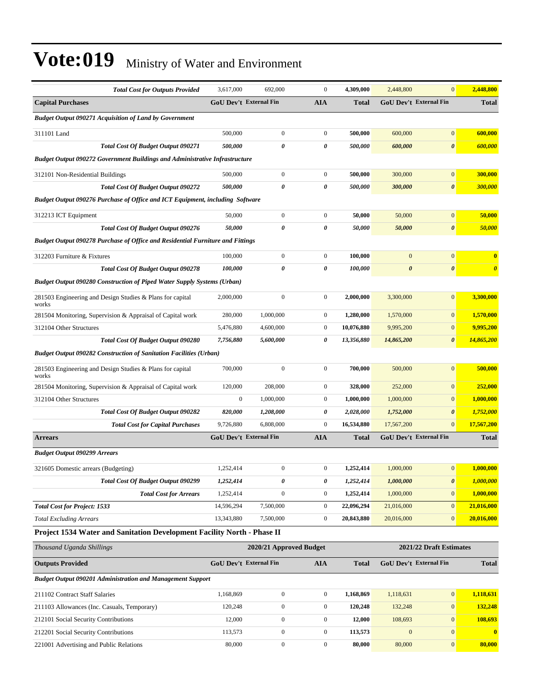| <b>Total Cost for Outputs Provided</b>                                                | 3,617,000                     | 692,000                 | $\mathbf{0}$     | 4,309,000    | 2,448,800      | $\mathbf{0}$            | 2,448,800             |
|---------------------------------------------------------------------------------------|-------------------------------|-------------------------|------------------|--------------|----------------|-------------------------|-----------------------|
| <b>Capital Purchases</b>                                                              | <b>GoU Dev't External Fin</b> |                         | <b>AIA</b>       | <b>Total</b> |                | GoU Dev't External Fin  | <b>Total</b>          |
| <b>Budget Output 090271 Acquisition of Land by Government</b>                         |                               |                         |                  |              |                |                         |                       |
| 311101 Land                                                                           | 500,000                       | $\boldsymbol{0}$        | $\boldsymbol{0}$ | 500,000      | 600,000        | $\mathbf{0}$            | 600,000               |
| <b>Total Cost Of Budget Output 090271</b>                                             | 500,000                       | 0                       | 0                | 500,000      | 600,000        | $\boldsymbol{\theta}$   | 600,000               |
| <b>Budget Output 090272 Government Buildings and Administrative Infrastructure</b>    |                               |                         |                  |              |                |                         |                       |
| 312101 Non-Residential Buildings                                                      | 500,000                       | $\boldsymbol{0}$        | $\boldsymbol{0}$ | 500,000      | 300,000        | $\mathbf{0}$            | 300,000               |
| <b>Total Cost Of Budget Output 090272</b>                                             | 500,000                       | 0                       | 0                | 500,000      | 300,000        | $\boldsymbol{\theta}$   | 300,000               |
| Budget Output 090276 Purchase of Office and ICT Equipment, including Software         |                               |                         |                  |              |                |                         |                       |
| 312213 ICT Equipment                                                                  | 50,000                        | $\boldsymbol{0}$        | $\boldsymbol{0}$ | 50,000       | 50,000         | $\mathbf{0}$            | 50,000                |
| <b>Total Cost Of Budget Output 090276</b>                                             | 50,000                        | 0                       | 0                | 50,000       | 50,000         | $\boldsymbol{\theta}$   | 50,000                |
| <b>Budget Output 090278 Purchase of Office and Residential Furniture and Fittings</b> |                               |                         |                  |              |                |                         |                       |
| 312203 Furniture & Fixtures                                                           | 100,000                       | $\boldsymbol{0}$        | $\boldsymbol{0}$ | 100,000      | $\mathbf{0}$   | $\boldsymbol{0}$        | $\bf{0}$              |
| <b>Total Cost Of Budget Output 090278</b>                                             | 100,000                       | 0                       | 0                | 100,000      | $\pmb{\theta}$ | $\pmb{\theta}$          | $\boldsymbol{\theta}$ |
| <b>Budget Output 090280 Construction of Piped Water Supply Systems (Urban)</b>        |                               |                         |                  |              |                |                         |                       |
| 281503 Engineering and Design Studies & Plans for capital<br>works                    | 2,000,000                     | $\boldsymbol{0}$        | $\boldsymbol{0}$ | 2,000,000    | 3,300,000      | $\mathbf{0}$            | 3,300,000             |
| 281504 Monitoring, Supervision & Appraisal of Capital work                            | 280,000                       | 1,000,000               | $\boldsymbol{0}$ | 1,280,000    | 1,570,000      | $\mathbf{0}$            | 1,570,000             |
| 312104 Other Structures                                                               | 5,476,880                     | 4,600,000               | $\boldsymbol{0}$ | 10,076,880   | 9,995,200      | $\mathbf{0}$            | 9,995,200             |
| <b>Total Cost Of Budget Output 090280</b>                                             | 7,756,880                     | 5,600,000               | 0                | 13,356,880   | 14,865,200     | $\boldsymbol{\theta}$   | 14,865,200            |
| <b>Budget Output 090282 Construction of Sanitation Facilities (Urban)</b>             |                               |                         |                  |              |                |                         |                       |
| 281503 Engineering and Design Studies & Plans for capital<br>works                    | 700,000                       | $\boldsymbol{0}$        | $\boldsymbol{0}$ | 700,000      | 500,000        | $\mathbf{0}$            | 500,000               |
| 281504 Monitoring, Supervision & Appraisal of Capital work                            | 120,000                       | 208,000                 | $\boldsymbol{0}$ | 328,000      | 252,000        | $\mathbf{0}$            | 252,000               |
| 312104 Other Structures                                                               | $\boldsymbol{0}$              | 1,000,000               | $\boldsymbol{0}$ | 1,000,000    | 1,000,000      | $\mathbf{0}$            | 1,000,000             |
| Total Cost Of Budget Output 090282                                                    | 820,000                       | 1,208,000               | 0                | 2,028,000    | 1,752,000      | $\boldsymbol{\theta}$   | 1,752,000             |
| <b>Total Cost for Capital Purchases</b>                                               | 9,726,880                     | 6,808,000               | $\boldsymbol{0}$ | 16,534,880   | 17,567,200     | $\mathbf{0}$            | 17,567,200            |
| <b>Arrears</b>                                                                        | <b>GoU Dev't External Fin</b> |                         | <b>AIA</b>       | <b>Total</b> |                | GoU Dev't External Fin  | <b>Total</b>          |
| <b>Budget Output 090299 Arrears</b>                                                   |                               |                         |                  |              |                |                         |                       |
| 321605 Domestic arrears (Budgeting)                                                   | 1,252,414                     | $\boldsymbol{0}$        | $\boldsymbol{0}$ | 1,252,414    | 1,000,000      | $\boldsymbol{0}$        | 1,000,000             |
| Total Cost Of Budget Output 090299                                                    | 1,252,414                     | 0                       | 0                | 1,252,414    | 1,000,000      | $\boldsymbol{\theta}$   | 1,000,000             |
| <b>Total Cost for Arrears</b>                                                         | 1,252,414                     | $\boldsymbol{0}$        | $\boldsymbol{0}$ | 1,252,414    | 1,000,000      | $\mathbf{0}$            | 1,000,000             |
| <b>Total Cost for Project: 1533</b>                                                   | 14,596,294                    | 7,500,000               | $\boldsymbol{0}$ | 22,096,294   | 21,016,000     | $\mathbf{0}$            | 21,016,000            |
| <b>Total Excluding Arrears</b>                                                        | 13,343,880                    | 7,500,000               | $\boldsymbol{0}$ | 20,843,880   | 20,016,000     | $\mathbf{0}$            | 20,016,000            |
| Project 1534 Water and Sanitation Development Facility North - Phase II               |                               |                         |                  |              |                |                         |                       |
| Thousand Uganda Shillings                                                             |                               | 2020/21 Approved Budget |                  |              |                | 2021/22 Draft Estimates |                       |
| <b>Outputs Provided</b>                                                               | GoU Dev't External Fin        |                         | <b>AIA</b>       | <b>Total</b> |                | GoU Dev't External Fin  | <b>Total</b>          |
| <b>Budget Output 090201 Administration and Management Support</b>                     |                               |                         |                  |              |                |                         |                       |
| 211102 Contract Staff Salaries                                                        | 1,168,869                     | $\boldsymbol{0}$        | $\boldsymbol{0}$ | 1,168,869    | 1,118,631      | $\mathbf{0}$            | 1,118,631             |
| 211103 Allowances (Inc. Casuals, Temporary)                                           | 120,248                       | $\boldsymbol{0}$        | $\boldsymbol{0}$ | 120,248      | 132,248        | $\mathbf{0}$            | 132,248               |
| 212101 Social Security Contributions                                                  | 12,000                        | $\boldsymbol{0}$        | $\boldsymbol{0}$ | 12,000       | 108,693        | $\mathbf{0}$            | 108,693               |
| 212201 Social Security Contributions                                                  | 113,573                       | $\boldsymbol{0}$        | $\boldsymbol{0}$ | 113,573      | $\mathbf{0}$   | $\mathbf{0}$            | $\bf{0}$              |
| 221001 Advertising and Public Relations                                               | 80,000                        | $\boldsymbol{0}$        | $\boldsymbol{0}$ | 80,000       | 80,000         | $\mathbf{0}$            | 80,000                |
|                                                                                       |                               |                         |                  |              |                |                         |                       |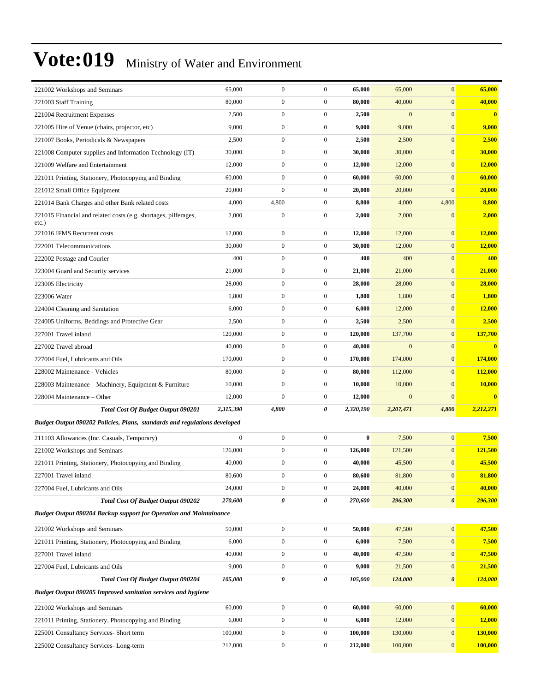| 221002 Workshops and Seminars                                                          | 65,000           | $\boldsymbol{0}$      | $\boldsymbol{0}$      | 65,000           | 65,000           | $\mathbf{0}$                   | 65,000                  |
|----------------------------------------------------------------------------------------|------------------|-----------------------|-----------------------|------------------|------------------|--------------------------------|-------------------------|
| 221003 Staff Training                                                                  | 80,000           | $\boldsymbol{0}$      | $\boldsymbol{0}$      | 80,000           | 40,000           | $\mathbf{0}$                   | 40,000                  |
| 221004 Recruitment Expenses                                                            | 2,500            | $\boldsymbol{0}$      | $\boldsymbol{0}$      | 2,500            | $\boldsymbol{0}$ | $\boldsymbol{0}$               | $\bf{0}$                |
| 221005 Hire of Venue (chairs, projector, etc)                                          | 9,000            | $\boldsymbol{0}$      | $\boldsymbol{0}$      | 9,000            | 9,000            | $\mathbf{0}$                   | 9,000                   |
| 221007 Books, Periodicals & Newspapers                                                 | 2,500            | $\boldsymbol{0}$      | $\boldsymbol{0}$      | 2,500            | 2,500            | $\mathbf{0}$                   | 2,500                   |
| 221008 Computer supplies and Information Technology (IT)                               | 30,000           | $\boldsymbol{0}$      | $\boldsymbol{0}$      | 30,000           | 30,000           | $\mathbf{0}$                   | 30,000                  |
| 221009 Welfare and Entertainment                                                       | 12,000           | $\boldsymbol{0}$      | $\boldsymbol{0}$      | 12,000           | 12,000           | $\boldsymbol{0}$               | 12,000                  |
| 221011 Printing, Stationery, Photocopying and Binding                                  | 60,000           | $\boldsymbol{0}$      | $\boldsymbol{0}$      | 60,000           | 60,000           | $\boldsymbol{0}$               | 60,000                  |
| 221012 Small Office Equipment                                                          | 20,000           | $\boldsymbol{0}$      | $\boldsymbol{0}$      | 20,000           | 20,000           | $\mathbf{0}$                   | 20,000                  |
|                                                                                        | 4,000            | 4,800                 | $\boldsymbol{0}$      | 8,800            | 4,000            | 4,800                          | 8,800                   |
| 221014 Bank Charges and other Bank related costs                                       | 2,000            | $\boldsymbol{0}$      | $\boldsymbol{0}$      | 2,000            | 2,000            | $\mathbf{0}$                   | 2,000                   |
| 221015 Financial and related costs (e.g. shortages, pilferages,<br>$etc.$ )            |                  |                       |                       |                  |                  |                                |                         |
| 221016 IFMS Recurrent costs                                                            | 12,000           | $\boldsymbol{0}$      | $\boldsymbol{0}$      | 12,000           | 12,000           | $\mathbf{0}$                   | 12,000                  |
| 222001 Telecommunications                                                              | 30,000           | $\boldsymbol{0}$      | $\boldsymbol{0}$      | 30,000           | 12,000           | $\mathbf{0}$                   | 12,000                  |
| 222002 Postage and Courier                                                             | 400              | $\boldsymbol{0}$      | $\boldsymbol{0}$      | 400              | 400              | $\mathbf{0}$                   | 400                     |
| 223004 Guard and Security services                                                     | 21,000           | $\boldsymbol{0}$      | $\boldsymbol{0}$      | 21,000           | 21,000           | $\boldsymbol{0}$               | 21,000                  |
| 223005 Electricity                                                                     | 28,000           | $\boldsymbol{0}$      | $\boldsymbol{0}$      | 28,000           | 28,000           | $\mathbf{0}$                   | 28,000                  |
| 223006 Water                                                                           | 1,800            | $\boldsymbol{0}$      | $\boldsymbol{0}$      | 1,800            | 1,800            | $\mathbf{0}$                   | 1,800                   |
| 224004 Cleaning and Sanitation                                                         | 6,000            | $\boldsymbol{0}$      | $\boldsymbol{0}$      | 6,000            | 12,000           | $\boldsymbol{0}$               | 12,000                  |
| 224005 Uniforms, Beddings and Protective Gear                                          | 2,500            | $\boldsymbol{0}$      | $\boldsymbol{0}$      | 2,500            | 2,500            | $\boldsymbol{0}$               | 2,500                   |
| 227001 Travel inland                                                                   | 120,000          | $\boldsymbol{0}$      | $\boldsymbol{0}$      | 120,000          | 137,700          | $\boldsymbol{0}$               | 137,700                 |
| 227002 Travel abroad                                                                   | 40,000           | $\boldsymbol{0}$      | $\boldsymbol{0}$      | 40,000           | $\mathbf{0}$     | $\mathbf{0}$                   | $\overline{\mathbf{0}}$ |
| 227004 Fuel, Lubricants and Oils                                                       | 170,000          | $\boldsymbol{0}$      | $\boldsymbol{0}$      | 170,000          | 174,000          | $\mathbf{0}$                   | 174,000                 |
| 228002 Maintenance - Vehicles                                                          | 80,000           | $\boldsymbol{0}$      | $\boldsymbol{0}$      | 80,000           | 112,000          | $\mathbf{0}$                   | 112,000                 |
| 228003 Maintenance – Machinery, Equipment & Furniture                                  | 10,000           | $\boldsymbol{0}$      | $\boldsymbol{0}$      | 10,000           | 10,000           | $\mathbf{0}$                   | 10,000                  |
| 228004 Maintenance – Other                                                             | 12,000           | $\boldsymbol{0}$      | $\boldsymbol{0}$      | 12,000           | $\boldsymbol{0}$ | $\mathbf{0}$                   | $\overline{\mathbf{0}}$ |
| <b>Total Cost Of Budget Output 090201</b>                                              | 2,315,390        | 4,800                 | 0                     | 2,320,190        | 2,207,471        | 4,800                          | 2,212,271               |
| Budget Output 090202 Policies, Plans, standards and regulations developed              |                  |                       |                       |                  |                  |                                |                         |
| 211103 Allowances (Inc. Casuals, Temporary)                                            | $\mathbf{0}$     | $\boldsymbol{0}$      | $\boldsymbol{0}$      | $\bf{0}$         | 7,500            | $\boldsymbol{0}$               | 7,500                   |
| 221002 Workshops and Seminars                                                          | 126,000          | $\boldsymbol{0}$      | $\boldsymbol{0}$      | 126,000          | 121,500          | $\boldsymbol{0}$               | 121,500                 |
| 221011 Printing, Stationery, Photocopying and Binding                                  | 40,000           | $\boldsymbol{0}$      | $\boldsymbol{0}$      | 40,000           | 45,500           | $\boldsymbol{0}$               | 45,500                  |
| 227001 Travel inland                                                                   | 80,600           | $\boldsymbol{0}$      | $\overline{0}$        | 80,600           | 81,800           | $\boldsymbol{0}$               | 81,800                  |
| 227004 Fuel, Lubricants and Oils                                                       | 24,000           | $\boldsymbol{0}$      | $\boldsymbol{0}$      | 24,000           | 40,000           | $\boldsymbol{0}$               | 40,000                  |
| <b>Total Cost Of Budget Output 090202</b>                                              | 270,600          | $\pmb{\theta}$        | 0                     | 270,600          | 296,300          | $\pmb{\theta}$                 | 296,300                 |
| <b>Budget Output 090204 Backup support for Operation and Maintainance</b>              |                  |                       |                       |                  |                  |                                |                         |
|                                                                                        | 50,000           | $\boldsymbol{0}$      | $\boldsymbol{0}$      | 50,000           |                  | $\boldsymbol{0}$               | 47,500                  |
| 221002 Workshops and Seminars<br>221011 Printing, Stationery, Photocopying and Binding | 6,000            | $\boldsymbol{0}$      | $\boldsymbol{0}$      | 6,000            | 47,500<br>7,500  |                                | 7,500                   |
|                                                                                        | 40,000           |                       | $\boldsymbol{0}$      | 40,000           |                  | $\boldsymbol{0}$               | 47,500                  |
| 227001 Travel inland                                                                   |                  | $\boldsymbol{0}$      |                       |                  | 47,500           | $\boldsymbol{0}$               |                         |
| 227004 Fuel, Lubricants and Oils<br>Total Cost Of Budget Output 090204                 | 9,000<br>105,000 | $\boldsymbol{0}$<br>0 | $\boldsymbol{0}$<br>0 | 9,000<br>105,000 | 21,500           | $\mathbf{0}$<br>$\pmb{\theta}$ | 21,500                  |
|                                                                                        |                  |                       |                       |                  | 124,000          |                                | 124,000                 |
| <b>Budget Output 090205 Improved sanitation services and hygiene</b>                   |                  |                       |                       |                  |                  |                                |                         |
| 221002 Workshops and Seminars                                                          | 60,000           | $\boldsymbol{0}$      | $\boldsymbol{0}$      | 60,000           | 60,000           | $\boldsymbol{0}$               | 60,000                  |
| 221011 Printing, Stationery, Photocopying and Binding                                  | 6,000            | $\boldsymbol{0}$      | $\boldsymbol{0}$      | 6,000            | 12,000           | $\bf{0}$                       | 12,000                  |
| 225001 Consultancy Services- Short term                                                | 100,000          | $\boldsymbol{0}$      | $\boldsymbol{0}$      | 100,000          | 130,000          | $\boldsymbol{0}$               | 130,000                 |
| 225002 Consultancy Services-Long-term                                                  | 212,000          | $\boldsymbol{0}$      | $\boldsymbol{0}$      | 212,000          | 100,000          | $\mathbf{0}$                   | 100,000                 |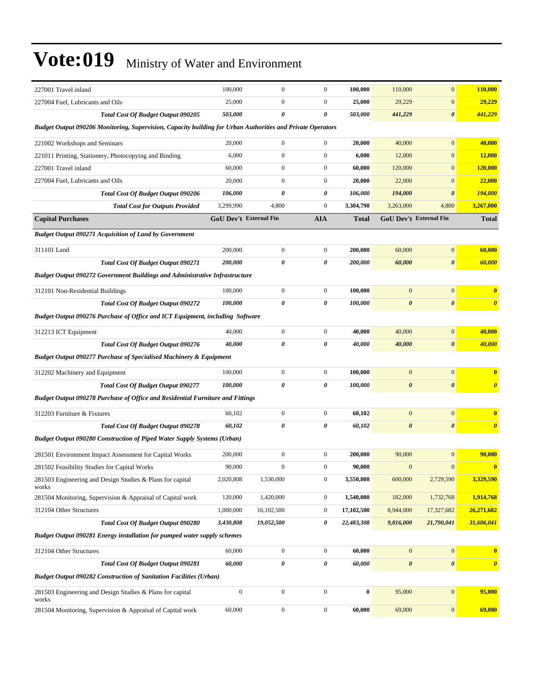| 227001 Travel inland                                                                                        | 100,000                | $\boldsymbol{0}$ | $\boldsymbol{0}$ | 100,000      | 110,000               | $\mathbf{0}$                  | 110,000                 |
|-------------------------------------------------------------------------------------------------------------|------------------------|------------------|------------------|--------------|-----------------------|-------------------------------|-------------------------|
| 227004 Fuel, Lubricants and Oils                                                                            | 25,000                 | $\boldsymbol{0}$ | $\boldsymbol{0}$ | 25,000       | 29,229                | $\mathbf{0}$                  | 29,229                  |
| <b>Total Cost Of Budget Output 090205</b>                                                                   | 503,000                | 0                | 0                | 503,000      | 441,229               | $\boldsymbol{\theta}$         | 441,229                 |
| Budget Output 090206 Monitoring, Supervision, Capacity building for Urban Authorities and Private Operators |                        |                  |                  |              |                       |                               |                         |
| 221002 Workshops and Seminars                                                                               | 20,000                 | $\boldsymbol{0}$ | $\boldsymbol{0}$ | 20,000       | 40,000                | $\mathbf{0}$                  | 40,000                  |
| 221011 Printing, Stationery, Photocopying and Binding                                                       | 6,000                  | $\boldsymbol{0}$ | $\boldsymbol{0}$ | 6,000        | 12,000                | $\mathbf{0}$                  | 12,000                  |
| 227001 Travel inland                                                                                        | 60,000                 | $\boldsymbol{0}$ | $\boldsymbol{0}$ | 60,000       | 120,000               | $\mathbf{0}$                  | 120,000                 |
| 227004 Fuel, Lubricants and Oils                                                                            | 20,000                 | $\boldsymbol{0}$ | $\boldsymbol{0}$ | 20,000       | 22,000                | $\mathbf{0}$                  | 22,000                  |
| Total Cost Of Budget Output 090206                                                                          | 106,000                | 0                | 0                | 106,000      | 194,000               | $\boldsymbol{\theta}$         | 194,000                 |
| <b>Total Cost for Outputs Provided</b>                                                                      | 3,299,990              | 4,800            | $\boldsymbol{0}$ | 3,304,790    | 3,263,000             | 4,800                         | 3,267,800               |
| <b>Capital Purchases</b>                                                                                    | GoU Dev't External Fin |                  | <b>AIA</b>       | <b>Total</b> |                       | <b>GoU Dev't External Fin</b> | <b>Total</b>            |
| <b>Budget Output 090271 Acquisition of Land by Government</b>                                               |                        |                  |                  |              |                       |                               |                         |
| 311101 Land                                                                                                 | 200,000                | $\boldsymbol{0}$ | $\boldsymbol{0}$ | 200,000      | 60,000                | $\mathbf{0}$                  | 60,000                  |
| <b>Total Cost Of Budget Output 090271</b>                                                                   | 200,000                | 0                | 0                | 200,000      | 60,000                | $\boldsymbol{\theta}$         | 60,000                  |
| <b>Budget Output 090272 Government Buildings and Administrative Infrastructure</b>                          |                        |                  |                  |              |                       |                               |                         |
| 312101 Non-Residential Buildings                                                                            | 100,000                | $\boldsymbol{0}$ | $\boldsymbol{0}$ | 100,000      | $\mathbf{0}$          | $\mathbf{0}$                  | $\overline{\mathbf{0}}$ |
| <b>Total Cost Of Budget Output 090272</b>                                                                   | 100,000                | 0                | 0                | 100,000      | $\boldsymbol{\theta}$ | $\boldsymbol{\theta}$         | $\boldsymbol{\theta}$   |
| Budget Output 090276 Purchase of Office and ICT Equipment, including Software                               |                        |                  |                  |              |                       |                               |                         |
|                                                                                                             | 40,000                 | $\boldsymbol{0}$ | $\boldsymbol{0}$ | 40,000       | 40,000                | $\boldsymbol{0}$              | 40,000                  |
| 312213 ICT Equipment<br><b>Total Cost Of Budget Output 090276</b>                                           | 40,000                 | 0                | 0                | 40,000       | 40,000                | $\pmb{\theta}$                | 40,000                  |
| <b>Budget Output 090277 Purchase of Specialised Machinery &amp; Equipment</b>                               |                        |                  |                  |              |                       |                               |                         |
|                                                                                                             |                        |                  |                  |              |                       |                               |                         |
| 312202 Machinery and Equipment                                                                              | 100,000                | $\boldsymbol{0}$ | $\boldsymbol{0}$ | 100,000      | $\boldsymbol{0}$      | $\boldsymbol{0}$              | $\bf{0}$                |
| <b>Total Cost Of Budget Output 090277</b>                                                                   | 100,000                | 0                | 0                | 100,000      | $\boldsymbol{\theta}$ | $\pmb{\theta}$                | $\boldsymbol{\theta}$   |
| Budget Output 090278 Purchase of Office and Residential Furniture and Fittings                              |                        |                  |                  |              |                       |                               |                         |
| 312203 Furniture & Fixtures                                                                                 | 60,102                 | $\boldsymbol{0}$ | $\boldsymbol{0}$ | 60,102       | $\mathbf{0}$          | $\mathbf{0}$                  | $\bf{0}$                |
| <b>Total Cost Of Budget Output 090278</b>                                                                   | 60,102                 | 0                | 0                | 60,102       | $\boldsymbol{\theta}$ | $\pmb{\theta}$                | $\boldsymbol{\theta}$   |
| <b>Budget Output 090280 Construction of Piped Water Supply Systems (Urban)</b>                              |                        |                  |                  |              |                       |                               |                         |
| 281501 Environment Impact Assessment for Capital Works                                                      | 200,000                | $\boldsymbol{0}$ | $\boldsymbol{0}$ | 200,000      | 90,000                | $\mathbf{0}$                  | 90,000                  |
| 281502 Feasibility Studies for Capital Works                                                                | 90,000                 | $\boldsymbol{0}$ | $\boldsymbol{0}$ | 90,000       | $\mathbf{0}$          | $\mathbf{0}$                  | $\bf{0}$                |
| 281503 Engineering and Design Studies & Plans for capital<br>works                                          | 2,020,808              | 1,530,000        | $\boldsymbol{0}$ | 3,550,808    | 600,000               | 2,729,590                     | 3,329,590               |
| 281504 Monitoring, Supervision & Appraisal of Capital work                                                  | 120,000                | 1,420,000        | $\boldsymbol{0}$ | 1,540,000    | 182,000               | 1,732,768                     | 1,914,768               |
| 312104 Other Structures                                                                                     | 1,000,000              | 16,102,500       | $\boldsymbol{0}$ | 17,102,500   | 8,944,000             | 17,327,682                    | 26,271,682              |
| Total Cost Of Budget Output 090280                                                                          | 3,430,808              | 19,052,500       | 0                | 22,483,308   | 9,816,000             | 21,790,041                    | 31,606,041              |
| <b>Budget Output 090281 Energy installation for pumped water supply schemes</b>                             |                        |                  |                  |              |                       |                               |                         |
| 312104 Other Structures                                                                                     | 60,000                 | $\boldsymbol{0}$ | $\boldsymbol{0}$ | 60,000       | $\boldsymbol{0}$      | $\boldsymbol{0}$              | $\bf{0}$                |
| <b>Total Cost Of Budget Output 090281</b>                                                                   | 60,000                 | 0                | $\pmb{\theta}$   | 60,000       | $\boldsymbol{\theta}$ | $\pmb{\theta}$                | $\boldsymbol{\theta}$   |
| <b>Budget Output 090282 Construction of Sanitation Facilities (Urban)</b>                                   |                        |                  |                  |              |                       |                               |                         |
| 281503 Engineering and Design Studies & Plans for capital<br>works                                          | $\boldsymbol{0}$       | $\boldsymbol{0}$ | $\boldsymbol{0}$ | $\pmb{0}$    | 95,000                | $\boldsymbol{0}$              | 95,000                  |
| 281504 Monitoring, Supervision & Appraisal of Capital work                                                  | 60,000                 | $\boldsymbol{0}$ | $\boldsymbol{0}$ | 60,000       | 69,000                | $\boldsymbol{0}$              | 69,000                  |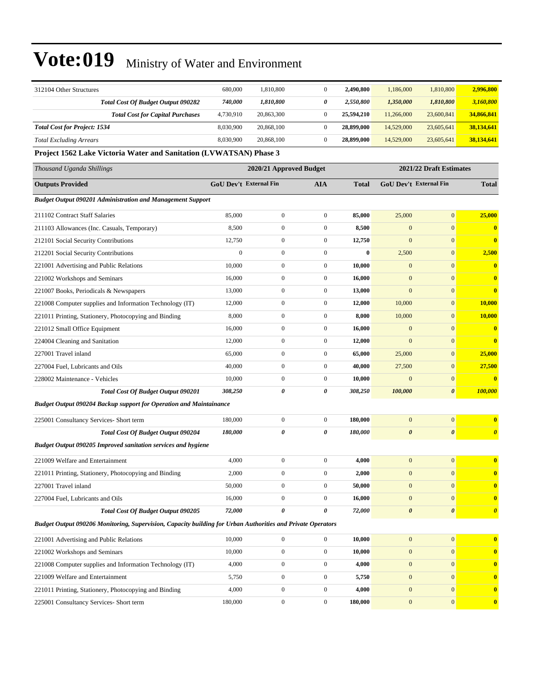| 312104 Other Structures                                                                                     | 680,000          | 1,810,800               | $\boldsymbol{0}$ | 2,490,800    | 1,186,000             | 1,810,800               | 2,996,800               |
|-------------------------------------------------------------------------------------------------------------|------------------|-------------------------|------------------|--------------|-----------------------|-------------------------|-------------------------|
| <b>Total Cost Of Budget Output 090282</b>                                                                   | 740,000          | 1,810,800               | 0                | 2,550,800    | 1,350,000             | 1,810,800               | 3,160,800               |
| <b>Total Cost for Capital Purchases</b>                                                                     | 4,730,910        | 20,863,300              | $\boldsymbol{0}$ | 25,594,210   | 11,266,000            | 23,600,841              | 34,866,841              |
| <b>Total Cost for Project: 1534</b>                                                                         | 8,030,900        | 20,868,100              | $\boldsymbol{0}$ | 28,899,000   | 14,529,000            | 23,605,641              | 38,134,641              |
| <b>Total Excluding Arrears</b>                                                                              | 8,030,900        | 20,868,100              | $\boldsymbol{0}$ | 28,899,000   | 14,529,000            | 23,605,641              | 38,134,641              |
| Project 1562 Lake Victoria Water and Sanitation (LVWATSAN) Phase 3                                          |                  |                         |                  |              |                       |                         |                         |
| Thousand Uganda Shillings                                                                                   |                  | 2020/21 Approved Budget |                  |              |                       | 2021/22 Draft Estimates |                         |
| <b>Outputs Provided</b>                                                                                     |                  | GoU Dev't External Fin  | AIA              | <b>Total</b> |                       | GoU Dev't External Fin  | <b>Total</b>            |
| <b>Budget Output 090201 Administration and Management Support</b>                                           |                  |                         |                  |              |                       |                         |                         |
| 211102 Contract Staff Salaries                                                                              | 85,000           | $\boldsymbol{0}$        | $\boldsymbol{0}$ | 85,000       | 25,000                | $\mathbf{0}$            | 25,000                  |
| 211103 Allowances (Inc. Casuals, Temporary)                                                                 | 8,500            | 0                       | $\boldsymbol{0}$ | 8,500        | $\mathbf{0}$          | $\mathbf{0}$            | $\bf{0}$                |
| 212101 Social Security Contributions                                                                        | 12,750           | $\boldsymbol{0}$        | $\boldsymbol{0}$ | 12,750       | $\boldsymbol{0}$      | $\mathbf{0}$            | $\overline{\mathbf{0}}$ |
| 212201 Social Security Contributions                                                                        | $\boldsymbol{0}$ | $\boldsymbol{0}$        | $\boldsymbol{0}$ | $\bf{0}$     | 2,500                 | $\mathbf{0}$            | 2,500                   |
| 221001 Advertising and Public Relations                                                                     | 10,000           | $\boldsymbol{0}$        | $\boldsymbol{0}$ | 10,000       | $\mathbf{0}$          | $\mathbf{0}$            | $\bf{0}$                |
| 221002 Workshops and Seminars                                                                               | 16,000           | $\boldsymbol{0}$        | $\boldsymbol{0}$ | 16,000       | $\mathbf{0}$          | $\mathbf{0}$            | $\bf{0}$                |
| 221007 Books, Periodicals & Newspapers                                                                      | 13,000           | $\boldsymbol{0}$        | $\boldsymbol{0}$ | 13,000       | $\mathbf{0}$          | $\mathbf{0}$            | $\bf{0}$                |
| 221008 Computer supplies and Information Technology (IT)                                                    | 12,000           | $\boldsymbol{0}$        | $\boldsymbol{0}$ | 12,000       | 10,000                | $\mathbf{0}$            | 10,000                  |
| 221011 Printing, Stationery, Photocopying and Binding                                                       | 8,000            | $\boldsymbol{0}$        | $\boldsymbol{0}$ | 8,000        | 10,000                | $\mathbf{0}$            | 10,000                  |
| 221012 Small Office Equipment                                                                               | 16,000           | $\boldsymbol{0}$        | $\boldsymbol{0}$ | 16,000       | $\mathbf{0}$          | $\mathbf{0}$            | $\bf{0}$                |
| 224004 Cleaning and Sanitation                                                                              | 12,000           | $\boldsymbol{0}$        | $\boldsymbol{0}$ | 12,000       | $\mathbf{0}$          | $\mathbf{0}$            | $\overline{\mathbf{0}}$ |
| 227001 Travel inland                                                                                        | 65,000           | 0                       | $\boldsymbol{0}$ | 65,000       | 25,000                | $\mathbf{0}$            | 25,000                  |
| 227004 Fuel, Lubricants and Oils                                                                            | 40,000           | $\boldsymbol{0}$        | $\boldsymbol{0}$ | 40,000       | 27,500                | $\boldsymbol{0}$        | 27,500                  |
| 228002 Maintenance - Vehicles                                                                               | 10,000           | $\boldsymbol{0}$        | $\boldsymbol{0}$ | 10,000       | $\mathbf{0}$          | $\mathbf{0}$            | $\overline{\mathbf{0}}$ |
| <b>Total Cost Of Budget Output 090201</b>                                                                   | 308,250          | 0                       | 0                | 308,250      | 100,000               | $\boldsymbol{\theta}$   | <b>100,000</b>          |
| <b>Budget Output 090204 Backup support for Operation and Maintainance</b>                                   |                  |                         |                  |              |                       |                         |                         |
| 225001 Consultancy Services- Short term                                                                     | 180,000          | $\boldsymbol{0}$        | $\mathbf{0}$     | 180,000      | $\mathbf{0}$          | $\mathbf{0}$            | $\bf{0}$                |
| Total Cost Of Budget Output 090204                                                                          | 180,000          | 0                       | 0                | 180,000      | $\boldsymbol{\theta}$ | $\boldsymbol{\theta}$   | $\boldsymbol{\theta}$   |
| <b>Budget Output 090205 Improved sanitation services and hygiene</b>                                        |                  |                         |                  |              |                       |                         |                         |
| 221009 Welfare and Entertainment                                                                            | 4,000            | $\boldsymbol{0}$        | $\boldsymbol{0}$ | 4,000        | $\boldsymbol{0}$      | $\mathbf{0}$            | $\bf{0}$                |
| 221011 Printing, Stationery, Photocopying and Binding                                                       | 2,000            | 0                       | $\boldsymbol{0}$ | 2,000        | $\mathbf{0}$          | $\mathbf{0}$            | $\bf{0}$                |
| 227001 Travel inland                                                                                        | 50,000           | $\boldsymbol{0}$        | $\boldsymbol{0}$ | 50,000       | $\boldsymbol{0}$      | $\mathbf{0}$            | $\bf{0}$                |
| 227004 Fuel, Lubricants and Oils                                                                            | 16,000           | $\boldsymbol{0}$        | $\boldsymbol{0}$ | 16,000       | $\boldsymbol{0}$      | $\mathbf{0}$            | $\mathbf{0}$            |
| Total Cost Of Budget Output 090205                                                                          | 72,000           | 0                       | 0                | 72,000       | $\boldsymbol{\theta}$ | $\boldsymbol{\theta}$   | $\boldsymbol{\theta}$   |
| Budget Output 090206 Monitoring, Supervision, Capacity building for Urban Authorities and Private Operators |                  |                         |                  |              |                       |                         |                         |
| 221001 Advertising and Public Relations                                                                     | 10,000           | $\overline{0}$          | $\boldsymbol{0}$ | 10,000       | $\boldsymbol{0}$      | $\mathbf{0}$            | $\bf{0}$                |
| 221002 Workshops and Seminars                                                                               | 10,000           | $\boldsymbol{0}$        | $\boldsymbol{0}$ | 10,000       | $\boldsymbol{0}$      | $\mathbf{0}$            | $\mathbf{0}$            |
| 221008 Computer supplies and Information Technology (IT)                                                    | 4,000            | $\boldsymbol{0}$        | $\boldsymbol{0}$ | 4,000        | $\boldsymbol{0}$      | $\mathbf{0}$            | $\bf{0}$                |
| 221009 Welfare and Entertainment                                                                            | 5,750            | $\boldsymbol{0}$        | $\boldsymbol{0}$ | 5,750        | $\boldsymbol{0}$      | $\mathbf{0}$            | $\bf{0}$                |
| 221011 Printing, Stationery, Photocopying and Binding                                                       | 4,000            | $\boldsymbol{0}$        | $\boldsymbol{0}$ | 4,000        | $\boldsymbol{0}$      | $\mathbf{0}$            | $\mathbf{0}$            |
| 225001 Consultancy Services- Short term                                                                     | 180,000          | $\boldsymbol{0}$        | $\boldsymbol{0}$ | 180,000      | $\boldsymbol{0}$      | $\mathbf{0}$            | $\boldsymbol{0}$        |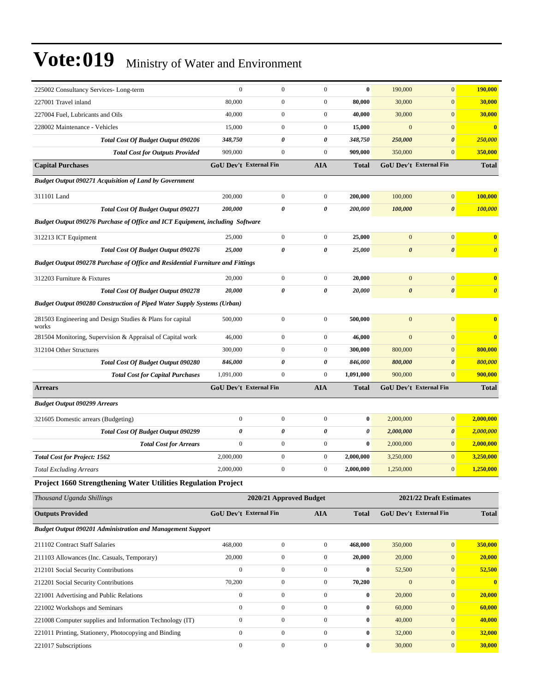| 225002 Consultancy Services-Long-term                                          | $\mathbf{0}$     | $\overline{0}$                | $\mathbf{0}$            | $\bf{0}$     | 190,000               | $\mathbf{0}$                  | 190,000                 |
|--------------------------------------------------------------------------------|------------------|-------------------------------|-------------------------|--------------|-----------------------|-------------------------------|-------------------------|
| 227001 Travel inland                                                           | 80,000           | $\boldsymbol{0}$              | $\boldsymbol{0}$        | 80,000       | 30,000                | $\mathbf{0}$                  | 30,000                  |
| 227004 Fuel, Lubricants and Oils                                               | 40,000           | $\boldsymbol{0}$              | $\boldsymbol{0}$        | 40,000       | 30,000                | $\mathbf{0}$                  | 30,000                  |
| 228002 Maintenance - Vehicles                                                  | 15,000           | $\boldsymbol{0}$              | $\boldsymbol{0}$        | 15,000       | $\mathbf{0}$          | $\mathbf{0}$                  | $\overline{\mathbf{0}}$ |
| <b>Total Cost Of Budget Output 090206</b>                                      | 348,750          | 0                             | 0                       | 348,750      | 250,000               | $\boldsymbol{\theta}$         | 250,000                 |
| <b>Total Cost for Outputs Provided</b>                                         | 909,000          | $\boldsymbol{0}$              | $\overline{0}$          | 909,000      | 350,000               | $\mathbf{0}$                  | 350,000                 |
| <b>Capital Purchases</b>                                                       |                  | <b>GoU Dev't External Fin</b> | <b>AIA</b>              | <b>Total</b> |                       | <b>GoU Dev't External Fin</b> | <b>Total</b>            |
| <b>Budget Output 090271 Acquisition of Land by Government</b>                  |                  |                               |                         |              |                       |                               |                         |
| 311101 Land                                                                    | 200,000          | $\boldsymbol{0}$              | $\boldsymbol{0}$        | 200.000      | 100,000               | $\boldsymbol{0}$              | 100,000                 |
| Total Cost Of Budget Output 090271                                             | 200,000          | 0                             | 0                       | 200,000      | 100,000               | $\boldsymbol{\theta}$         | 100,000                 |
| Budget Output 090276 Purchase of Office and ICT Equipment, including Software  |                  |                               |                         |              |                       |                               |                         |
| 312213 ICT Equipment                                                           | 25,000           | $\boldsymbol{0}$              | $\boldsymbol{0}$        | 25,000       | $\mathbf{0}$          | $\mathbf{0}$                  | $\bf{0}$                |
| Total Cost Of Budget Output 090276                                             | 25,000           | 0                             | 0                       | 25,000       | $\boldsymbol{\theta}$ | $\boldsymbol{\theta}$         | $\boldsymbol{\theta}$   |
| Budget Output 090278 Purchase of Office and Residential Furniture and Fittings |                  |                               |                         |              |                       |                               |                         |
| 312203 Furniture & Fixtures                                                    | 20,000           | $\boldsymbol{0}$              | $\boldsymbol{0}$        | 20,000       | $\mathbf{0}$          | $\mathbf{0}$                  | $\bf{0}$                |
| Total Cost Of Budget Output 090278                                             | 20,000           | 0                             | 0                       | 20,000       | $\boldsymbol{\theta}$ | $\boldsymbol{\theta}$         | $\boldsymbol{\theta}$   |
| <b>Budget Output 090280 Construction of Piped Water Supply Systems (Urban)</b> |                  |                               |                         |              |                       |                               |                         |
| 281503 Engineering and Design Studies & Plans for capital<br>works             | 500,000          | $\boldsymbol{0}$              | $\boldsymbol{0}$        | 500,000      | $\mathbf{0}$          | $\boldsymbol{0}$              | $\bf{0}$                |
| 281504 Monitoring, Supervision & Appraisal of Capital work                     | 46,000           | $\boldsymbol{0}$              | $\boldsymbol{0}$        | 46,000       | $\mathbf{0}$          | $\mathbf{0}$                  | $\bf{0}$                |
| 312104 Other Structures                                                        | 300,000          | $\boldsymbol{0}$              | $\boldsymbol{0}$        | 300,000      | 800,000               | $\mathbf{0}$                  | 800,000                 |
| Total Cost Of Budget Output 090280                                             | 846,000          | 0                             | 0                       | 846,000      | 800,000               | $\boldsymbol{\theta}$         | 800,000                 |
| <b>Total Cost for Capital Purchases</b>                                        | 1,091,000        | $\boldsymbol{0}$              | $\boldsymbol{0}$        | 1,091,000    | 900,000               | $\mathbf{0}$                  | 900,000                 |
| <b>Arrears</b>                                                                 |                  | <b>GoU Dev't External Fin</b> | AIA                     | <b>Total</b> |                       | <b>GoU Dev't External Fin</b> | <b>Total</b>            |
| <b>Budget Output 090299 Arrears</b>                                            |                  |                               |                         |              |                       |                               |                         |
| 321605 Domestic arrears (Budgeting)                                            | $\boldsymbol{0}$ | $\boldsymbol{0}$              | $\boldsymbol{0}$        | $\bf{0}$     | 2,000,000             | $\mathbf{0}$                  | 2,000,000               |
| Total Cost Of Budget Output 090299                                             | 0                | 0                             | 0                       | 0            | 2,000,000             | $\pmb{\theta}$                | 2,000,000               |
| <b>Total Cost for Arrears</b>                                                  | $\boldsymbol{0}$ | $\boldsymbol{0}$              | $\boldsymbol{0}$        | $\bf{0}$     | 2,000,000             | $\mathbf{0}$                  | 2,000,000               |
| <b>Total Cost for Project: 1562</b>                                            | 2,000,000        | $\boldsymbol{0}$              | $\boldsymbol{0}$        | 2,000,000    | 3,250,000             | $\mathbf{0}$                  | 3,250,000               |
| <b>Total Excluding Arrears</b>                                                 | 2,000,000        | $\boldsymbol{0}$              | $\boldsymbol{0}$        | 2,000,000    | 1,250,000             | $\mathbf{0}$                  | 1,250,000               |
| Project 1660 Strengthening Water Utilities Regulation Project                  |                  |                               |                         |              |                       |                               |                         |
| Thousand Uganda Shillings                                                      |                  |                               | 2020/21 Approved Budget |              |                       | 2021/22 Draft Estimates       |                         |
| <b>Outputs Provided</b>                                                        |                  | GoU Dev't External Fin        | AIA                     | <b>Total</b> |                       | GoU Dev't External Fin        | <b>Total</b>            |
| Budget Output 090201 Administration and Management Support                     |                  |                               |                         |              |                       |                               |                         |
| 211102 Contract Staff Salaries                                                 | 468,000          | $\boldsymbol{0}$              | $\boldsymbol{0}$        | 468,000      | 350,000               | $\mathbf{0}$                  | 350,000                 |
| 211103 Allowances (Inc. Casuals, Temporary)                                    | 20,000           | $\boldsymbol{0}$              | $\boldsymbol{0}$        | 20,000       | 20,000                | $\mathbf{0}$                  | 20,000                  |
| 212101 Social Security Contributions                                           | $\boldsymbol{0}$ | $\boldsymbol{0}$              | $\boldsymbol{0}$        | $\bf{0}$     | 52,500                | $\boldsymbol{0}$              | 52,500                  |
| 212201 Social Security Contributions                                           | 70,200           | $\boldsymbol{0}$              | $\boldsymbol{0}$        | 70,200       | $\boldsymbol{0}$      | $\boldsymbol{0}$              | $\mathbf{0}$            |
| 221001 Advertising and Public Relations                                        | $\boldsymbol{0}$ | $\boldsymbol{0}$              | $\boldsymbol{0}$        | $\pmb{0}$    | 20,000                | $\mathbf{0}$                  | 20,000                  |
| 221002 Workshops and Seminars                                                  | $\boldsymbol{0}$ | $\boldsymbol{0}$              | $\boldsymbol{0}$        | $\bf{0}$     | 60,000                | $\mathbf{0}$                  | 60,000                  |
| 221008 Computer supplies and Information Technology (IT)                       | $\boldsymbol{0}$ | $\boldsymbol{0}$              | $\boldsymbol{0}$        | $\bf{0}$     | 40,000                | $\mathbf{0}$                  | 40,000                  |
| 221011 Printing, Stationery, Photocopying and Binding                          | $\mathbf{0}$     | $\boldsymbol{0}$              | $\boldsymbol{0}$        | $\bf{0}$     | 32,000                | $\mathbf{0}$                  | 32,000                  |
| 221017 Subscriptions                                                           | $\boldsymbol{0}$ | $\boldsymbol{0}$              | $\boldsymbol{0}$        | $\bf{0}$     | 30,000                | $\boldsymbol{0}$              | 30,000                  |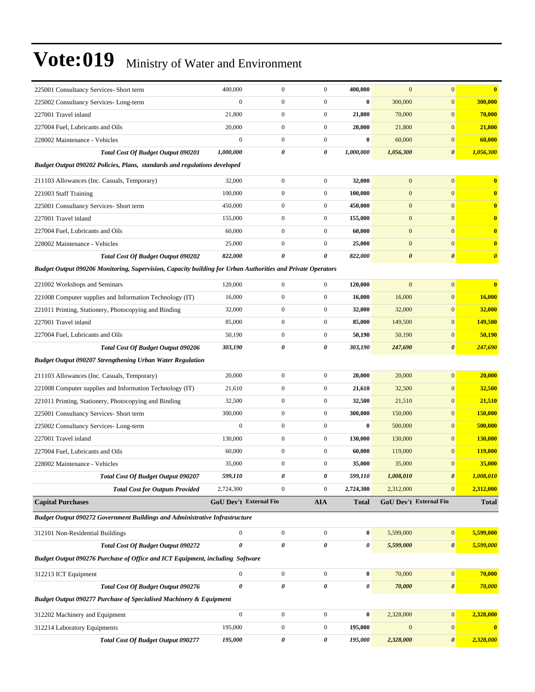| 225001 Consultancy Services- Short term                                                                     | 400,000                | $\mathbf{0}$          | $\boldsymbol{0}$ | 400,000   | $\mathbf{0}$          | $\mathbf{0}$                  | $\bf{0}$              |
|-------------------------------------------------------------------------------------------------------------|------------------------|-----------------------|------------------|-----------|-----------------------|-------------------------------|-----------------------|
| 225002 Consultancy Services-Long-term                                                                       | $\mathbf{0}$           | $\mathbf{0}$          | $\boldsymbol{0}$ | $\bf{0}$  | 300,000               | $\mathbf{0}$                  | 300,000               |
| 227001 Travel inland                                                                                        | 21,800                 | $\boldsymbol{0}$      | $\boldsymbol{0}$ | 21,800    | 70,000                | $\mathbf{0}$                  | 70,000                |
| 227004 Fuel, Lubricants and Oils                                                                            | 20,000                 | $\mathbf{0}$          | $\boldsymbol{0}$ | 20,000    | 21,800                | $\mathbf{0}$                  | 21,800                |
| 228002 Maintenance - Vehicles                                                                               | $\mathbf{0}$           | $\boldsymbol{0}$      | $\overline{0}$   | $\bf{0}$  | 60,000                | $\mathbf{0}$                  | 60,000                |
| Total Cost Of Budget Output 090201                                                                          | 1,000,000              | $\boldsymbol{\theta}$ | 0                | 1,000,000 | 1,056,300             | $\boldsymbol{\theta}$         | 1,056,300             |
| Budget Output 090202 Policies, Plans, standards and regulations developed                                   |                        |                       |                  |           |                       |                               |                       |
| 211103 Allowances (Inc. Casuals, Temporary)                                                                 | 32,000                 | $\mathbf{0}$          | $\boldsymbol{0}$ | 32,000    | $\mathbf{0}$          | $\mathbf{0}$                  | $\bf{0}$              |
| 221003 Staff Training                                                                                       | 100,000                | $\boldsymbol{0}$      | $\boldsymbol{0}$ | 100,000   | $\mathbf{0}$          | $\overline{0}$                | $\bf{0}$              |
| 225001 Consultancy Services- Short term                                                                     | 450,000                | $\mathbf{0}$          | $\boldsymbol{0}$ | 450,000   | $\mathbf{0}$          | $\mathbf{0}$                  | $\bf{0}$              |
| 227001 Travel inland                                                                                        | 155,000                | $\mathbf{0}$          | $\overline{0}$   | 155,000   | $\mathbf{0}$          | $\mathbf{0}$                  | $\bf{0}$              |
| 227004 Fuel, Lubricants and Oils                                                                            | 60,000                 | $\mathbf{0}$          | $\boldsymbol{0}$ | 60,000    | $\mathbf{0}$          | $\mathbf{0}$                  | $\bf{0}$              |
| 228002 Maintenance - Vehicles                                                                               | 25,000                 | $\mathbf{0}$          | $\boldsymbol{0}$ | 25,000    | $\boldsymbol{0}$      | $\mathbf{0}$                  | $\bf{0}$              |
| Total Cost Of Budget Output 090202                                                                          | 822,000                | 0                     | 0                | 822,000   | $\boldsymbol{\theta}$ | $\boldsymbol{\theta}$         | $\boldsymbol{\theta}$ |
| Budget Output 090206 Monitoring, Supervision, Capacity building for Urban Authorities and Private Operators |                        |                       |                  |           |                       |                               |                       |
| 221002 Workshops and Seminars                                                                               | 120,000                | $\mathbf{0}$          | $\boldsymbol{0}$ | 120,000   | $\mathbf{0}$          | $\mathbf{0}$                  | $\bf{0}$              |
| 221008 Computer supplies and Information Technology (IT)                                                    | 16,000                 | $\boldsymbol{0}$      | $\boldsymbol{0}$ | 16,000    | 16,000                | $\mathbf{0}$                  | <b>16,000</b>         |
| 221011 Printing, Stationery, Photocopying and Binding                                                       | 32,000                 | $\mathbf{0}$          | $\boldsymbol{0}$ | 32,000    | 32,000                | $\mathbf{0}$                  | 32,000                |
| 227001 Travel inland                                                                                        | 85,000                 | $\mathbf{0}$          | $\boldsymbol{0}$ | 85,000    | 149,500               | $\mathbf{0}$                  | 149,500               |
| 227004 Fuel, Lubricants and Oils                                                                            | 50,190                 | $\boldsymbol{0}$      | $\boldsymbol{0}$ | 50,190    | 50,190                | $\boldsymbol{0}$              | 50,190                |
| Total Cost Of Budget Output 090206                                                                          | 303,190                | $\boldsymbol{\theta}$ | 0                | 303,190   | 247,690               | $\boldsymbol{\theta}$         | 247,690               |
| <b>Budget Output 090207 Strengthening Urban Water Regulation</b>                                            |                        |                       |                  |           |                       |                               |                       |
| 211103 Allowances (Inc. Casuals, Temporary)                                                                 | 20,000                 | $\boldsymbol{0}$      | $\boldsymbol{0}$ | 20,000    | 20,000                | $\overline{0}$                | 20,000                |
| 221008 Computer supplies and Information Technology (IT)                                                    | 21,610                 | $\mathbf{0}$          | $\boldsymbol{0}$ | 21,610    | 32,500                | $\boldsymbol{0}$              | 32,500                |
| 221011 Printing, Stationery, Photocopying and Binding                                                       | 32,500                 | $\boldsymbol{0}$      | $\boldsymbol{0}$ | 32,500    | 21,510                | $\boldsymbol{0}$              | 21,510                |
| 225001 Consultancy Services- Short term                                                                     | 300,000                | $\boldsymbol{0}$      | $\boldsymbol{0}$ | 300,000   | 150,000               | $\boldsymbol{0}$              | 150,000               |
| 225002 Consultancy Services-Long-term                                                                       | $\boldsymbol{0}$       | $\mathbf{0}$          | $\boldsymbol{0}$ | $\bf{0}$  | 500,000               | $\boldsymbol{0}$              | 500,000               |
| 227001 Travel inland                                                                                        | 130,000                | $\boldsymbol{0}$      | $\boldsymbol{0}$ | 130,000   | 130,000               | $\boldsymbol{0}$              | 130,000               |
| 227004 Fuel, Lubricants and Oils                                                                            | 60,000                 | $\mathbf{0}$          | $\boldsymbol{0}$ | 60,000    | 119,000               | $\boldsymbol{0}$              | 119,000               |
| 228002 Maintenance - Vehicles                                                                               | 35,000                 | $\mathbf{0}$          | $\boldsymbol{0}$ | 35,000    | 35,000                | $\mathbf{0}$                  | 35,000                |
| Total Cost Of Budget Output 090207                                                                          | 599,110                | 0                     | 0                | 599,110   | 1,008,010             | $\pmb{\theta}$                | 1,008,010             |
| <b>Total Cost for Outputs Provided</b>                                                                      | 2,724,300              | $\mathbf{0}$          | $\boldsymbol{0}$ | 2,724,300 | 2,312,000             | $\overline{0}$                | 2,312,000             |
| <b>Capital Purchases</b>                                                                                    | GoU Dev't External Fin |                       | <b>AIA</b>       | Total     |                       | <b>GoU Dev't External Fin</b> | <b>Total</b>          |
| <b>Budget Output 090272 Government Buildings and Administrative Infrastructure</b>                          |                        |                       |                  |           |                       |                               |                       |
| 312101 Non-Residential Buildings                                                                            | $\mathbf{0}$           | $\boldsymbol{0}$      | $\boldsymbol{0}$ | $\bf{0}$  | 5,599,000             | $\mathbf{0}$                  | 5,599,000             |
| <b>Total Cost Of Budget Output 090272</b>                                                                   | $\pmb{\theta}$         | $\boldsymbol{\theta}$ | 0                | 0         | 5,599,000             | $\boldsymbol{\theta}$         | 5,599,000             |
| Budget Output 090276 Purchase of Office and ICT Equipment, including Software                               |                        |                       |                  |           |                       |                               |                       |
| 312213 ICT Equipment                                                                                        | $\mathbf{0}$           | $\boldsymbol{0}$      | $\boldsymbol{0}$ | $\bf{0}$  | 70,000                | $\mathbf{0}$                  | 70,000                |
| <b>Total Cost Of Budget Output 090276</b>                                                                   | $\pmb{\theta}$         | $\pmb{\theta}$        | 0                | 0         | 70,000                | $\boldsymbol{\theta}$         | 70,000                |
| Budget Output 090277 Purchase of Specialised Machinery & Equipment                                          |                        |                       |                  |           |                       |                               |                       |
| 312202 Machinery and Equipment                                                                              | $\mathbf{0}$           | $\boldsymbol{0}$      | $\boldsymbol{0}$ | $\bf{0}$  | 2,328,000             | $\overline{0}$                | 2,328,000             |
| 312214 Laboratory Equipments                                                                                | 195,000                | $\boldsymbol{0}$      | $\boldsymbol{0}$ | 195,000   | $\boldsymbol{0}$      | $\mathbf{0}$                  | $\bf{0}$              |
| Total Cost Of Budget Output 090277                                                                          | 195,000                | $\pmb{\theta}$        | 0                | 195,000   | 2,328,000             | $\boldsymbol{\theta}$         | 2,328,000             |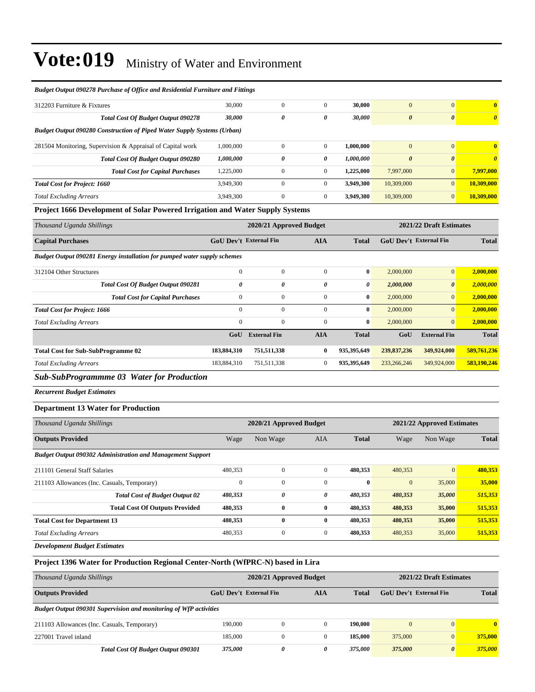### *Budget Output 090278 Purchase of Office and Residential Furniture and Fittings* 312203 Furniture & Fixtures 30,000 0 0 **30,000** 0 0 **0** *Total Cost Of Budget Output 090278 30,000 0 0 30,000 0 0 0 Budget Output 090280 Construction of Piped Water Supply Systems (Urban)* 281504 Monitoring, Supervision & Appraisal of Capital work 1,000,000 0 0 **1,000,000** 0 0 **0** *Total Cost Of Budget Output 090280 1,000,000 0 0 1,000,000 0 0 0 Total Cost for Capital Purchases* 1,225,000 0 0 **1,225,000** 7,997,000 0 **7,997,000 Total Cost for Project: 1660** 3,949,300 3,949,300 0 3,949,300 0 3,949,300 10,309,000 0 10,309,000 *Total Excluding Arrears* 3,949,300 0 0 **3,949,300** 10,309,000 0 **10,309,000**

#### **Project 1666 Development of Solar Powered Irrigation and Water Supply Systems**

| Thousand Uganda Shillings                                                       | 2021/22 Draft Estimates<br>2020/21 Approved Budget |                     |                |              |             |                               |              |  |  |
|---------------------------------------------------------------------------------|----------------------------------------------------|---------------------|----------------|--------------|-------------|-------------------------------|--------------|--|--|
| <b>Capital Purchases</b>                                                        | <b>GoU Dev't External Fin</b>                      |                     | <b>AIA</b>     | <b>Total</b> |             | <b>GoU Dev't External Fin</b> | <b>Total</b> |  |  |
| <b>Budget Output 090281 Energy installation for pumped water supply schemes</b> |                                                    |                     |                |              |             |                               |              |  |  |
| 312104 Other Structures                                                         | $\mathbf{0}$                                       | $\mathbf{0}$        | $\mathbf{0}$   | $\bf{0}$     | 2,000,000   | $\overline{0}$                | 2,000,000    |  |  |
| <b>Total Cost Of Budget Output 090281</b>                                       | 0                                                  | 0                   | 0              | 0            | 2,000,000   | $\boldsymbol{\theta}$         | 2,000,000    |  |  |
| <b>Total Cost for Capital Purchases</b>                                         | $\mathbf{0}$                                       | $\Omega$            | $\Omega$       | $\bf{0}$     | 2,000,000   | $\overline{0}$                | 2,000,000    |  |  |
| <b>Total Cost for Project: 1666</b>                                             | $\theta$                                           | $\Omega$            | $\Omega$       | $\bf{0}$     | 2,000,000   | $\overline{0}$                | 2,000,000    |  |  |
| <b>Total Excluding Arrears</b>                                                  | $\mathbf{0}$                                       | $\overline{0}$      | $\mathbf{0}$   | $\bf{0}$     | 2,000,000   | $\overline{0}$                | 2,000,000    |  |  |
|                                                                                 | GoU                                                | <b>External Fin</b> | <b>AIA</b>     | <b>Total</b> | GoU         | <b>External Fin</b>           | <b>Total</b> |  |  |
| <b>Total Cost for Sub-SubProgramme 02</b>                                       | 183,884,310                                        | 751,511,338         | 0              | 935,395,649  | 239,837,236 | 349,924,000                   | 589,761,236  |  |  |
| <b>Total Excluding Arrears</b>                                                  | 183,884,310                                        | 751,511,338         | $\overline{0}$ | 935,395,649  | 233,266,246 | 349,924,000                   | 583,190,246  |  |  |

#### *Sub-SubProgrammme 03 Water for Production*

*Recurrent Budget Estimates*

#### **Department 13 Water for Production**

| Thousand Uganda Shillings                                         |              | 2020/21 Approved Budget |              |              | 2021/22 Approved Estimates |                 |              |
|-------------------------------------------------------------------|--------------|-------------------------|--------------|--------------|----------------------------|-----------------|--------------|
| <b>Outputs Provided</b>                                           | Wage         | Non Wage                | AIA          | <b>Total</b> | Wage                       | Non Wage        | <b>Total</b> |
| <b>Budget Output 090302 Administration and Management Support</b> |              |                         |              |              |                            |                 |              |
| 211101 General Staff Salaries                                     | 480,353      | $\mathbf{0}$            | $\mathbf{0}$ | 480,353      | 480,353                    | $\vert 0 \vert$ | 480,353      |
| 211103 Allowances (Inc. Casuals, Temporary)                       | $\mathbf{0}$ | $\mathbf{0}$            | $\mathbf{0}$ | $\bf{0}$     | $\mathbf{0}$               | 35,000          | 35,000       |
| <b>Total Cost of Budget Output 02</b>                             | 480,353      | 0                       | 0            | 480,353      | 480,353                    | 35,000          | 515,353      |
| <b>Total Cost Of Outputs Provided</b>                             | 480,353      | 0                       | $\bf{0}$     | 480,353      | 480,353                    | 35,000          | 515,353      |
| <b>Total Cost for Department 13</b>                               | 480,353      | $\bf{0}$                | $\bf{0}$     | 480,353      | 480,353                    | 35,000          | 515,353      |
| <b>Total Excluding Arrears</b>                                    | 480,353      | $\mathbf{0}$            | $\mathbf{0}$ | 480,353      | 480,353                    | 35,000          | 515,353      |
|                                                                   |              |                         |              |              |                            |                 |              |

*Development Budget Estimates*

#### **Project 1396 Water for Production Regional Center-North (WfPRC-N) based in Lira**

| Thousand Uganda Shillings                                                |         | 2020/21 Approved Budget       |          |         |                        |                       | 2021/22 Draft Estimates |  |  |  |
|--------------------------------------------------------------------------|---------|-------------------------------|----------|---------|------------------------|-----------------------|-------------------------|--|--|--|
| <b>Outputs Provided</b>                                                  |         | GoU Dev't External Fin<br>AIA |          |         | GoU Dev't External Fin | <b>Total</b>          |                         |  |  |  |
| <b>Budget Output 090301 Supervision and monitoring of WfP activities</b> |         |                               |          |         |                        |                       |                         |  |  |  |
| 211103 Allowances (Inc. Casuals, Temporary)                              | 190.000 |                               | $\Omega$ | 190.000 | $\mathbf{0}$           | $\overline{0}$        | 0                       |  |  |  |
| 227001 Travel inland                                                     | 185,000 |                               | $\Omega$ | 185,000 | 375,000                | $\overline{0}$        | 375,000                 |  |  |  |
| <b>Total Cost Of Budget Output 090301</b>                                | 375,000 | 0                             | 0        | 375,000 | 375,000                | $\boldsymbol{\theta}$ | 375,000                 |  |  |  |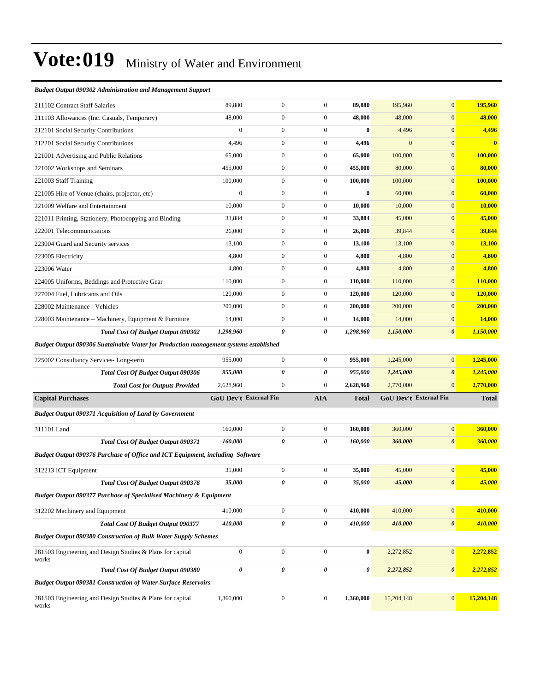#### *Budget Output 090302 Administration and Management Support*

| 211102 Contract Staff Salaries                                                       | 89,880                 | $\boldsymbol{0}$ | $\boldsymbol{0}$ | 89,880       | 195,960      | $\overline{0}$         | 195,960       |
|--------------------------------------------------------------------------------------|------------------------|------------------|------------------|--------------|--------------|------------------------|---------------|
| 211103 Allowances (Inc. Casuals, Temporary)                                          | 48,000                 | $\boldsymbol{0}$ | $\boldsymbol{0}$ | 48,000       | 48,000       | $\overline{0}$         | 48,000        |
| 212101 Social Security Contributions                                                 | $\boldsymbol{0}$       | $\boldsymbol{0}$ | $\boldsymbol{0}$ | $\bf{0}$     | 4,496        | $\mathbf{0}$           | 4,496         |
| 212201 Social Security Contributions                                                 | 4,496                  | $\boldsymbol{0}$ | $\boldsymbol{0}$ | 4,496        | $\mathbf{0}$ | $\overline{0}$         | $\bf{0}$      |
| 221001 Advertising and Public Relations                                              | 65,000                 | $\boldsymbol{0}$ | $\boldsymbol{0}$ | 65,000       | 100,000      | $\overline{0}$         | 100,000       |
| 221002 Workshops and Seminars                                                        | 455,000                | $\boldsymbol{0}$ | $\boldsymbol{0}$ | 455,000      | 80,000       | $\overline{0}$         | 80,000        |
| 221003 Staff Training                                                                | 100,000                | $\boldsymbol{0}$ | $\boldsymbol{0}$ | 100,000      | 100,000      | $\overline{0}$         | 100,000       |
| 221005 Hire of Venue (chairs, projector, etc)                                        | $\boldsymbol{0}$       | $\boldsymbol{0}$ | $\boldsymbol{0}$ | $\bf{0}$     | 60,000       | $\mathbf{0}$           | 60,000        |
| 221009 Welfare and Entertainment                                                     | 10,000                 | $\boldsymbol{0}$ | $\boldsymbol{0}$ | 10,000       | 10,000       | $\mathbf{0}$           | <b>10,000</b> |
| 221011 Printing, Stationery, Photocopying and Binding                                | 33,884                 | $\boldsymbol{0}$ | $\boldsymbol{0}$ | 33,884       | 45,000       | $\overline{0}$         | 45,000        |
| 222001 Telecommunications                                                            | 26,000                 | $\boldsymbol{0}$ | $\boldsymbol{0}$ | 26,000       | 39,844       | $\overline{0}$         | 39,844        |
| 223004 Guard and Security services                                                   | 13,100                 | $\boldsymbol{0}$ | $\boldsymbol{0}$ | 13,100       | 13,100       | $\overline{0}$         | 13,100        |
| 223005 Electricity                                                                   | 4,800                  | $\boldsymbol{0}$ | $\boldsymbol{0}$ | 4,800        | 4,800        | $\boldsymbol{0}$       | 4,800         |
| 223006 Water                                                                         | 4,800                  | $\boldsymbol{0}$ | $\boldsymbol{0}$ | 4,800        | 4,800        | $\overline{0}$         | 4,800         |
| 224005 Uniforms, Beddings and Protective Gear                                        | 110,000                | $\boldsymbol{0}$ | $\boldsymbol{0}$ | 110,000      | 110,000      | $\overline{0}$         | 110,000       |
| 227004 Fuel, Lubricants and Oils                                                     | 120,000                | $\boldsymbol{0}$ | $\boldsymbol{0}$ | 120,000      | 120,000      | $\overline{0}$         | 120,000       |
| 228002 Maintenance - Vehicles                                                        | 200,000                | $\boldsymbol{0}$ | $\boldsymbol{0}$ | 200,000      | 200,000      | $\boldsymbol{0}$       | 200,000       |
| 228003 Maintenance – Machinery, Equipment & Furniture                                | 14,000                 | $\boldsymbol{0}$ | $\boldsymbol{0}$ | 14,000       | 14,000       | $\overline{0}$         | 14,000        |
| <b>Total Cost Of Budget Output 090302</b>                                            | 1,298,960              | 0                | 0                | 1,298,960    | 1,150,000    | $\boldsymbol{\theta}$  | 1,150,000     |
| Budget Output 090306 Suatainable Water for Production management systems established |                        |                  |                  |              |              |                        |               |
| 225002 Consultancy Services-Long-term                                                | 955,000                | $\boldsymbol{0}$ | $\boldsymbol{0}$ | 955,000      | 1,245,000    | $\overline{0}$         | 1,245,000     |
| <b>Total Cost Of Budget Output 090306</b>                                            | 955,000                | 0                | 0                | 955,000      | 1,245,000    | 0                      | 1,245,000     |
| <b>Total Cost for Outputs Provided</b>                                               | 2,628,960              | $\boldsymbol{0}$ | $\boldsymbol{0}$ | 2,628,960    | 2,770,000    | $\overline{0}$         | 2,770,000     |
| <b>Capital Purchases</b>                                                             | GoU Dev't External Fin |                  | <b>AIA</b>       | <b>Total</b> |              | GoU Dev't External Fin | <b>Total</b>  |
| <b>Budget Output 090371 Acquisition of Land by Government</b>                        |                        |                  |                  |              |              |                        |               |
| 311101 Land                                                                          | 160,000                | $\boldsymbol{0}$ | $\boldsymbol{0}$ | 160,000      | 360,000      | $\boldsymbol{0}$       | 360,000       |
| <b>Total Cost Of Budget Output 090371</b>                                            | 160,000                | 0                | 0                | 160,000      | 360,000      | $\boldsymbol{\theta}$  | 360,000       |
| Budget Output 090376 Purchase of Office and ICT Equipment, including Software        |                        |                  |                  |              |              |                        |               |
| 312213 ICT Equipment                                                                 | 35,000                 | $\boldsymbol{0}$ | $\boldsymbol{0}$ | 35,000       | 45,000       | $\overline{0}$         | 45,000        |
| <b>Total Cost Of Budget Output 090376</b>                                            | 35,000                 | 0                | 0                | 35,000       | 45,000       | 0                      | 45,000        |
| <b>Budget Output 090377 Purchase of Specialised Machinery &amp; Equipment</b>        |                        |                  |                  |              |              |                        |               |
| 312202 Machinery and Equipment                                                       | 410,000                | $\boldsymbol{0}$ | $\boldsymbol{0}$ | 410,000      | 410,000      | $\bf{0}$               | 410,000       |
| Total Cost Of Budget Output 090377                                                   | 410,000                | 0                | 0                | 410,000      | 410,000      | $\boldsymbol{\theta}$  | 410,000       |
| <b>Budget Output 090380 Construction of Bulk Water Supply Schemes</b>                |                        |                  |                  |              |              |                        |               |
| 281503 Engineering and Design Studies & Plans for capital<br>works                   | $\boldsymbol{0}$       | $\boldsymbol{0}$ | $\boldsymbol{0}$ | $\bf{0}$     | 2,272,852    | $\boldsymbol{0}$       | 2,272,852     |
| Total Cost Of Budget Output 090380                                                   | $\pmb{\theta}$         | 0                | 0                | 0            | 2,272,852    | $\boldsymbol{\theta}$  | 2,272,852     |
| <b>Budget Output 090381 Construction of Water Surface Reservoirs</b>                 |                        |                  |                  |              |              |                        |               |
| 281503 Engineering and Design Studies & Plans for capital                            | 1,360,000              | $\boldsymbol{0}$ | $\boldsymbol{0}$ | 1,360,000    | 15,204,148   | $\boldsymbol{0}$       | 15,204,148    |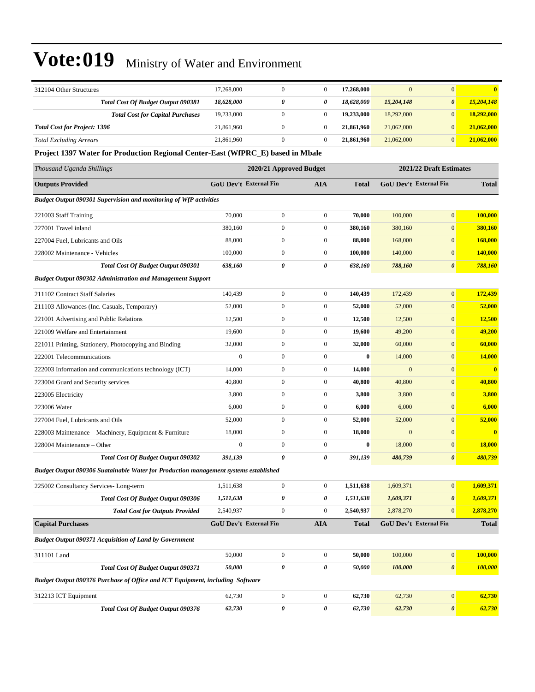| 312104 Other Structures                                                              | 17,268,000             | $\boldsymbol{0}$ | $\boldsymbol{0}$        | 17,268,000   | $\mathbf{0}$ | $\mathbf{0}$           | $\overline{\mathbf{0}}$ |  |  |
|--------------------------------------------------------------------------------------|------------------------|------------------|-------------------------|--------------|--------------|------------------------|-------------------------|--|--|
| <b>Total Cost Of Budget Output 090381</b>                                            | 18,628,000             | 0                | 0                       | 18,628,000   | 15,204,148   | $\boldsymbol{\theta}$  | 15,204,148              |  |  |
| <b>Total Cost for Capital Purchases</b>                                              | 19,233,000             | $\boldsymbol{0}$ | $\boldsymbol{0}$        | 19,233,000   | 18,292,000   | $\mathbf{0}$           | 18,292,000              |  |  |
| <b>Total Cost for Project: 1396</b>                                                  | 21,861,960             | $\boldsymbol{0}$ | $\boldsymbol{0}$        | 21,861,960   | 21,062,000   | $\mathbf{0}$           | 21,062,000              |  |  |
| <b>Total Excluding Arrears</b>                                                       | 21,861,960             | $\overline{0}$   | $\boldsymbol{0}$        | 21,861,960   | 21,062,000   | $\mathbf{0}$           | 21,062,000              |  |  |
| Project 1397 Water for Production Regional Center-East (WfPRC_E) based in Mbale      |                        |                  |                         |              |              |                        |                         |  |  |
| Thousand Uganda Shillings                                                            |                        |                  | 2021/22 Draft Estimates |              |              |                        |                         |  |  |
| <b>Outputs Provided</b>                                                              | GoU Dev't External Fin |                  | <b>AIA</b>              | <b>Total</b> |              | GoU Dev't External Fin | <b>Total</b>            |  |  |
| Budget Output 090301 Supervision and monitoring of WfP activities                    |                        |                  |                         |              |              |                        |                         |  |  |
| 221003 Staff Training                                                                | 70,000                 | $\boldsymbol{0}$ | $\boldsymbol{0}$        | 70,000       | 100,000      | $\mathbf{0}$           | 100,000                 |  |  |
| 227001 Travel inland                                                                 | 380,160                | $\boldsymbol{0}$ | $\boldsymbol{0}$        | 380,160      | 380,160      | $\mathbf{0}$           | 380,160                 |  |  |
| 227004 Fuel, Lubricants and Oils                                                     | 88,000                 | $\boldsymbol{0}$ | $\boldsymbol{0}$        | 88,000       | 168,000      | $\mathbf{0}$           | 168,000                 |  |  |
| 228002 Maintenance - Vehicles                                                        | 100,000                | $\boldsymbol{0}$ | $\mathbf{0}$            | 100,000      | 140,000      | $\mathbf{0}$           | 140,000                 |  |  |
| <b>Total Cost Of Budget Output 090301</b>                                            | 638,160                | 0                | 0                       | 638,160      | 788,160      | $\boldsymbol{\theta}$  | 788,160                 |  |  |
| <b>Budget Output 090302 Administration and Management Support</b>                    |                        |                  |                         |              |              |                        |                         |  |  |
| 211102 Contract Staff Salaries                                                       | 140,439                | $\boldsymbol{0}$ | $\boldsymbol{0}$        | 140,439      | 172,439      | $\mathbf{0}$           | 172,439                 |  |  |
| 211103 Allowances (Inc. Casuals, Temporary)                                          | 52,000                 | $\boldsymbol{0}$ | $\boldsymbol{0}$        | 52,000       | 52,000       | $\mathbf{0}$           | 52,000                  |  |  |
| 221001 Advertising and Public Relations                                              | 12,500                 | $\boldsymbol{0}$ | $\boldsymbol{0}$        | 12,500       | 12,500       | $\mathbf{0}$           | 12,500                  |  |  |
| 221009 Welfare and Entertainment                                                     | 19,600                 | $\boldsymbol{0}$ | $\boldsymbol{0}$        | 19,600       | 49,200       | $\mathbf{0}$           | 49,200                  |  |  |
| 221011 Printing, Stationery, Photocopying and Binding                                | 32,000                 | $\boldsymbol{0}$ | $\boldsymbol{0}$        | 32,000       | 60,000       | $\mathbf{0}$           | 60,000                  |  |  |
| 222001 Telecommunications                                                            | $\boldsymbol{0}$       | $\boldsymbol{0}$ | $\boldsymbol{0}$        | $\bf{0}$     | 14,000       | $\mathbf{0}$           | 14,000                  |  |  |
| 222003 Information and communications technology (ICT)                               | 14,000                 | $\boldsymbol{0}$ | $\boldsymbol{0}$        | 14,000       | $\mathbf{0}$ | $\mathbf{0}$           | $\bf{0}$                |  |  |
| 223004 Guard and Security services                                                   | 40,800                 | $\boldsymbol{0}$ | $\boldsymbol{0}$        | 40,800       | 40,800       | $\mathbf{0}$           | 40,800                  |  |  |
| 223005 Electricity                                                                   | 3,800                  | $\boldsymbol{0}$ | $\boldsymbol{0}$        | 3,800        | 3,800        | $\mathbf{0}$           | 3,800                   |  |  |
| 223006 Water                                                                         | 6,000                  | $\mathbf{0}$     | $\boldsymbol{0}$        | 6,000        | 6,000        | $\mathbf{0}$           | 6,000                   |  |  |
| 227004 Fuel, Lubricants and Oils                                                     | 52,000                 | $\boldsymbol{0}$ | $\boldsymbol{0}$        | 52,000       | 52,000       | $\mathbf{0}$           | 52,000                  |  |  |
| 228003 Maintenance – Machinery, Equipment & Furniture                                | 18,000                 | $\boldsymbol{0}$ | $\boldsymbol{0}$        | 18,000       | $\mathbf{0}$ | $\mathbf{0}$           | $\bf{0}$                |  |  |
| 228004 Maintenance – Other                                                           | $\boldsymbol{0}$       | $\boldsymbol{0}$ | $\boldsymbol{0}$        | $\bf{0}$     | 18,000       | $\mathbf{0}$           | 18,000                  |  |  |
| Total Cost Of Budget Output 090302                                                   | 391.139                | 0                | 0                       | 391,139      | 480,739      | $\boldsymbol{\theta}$  | 480,739                 |  |  |
| Budget Output 090306 Suatainable Water for Production management systems established |                        |                  |                         |              |              |                        |                         |  |  |
| 225002 Consultancy Services-Long-term                                                | 1,511,638              | $\overline{0}$   | $\boldsymbol{0}$        | 1,511,638    | 1,609,371    | $\mathbf{0}$           | 1,609,371               |  |  |
| <b>Total Cost Of Budget Output 090306</b>                                            | 1,511,638              | 0                | 0                       | 1,511,638    | 1,609,371    | $\boldsymbol{\theta}$  | 1,609,371               |  |  |
| <b>Total Cost for Outputs Provided</b>                                               | 2,540,937              | $\boldsymbol{0}$ | $\boldsymbol{0}$        | 2,540,937    | 2,878,270    | $\mathbf{0}$           | 2,878,270               |  |  |
| <b>Capital Purchases</b>                                                             | GoU Dev't External Fin |                  | <b>AIA</b>              | <b>Total</b> |              | GoU Dev't External Fin | <b>Total</b>            |  |  |
| <b>Budget Output 090371 Acquisition of Land by Government</b>                        |                        |                  |                         |              |              |                        |                         |  |  |
| 311101 Land                                                                          | 50,000                 | $\boldsymbol{0}$ | $\boldsymbol{0}$        | 50,000       | 100,000      | $\vert 0 \vert$        | 100,000                 |  |  |
| Total Cost Of Budget Output 090371                                                   | 50,000                 | 0                | 0                       | 50,000       | 100,000      | $\boldsymbol{\theta}$  | 100,000                 |  |  |
| Budget Output 090376 Purchase of Office and ICT Equipment, including Software        |                        |                  |                         |              |              |                        |                         |  |  |
| 312213 ICT Equipment                                                                 | 62,730                 | $\boldsymbol{0}$ | $\boldsymbol{0}$        | 62,730       | 62,730       | $\boldsymbol{0}$       | 62,730                  |  |  |
| Total Cost Of Budget Output 090376                                                   | 62,730                 | 0                | 0                       | 62,730       | 62,730       | $\boldsymbol{\theta}$  | 62,730                  |  |  |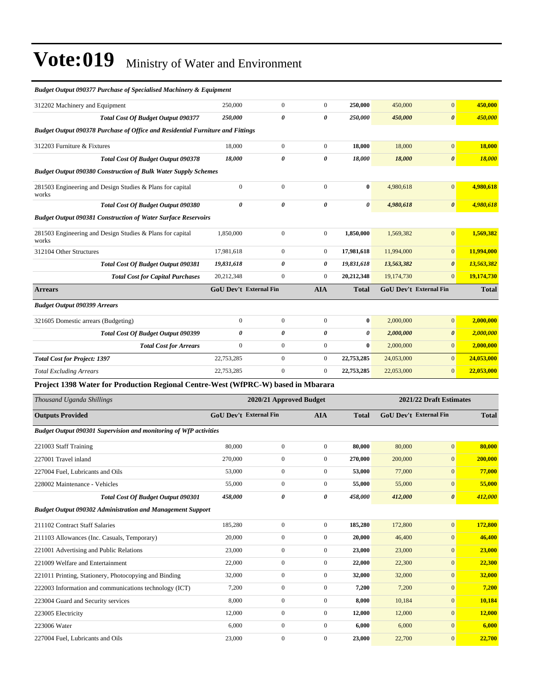| <b>Budget Output 090377 Purchase of Specialised Machinery &amp; Equipment</b>         |                  |                               |                  |                       |            |                         |              |
|---------------------------------------------------------------------------------------|------------------|-------------------------------|------------------|-----------------------|------------|-------------------------|--------------|
| 312202 Machinery and Equipment                                                        | 250,000          | $\boldsymbol{0}$              | $\overline{0}$   | 250,000               | 450,000    | $\mathbf{0}$            | 450,000      |
| <b>Total Cost Of Budget Output 090377</b>                                             | 250,000          | 0                             | 0                | 250,000               | 450,000    | $\boldsymbol{\theta}$   | 450,000      |
| <b>Budget Output 090378 Purchase of Office and Residential Furniture and Fittings</b> |                  |                               |                  |                       |            |                         |              |
| 312203 Furniture & Fixtures                                                           | 18,000           | $\boldsymbol{0}$              | $\boldsymbol{0}$ | 18,000                | 18,000     | $\mathbf{0}$            | 18,000       |
| <b>Total Cost Of Budget Output 090378</b>                                             | 18,000           | 0                             | 0                | 18,000                | 18,000     | $\boldsymbol{\theta}$   | 18,000       |
| <b>Budget Output 090380 Construction of Bulk Water Supply Schemes</b>                 |                  |                               |                  |                       |            |                         |              |
| 281503 Engineering and Design Studies & Plans for capital<br>works                    | $\boldsymbol{0}$ | $\mathbf{0}$                  | $\boldsymbol{0}$ | $\bf{0}$              | 4,980,618  | $\mathbf{0}$            | 4,980,618    |
| Total Cost Of Budget Output 090380                                                    | 0                | 0                             | 0                | $\boldsymbol{\theta}$ | 4,980,618  | $\boldsymbol{\theta}$   | 4,980,618    |
| <b>Budget Output 090381 Construction of Water Surface Reservoirs</b>                  |                  |                               |                  |                       |            |                         |              |
| 281503 Engineering and Design Studies & Plans for capital<br>works                    | 1,850,000        | $\boldsymbol{0}$              | $\boldsymbol{0}$ | 1,850,000             | 1,569,382  | $\mathbf{0}$            | 1,569,382    |
| 312104 Other Structures                                                               | 17,981,618       | $\mathbf{0}$                  | $\boldsymbol{0}$ | 17,981,618            | 11,994,000 | $\mathbf{0}$            | 11,994,000   |
| <b>Total Cost Of Budget Output 090381</b>                                             | 19,831,618       | 0                             | 0                | 19,831,618            | 13,563,382 | $\boldsymbol{\theta}$   | 13,563,382   |
| <b>Total Cost for Capital Purchases</b>                                               | 20,212,348       | $\mathbf{0}$                  | $\boldsymbol{0}$ | 20,212,348            | 19,174,730 | $\mathbf{0}$            | 19,174,730   |
| <b>Arrears</b>                                                                        |                  | <b>GoU Dev't External Fin</b> | <b>AIA</b>       | <b>Total</b>          |            | GoU Dev't External Fin  | <b>Total</b> |
| <b>Budget Output 090399 Arrears</b>                                                   |                  |                               |                  |                       |            |                         |              |
| 321605 Domestic arrears (Budgeting)                                                   | $\boldsymbol{0}$ | $\boldsymbol{0}$              | $\boldsymbol{0}$ | $\bf{0}$              | 2,000,000  | $\mathbf{0}$            | 2,000,000    |
| <b>Total Cost Of Budget Output 090399</b>                                             | 0                | 0                             | 0                | $\boldsymbol{\theta}$ | 2,000,000  | $\boldsymbol{\theta}$   | 2,000,000    |
| <b>Total Cost for Arrears</b>                                                         | $\boldsymbol{0}$ | $\boldsymbol{0}$              | $\boldsymbol{0}$ | $\bf{0}$              | 2,000,000  | $\mathbf{0}$            | 2,000,000    |
| <b>Total Cost for Project: 1397</b>                                                   | 22,753,285       | $\boldsymbol{0}$              | $\overline{0}$   | 22,753,285            | 24,053,000 | $\mathbf{0}$            | 24,053,000   |
| <b>Total Excluding Arrears</b>                                                        | 22,753,285       | $\boldsymbol{0}$              | $\boldsymbol{0}$ | 22,753,285            | 22,053,000 | $\mathbf{0}$            | 22,053,000   |
| Project 1398 Water for Production Regional Centre-West (WfPRC-W) based in Mbarara     |                  |                               |                  |                       |            |                         |              |
| Thousand Uganda Shillings                                                             |                  | 2020/21 Approved Budget       |                  |                       |            | 2021/22 Draft Estimates |              |
| <b>Outputs Provided</b>                                                               |                  | GoU Dev't External Fin        | <b>AIA</b>       | <b>Total</b>          |            | GoU Dev't External Fin  | <b>Total</b> |
| Budget Output 090301 Supervision and monitoring of WfP activities                     |                  |                               |                  |                       |            |                         |              |
| 221003 Staff Training                                                                 | 80,000           | $\boldsymbol{0}$              | $\boldsymbol{0}$ | 80,000                | 80,000     | $\boldsymbol{0}$        | 80,000       |
| 227001 Travel inland                                                                  | 270,000          | $\boldsymbol{0}$              | $\boldsymbol{0}$ | 270,000               | 200,000    | $\mathbf{0}$            | 200,000      |
| 227004 Fuel, Lubricants and Oils                                                      | 53,000           | $\boldsymbol{0}$              | $\mathbf{0}$     | 53,000                | 77,000     | $\mathbf{0}$            | 77,000       |
| 228002 Maintenance - Vehicles                                                         | 55,000           | $\boldsymbol{0}$              | $\boldsymbol{0}$ | 55,000                | 55,000     | 0                       | 55,000       |
| <b>Total Cost Of Budget Output 090301</b>                                             | 458,000          | 0                             | 0                | 458,000               | 412,000    | $\pmb{\theta}$          | 412,000      |
| <b>Budget Output 090302 Administration and Management Support</b>                     |                  |                               |                  |                       |            |                         |              |
| 211102 Contract Staff Salaries                                                        | 185,280          | $\boldsymbol{0}$              | $\boldsymbol{0}$ | 185,280               | 172,800    | $\mathbf{0}$            | 172,800      |
| 211103 Allowances (Inc. Casuals, Temporary)                                           | 20,000           | $\boldsymbol{0}$              | $\boldsymbol{0}$ | 20,000                | 46,400     | $\mathbf{0}$            | 46,400       |
| 221001 Advertising and Public Relations                                               | 23,000           | $\boldsymbol{0}$              | $\boldsymbol{0}$ | 23,000                | 23,000     | $\mathbf{0}$            | 23,000       |
| 221009 Welfare and Entertainment                                                      | 22,000           | $\boldsymbol{0}$              | $\boldsymbol{0}$ | 22,000                | 22,300     | $\mathbf{0}$            | 22,300       |
| 221011 Printing, Stationery, Photocopying and Binding                                 | 32,000           | $\boldsymbol{0}$              | $\boldsymbol{0}$ | 32,000                | 32,000     | $\boldsymbol{0}$        | 32,000       |
| 222003 Information and communications technology (ICT)                                | 7,200            | $\boldsymbol{0}$              | $\boldsymbol{0}$ | 7,200                 | 7,200      | $\mathbf{0}$            | 7,200        |
| 223004 Guard and Security services                                                    | 8,000            | $\boldsymbol{0}$              | $\boldsymbol{0}$ | 8,000                 | 10,184     | $\mathbf{0}$            | 10,184       |
| 223005 Electricity                                                                    | 12,000           | $\boldsymbol{0}$              | $\boldsymbol{0}$ | 12,000                | 12,000     | $\mathbf{0}$            | 12,000       |
| 223006 Water                                                                          | 6,000            | $\boldsymbol{0}$              | $\boldsymbol{0}$ | 6,000                 | 6,000      | $\mathbf{0}$            | 6,000        |
| 227004 Fuel, Lubricants and Oils                                                      | 23,000           | $\boldsymbol{0}$              | $\boldsymbol{0}$ | 23,000                | 22,700     | $\boldsymbol{0}$        | 22,700       |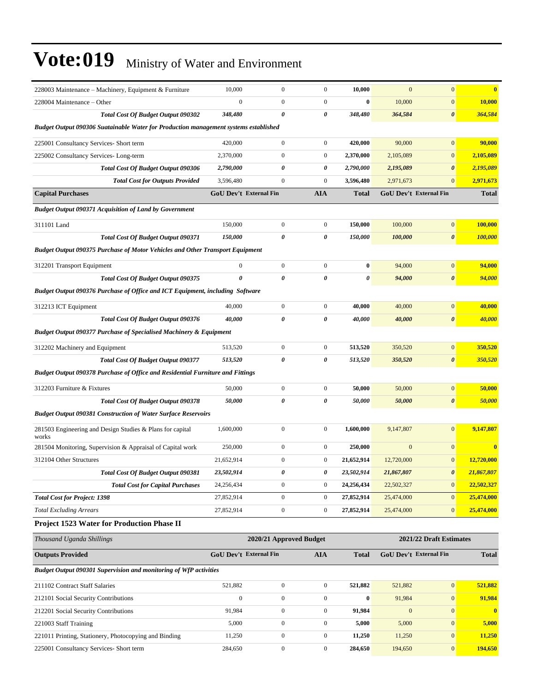| 228003 Maintenance – Machinery, Equipment & Furniture                                | 10,000                        | $\boldsymbol{0}$ | $\boldsymbol{0}$        | 10,000       | $\mathbf{0}$     | $\mathbf{0}$                  | $\bf{0}$     |
|--------------------------------------------------------------------------------------|-------------------------------|------------------|-------------------------|--------------|------------------|-------------------------------|--------------|
| 228004 Maintenance – Other                                                           | $\overline{0}$                | $\mathbf{0}$     | $\boldsymbol{0}$        | $\bf{0}$     | 10,000           | $\boldsymbol{0}$              | 10,000       |
| <b>Total Cost Of Budget Output 090302</b>                                            | 348,480                       | 0                | 0                       | 348,480      | 364,584          | $\boldsymbol{\theta}$         | 364,584      |
| Budget Output 090306 Suatainable Water for Production management systems established |                               |                  |                         |              |                  |                               |              |
| 225001 Consultancy Services- Short term                                              | 420,000                       | $\boldsymbol{0}$ | $\boldsymbol{0}$        | 420,000      | 90,000           | $\mathbf{0}$                  | 90,000       |
| 225002 Consultancy Services-Long-term                                                | 2,370,000                     | $\mathbf{0}$     | $\boldsymbol{0}$        | 2,370,000    | 2,105,089        | $\mathbf{0}$                  | 2,105,089    |
| Total Cost Of Budget Output 090306                                                   | 2,790,000                     | 0                | 0                       | 2,790,000    | 2,195,089        | $\boldsymbol{\theta}$         | 2,195,089    |
| <b>Total Cost for Outputs Provided</b>                                               | 3,596,480                     | $\mathbf{0}$     | $\boldsymbol{0}$        | 3,596,480    | 2,971,673        | $\mathbf{0}$                  | 2,971,673    |
| <b>Capital Purchases</b>                                                             | <b>GoU Dev't External Fin</b> |                  | AIA                     | <b>Total</b> |                  | GoU Dev't External Fin        | <b>Total</b> |
| <b>Budget Output 090371 Acquisition of Land by Government</b>                        |                               |                  |                         |              |                  |                               |              |
| 311101 Land                                                                          | 150,000                       | 0                | $\boldsymbol{0}$        | 150,000      | 100,000          | $\mathbf{0}$                  | 100,000      |
| Total Cost Of Budget Output 090371                                                   | 150,000                       | 0                | 0                       | 150,000      | 100,000          | $\boldsymbol{\theta}$         | 100,000      |
| <b>Budget Output 090375 Purchase of Motor Vehicles and Other Transport Equipment</b> |                               |                  |                         |              |                  |                               |              |
| 312201 Transport Equipment                                                           | $\boldsymbol{0}$              | $\mathbf{0}$     | $\boldsymbol{0}$        | $\bf{0}$     | 94,000           | $\mathbf{0}$                  | 94,000       |
| Total Cost Of Budget Output 090375                                                   | 0                             | 0                | $\boldsymbol{\theta}$   | 0            | 94,000           | $\boldsymbol{\theta}$         | 94,000       |
| Budget Output 090376 Purchase of Office and ICT Equipment, including Software        |                               |                  |                         |              |                  |                               |              |
| 312213 ICT Equipment                                                                 | 40,000                        | $\boldsymbol{0}$ | $\boldsymbol{0}$        | 40,000       | 40,000           | $\boldsymbol{0}$              | 40,000       |
| <b>Total Cost Of Budget Output 090376</b>                                            | 40,000                        | 0                | 0                       | 40,000       | 40,000           | $\boldsymbol{\theta}$         | 40,000       |
| <b>Budget Output 090377 Purchase of Specialised Machinery &amp; Equipment</b>        |                               |                  |                         |              |                  |                               |              |
| 312202 Machinery and Equipment                                                       | 513,520                       | $\boldsymbol{0}$ | $\boldsymbol{0}$        | 513,520      | 350,520          | $\mathbf{0}$                  | 350,520      |
| Total Cost Of Budget Output 090377                                                   | 513,520                       | 0                | 0                       | 513,520      | 350,520          | $\boldsymbol{\theta}$         | 350,520      |
| Budget Output 090378 Purchase of Office and Residential Furniture and Fittings       |                               |                  |                         |              |                  |                               |              |
| 312203 Furniture & Fixtures                                                          | 50,000                        | $\boldsymbol{0}$ | $\boldsymbol{0}$        | 50,000       | 50,000           | $\boldsymbol{0}$              | 50,000       |
| <b>Total Cost Of Budget Output 090378</b>                                            | 50,000                        | 0                | 0                       | 50,000       | 50,000           | $\boldsymbol{\theta}$         | 50,000       |
| <b>Budget Output 090381 Construction of Water Surface Reservoirs</b>                 |                               |                  |                         |              |                  |                               |              |
| 281503 Engineering and Design Studies & Plans for capital<br>works                   | 1,600,000                     | 0                | $\boldsymbol{0}$        | 1,600,000    | 9,147,807        | $\mathbf{0}$                  | 9,147,807    |
| 281504 Monitoring, Supervision & Appraisal of Capital work                           | 250,000                       | $\boldsymbol{0}$ | $\boldsymbol{0}$        | 250,000      | $\mathbf{0}$     | $\mathbf{0}$                  | $\bf{0}$     |
| 312104 Other Structures                                                              | 21,652,914                    | $\boldsymbol{0}$ | $\boldsymbol{0}$        | 21,652,914   | 12,720,000       | $\mathbf{0}$                  | 12,720,000   |
| Total Cost Of Budget Output 090381                                                   | 23,502,914                    | 0                | 0                       | 23,502,914   | 21,867,807       | 0                             | 21,867,807   |
| <b>Total Cost for Capital Purchases</b>                                              | 24,256,434                    | $\boldsymbol{0}$ | $\boldsymbol{0}$        | 24,256,434   | 22,502,327       | $\mathbf{0}$                  | 22,502,327   |
| <b>Total Cost for Project: 1398</b>                                                  | 27,852,914                    | $\boldsymbol{0}$ | $\boldsymbol{0}$        | 27,852,914   | 25,474,000       | $\mathbf{0}$                  | 25,474,000   |
| <b>Total Excluding Arrears</b>                                                       | 27,852,914                    | $\boldsymbol{0}$ | $\boldsymbol{0}$        | 27,852,914   | 25,474,000       | $\mathbf{0}$                  | 25,474,000   |
| Project 1523 Water for Production Phase II                                           |                               |                  |                         |              |                  |                               |              |
| Thousand Uganda Shillings                                                            |                               |                  | 2020/21 Approved Budget |              |                  | 2021/22 Draft Estimates       |              |
| <b>Outputs Provided</b>                                                              | <b>GoU Dev't External Fin</b> |                  | AIA                     | <b>Total</b> |                  | <b>GoU Dev't External Fin</b> | <b>Total</b> |
| <b>Budget Output 090301 Supervision and monitoring of WfP activities</b>             |                               |                  |                         |              |                  |                               |              |
| 211102 Contract Staff Salaries                                                       | 521,882                       | $\boldsymbol{0}$ | $\boldsymbol{0}$        | 521,882      | 521,882          | $\mathbf{0}$                  | 521,882      |
| 212101 Social Security Contributions                                                 | $\overline{0}$                | $\boldsymbol{0}$ | $\boldsymbol{0}$        | $\bf{0}$     | 91,984           | $\mathbf{0}$                  | 91,984       |
| 212201 Social Security Contributions                                                 | 91,984                        | $\boldsymbol{0}$ | $\boldsymbol{0}$        | 91,984       | $\boldsymbol{0}$ | $\mathbf{0}$                  | $\mathbf{0}$ |
| 221003 Staff Training                                                                | 5,000                         | $\boldsymbol{0}$ | $\boldsymbol{0}$        | 5,000        | 5,000            | $\mathbf{0}$                  | 5,000        |
| 221011 Printing, Stationery, Photocopying and Binding                                | 11,250                        | $\boldsymbol{0}$ | $\boldsymbol{0}$        | 11,250       | 11,250           | $\mathbf{0}$                  | 11,250       |

225001 Consultancy Services- Short term 284,650 0 0 **284,650** 194,650 0 **194,650**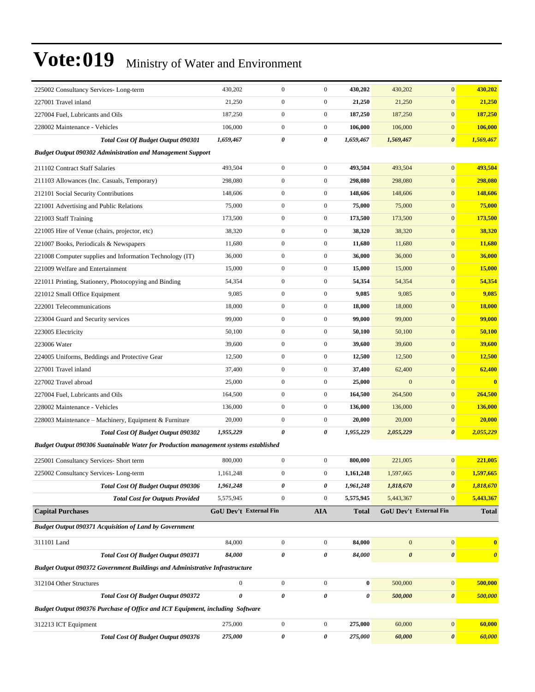| 225002 Consultancy Services-Long-term                                                | 430,202                | $\boldsymbol{0}$ | $\boldsymbol{0}$ | 430,202      | 430,202               | $\overline{0}$         | 430,202                 |
|--------------------------------------------------------------------------------------|------------------------|------------------|------------------|--------------|-----------------------|------------------------|-------------------------|
| 227001 Travel inland                                                                 | 21,250                 | $\boldsymbol{0}$ | $\boldsymbol{0}$ | 21,250       | 21,250                | $\overline{0}$         | 21,250                  |
| 227004 Fuel, Lubricants and Oils                                                     | 187,250                | $\boldsymbol{0}$ | $\boldsymbol{0}$ | 187,250      | 187,250               | $\mathbf{0}$           | 187,250                 |
| 228002 Maintenance - Vehicles                                                        | 106,000                | $\mathbf{0}$     | $\boldsymbol{0}$ | 106,000      | 106,000               | $\mathbf{0}$           | 106,000                 |
| <b>Total Cost Of Budget Output 090301</b>                                            | 1,659,467              | 0                | 0                | 1,659,467    | 1,569,467             | $\boldsymbol{\theta}$  | 1,569,467               |
| <b>Budget Output 090302 Administration and Management Support</b>                    |                        |                  |                  |              |                       |                        |                         |
| 211102 Contract Staff Salaries                                                       | 493,504                | $\boldsymbol{0}$ | $\boldsymbol{0}$ | 493,504      | 493,504               | $\mathbf{0}$           | 493,504                 |
| 211103 Allowances (Inc. Casuals, Temporary)                                          | 298,080                | $\boldsymbol{0}$ | $\boldsymbol{0}$ | 298,080      | 298,080               | $\mathbf{0}$           | 298,080                 |
| 212101 Social Security Contributions                                                 | 148,606                | $\boldsymbol{0}$ | $\boldsymbol{0}$ | 148,606      | 148,606               | $\mathbf{0}$           | 148,606                 |
| 221001 Advertising and Public Relations                                              | 75,000                 | $\boldsymbol{0}$ | $\boldsymbol{0}$ | 75,000       | 75,000                | $\mathbf{0}$           | 75,000                  |
| 221003 Staff Training                                                                | 173,500                | $\boldsymbol{0}$ | $\boldsymbol{0}$ | 173,500      | 173,500               | $\boldsymbol{0}$       | <b>173,500</b>          |
| 221005 Hire of Venue (chairs, projector, etc)                                        | 38,320                 | $\boldsymbol{0}$ | $\boldsymbol{0}$ | 38,320       | 38,320                | $\mathbf{0}$           | 38,320                  |
| 221007 Books, Periodicals & Newspapers                                               | 11,680                 | $\boldsymbol{0}$ | $\boldsymbol{0}$ | 11,680       | 11,680                | $\mathbf{0}$           | 11,680                  |
| 221008 Computer supplies and Information Technology (IT)                             | 36,000                 | $\boldsymbol{0}$ | $\mathbf{0}$     | 36,000       | 36,000                | $\mathbf{0}$           | 36,000                  |
| 221009 Welfare and Entertainment                                                     | 15,000                 | $\boldsymbol{0}$ | $\boldsymbol{0}$ | 15,000       | 15,000                | $\mathbf{0}$           | 15,000                  |
| 221011 Printing, Stationery, Photocopying and Binding                                | 54,354                 | $\boldsymbol{0}$ | $\boldsymbol{0}$ | 54,354       | 54,354                | $\mathbf{0}$           | 54,354                  |
| 221012 Small Office Equipment                                                        | 9,085                  | $\boldsymbol{0}$ | $\boldsymbol{0}$ | 9,085        | 9,085                 | $\mathbf{0}$           | 9,085                   |
| 222001 Telecommunications                                                            | 18,000                 | $\boldsymbol{0}$ | $\boldsymbol{0}$ | 18,000       | 18,000                | $\mathbf{0}$           | 18,000                  |
| 223004 Guard and Security services                                                   | 99,000                 | $\boldsymbol{0}$ | $\boldsymbol{0}$ | 99,000       | 99,000                | $\mathbf{0}$           | 99,000                  |
| 223005 Electricity                                                                   | 50,100                 | $\boldsymbol{0}$ | $\boldsymbol{0}$ | 50,100       | 50,100                | $\mathbf{0}$           | 50,100                  |
| 223006 Water                                                                         | 39,600                 | $\boldsymbol{0}$ | $\boldsymbol{0}$ | 39,600       | 39,600                | $\mathbf{0}$           | 39,600                  |
| 224005 Uniforms, Beddings and Protective Gear                                        | 12,500                 | $\boldsymbol{0}$ | $\boldsymbol{0}$ | 12,500       | 12,500                | $\mathbf{0}$           | 12,500                  |
| 227001 Travel inland                                                                 | 37,400                 | $\boldsymbol{0}$ | $\boldsymbol{0}$ | 37,400       | 62,400                | $\mathbf{0}$           | 62,400                  |
| 227002 Travel abroad                                                                 | 25,000                 | $\boldsymbol{0}$ | $\mathbf{0}$     | 25,000       | $\mathbf{0}$          | $\mathbf{0}$           | $\overline{\mathbf{0}}$ |
| 227004 Fuel, Lubricants and Oils                                                     | 164,500                | $\boldsymbol{0}$ | $\boldsymbol{0}$ | 164,500      | 264,500               | $\mathbf{0}$           | 264,500                 |
| 228002 Maintenance - Vehicles                                                        | 136,000                | $\boldsymbol{0}$ | $\boldsymbol{0}$ | 136,000      | 136,000               | $\boldsymbol{0}$       | <b>136,000</b>          |
| 228003 Maintenance – Machinery, Equipment & Furniture                                | 20,000                 | $\boldsymbol{0}$ | $\boldsymbol{0}$ | 20,000       | 20,000                | $\overline{0}$         | 20,000                  |
| <b>Total Cost Of Budget Output 090302</b>                                            | 1,955,229              | 0                | 0                | 1,955,229    | 2,055,229             | $\boldsymbol{\theta}$  | 2,055,229               |
| Budget Output 090306 Suatainable Water for Production management systems established |                        |                  |                  |              |                       |                        |                         |
| 225001 Consultancy Services- Short term                                              | 800,000                | $\boldsymbol{0}$ | $\boldsymbol{0}$ | 800,000      | 221,005               | $\mathbf{0}$           | 221,005                 |
| 225002 Consultancy Services-Long-term                                                | 1,161,248              | 0                | $\mathbf{0}$     | 1,161,248    | 1,597,665             | $\mathbf{0}$           | 1,597,665               |
| <b>Total Cost Of Budget Output 090306</b>                                            | 1,961,248              | 0                | 0                | 1,961,248    | 1,818,670             | 0                      | 1,818,670               |
| <b>Total Cost for Outputs Provided</b>                                               | 5,575,945              | $\boldsymbol{0}$ | $\boldsymbol{0}$ | 5,575,945    | 5,443,367             | $\overline{0}$         | 5,443,367               |
| <b>Capital Purchases</b>                                                             | GoU Dev't External Fin |                  | <b>AIA</b>       | <b>Total</b> |                       | GoU Dev't External Fin | <b>Total</b>            |
| <b>Budget Output 090371 Acquisition of Land by Government</b>                        |                        |                  |                  |              |                       |                        |                         |
| 311101 Land                                                                          | 84,000                 | $\boldsymbol{0}$ | $\boldsymbol{0}$ | 84,000       | $\mathbf{0}$          | $\boldsymbol{0}$       | $\bf{0}$                |
| Total Cost Of Budget Output 090371                                                   | 84,000                 | 0                | 0                | 84,000       | $\boldsymbol{\theta}$ | $\pmb{\theta}$         | $\boldsymbol{\theta}$   |
| Budget Output 090372 Government Buildings and Administrative Infrastructure          |                        |                  |                  |              |                       |                        |                         |
| 312104 Other Structures                                                              | $\boldsymbol{0}$       | $\boldsymbol{0}$ | $\boldsymbol{0}$ | $\bf{0}$     | 500,000               | $\mathbf{0}$           | 500,000                 |
| Total Cost Of Budget Output 090372                                                   | 0                      | 0                | 0                | 0            | 500,000               | 0                      | 500,000                 |
| Budget Output 090376 Purchase of Office and ICT Equipment, including Software        |                        |                  |                  |              |                       |                        |                         |
| 312213 ICT Equipment                                                                 | 275,000                | $\boldsymbol{0}$ | $\boldsymbol{0}$ | 275,000      | 60,000                | $\vert 0 \vert$        | 60,000                  |
|                                                                                      |                        |                  |                  |              |                       |                        |                         |
| Total Cost Of Budget Output 090376                                                   | 275,000                | 0                | 0                | 275,000      | 60,000                | 0                      | 60,000                  |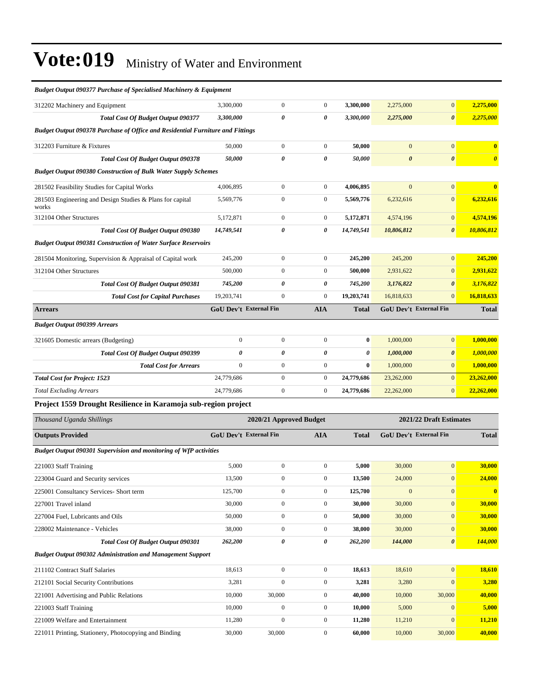| <b>Budget Output 090377 Purchase of Specialised Machinery &amp; Equipment</b>         |                               |                         |                  |              |                               |                         |                       |
|---------------------------------------------------------------------------------------|-------------------------------|-------------------------|------------------|--------------|-------------------------------|-------------------------|-----------------------|
| 312202 Machinery and Equipment                                                        | 3,300,000                     | $\boldsymbol{0}$        | $\boldsymbol{0}$ | 3,300,000    | 2,275,000                     | $\mathbf{0}$            | 2,275,000             |
| <b>Total Cost Of Budget Output 090377</b>                                             | 3,300,000                     | 0                       | 0                | 3,300,000    | 2,275,000                     | $\boldsymbol{\theta}$   | 2,275,000             |
| <b>Budget Output 090378 Purchase of Office and Residential Furniture and Fittings</b> |                               |                         |                  |              |                               |                         |                       |
| 312203 Furniture & Fixtures                                                           | 50,000                        | $\boldsymbol{0}$        | $\boldsymbol{0}$ | 50,000       | $\mathbf{0}$                  | $\mathbf{0}$            | $\bf{0}$              |
| Total Cost Of Budget Output 090378                                                    | 50,000                        | 0                       | 0                | 50,000       | $\boldsymbol{\theta}$         | $\boldsymbol{\theta}$   | $\boldsymbol{\theta}$ |
| <b>Budget Output 090380 Construction of Bulk Water Supply Schemes</b>                 |                               |                         |                  |              |                               |                         |                       |
| 281502 Feasibility Studies for Capital Works                                          | 4,006,895                     | $\boldsymbol{0}$        | $\boldsymbol{0}$ | 4,006,895    | $\boldsymbol{0}$              | $\mathbf{0}$            | $\mathbf{0}$          |
| 281503 Engineering and Design Studies & Plans for capital<br>works                    | 5,569,776                     | $\boldsymbol{0}$        | $\boldsymbol{0}$ | 5,569,776    | 6,232,616                     | $\mathbf{0}$            | 6,232,616             |
| 312104 Other Structures                                                               | 5,172,871                     | $\boldsymbol{0}$        | $\boldsymbol{0}$ | 5,172,871    | 4,574,196                     | $\mathbf{0}$            | 4,574,196             |
| <b>Total Cost Of Budget Output 090380</b>                                             | 14,749,541                    | 0                       | 0                | 14,749,541   | 10,806,812                    | $\boldsymbol{\theta}$   | 10,806,812            |
| <b>Budget Output 090381 Construction of Water Surface Reservoirs</b>                  |                               |                         |                  |              |                               |                         |                       |
| 281504 Monitoring, Supervision & Appraisal of Capital work                            | 245,200                       | $\boldsymbol{0}$        | $\boldsymbol{0}$ | 245,200      | 245,200                       | $\boldsymbol{0}$        | 245,200               |
| 312104 Other Structures                                                               | 500,000                       | $\boldsymbol{0}$        | $\boldsymbol{0}$ | 500,000      | 2,931,622                     | $\mathbf{0}$            | 2,931,622             |
| <b>Total Cost Of Budget Output 090381</b>                                             | 745,200                       | 0                       | 0                | 745,200      | 3,176,822                     | $\boldsymbol{\theta}$   | 3,176,822             |
| <b>Total Cost for Capital Purchases</b>                                               | 19,203,741                    | $\boldsymbol{0}$        | $\boldsymbol{0}$ | 19,203,741   | 16,818,633                    | $\mathbf{0}$            | 16,818,633            |
| <b>Arrears</b>                                                                        | <b>GoU Dev't External Fin</b> |                         | <b>AIA</b>       | <b>Total</b> | <b>GoU Dev't External Fin</b> |                         | <b>Total</b>          |
| <b>Budget Output 090399 Arrears</b>                                                   |                               |                         |                  |              |                               |                         |                       |
| 321605 Domestic arrears (Budgeting)                                                   | $\mathbf{0}$                  | $\boldsymbol{0}$        | $\boldsymbol{0}$ | $\bf{0}$     | 1,000,000                     | $\mathbf{0}$            | 1,000,000             |
| <b>Total Cost Of Budget Output 090399</b>                                             | $\pmb{\theta}$                | 0                       | 0                | 0            | 1,000,000                     | $\boldsymbol{\theta}$   | 1,000,000             |
| <b>Total Cost for Arrears</b>                                                         | $\mathbf{0}$                  | $\boldsymbol{0}$        | $\boldsymbol{0}$ | $\bf{0}$     | 1,000,000                     | $\mathbf{0}$            | 1,000,000             |
| <b>Total Cost for Project: 1523</b>                                                   | 24,779,686                    | $\boldsymbol{0}$        | $\boldsymbol{0}$ | 24,779,686   | 23,262,000                    | $\mathbf{0}$            | 23,262,000            |
| <b>Total Excluding Arrears</b>                                                        | 24,779,686                    | $\boldsymbol{0}$        | $\boldsymbol{0}$ | 24,779,686   | 22,262,000                    | $\mathbf{0}$            | 22,262,000            |
| Project 1559 Drought Resilience in Karamoja sub-region project                        |                               |                         |                  |              |                               |                         |                       |
| Thousand Uganda Shillings                                                             |                               | 2020/21 Approved Budget |                  |              |                               | 2021/22 Draft Estimates |                       |
| <b>Outputs Provided</b>                                                               | <b>GoU Dev't External Fin</b> |                         | <b>AIA</b>       | <b>Total</b> | GoU Dev't External Fin        |                         | <b>Total</b>          |
| <b>Budget Output 090301 Supervision and monitoring of WfP activities</b>              |                               |                         |                  |              |                               |                         |                       |
| 221003 Staff Training                                                                 | 5,000                         | $\boldsymbol{0}$        | $\boldsymbol{0}$ | 5,000        | 30,000                        | $\mathbf{0}$            | 30,000                |
| 223004 Guard and Security services                                                    | 13,500                        | $\boldsymbol{0}$        | $\boldsymbol{0}$ | 13,500       | 24,000                        | $\boldsymbol{0}$        | 24,000                |
| 225001 Consultancy Services- Short term                                               | 125,700                       | $\boldsymbol{0}$        | $\boldsymbol{0}$ | 125,700      | $\mathbf{0}$                  | $\mathbf{0}$            | $\bf{0}$              |
| 227001 Travel inland                                                                  | 30,000                        | $\boldsymbol{0}$        | $\boldsymbol{0}$ | 30,000       | 30,000                        | $\mathbf{0}$            | 30,000                |
| 227004 Fuel, Lubricants and Oils                                                      | 50,000                        | $\boldsymbol{0}$        | $\boldsymbol{0}$ | 50,000       | 30,000                        | $\mathbf{0}$            | 30,000                |
| 228002 Maintenance - Vehicles                                                         | 38,000                        | $\boldsymbol{0}$        | $\boldsymbol{0}$ | 38,000       | 30,000                        | $\mathbf{0}$            | 30,000                |
| Total Cost Of Budget Output 090301                                                    | 262,200                       | 0                       | 0                | 262,200      | 144,000                       | $\boldsymbol{\theta}$   | 144,000               |
| <b>Budget Output 090302 Administration and Management Support</b>                     |                               |                         |                  |              |                               |                         |                       |
| 211102 Contract Staff Salaries                                                        | 18,613                        | $\boldsymbol{0}$        | $\boldsymbol{0}$ | 18,613       | 18,610                        | $\mathbf{0}$            | 18,610                |
| 212101 Social Security Contributions                                                  | 3,281                         | $\boldsymbol{0}$        | $\boldsymbol{0}$ | 3,281        | 3,280                         | $\mathbf{0}$            | 3,280                 |
| 221001 Advertising and Public Relations                                               | 10,000                        | 30,000                  | $\boldsymbol{0}$ | 40,000       | 10,000                        | 30,000                  | 40,000                |
| 221003 Staff Training                                                                 | 10,000                        | $\boldsymbol{0}$        | $\boldsymbol{0}$ | 10,000       | 5,000                         | $\mathbf{0}$            | 5,000                 |
| 221009 Welfare and Entertainment                                                      | 11,280                        | $\boldsymbol{0}$        | $\boldsymbol{0}$ | 11,280       | 11,210                        | $\boldsymbol{0}$        | 11,210                |
| 221011 Printing, Stationery, Photocopying and Binding                                 | 30,000                        | 30,000                  | $\boldsymbol{0}$ | 60,000       | 10,000                        | 30,000                  | 40,000                |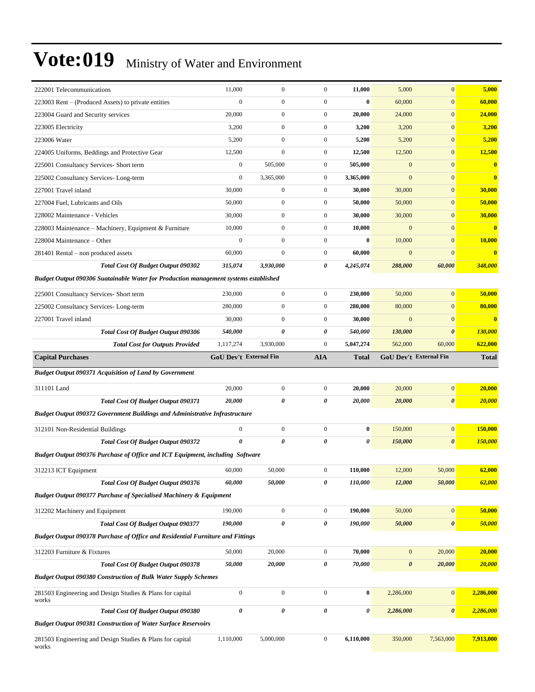| 222001 Telecommunications                                                            | 11,000                        | $\boldsymbol{0}$      | $\boldsymbol{0}$ | 11,000    | 5,000            | $\mathbf{0}$                          | 5,000                                            |
|--------------------------------------------------------------------------------------|-------------------------------|-----------------------|------------------|-----------|------------------|---------------------------------------|--------------------------------------------------|
| 223003 Rent – (Produced Assets) to private entities                                  | $\overline{0}$                | $\mathbf{0}$          | $\boldsymbol{0}$ | $\bf{0}$  | 60,000           | $\mathbf{0}$                          | 60,000                                           |
| 223004 Guard and Security services                                                   | 20,000                        | $\boldsymbol{0}$      | $\boldsymbol{0}$ | 20,000    | 24,000           | $\mathbf{0}$                          | 24,000                                           |
| 223005 Electricity                                                                   | 3,200                         | $\mathbf{0}$          | $\boldsymbol{0}$ | 3,200     | 3,200            | $\mathbf{0}$                          | 3,200                                            |
| 223006 Water                                                                         | 5,200                         | $\boldsymbol{0}$      | $\boldsymbol{0}$ | 5,200     | 5,200            | $\mathbf{0}$                          | 5,200                                            |
| 224005 Uniforms, Beddings and Protective Gear                                        | 12,500                        | $\mathbf{0}$          | $\boldsymbol{0}$ | 12,500    | 12,500           | $\mathbf{0}$                          | 12,500                                           |
| 225001 Consultancy Services- Short term                                              | $\boldsymbol{0}$              | 505,000               | $\boldsymbol{0}$ | 505,000   | $\mathbf{0}$     | $\mathbf{0}$                          | $\bf{0}$                                         |
| 225002 Consultancy Services-Long-term                                                | $\mathbf{0}$                  | 3,365,000             | $\boldsymbol{0}$ | 3,365,000 | $\boldsymbol{0}$ | $\mathbf{0}$                          | $\overline{\mathbf{0}}$                          |
| 227001 Travel inland                                                                 | 30,000                        | $\boldsymbol{0}$      | $\boldsymbol{0}$ | 30,000    | 30,000           | $\mathbf{0}$                          | 30,000                                           |
| 227004 Fuel, Lubricants and Oils                                                     | 50,000                        | $\boldsymbol{0}$      | $\boldsymbol{0}$ | 50,000    | 50,000           | $\mathbf{0}$                          | 50,000                                           |
| 228002 Maintenance - Vehicles                                                        | 30,000                        | $\boldsymbol{0}$      | $\boldsymbol{0}$ | 30,000    | 30,000           | $\mathbf{0}$                          | 30,000                                           |
| 228003 Maintenance – Machinery, Equipment & Furniture                                | 10,000                        | $\mathbf{0}$          | $\boldsymbol{0}$ | 10,000    | $\mathbf{0}$     | $\mathbf{0}$                          | $\bf{0}$                                         |
| 228004 Maintenance – Other                                                           | $\boldsymbol{0}$              | $\boldsymbol{0}$      | $\boldsymbol{0}$ | $\bf{0}$  | 10,000           | $\mathbf{0}$                          | 10,000                                           |
| 281401 Rental – non produced assets                                                  | 60,000                        | $\mathbf{0}$          | $\boldsymbol{0}$ | 60,000    | $\mathbf{0}$     | $\mathbf{0}$                          | $\overline{\mathbf{0}}$                          |
| <b>Total Cost Of Budget Output 090302</b>                                            | 315,074                       | 3,930,000             | 0                | 4,245,074 | 288,000          | 60,000                                | <b>348,000</b>                                   |
| Budget Output 090306 Suatainable Water for Production management systems established |                               |                       |                  |           |                  |                                       |                                                  |
| 225001 Consultancy Services- Short term                                              | 230,000                       | $\boldsymbol{0}$      | $\boldsymbol{0}$ | 230,000   | 50,000           | $\boldsymbol{0}$                      | 50,000                                           |
| 225002 Consultancy Services-Long-term                                                | 280,000                       | $\mathbf{0}$          | $\boldsymbol{0}$ | 280,000   | 80,000           | $\mathbf{0}$                          | 80,000                                           |
| 227001 Travel inland                                                                 | 30,000                        | $\mathbf{0}$          | $\boldsymbol{0}$ | 30,000    | $\mathbf{0}$     | $\mathbf{0}$                          | $\overline{\mathbf{0}}$                          |
| <b>Total Cost Of Budget Output 090306</b>                                            | 540,000                       | 0                     | 0                | 540,000   | 130,000          | $\boldsymbol{\theta}$                 | 130,000                                          |
| <b>Total Cost for Outputs Provided</b>                                               | 1,117,274                     | 3,930,000             | $\boldsymbol{0}$ | 5,047,274 | 562,000          | 60,000                                | 622,000                                          |
| <b>Capital Purchases</b>                                                             | <b>GoU Dev't External Fin</b> |                       | <b>AIA</b>       | Total     |                  | GoU Dev't External Fin                | <b>Total</b>                                     |
|                                                                                      |                               |                       |                  |           |                  |                                       |                                                  |
| <b>Budget Output 090371 Acquisition of Land by Government</b>                        |                               |                       |                  |           |                  |                                       |                                                  |
|                                                                                      |                               |                       | $\boldsymbol{0}$ |           |                  |                                       |                                                  |
| 311101 Land                                                                          | 20,000                        | $\boldsymbol{0}$<br>0 |                  | 20,000    | 20,000           | $\mathbf{0}$<br>$\boldsymbol{\theta}$ |                                                  |
| <b>Total Cost Of Budget Output 090371</b>                                            | 20,000                        |                       | 0                | 20,000    | 20,000           |                                       |                                                  |
| <b>Budget Output 090372 Government Buildings and Administrative Infrastructure</b>   |                               |                       |                  |           |                  |                                       |                                                  |
| 312101 Non-Residential Buildings                                                     | $\boldsymbol{0}$              | $\boldsymbol{0}$      | $\boldsymbol{0}$ | $\bf{0}$  | 150,000          | $\mathbf{0}$                          |                                                  |
| <b>Total Cost Of Budget Output 090372</b>                                            | 0                             | 0                     | 0                | 0         | 150,000          | $\boldsymbol{\theta}$                 |                                                  |
| Budget Output 090376 Purchase of Office and ICT Equipment, including Software        |                               |                       |                  |           |                  |                                       |                                                  |
| 312213 ICT Equipment                                                                 | 60,000                        | 50,000                | $\boldsymbol{0}$ | 110,000   | 12,000           | 50,000                                | 62,000                                           |
| <b>Total Cost Of Budget Output 090376</b>                                            | 60,000                        | 50,000                | 0                | 110,000   | 12,000           | 50,000                                | 20,000<br>20,000<br>150,000<br>150,000<br>62,000 |
| Budget Output 090377 Purchase of Specialised Machinery & Equipment                   |                               |                       |                  |           |                  |                                       |                                                  |
| 312202 Machinery and Equipment                                                       | 190,000                       | $\boldsymbol{0}$      | $\boldsymbol{0}$ | 190,000   | 50,000           | $\boldsymbol{0}$                      | 50,000                                           |
| Total Cost Of Budget Output 090377                                                   | 190,000                       | $\pmb{\theta}$        | 0                | 190,000   | 50,000           | $\pmb{\theta}$                        | 50,000                                           |
| Budget Output 090378 Purchase of Office and Residential Furniture and Fittings       |                               |                       |                  |           |                  |                                       |                                                  |
| 312203 Furniture & Fixtures                                                          | 50,000                        | 20,000                | $\boldsymbol{0}$ | 70,000    | $\mathbf{0}$     | 20,000                                | 20,000                                           |
| <b>Total Cost Of Budget Output 090378</b>                                            | 50,000                        | 20,000                | 0                | 70,000    | $\pmb{\theta}$   | 20,000                                | 20,000                                           |
| <b>Budget Output 090380 Construction of Bulk Water Supply Schemes</b>                |                               |                       |                  |           |                  |                                       |                                                  |
| 281503 Engineering and Design Studies & Plans for capital<br>works                   | $\boldsymbol{0}$              | $\boldsymbol{0}$      | $\boldsymbol{0}$ | $\bf{0}$  | 2,286,000        | $\boldsymbol{0}$                      | 2,286,000                                        |
| Total Cost Of Budget Output 090380                                                   | 0                             | $\pmb{\theta}$        | 0                | 0         | 2,286,000        | $\boldsymbol{\theta}$                 | 2,286,000                                        |
| <b>Budget Output 090381 Construction of Water Surface Reservoirs</b>                 |                               |                       |                  |           |                  |                                       |                                                  |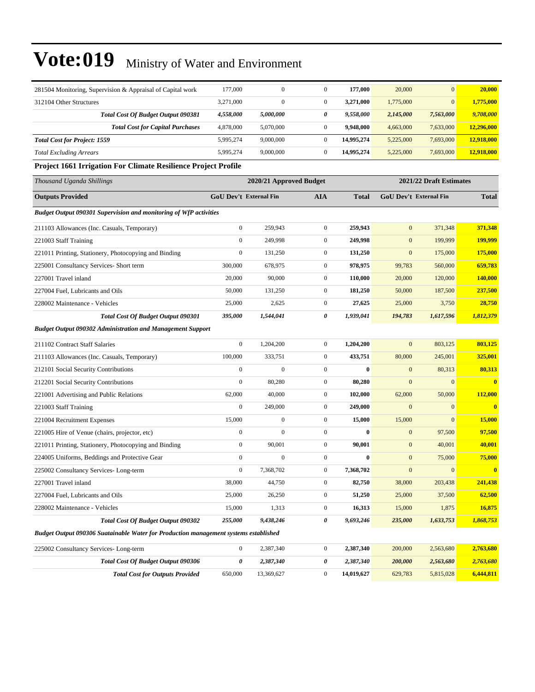| 281504 Monitoring, Supervision & Appraisal of Capital work                           | 177,000                                            | $\mathbf{0}$                  | $\boldsymbol{0}$ | 177,000      | 20,000                        | $\mathbf{0}$     | 20,000     |  |
|--------------------------------------------------------------------------------------|----------------------------------------------------|-------------------------------|------------------|--------------|-------------------------------|------------------|------------|--|
| 312104 Other Structures                                                              | 3,271,000                                          | $\overline{0}$                | $\boldsymbol{0}$ | 3,271,000    | 1,775,000                     | $\mathbf{0}$     | 1,775,000  |  |
| Total Cost Of Budget Output 090381                                                   | 4,558,000                                          | 5,000,000                     | 0                | 9,558,000    | 2,145,000                     | 7,563,000        | 9,708,000  |  |
| <b>Total Cost for Capital Purchases</b>                                              | 4,878,000                                          | 5,070,000                     | $\boldsymbol{0}$ | 9,948,000    | 4,663,000                     | 7,633,000        | 12,296,000 |  |
| <b>Total Cost for Project: 1559</b>                                                  | 5,995,274                                          | 9,000,000                     | $\boldsymbol{0}$ | 14,995,274   | 5,225,000                     | 7,693,000        | 12,918,000 |  |
| <b>Total Excluding Arrears</b>                                                       | 5,995,274                                          | 9,000,000                     | $\mathbf{0}$     | 14,995,274   | 5,225,000                     | 7,693,000        | 12,918,000 |  |
| Project 1661 Irrigation For Climate Resilience Project Profile                       |                                                    |                               |                  |              |                               |                  |            |  |
| Thousand Uganda Shillings                                                            | 2021/22 Draft Estimates<br>2020/21 Approved Budget |                               |                  |              |                               |                  |            |  |
| <b>Outputs Provided</b>                                                              |                                                    | <b>GoU Dev't External Fin</b> | <b>AIA</b>       | <b>Total</b> | <b>GoU Dev't External Fin</b> | <b>Total</b>     |            |  |
| <b>Budget Output 090301 Supervision and monitoring of WfP activities</b>             |                                                    |                               |                  |              |                               |                  |            |  |
| 211103 Allowances (Inc. Casuals, Temporary)                                          | $\boldsymbol{0}$                                   | 259,943                       | $\boldsymbol{0}$ | 259,943      | $\mathbf{0}$                  | 371,348          | 371,348    |  |
| 221003 Staff Training                                                                | $\boldsymbol{0}$                                   | 249,998                       | $\boldsymbol{0}$ | 249,998      | $\boldsymbol{0}$              | 199,999          | 199,999    |  |
| 221011 Printing, Stationery, Photocopying and Binding                                | $\boldsymbol{0}$                                   | 131,250                       | $\boldsymbol{0}$ | 131,250      | $\boldsymbol{0}$              | 175,000          | 175,000    |  |
| 225001 Consultancy Services- Short term                                              | 300,000                                            | 678,975                       | $\boldsymbol{0}$ | 978,975      | 99,783                        | 560,000          | 659,783    |  |
| 227001 Travel inland                                                                 | 20,000                                             | 90,000                        | $\boldsymbol{0}$ | 110,000      | 20,000                        | 120,000          | 140,000    |  |
| 227004 Fuel, Lubricants and Oils                                                     | 50,000                                             | 131,250                       | $\boldsymbol{0}$ | 181,250      | 50,000                        | 187,500          | 237,500    |  |
| 228002 Maintenance - Vehicles                                                        | 25,000                                             | 2,625                         | $\boldsymbol{0}$ | 27,625       | 25,000                        | 3,750            | 28,750     |  |
| <b>Total Cost Of Budget Output 090301</b>                                            | 395,000                                            | 1,544,041                     | 0                | 1,939,041    | 194,783                       | 1,617,596        | 1,812,379  |  |
| <b>Budget Output 090302 Administration and Management Support</b>                    |                                                    |                               |                  |              |                               |                  |            |  |
| 211102 Contract Staff Salaries                                                       | $\boldsymbol{0}$                                   | 1,204,200                     | $\boldsymbol{0}$ | 1,204,200    | $\mathbf{0}$                  | 803,125          | 803,125    |  |
| 211103 Allowances (Inc. Casuals, Temporary)                                          | 100,000                                            | 333,751                       | $\boldsymbol{0}$ | 433,751      | 80,000                        | 245,001          | 325,001    |  |
| 212101 Social Security Contributions                                                 | $\boldsymbol{0}$                                   | $\boldsymbol{0}$              | $\boldsymbol{0}$ | $\bf{0}$     | $\mathbf{0}$                  | 80,313           | 80,313     |  |
| 212201 Social Security Contributions                                                 | $\mathbf{0}$                                       | 80,280                        | $\boldsymbol{0}$ | 80,280       | $\overline{0}$                | $\boldsymbol{0}$ | $\bf{0}$   |  |
| 221001 Advertising and Public Relations                                              | 62,000                                             | 40,000                        | $\boldsymbol{0}$ | 102,000      | 62,000                        | 50,000           | 112,000    |  |
| 221003 Staff Training                                                                | $\boldsymbol{0}$                                   | 249,000                       | $\boldsymbol{0}$ | 249,000      | $\mathbf{0}$                  | $\mathbf{0}$     | $\bf{0}$   |  |
| 221004 Recruitment Expenses                                                          | 15,000                                             | $\boldsymbol{0}$              | $\boldsymbol{0}$ | 15,000       | 15,000                        | $\mathbf{0}$     | 15,000     |  |
| 221005 Hire of Venue (chairs, projector, etc)                                        | $\boldsymbol{0}$                                   | $\overline{0}$                | $\boldsymbol{0}$ | $\bf{0}$     | $\mathbf{0}$                  | 97,500           | 97,500     |  |
| 221011 Printing, Stationery, Photocopying and Binding                                | $\boldsymbol{0}$                                   | 90,001                        | $\boldsymbol{0}$ | 90,001       | $\boldsymbol{0}$              | 40,001           | 40,001     |  |
| 224005 Uniforms, Beddings and Protective Gear                                        | $\mathbf{0}$                                       | $\mathbf{0}$                  | $\boldsymbol{0}$ | $\bf{0}$     | $\mathbf{0}$                  | 75,000           | 75,000     |  |
| 225002 Consultancy Services-Long-term                                                | $\boldsymbol{0}$                                   | 7,368,702                     | $\boldsymbol{0}$ | 7,368,702    | $\mathbf{0}$                  | $\mathbf{0}$     | $\bf{0}$   |  |
| 227001 Travel inland                                                                 | 38,000                                             | 44,750                        | $\boldsymbol{0}$ | 82,750       | 38,000                        | 203,438          | 241,438    |  |
| 227004 Fuel, Lubricants and Oils                                                     | 25,000                                             | 26,250                        | $\boldsymbol{0}$ | 51,250       | 25,000                        | 37,500           | 62,500     |  |
| 228002 Maintenance - Vehicles                                                        | 15,000                                             | 1,313                         | $\boldsymbol{0}$ | 16,313       | 15,000                        | 1,875            | 16,875     |  |
| Total Cost Of Budget Output 090302                                                   | 255,000                                            | 9,438,246                     | 0                | 9,693,246    | 235,000                       | 1,633,753        | 1,868,753  |  |
| Budget Output 090306 Suatainable Water for Production management systems established |                                                    |                               |                  |              |                               |                  |            |  |
| 225002 Consultancy Services-Long-term                                                | $\mathbf{0}$                                       | 2,387,340                     | $\boldsymbol{0}$ | 2,387,340    | 200,000                       | 2,563,680        | 2,763,680  |  |
| Total Cost Of Budget Output 090306                                                   | $\pmb{\theta}$                                     | 2,387,340                     | 0                | 2,387,340    | 200,000                       | 2,563,680        | 2,763,680  |  |
| <b>Total Cost for Outputs Provided</b>                                               | 650,000                                            | 13,369,627                    | $\boldsymbol{0}$ | 14,019,627   | 629,783                       | 5,815,028        | 6,444,811  |  |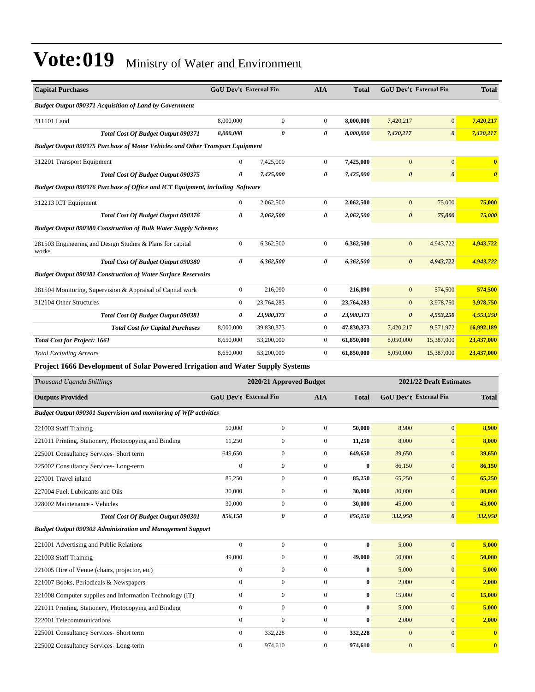| <b>Capital Purchases</b>                                                             | <b>GoU Dev't External Fin</b> |                         | <b>AIA</b>       | <b>Total</b> | <b>GoU Dev't External Fin</b> |                               | <b>Total</b>          |
|--------------------------------------------------------------------------------------|-------------------------------|-------------------------|------------------|--------------|-------------------------------|-------------------------------|-----------------------|
| <b>Budget Output 090371 Acquisition of Land by Government</b>                        |                               |                         |                  |              |                               |                               |                       |
| 311101 Land                                                                          | 8,000,000                     | $\boldsymbol{0}$        | $\boldsymbol{0}$ | 8,000,000    | 7,420,217                     | $\mathbf{0}$                  | 7,420,217             |
| Total Cost Of Budget Output 090371                                                   | 8,000,000                     | 0                       | 0                | 8,000,000    | 7,420,217                     | $\boldsymbol{\theta}$         | 7,420,217             |
| <b>Budget Output 090375 Purchase of Motor Vehicles and Other Transport Equipment</b> |                               |                         |                  |              |                               |                               |                       |
| 312201 Transport Equipment                                                           | $\boldsymbol{0}$              | 7,425,000               | $\boldsymbol{0}$ | 7,425,000    | $\mathbf{0}$                  | $\boldsymbol{0}$              | $\bf{0}$              |
| Total Cost Of Budget Output 090375                                                   | 0                             | 7,425,000               | 0                | 7,425,000    | $\boldsymbol{\theta}$         | $\boldsymbol{\theta}$         | $\boldsymbol{\theta}$ |
| Budget Output 090376 Purchase of Office and ICT Equipment, including Software        |                               |                         |                  |              |                               |                               |                       |
| 312213 ICT Equipment                                                                 | $\mathbf{0}$                  | 2,062,500               | $\boldsymbol{0}$ | 2,062,500    | $\mathbf{0}$                  | 75,000                        | 75,000                |
| <b>Total Cost Of Budget Output 090376</b>                                            | 0                             | 2,062,500               | 0                | 2,062,500    | $\boldsymbol{\theta}$         | 75,000                        | 75,000                |
| <b>Budget Output 090380 Construction of Bulk Water Supply Schemes</b>                |                               |                         |                  |              |                               |                               |                       |
| 281503 Engineering and Design Studies & Plans for capital<br>works                   | $\mathbf{0}$                  | 6,362,500               | $\boldsymbol{0}$ | 6,362,500    | $\mathbf{0}$                  | 4,943,722                     | 4,943,722             |
| <b>Total Cost Of Budget Output 090380</b>                                            | 0                             | 6,362,500               | 0                | 6,362,500    | $\boldsymbol{\theta}$         | 4,943,722                     | 4,943,722             |
| <b>Budget Output 090381 Construction of Water Surface Reservoirs</b>                 |                               |                         |                  |              |                               |                               |                       |
| 281504 Monitoring, Supervision & Appraisal of Capital work                           | $\boldsymbol{0}$              | 216,090                 | $\boldsymbol{0}$ | 216,090      | $\mathbf{0}$                  | 574,500                       | 574,500               |
| 312104 Other Structures                                                              | $\mathbf{0}$                  | 23,764,283              | $\boldsymbol{0}$ | 23,764,283   | $\boldsymbol{0}$              | 3,978,750                     | 3,978,750             |
| Total Cost Of Budget Output 090381                                                   | 0                             | 23,980,373              | 0                | 23,980,373   | $\boldsymbol{\theta}$         | 4,553,250                     | 4,553,250             |
| <b>Total Cost for Capital Purchases</b>                                              | 8,000,000                     | 39,830,373              | $\boldsymbol{0}$ | 47,830,373   | 7,420,217                     | 9,571,972                     | 16,992,189            |
| <b>Total Cost for Project: 1661</b>                                                  | 8,650,000                     | 53,200,000              | $\boldsymbol{0}$ | 61,850,000   | 8,050,000                     | 15,387,000                    | 23,437,000            |
| <b>Total Excluding Arrears</b>                                                       | 8,650,000                     | 53,200,000              | $\boldsymbol{0}$ | 61,850,000   | 8,050,000                     | 15,387,000                    | 23,437,000            |
| Project 1666 Development of Solar Powered Irrigation and Water Supply Systems        |                               |                         |                  |              |                               |                               |                       |
| Thousand Uganda Shillings                                                            |                               | 2020/21 Approved Budget |                  |              |                               | 2021/22 Draft Estimates       |                       |
| <b>Outputs Provided</b>                                                              | GoU Dev't External Fin        |                         | <b>AIA</b>       | <b>Total</b> |                               | <b>GoU Dev't External Fin</b> | <b>Total</b>          |
| <b>Budget Output 090301 Supervision and monitoring of WfP activities</b>             |                               |                         |                  |              |                               |                               |                       |
| 221003 Staff Training                                                                | 50,000                        | $\boldsymbol{0}$        | $\boldsymbol{0}$ | 50,000       | 8,900                         | $\overline{0}$                | 8,900                 |
| 221011 Printing, Stationery, Photocopying and Binding                                | 11,250                        | $\boldsymbol{0}$        | $\boldsymbol{0}$ | 11,250       | 8,000                         | $\mathbf{0}$                  | 8,000                 |
| 225001 Consultancy Services- Short term                                              | 649,650                       | $\boldsymbol{0}$        | $\boldsymbol{0}$ | 649,650      | 39,650                        | $\mathbf{0}$                  | 39,650                |
| 225002 Consultancy Services-Long-term                                                | $\boldsymbol{0}$              | $\boldsymbol{0}$        | $\boldsymbol{0}$ | $\bf{0}$     | 86,150                        | $\mathbf{0}$                  | 86,150                |
| 227001 Travel inland                                                                 | 85,250                        | $\boldsymbol{0}$        | $\boldsymbol{0}$ | 85,250       | 65,250                        | $\mathbf{0}$                  | 65,250                |
| 227004 Fuel, Lubricants and Oils                                                     | 30,000                        | $\boldsymbol{0}$        | $\boldsymbol{0}$ | 30,000       | 80,000                        | $\mathbf{0}$                  | 80,000                |
| 228002 Maintenance - Vehicles                                                        | 30,000                        | $\boldsymbol{0}$        | $\boldsymbol{0}$ | 30,000       | 45,000                        | $\mathbf{0}$                  | 45,000                |
| Total Cost Of Budget Output 090301                                                   | 856,150                       | 0                       | 0                | 856,150      | 332,950                       | $\boldsymbol{\theta}$         | 332,950               |
| <b>Budget Output 090302 Administration and Management Support</b>                    |                               |                         |                  |              |                               |                               |                       |
| 221001 Advertising and Public Relations                                              | $\boldsymbol{0}$              | $\boldsymbol{0}$        | $\boldsymbol{0}$ | $\bf{0}$     | 5,000                         | $\overline{0}$                | 5,000                 |
| 221003 Staff Training                                                                | 49,000                        | $\boldsymbol{0}$        | $\boldsymbol{0}$ | 49,000       | 50,000                        | $\mathbf{0}$                  | 50,000                |
| 221005 Hire of Venue (chairs, projector, etc)                                        | $\boldsymbol{0}$              | $\boldsymbol{0}$        | $\boldsymbol{0}$ | $\bf{0}$     | 5,000                         | $\mathbf{0}$                  | 5,000                 |
| 221007 Books, Periodicals & Newspapers                                               | $\boldsymbol{0}$              | $\boldsymbol{0}$        | $\boldsymbol{0}$ | $\bf{0}$     | 2,000                         | $\mathbf{0}$                  | 2,000                 |
| 221008 Computer supplies and Information Technology (IT)                             | $\mathbf{0}$                  | $\boldsymbol{0}$        | $\boldsymbol{0}$ | $\bf{0}$     | 15,000                        | $\mathbf{0}$                  | 15,000                |
| 221011 Printing, Stationery, Photocopying and Binding                                | $\boldsymbol{0}$              | $\boldsymbol{0}$        | $\boldsymbol{0}$ | $\bf{0}$     | 5,000                         | $\mathbf{0}$                  | 5,000                 |
| 222001 Telecommunications                                                            | $\boldsymbol{0}$              | $\boldsymbol{0}$        | $\boldsymbol{0}$ | $\bf{0}$     | 2,000                         | $\mathbf{0}$                  | 2,000                 |
| 225001 Consultancy Services- Short term                                              | $\boldsymbol{0}$              | 332,228                 | $\boldsymbol{0}$ | 332,228      | $\mathbf{0}$                  | $\mathbf{0}$                  | $\bf{0}$              |
| 225002 Consultancy Services-Long-term                                                | $\boldsymbol{0}$              | 974,610                 | $\boldsymbol{0}$ | 974,610      | $\mathbf{0}$                  | $\mathbf{0}$                  | $\mathbf{0}$          |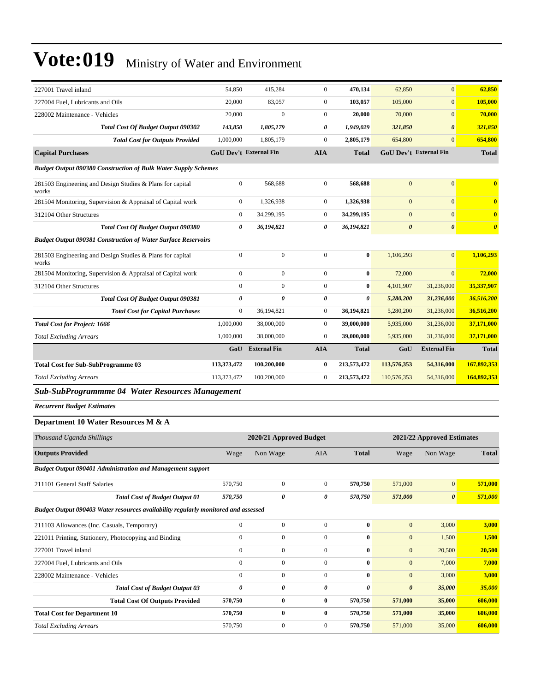| 227001 Travel inland                                                               | 54,850                 | 415,284                 | $\boldsymbol{0}$ | 470,134      | 62,850                | $\mathbf{0}$               | 62,850                |
|------------------------------------------------------------------------------------|------------------------|-------------------------|------------------|--------------|-----------------------|----------------------------|-----------------------|
| 227004 Fuel, Lubricants and Oils                                                   | 20,000                 | 83,057                  | $\boldsymbol{0}$ | 103,057      | 105,000               | $\overline{0}$             | 105,000               |
| 228002 Maintenance - Vehicles                                                      | 20,000                 | $\boldsymbol{0}$        | $\boldsymbol{0}$ | 20,000       | 70,000                | $\mathbf{0}$               | 70,000                |
| Total Cost Of Budget Output 090302                                                 | 143,850                | 1,805,179               | 0                | 1,949,029    | 321,850               | $\boldsymbol{\theta}$      | 321,850               |
| <b>Total Cost for Outputs Provided</b>                                             | 1,000,000              | 1,805,179               | $\boldsymbol{0}$ | 2,805,179    | 654,800               | $\mathbf{0}$               | 654,800               |
| <b>Capital Purchases</b>                                                           | GoU Dev't External Fin |                         | <b>AIA</b>       | <b>Total</b> |                       | GoU Dev't External Fin     | <b>Total</b>          |
| <b>Budget Output 090380 Construction of Bulk Water Supply Schemes</b>              |                        |                         |                  |              |                       |                            |                       |
| 281503 Engineering and Design Studies & Plans for capital<br>works                 | $\mathbf{0}$           | 568,688                 | $\boldsymbol{0}$ | 568,688      | $\mathbf{0}$          | $\mathbf{0}$               | $\mathbf{0}$          |
| 281504 Monitoring, Supervision & Appraisal of Capital work                         | $\boldsymbol{0}$       | 1,326,938               | $\boldsymbol{0}$ | 1,326,938    | $\mathbf{0}$          | $\mathbf{0}$               | $\boldsymbol{0}$      |
| 312104 Other Structures                                                            | $\mathbf{0}$           | 34,299,195              | $\boldsymbol{0}$ | 34,299,195   | $\mathbf{0}$          | $\overline{0}$             | $\bf{0}$              |
| Total Cost Of Budget Output 090380                                                 | $\boldsymbol{\theta}$  | 36,194,821              | 0                | 36,194,821   | $\boldsymbol{\theta}$ | $\boldsymbol{\theta}$      | $\boldsymbol{\theta}$ |
| <b>Budget Output 090381 Construction of Water Surface Reservoirs</b>               |                        |                         |                  |              |                       |                            |                       |
| 281503 Engineering and Design Studies & Plans for capital<br>works                 | $\mathbf{0}$           | $\boldsymbol{0}$        | $\boldsymbol{0}$ | $\bf{0}$     | 1,106,293             | $\overline{0}$             | 1,106,293             |
| 281504 Monitoring, Supervision & Appraisal of Capital work                         | $\mathbf{0}$           | $\mathbf{0}$            | $\boldsymbol{0}$ | $\bf{0}$     | 72,000                | $\mathbf{0}$               | 72,000                |
| 312104 Other Structures                                                            | $\mathbf{0}$           | $\boldsymbol{0}$        | $\boldsymbol{0}$ | $\bf{0}$     | 4,101,907             | 31,236,000                 | 35,337,907            |
| Total Cost Of Budget Output 090381                                                 | 0                      | 0                       | 0                | 0            | 5,280,200             | 31,236,000                 | 36,516,200            |
| <b>Total Cost for Capital Purchases</b>                                            | $\mathbf{0}$           | 36,194,821              | $\boldsymbol{0}$ | 36,194,821   | 5,280,200             | 31,236,000                 | 36,516,200            |
| <b>Total Cost for Project: 1666</b>                                                | 1,000,000              | 38,000,000              | $\boldsymbol{0}$ | 39,000,000   | 5,935,000             | 31,236,000                 | 37,171,000            |
| <b>Total Excluding Arrears</b>                                                     | 1,000,000              | 38,000,000              | $\boldsymbol{0}$ | 39,000,000   | 5,935,000             | 31,236,000                 | 37,171,000            |
|                                                                                    | GoU                    | <b>External Fin</b>     | <b>AIA</b>       | <b>Total</b> | GoU                   | <b>External Fin</b>        | <b>Total</b>          |
| <b>Total Cost for Sub-SubProgramme 03</b>                                          | 113,373,472            | 100,200,000             | 0                | 213,573,472  | 113,576,353           | 54,316,000                 | 167,892,353           |
| <b>Total Excluding Arrears</b>                                                     | 113,373,472            | 100,200,000             | $\boldsymbol{0}$ | 213,573,472  | 110,576,353           | 54,316,000                 | 164,892,353           |
| <b>Sub-SubProgrammme 04 Water Resources Management</b>                             |                        |                         |                  |              |                       |                            |                       |
| <b>Recurrent Budget Estimates</b>                                                  |                        |                         |                  |              |                       |                            |                       |
| Department 10 Water Resources M & A                                                |                        |                         |                  |              |                       |                            |                       |
| Thousand Uganda Shillings                                                          |                        | 2020/21 Approved Budget |                  |              |                       | 2021/22 Approved Estimates |                       |
| <b>Outputs Provided</b>                                                            | Wage                   | Non Wage                | <b>AIA</b>       | <b>Total</b> | Wage                  | Non Wage                   | <b>Total</b>          |
| Budget Output 090401 Administration and Management support                         |                        |                         |                  |              |                       |                            |                       |
| 211101 General Staff Salaries                                                      | 570,750                | $\boldsymbol{0}$        | $\boldsymbol{0}$ | 570,750      | 571,000               | $\mathbf{0}$               | 571,000               |
| <b>Total Cost of Budget Output 01</b>                                              | 570,750                | 0                       | 0                | 570,750      | 571,000               | $\boldsymbol{\theta}$      | 571,000               |
| Budget Output 090403 Water resources availability regularly monitored and assessed |                        |                         |                  |              |                       |                            |                       |
| 211103 Allowances (Inc. Casuals, Temporary)                                        | $\mathbf{0}$           | $\boldsymbol{0}$        | $\overline{0}$   | $\bf{0}$     | $\mathbf{0}$          | 3,000                      | 3,000                 |
| 221011 Printing, Stationery, Photocopying and Binding                              | $\mathbf{0}$           | $\boldsymbol{0}$        | $\boldsymbol{0}$ | $\bf{0}$     | $\mathbf{0}$          | 1,500                      | 1,500                 |
| 227001 Travel inland                                                               | $\mathbf{0}$           | $\boldsymbol{0}$        | $\overline{0}$   | $\bf{0}$     | $\mathbf{0}$          | 20,500                     | 20,500                |
| 227004 Fuel, Lubricants and Oils                                                   | $\boldsymbol{0}$       | $\boldsymbol{0}$        | $\boldsymbol{0}$ | $\bf{0}$     | $\mathbf{0}$          | 7,000                      | 7,000                 |
| 00000035                                                                           |                        |                         |                  |              |                       | 2.000                      | 2.000                 |

228002 Maintenance - Vehicles 0 0 0 **0** 0 3,000 **3,000** *Total Cost of Budget Output 03 0 0 0 0 0 35,000 35,000* **Total Cost Of Outputs Provided 570,750 0 0 570,750 571,000 35,000 606,000 Total Cost for Department 10 570,750 0 0 570,750 571,000 35,000 606,000** *Total Excluding Arrears* 570,750 0 0 **570,750** 571,000 35,000 **606,000**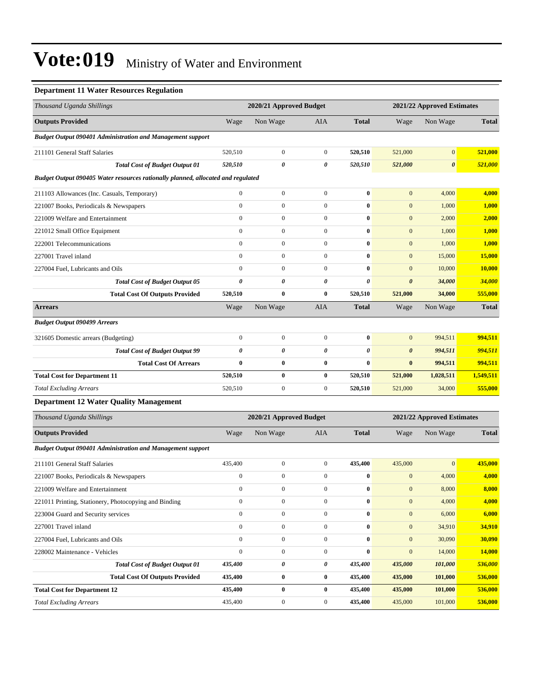#### **Department 11 Water Resources Regulation**

| Thousand Uganda Shillings                                                        |                  | 2020/21 Approved Budget |                  |                       | 2021/22 Approved Estimates |                       |               |  |
|----------------------------------------------------------------------------------|------------------|-------------------------|------------------|-----------------------|----------------------------|-----------------------|---------------|--|
| <b>Outputs Provided</b>                                                          | Wage             | Non Wage                | AIA              | <b>Total</b>          | Wage                       | Non Wage              | <b>Total</b>  |  |
| Budget Output 090401 Administration and Management support                       |                  |                         |                  |                       |                            |                       |               |  |
| 211101 General Staff Salaries                                                    | 520,510          | $\boldsymbol{0}$        | $\boldsymbol{0}$ | 520,510               | 521,000                    | $\overline{0}$        | 521,000       |  |
| <b>Total Cost of Budget Output 01</b>                                            | 520,510          | 0                       | 0                | 520,510               | 521,000                    | $\boldsymbol{\theta}$ | 521,000       |  |
| Budget Output 090405 Water resources rationally planned, allocated and regulated |                  |                         |                  |                       |                            |                       |               |  |
| 211103 Allowances (Inc. Casuals, Temporary)                                      | $\boldsymbol{0}$ | $\boldsymbol{0}$        | $\boldsymbol{0}$ | $\bf{0}$              | $\mathbf{0}$               | 4,000                 | 4,000         |  |
| 221007 Books, Periodicals & Newspapers                                           | $\mathbf{0}$     | $\boldsymbol{0}$        | $\boldsymbol{0}$ | $\bf{0}$              | $\boldsymbol{0}$           | 1,000                 | 1,000         |  |
| 221009 Welfare and Entertainment                                                 | $\boldsymbol{0}$ | $\boldsymbol{0}$        | $\boldsymbol{0}$ | $\bf{0}$              | $\mathbf{0}$               | 2,000                 | 2,000         |  |
| 221012 Small Office Equipment                                                    | $\mathbf{0}$     | $\boldsymbol{0}$        | $\boldsymbol{0}$ | $\bf{0}$              | $\mathbf{0}$               | 1,000                 | 1,000         |  |
| 222001 Telecommunications                                                        | $\boldsymbol{0}$ | $\boldsymbol{0}$        | $\boldsymbol{0}$ | $\bf{0}$              | $\boldsymbol{0}$           | 1,000                 | 1,000         |  |
| 227001 Travel inland                                                             | $\mathbf{0}$     | $\boldsymbol{0}$        | $\boldsymbol{0}$ | $\bf{0}$              | $\mathbf{0}$               | 15,000                | 15,000        |  |
| 227004 Fuel, Lubricants and Oils                                                 | $\mathbf{0}$     | $\boldsymbol{0}$        | $\boldsymbol{0}$ | $\bf{0}$              | $\mathbf{0}$               | 10,000                | 10,000        |  |
| <b>Total Cost of Budget Output 05</b>                                            | $\pmb{\theta}$   | 0                       | 0                | $\boldsymbol{\theta}$ | $\boldsymbol{\theta}$      | 34,000                | 34,000        |  |
| <b>Total Cost Of Outputs Provided</b>                                            | 520,510          | $\bf{0}$                | $\bf{0}$         | 520,510               | 521,000                    | 34,000                | 555,000       |  |
| <b>Arrears</b>                                                                   | Wage             | Non Wage                | AIA              | <b>Total</b>          | Wage                       | Non Wage              | <b>Total</b>  |  |
| <b>Budget Output 090499 Arrears</b>                                              |                  |                         |                  |                       |                            |                       |               |  |
| 321605 Domestic arrears (Budgeting)                                              | $\boldsymbol{0}$ | $\boldsymbol{0}$        | $\boldsymbol{0}$ | $\bf{0}$              | $\mathbf{0}$               | 994,511               | 994,511       |  |
| <b>Total Cost of Budget Output 99</b>                                            | $\pmb{\theta}$   | 0                       | 0                | $\boldsymbol{\theta}$ | $\boldsymbol{\theta}$      | 994,511               | 994,511       |  |
| <b>Total Cost Of Arrears</b>                                                     | $\bf{0}$         | 0                       | $\bf{0}$         | $\bf{0}$              | $\bf{0}$                   | 994,511               | 994,511       |  |
| <b>Total Cost for Department 11</b>                                              | 520,510          | 0                       | 0                | 520,510               | 521,000                    | 1,028,511             | 1,549,511     |  |
| <b>Total Excluding Arrears</b>                                                   | 520,510          | $\boldsymbol{0}$        | $\boldsymbol{0}$ | 520,510               | 521,000                    | 34,000                | 555,000       |  |
| <b>Department 12 Water Quality Management</b>                                    |                  |                         |                  |                       |                            |                       |               |  |
| Thousand Uganda Shillings                                                        |                  | 2020/21 Approved Budget |                  |                       | 2021/22 Approved Estimates |                       |               |  |
| <b>Outputs Provided</b>                                                          | Wage             | Non Wage                | AIA              | <b>Total</b>          | Wage                       | Non Wage              | <b>Total</b>  |  |
| <b>Budget Output 090401 Administration and Management support</b>                |                  |                         |                  |                       |                            |                       |               |  |
| 211101 General Staff Salaries                                                    | 435,400          | $\boldsymbol{0}$        | $\boldsymbol{0}$ | 435,400               | 435,000                    | $\mathbf{0}$          | 435,000       |  |
| 221007 Books, Periodicals & Newspapers                                           | $\boldsymbol{0}$ | $\boldsymbol{0}$        | $\boldsymbol{0}$ | $\bf{0}$              | $\mathbf{0}$               | 4,000                 | 4,000         |  |
| 221009 Welfare and Entertainment                                                 | $\bf{0}$         | 0                       | $\theta$         | $\bf{0}$              | $\theta$                   | 8,000                 | 8,000         |  |
| 221011 Printing, Stationery, Photocopying and Binding                            | $\boldsymbol{0}$ | $\boldsymbol{0}$        | $\boldsymbol{0}$ | $\bf{0}$              | $\mathbf{0}$               | 4,000                 | 4,000         |  |
| 223004 Guard and Security services                                               | $\boldsymbol{0}$ | $\boldsymbol{0}$        | $\boldsymbol{0}$ | $\pmb{0}$             | $\boldsymbol{0}$           | 6,000                 | 6,000         |  |
| 227001 Travel inland                                                             | $\boldsymbol{0}$ | $\boldsymbol{0}$        | $\boldsymbol{0}$ | $\bf{0}$              | $\boldsymbol{0}$           | 34,910                | 34,910        |  |
| 227004 Fuel, Lubricants and Oils                                                 | $\boldsymbol{0}$ | $\boldsymbol{0}$        | $\boldsymbol{0}$ | $\bf{0}$              | $\mathbf{0}$               | 30,090                | 30,090        |  |
| 228002 Maintenance - Vehicles                                                    | $\boldsymbol{0}$ | $\boldsymbol{0}$        | $\boldsymbol{0}$ | $\pmb{0}$             | $\boldsymbol{0}$           | 14,000                | <b>14,000</b> |  |
| <b>Total Cost of Budget Output 01</b>                                            | 435,400          | 0                       | 0                | 435,400               | 435,000                    | 101,000               | 536,000       |  |
| <b>Total Cost Of Outputs Provided</b>                                            | 435,400          | $\bf{0}$                | 0                | 435,400               | 435,000                    | 101,000               | 536,000       |  |
| <b>Total Cost for Department 12</b>                                              | 435,400          | $\bf{0}$                | 0                | 435,400               | 435,000                    | 101,000               | 536,000       |  |
| <b>Total Excluding Arrears</b>                                                   | 435,400          | $\boldsymbol{0}$        | $\boldsymbol{0}$ | 435,400               | 435,000                    | 101,000               | 536,000       |  |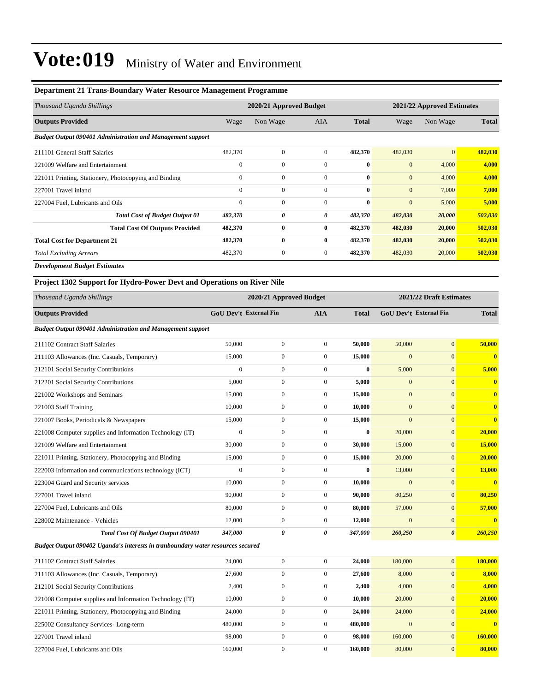| Department 21 Trans-Boundary Water Resource Management Programme                |                               |                         |                  |              |                            |                         |                         |  |
|---------------------------------------------------------------------------------|-------------------------------|-------------------------|------------------|--------------|----------------------------|-------------------------|-------------------------|--|
| Thousand Uganda Shillings                                                       | 2020/21 Approved Budget       |                         |                  |              | 2021/22 Approved Estimates |                         |                         |  |
| <b>Outputs Provided</b>                                                         | Wage                          | Non Wage                | AIA              | <b>Total</b> | Wage                       | Non Wage                | <b>Total</b>            |  |
| Budget Output 090401 Administration and Management support                      |                               |                         |                  |              |                            |                         |                         |  |
| 211101 General Staff Salaries                                                   | 482,370                       | $\boldsymbol{0}$        | $\mathbf{0}$     | 482,370      | 482,030                    | $\boldsymbol{0}$        | 482,030                 |  |
| 221009 Welfare and Entertainment                                                | $\boldsymbol{0}$              | $\boldsymbol{0}$        | $\boldsymbol{0}$ | $\bf{0}$     | $\mathbf{0}$               | 4,000                   | 4,000                   |  |
| 221011 Printing, Stationery, Photocopying and Binding                           | $\mathbf{0}$                  | $\boldsymbol{0}$        | $\boldsymbol{0}$ | $\bf{0}$     | $\boldsymbol{0}$           | 4,000                   | 4,000                   |  |
| 227001 Travel inland                                                            | $\mathbf{0}$                  | $\boldsymbol{0}$        | $\mathbf{0}$     | $\bf{0}$     | $\boldsymbol{0}$           | 7,000                   | 7,000                   |  |
| 227004 Fuel, Lubricants and Oils                                                | $\boldsymbol{0}$              | $\boldsymbol{0}$        | $\mathbf{0}$     | $\bf{0}$     | $\boldsymbol{0}$           | 5,000                   | 5,000                   |  |
| <b>Total Cost of Budget Output 01</b>                                           | 482,370                       | 0                       | 0                | 482,370      | 482,030                    | 20,000                  | 502,030                 |  |
| <b>Total Cost Of Outputs Provided</b>                                           | 482,370                       | $\bf{0}$                | $\bf{0}$         | 482,370      | 482,030                    | 20,000                  | 502,030                 |  |
| <b>Total Cost for Department 21</b>                                             | 482,370                       | $\bf{0}$                | $\bf{0}$         | 482,370      | 482,030                    | 20,000                  | 502,030                 |  |
| <b>Total Excluding Arrears</b>                                                  | 482,370                       | $\boldsymbol{0}$        | $\mathbf{0}$     | 482,370      | 482,030                    | 20,000                  | 502,030                 |  |
| <b>Development Budget Estimates</b>                                             |                               |                         |                  |              |                            |                         |                         |  |
| Project 1302 Support for Hydro-Power Devt and Operations on River Nile          |                               |                         |                  |              |                            |                         |                         |  |
| Thousand Uganda Shillings                                                       |                               | 2020/21 Approved Budget |                  |              |                            | 2021/22 Draft Estimates |                         |  |
| <b>Outputs Provided</b>                                                         | <b>GoU Dev't External Fin</b> |                         | AIA              | <b>Total</b> | GoU Dev't External Fin     |                         | <b>Total</b>            |  |
| <b>Budget Output 090401 Administration and Management support</b>               |                               |                         |                  |              |                            |                         |                         |  |
| 211102 Contract Staff Salaries                                                  | 50,000                        | $\boldsymbol{0}$        | $\boldsymbol{0}$ | 50,000       | 50,000                     | $\mathbf{0}$            | 50,000                  |  |
| 211103 Allowances (Inc. Casuals, Temporary)                                     | 15,000                        | $\boldsymbol{0}$        | $\boldsymbol{0}$ | 15,000       | $\mathbf{0}$               | $\mathbf{0}$            | $\overline{\mathbf{0}}$ |  |
| 212101 Social Security Contributions                                            | $\mathbf{0}$                  | $\boldsymbol{0}$        | $\boldsymbol{0}$ | $\bf{0}$     | 5,000                      | $\mathbf{0}$            | 5,000                   |  |
| 212201 Social Security Contributions                                            | 5,000                         | $\boldsymbol{0}$        | $\boldsymbol{0}$ | 5,000        | $\boldsymbol{0}$           | $\mathbf{0}$            | $\overline{\mathbf{0}}$ |  |
| 221002 Workshops and Seminars                                                   | 15,000                        | $\boldsymbol{0}$        | $\boldsymbol{0}$ | 15,000       | $\mathbf{0}$               | $\mathbf{0}$            | $\mathbf{0}$            |  |
| 221003 Staff Training                                                           | 10,000                        | $\boldsymbol{0}$        | $\boldsymbol{0}$ | 10,000       | $\mathbf{0}$               | $\mathbf{0}$            | $\bf{0}$                |  |
| 221007 Books, Periodicals & Newspapers                                          | 15,000                        | $\boldsymbol{0}$        | $\boldsymbol{0}$ | 15,000       | $\mathbf{0}$               | $\mathbf{0}$            | $\overline{\mathbf{0}}$ |  |
| 221008 Computer supplies and Information Technology (IT)                        | $\boldsymbol{0}$              | $\boldsymbol{0}$        | $\boldsymbol{0}$ | $\bf{0}$     | 20,000                     | $\mathbf{0}$            | 20,000                  |  |
| 221009 Welfare and Entertainment                                                | 30,000                        | $\boldsymbol{0}$        | $\boldsymbol{0}$ | 30,000       | 15,000                     | $\mathbf{0}$            | 15,000                  |  |
| 221011 Printing, Stationery, Photocopying and Binding                           | 15,000                        | $\boldsymbol{0}$        | $\boldsymbol{0}$ | 15,000       | 20,000                     | $\mathbf{0}$            | 20,000                  |  |
| 222003 Information and communications technology (ICT)                          | $\boldsymbol{0}$              | $\boldsymbol{0}$        | $\boldsymbol{0}$ | $\bf{0}$     | 13,000                     | $\mathbf{0}$            | <b>13,000</b>           |  |
| 223004 Guard and Security services                                              | 10,000                        | $\boldsymbol{0}$        | $\boldsymbol{0}$ | 10,000       | $\mathbf{0}$               | $\boldsymbol{0}$        | $\bf{0}$                |  |
| 227001 Travel inland                                                            | 90,000                        | $\boldsymbol{0}$        | $\boldsymbol{0}$ | 90,000       | 80,250                     | $\boldsymbol{0}$        | 80,250                  |  |
| 227004 Fuel, Lubricants and Oils                                                | 80,000                        | $\boldsymbol{0}$        | $\boldsymbol{0}$ | 80,000       | 57,000                     | $\boldsymbol{0}$        | 57,000                  |  |
| 228002 Maintenance - Vehicles                                                   | 12,000                        | $\boldsymbol{0}$        | $\boldsymbol{0}$ | 12,000       | $\mathbf{0}$               | $\mathbf{0}$            | $\bf{0}$                |  |
| Total Cost Of Budget Output 090401                                              | 347,000                       | 0                       | 0                | 347,000      | 260,250                    | $\pmb{\theta}$          | 260,250                 |  |
| Budget Output 090402 Uganda's interests in tranboundary water resources secured |                               |                         |                  |              |                            |                         |                         |  |
| 211102 Contract Staff Salaries                                                  | 24,000                        | $\boldsymbol{0}$        | $\boldsymbol{0}$ | 24,000       | 180,000                    | $\mathbf{0}$            | 180,000                 |  |
| 211103 Allowances (Inc. Casuals, Temporary)                                     | 27,600                        | $\boldsymbol{0}$        | $\boldsymbol{0}$ | 27,600       | 8,000                      | $\boldsymbol{0}$        | 8,000                   |  |
| 212101 Social Security Contributions                                            | 2,400                         | $\boldsymbol{0}$        | $\boldsymbol{0}$ | 2,400        | 4,000                      | $\boldsymbol{0}$        | 4,000                   |  |
| 221008 Computer supplies and Information Technology (IT)                        | 10,000                        | $\boldsymbol{0}$        | $\boldsymbol{0}$ | 10,000       | 20,000                     | $\boldsymbol{0}$        | 20,000                  |  |
| 221011 Printing, Stationery, Photocopying and Binding                           | 24,000                        | $\boldsymbol{0}$        | $\boldsymbol{0}$ | 24,000       | 24,000                     | $\boldsymbol{0}$        | 24,000                  |  |
| 225002 Consultancy Services-Long-term                                           | 480,000                       | $\boldsymbol{0}$        | $\boldsymbol{0}$ | 480,000      | $\mathbf{0}$               | $\boldsymbol{0}$        | $\overline{\mathbf{0}}$ |  |
| 227001 Travel inland                                                            | 98,000                        | $\boldsymbol{0}$        | $\boldsymbol{0}$ | 98,000       | 160,000                    | $\mathbf{0}$            | 160,000                 |  |

227004 Fuel, Lubricants and Oils 160,000 0 0 **160,000** 80,000 0 **80,000**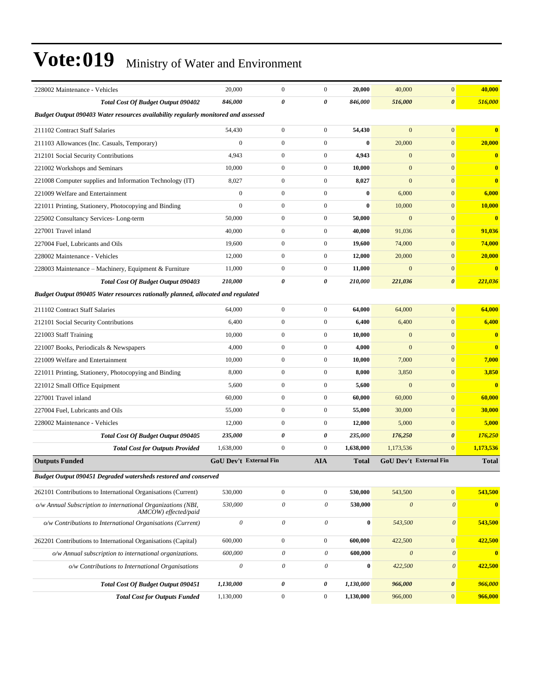| 228002 Maintenance - Vehicles                                                        | 20,000                        | $\mathbf{0}$              | $\mathbf{0}$              | 20,000       | 40,000                | $\boldsymbol{0}$          | 40,000       |
|--------------------------------------------------------------------------------------|-------------------------------|---------------------------|---------------------------|--------------|-----------------------|---------------------------|--------------|
| Total Cost Of Budget Output 090402                                                   | 846,000                       | 0                         | 0                         | 846,000      | 516,000               | $\boldsymbol{\theta}$     | 516,000      |
| Budget Output 090403 Water resources availability regularly monitored and assessed   |                               |                           |                           |              |                       |                           |              |
| 211102 Contract Staff Salaries                                                       | 54,430                        | $\overline{0}$            | $\overline{0}$            | 54,430       | $\mathbf{0}$          | $\mathbf{0}$              | $\bf{0}$     |
| 211103 Allowances (Inc. Casuals, Temporary)                                          | $\mathbf{0}$                  | $\boldsymbol{0}$          | $\mathbf{0}$              | $\bf{0}$     | 20,000                | $\mathbf{0}$              | 20,000       |
| 212101 Social Security Contributions                                                 | 4,943                         | $\boldsymbol{0}$          | $\boldsymbol{0}$          | 4,943        | $\mathbf{0}$          | $\mathbf{0}$              | $\mathbf{0}$ |
| 221002 Workshops and Seminars                                                        | 10,000                        | $\boldsymbol{0}$          | $\boldsymbol{0}$          | 10,000       | $\mathbf{0}$          | $\mathbf{0}$              | $\bf{0}$     |
| 221008 Computer supplies and Information Technology (IT)                             | 8,027                         | $\mathbf{0}$              | $\boldsymbol{0}$          | 8,027        | $\mathbf{0}$          | $\mathbf{0}$              | $\bf{0}$     |
| 221009 Welfare and Entertainment                                                     | $\mathbf{0}$                  | $\overline{0}$            | $\mathbf{0}$              | $\bf{0}$     | 6,000                 | $\mathbf{0}$              | 6,000        |
| 221011 Printing, Stationery, Photocopying and Binding                                | $\mathbf{0}$                  | $\boldsymbol{0}$          | $\mathbf{0}$              | $\bf{0}$     | 10,000                | $\mathbf{0}$              | 10,000       |
| 225002 Consultancy Services-Long-term                                                | 50,000                        | $\boldsymbol{0}$          | $\boldsymbol{0}$          | 50,000       | $\mathbf{0}$          | $\mathbf{0}$              | $\bf{0}$     |
| 227001 Travel inland                                                                 | 40,000                        | $\boldsymbol{0}$          | $\boldsymbol{0}$          | 40,000       | 91,036                | $\mathbf{0}$              | 91,036       |
| 227004 Fuel, Lubricants and Oils                                                     | 19,600                        | $\mathbf{0}$              | $\boldsymbol{0}$          | 19,600       | 74,000                | $\mathbf{0}$              | 74,000       |
| 228002 Maintenance - Vehicles                                                        | 12,000                        | $\boldsymbol{0}$          | $\boldsymbol{0}$          | 12,000       | 20,000                | $\mathbf{0}$              | 20,000       |
| 228003 Maintenance – Machinery, Equipment & Furniture                                | 11,000                        | $\boldsymbol{0}$          | $\boldsymbol{0}$          | 11,000       | $\mathbf{0}$          | $\mathbf{0}$              | $\bf{0}$     |
| Total Cost Of Budget Output 090403                                                   | 210,000                       | 0                         | 0                         | 210,000      | 221,036               | $\boldsymbol{\theta}$     | 221,036      |
| Budget Output 090405 Water resources rationally planned, allocated and regulated     |                               |                           |                           |              |                       |                           |              |
| 211102 Contract Staff Salaries                                                       | 64,000                        | $\boldsymbol{0}$          | $\boldsymbol{0}$          | 64,000       | 64,000                | $\boldsymbol{0}$          | 64,000       |
| 212101 Social Security Contributions                                                 | 6,400                         | $\mathbf{0}$              | $\mathbf{0}$              | 6,400        | 6,400                 | $\mathbf{0}$              | 6,400        |
| 221003 Staff Training                                                                | 10,000                        | $\boldsymbol{0}$          | $\boldsymbol{0}$          | 10,000       | $\mathbf{0}$          | $\mathbf{0}$              | $\bf{0}$     |
| 221007 Books, Periodicals & Newspapers                                               | 4,000                         | $\boldsymbol{0}$          | $\boldsymbol{0}$          | 4,000        | $\mathbf{0}$          | $\mathbf{0}$              | $\bf{0}$     |
| 221009 Welfare and Entertainment                                                     | 10,000                        | $\boldsymbol{0}$          | $\boldsymbol{0}$          | 10,000       | 7,000                 | $\mathbf{0}$              | 7,000        |
| 221011 Printing, Stationery, Photocopying and Binding                                | 8,000                         | $\boldsymbol{0}$          | $\boldsymbol{0}$          | 8,000        | 3,850                 | $\mathbf{0}$              | 3,850        |
| 221012 Small Office Equipment                                                        | 5,600                         | $\mathbf{0}$              | $\boldsymbol{0}$          | 5,600        | $\mathbf{0}$          | $\mathbf{0}$              | $\bf{0}$     |
| 227001 Travel inland                                                                 | 60,000                        | $\boldsymbol{0}$          | $\boldsymbol{0}$          | 60,000       | 60,000                | $\mathbf{0}$              | 60,000       |
| 227004 Fuel, Lubricants and Oils                                                     | 55,000                        | $\boldsymbol{0}$          | $\boldsymbol{0}$          | 55,000       | 30,000                | $\mathbf{0}$              | 30,000       |
| 228002 Maintenance - Vehicles                                                        | 12,000                        | $\boldsymbol{0}$          | $\boldsymbol{0}$          | 12,000       | 5,000                 | $\mathbf{0}$              | 5,000        |
| Total Cost Of Budget Output 090405                                                   | 235,000                       | 0                         | 0                         | 235,000      | 176,250               | $\boldsymbol{\theta}$     | 176,250      |
| <b>Total Cost for Outputs Provided</b>                                               | 1,638,000                     | $\boldsymbol{0}$          | $\boldsymbol{0}$          | 1,638,000    | 1,173,536             | $\mathbf{0}$              | 1,173,536    |
| <b>Outputs Funded</b>                                                                | <b>GoU Dev't External Fin</b> |                           | AIA                       | <b>Total</b> |                       | GoU Dev't External Fin    | <b>Total</b> |
| <b>Budget Output 090451 Degraded watersheds restored and conserved</b>               |                               |                           |                           |              |                       |                           |              |
| 262101 Contributions to International Organisations (Current)                        | 530,000                       | $\boldsymbol{0}$          | $\boldsymbol{0}$          | 530,000      | 543,500               | $\boldsymbol{0}$          | 543,500      |
| o/w Annual Subscription to international Organizations (NBI,<br>AMCOW) effected/paid | 530,000                       | $\boldsymbol{\mathit{0}}$ | $\boldsymbol{\mathit{0}}$ | 530,000      | $\boldsymbol{\theta}$ | $\boldsymbol{\theta}$     | $\mathbf{0}$ |
| o/w Contributions to International Organisations (Current)                           | $\boldsymbol{\theta}$         | $\boldsymbol{\theta}$     | $\boldsymbol{\mathit{0}}$ | $\pmb{0}$    | 543,500               | $\boldsymbol{\mathit{0}}$ | 543,500      |
| 262201 Contributions to International Organisations (Capital)                        | 600,000                       | $\boldsymbol{0}$          | $\boldsymbol{0}$          | 600,000      | 422,500               | $\boldsymbol{0}$          | 422,500      |
| o/w Annual subscription to international organizations.                              | 600,000                       | 0                         | $\boldsymbol{\mathit{0}}$ | 600,000      | $\boldsymbol{\theta}$ | $\boldsymbol{\theta}$     | $\mathbf{0}$ |
| o/w Contributions to International Organisations                                     | $\boldsymbol{\mathit{0}}$     | $\boldsymbol{\mathit{0}}$ | $\boldsymbol{\theta}$     | $\pmb{0}$    | 422,500               | $\boldsymbol{\theta}$     | 422,500      |
| Total Cost Of Budget Output 090451                                                   | 1,130,000                     | 0                         | 0                         | 1,130,000    | 966,000               | $\pmb{\theta}$            | 966,000      |
| <b>Total Cost for Outputs Funded</b>                                                 | 1,130,000                     | $\boldsymbol{0}$          | $\boldsymbol{0}$          | 1,130,000    | 966,000               | $\boldsymbol{0}$          | 966,000      |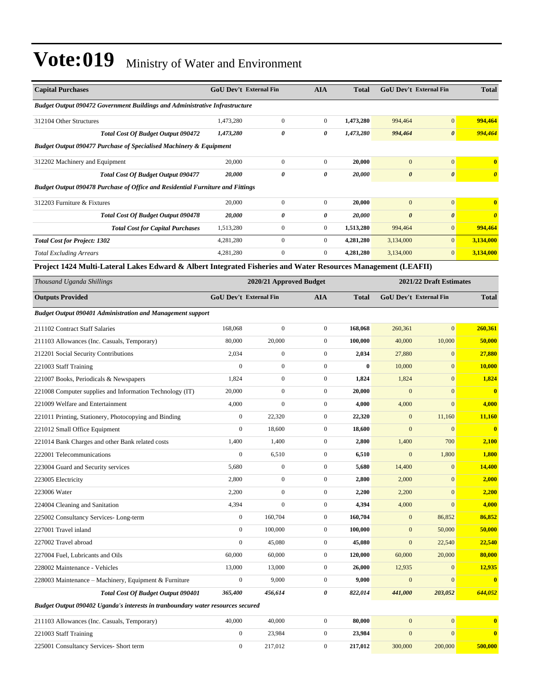| <b>Capital Purchases</b>                                                                                      |                  | <b>GoU Dev't External Fin</b> | <b>AIA</b>       | <b>Total</b> |                       | <b>GoU</b> Dev't External Fin | <b>Total</b>            |
|---------------------------------------------------------------------------------------------------------------|------------------|-------------------------------|------------------|--------------|-----------------------|-------------------------------|-------------------------|
| <b>Budget Output 090472 Government Buildings and Administrative Infrastructure</b>                            |                  |                               |                  |              |                       |                               |                         |
| 312104 Other Structures                                                                                       | 1,473,280        | $\boldsymbol{0}$              | $\boldsymbol{0}$ | 1,473,280    | 994,464               | $\mathbf{0}$                  | 994,464                 |
| <b>Total Cost Of Budget Output 090472</b>                                                                     | 1,473,280        | 0                             | 0                | 1,473,280    | 994,464               | $\boldsymbol{\theta}$         | 994,464                 |
| <b>Budget Output 090477 Purchase of Specialised Machinery &amp; Equipment</b>                                 |                  |                               |                  |              |                       |                               |                         |
| 312202 Machinery and Equipment                                                                                | 20,000           | $\mathbf{0}$                  | $\boldsymbol{0}$ | 20,000       | $\mathbf{0}$          | $\mathbf{0}$                  | $\bf{0}$                |
| <b>Total Cost Of Budget Output 090477</b>                                                                     | 20,000           | $\boldsymbol{\theta}$         | $\pmb{\theta}$   | 20,000       | $\boldsymbol{\theta}$ | $\boldsymbol{\theta}$         | $\boldsymbol{\theta}$   |
| Budget Output 090478 Purchase of Office and Residential Furniture and Fittings                                |                  |                               |                  |              |                       |                               |                         |
| 312203 Furniture & Fixtures                                                                                   | 20,000           | $\boldsymbol{0}$              | $\boldsymbol{0}$ | 20,000       | $\mathbf{0}$          | $\boldsymbol{0}$              | $\bf{0}$                |
| Total Cost Of Budget Output 090478                                                                            | 20,000           | 0                             | 0                | 20,000       | $\boldsymbol{\theta}$ | $\boldsymbol{\theta}$         | $\boldsymbol{\theta}$   |
| <b>Total Cost for Capital Purchases</b>                                                                       | 1,513,280        | $\boldsymbol{0}$              | $\boldsymbol{0}$ | 1,513,280    | 994,464               | $\mathbf{0}$                  | 994,464                 |
| <b>Total Cost for Project: 1302</b>                                                                           | 4,281,280        | $\boldsymbol{0}$              | $\boldsymbol{0}$ | 4,281,280    | 3,134,000             | $\mathbf{0}$                  | 3,134,000               |
| <b>Total Excluding Arrears</b>                                                                                | 4,281,280        | $\boldsymbol{0}$              | $\boldsymbol{0}$ | 4,281,280    | 3,134,000             | $\mathbf{0}$                  | 3,134,000               |
| Project 1424 Multi-Lateral Lakes Edward & Albert Integrated Fisheries and Water Resources Management (LEAFII) |                  |                               |                  |              |                       |                               |                         |
| Thousand Uganda Shillings                                                                                     |                  | 2020/21 Approved Budget       |                  |              |                       | 2021/22 Draft Estimates       |                         |
| <b>Outputs Provided</b>                                                                                       |                  | GoU Dev't External Fin        | <b>AIA</b>       | <b>Total</b> |                       | <b>GoU Dev't External Fin</b> | <b>Total</b>            |
| <b>Budget Output 090401 Administration and Management support</b>                                             |                  |                               |                  |              |                       |                               |                         |
| 211102 Contract Staff Salaries                                                                                | 168,068          | $\boldsymbol{0}$              | $\boldsymbol{0}$ | 168,068      | 260,361               | $\mathbf{0}$                  | 260,361                 |
| 211103 Allowances (Inc. Casuals, Temporary)                                                                   | 80,000           | 20,000                        | $\boldsymbol{0}$ | 100,000      | 40,000                | 10,000                        | 50,000                  |
| 212201 Social Security Contributions                                                                          | 2,034            | $\boldsymbol{0}$              | $\boldsymbol{0}$ | 2,034        | 27,880                | $\mathbf{0}$                  | 27,880                  |
| 221003 Staff Training                                                                                         | $\mathbf{0}$     | $\mathbf{0}$                  | $\boldsymbol{0}$ | $\bf{0}$     | 10,000                | $\mathbf{0}$                  | <b>10,000</b>           |
| 221007 Books, Periodicals & Newspapers                                                                        | 1,824            | $\boldsymbol{0}$              | $\boldsymbol{0}$ | 1,824        | 1,824                 | $\mathbf{0}$                  | 1,824                   |
| 221008 Computer supplies and Information Technology (IT)                                                      | 20,000           | $\boldsymbol{0}$              | $\boldsymbol{0}$ | 20,000       | $\boldsymbol{0}$      | $\mathbf{0}$                  | $\mathbf{0}$            |
| 221009 Welfare and Entertainment                                                                              | 4,000            | $\mathbf{0}$                  | $\boldsymbol{0}$ | 4,000        | 4,000                 | $\mathbf{0}$                  | 4,000                   |
| 221011 Printing, Stationery, Photocopying and Binding                                                         | $\mathbf{0}$     | 22,320                        | $\boldsymbol{0}$ | 22,320       | $\mathbf{0}$          | 11,160                        | 11,160                  |
| 221012 Small Office Equipment                                                                                 | $\mathbf{0}$     | 18,600                        | $\boldsymbol{0}$ | 18,600       | $\boldsymbol{0}$      | $\mathbf{0}$                  | $\overline{\mathbf{0}}$ |
| 221014 Bank Charges and other Bank related costs                                                              | 1,400            | 1,400                         | $\boldsymbol{0}$ | 2,800        | 1,400                 | 700                           | 2,100                   |
| 222001 Telecommunications                                                                                     | $\mathbf{0}$     | 6,510                         | $\boldsymbol{0}$ | 6,510        | $\boldsymbol{0}$      | 1,800                         | 1,800                   |
| 223004 Guard and Security services                                                                            | 5,680            | $\mathbf{0}$                  | $\boldsymbol{0}$ | 5,680        | 14,400                | $\bf{0}$                      | <b>14,400</b>           |
| 223005 Electricity                                                                                            | 2,800            | $\boldsymbol{0}$              | $\boldsymbol{0}$ | 2,800        | 2,000                 | $\mathbf{0}$                  | 2,000                   |
| 223006 Water                                                                                                  | 2,200            | $\boldsymbol{0}$              | $\boldsymbol{0}$ | 2,200        | 2,200                 | $\mathbf{0}$                  | 2,200                   |
| 224004 Cleaning and Sanitation                                                                                | 4,394            | $\boldsymbol{0}$              | $\boldsymbol{0}$ | 4,394        | 4,000                 | $\mathbf{0}$                  | 4,000                   |
| 225002 Consultancy Services-Long-term                                                                         | $\mathbf{0}$     | 160,704                       | $\boldsymbol{0}$ | 160,704      | $\boldsymbol{0}$      | 86,852                        | 86,852                  |
| 227001 Travel inland                                                                                          | $\mathbf{0}$     | 100,000                       | $\boldsymbol{0}$ | 100,000      | $\mathbf{0}$          | 50,000                        | 50,000                  |
| 227002 Travel abroad                                                                                          | $\boldsymbol{0}$ | 45,080                        | $\boldsymbol{0}$ | 45,080       | $\boldsymbol{0}$      | 22,540                        | 22,540                  |
| 227004 Fuel, Lubricants and Oils                                                                              | 60,000           | 60,000                        | $\boldsymbol{0}$ | 120,000      | 60,000                | 20,000                        | 80,000                  |
| 228002 Maintenance - Vehicles                                                                                 | 13,000           | 13,000                        | $\boldsymbol{0}$ | 26,000       | 12,935                | $\mathbf{0}$                  | 12,935                  |
| 228003 Maintenance – Machinery, Equipment & Furniture                                                         | $\boldsymbol{0}$ | 9,000                         | $\boldsymbol{0}$ | 9,000        | $\boldsymbol{0}$      | $\mathbf{0}$                  | $\bf{0}$                |
| Total Cost Of Budget Output 090401                                                                            | 365,400          | 456,614                       | 0                | 822,014      | 441,000               | 203,052                       | 644,052                 |
| Budget Output 090402 Uganda's interests in tranboundary water resources secured                               |                  |                               |                  |              |                       |                               |                         |
| 211103 Allowances (Inc. Casuals, Temporary)                                                                   | 40,000           | 40,000                        | $\boldsymbol{0}$ | 80,000       | $\boldsymbol{0}$      | $\boldsymbol{0}$              | $\bf{0}$                |
| 221003 Staff Training                                                                                         | $\boldsymbol{0}$ | 23,984                        | $\boldsymbol{0}$ | 23,984       | $\boldsymbol{0}$      | $\mathbf{0}$                  | $\bf{0}$                |
| 225001 Consultancy Services- Short term                                                                       | $\boldsymbol{0}$ | 217,012                       | $\boldsymbol{0}$ | 217,012      | 300,000               | 200,000                       | 500,000                 |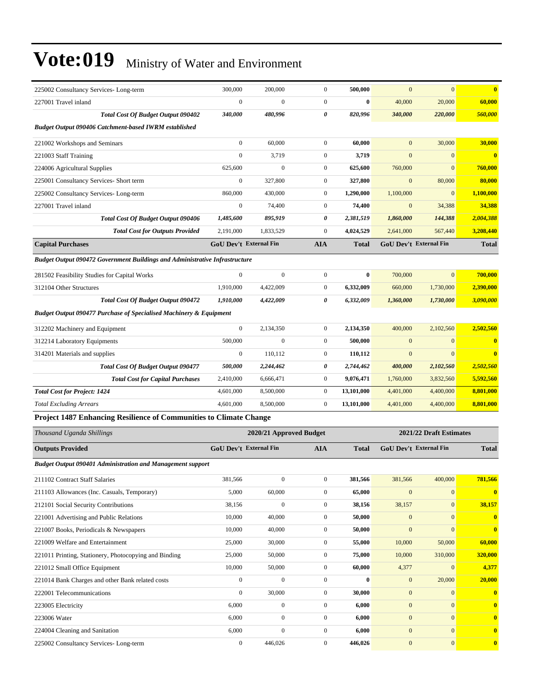| 300,000                                                                       | 200,000                                                                                                                                           | $\boldsymbol{0}$                                                                                                                                                                                                                                                                                                               | 500,000                                                                                                                                                                                 | $\mathbf{0}$                                                                  | $\mathbf{0}$                                                                                           | $\mathbf{0}$                                                                                                                                                                                                       |
|-------------------------------------------------------------------------------|---------------------------------------------------------------------------------------------------------------------------------------------------|--------------------------------------------------------------------------------------------------------------------------------------------------------------------------------------------------------------------------------------------------------------------------------------------------------------------------------|-----------------------------------------------------------------------------------------------------------------------------------------------------------------------------------------|-------------------------------------------------------------------------------|--------------------------------------------------------------------------------------------------------|--------------------------------------------------------------------------------------------------------------------------------------------------------------------------------------------------------------------|
| $\boldsymbol{0}$                                                              | $\mathbf{0}$                                                                                                                                      | $\boldsymbol{0}$                                                                                                                                                                                                                                                                                                               | $\bf{0}$                                                                                                                                                                                | 40,000                                                                        | 20,000                                                                                                 | 60,000                                                                                                                                                                                                             |
| 340,000                                                                       | 480,996                                                                                                                                           | 0                                                                                                                                                                                                                                                                                                                              | 820,996                                                                                                                                                                                 | 340,000                                                                       | 220,000                                                                                                | 560,000                                                                                                                                                                                                            |
|                                                                               |                                                                                                                                                   |                                                                                                                                                                                                                                                                                                                                |                                                                                                                                                                                         |                                                                               |                                                                                                        |                                                                                                                                                                                                                    |
| $\overline{0}$                                                                | 60,000                                                                                                                                            | $\boldsymbol{0}$                                                                                                                                                                                                                                                                                                               | 60,000                                                                                                                                                                                  | $\mathbf{0}$                                                                  | 30,000                                                                                                 | 30,000                                                                                                                                                                                                             |
| $\boldsymbol{0}$                                                              | 3,719                                                                                                                                             | $\boldsymbol{0}$                                                                                                                                                                                                                                                                                                               | 3,719                                                                                                                                                                                   | $\boldsymbol{0}$                                                              | $\mathbf{0}$                                                                                           | $\overline{\mathbf{0}}$                                                                                                                                                                                            |
| 625,600                                                                       | $\mathbf{0}$                                                                                                                                      | $\boldsymbol{0}$                                                                                                                                                                                                                                                                                                               | 625,600                                                                                                                                                                                 | 760,000                                                                       | $\overline{0}$                                                                                         | 760,000                                                                                                                                                                                                            |
| $\mathbf{0}$                                                                  | 327,800                                                                                                                                           | $\boldsymbol{0}$                                                                                                                                                                                                                                                                                                               | 327,800                                                                                                                                                                                 | $\mathbf{0}$                                                                  | 80,000                                                                                                 | 80,000                                                                                                                                                                                                             |
| 860,000                                                                       | 430,000                                                                                                                                           | $\boldsymbol{0}$                                                                                                                                                                                                                                                                                                               | 1,290,000                                                                                                                                                                               | 1,100,000                                                                     | $\overline{0}$                                                                                         | 1,100,000                                                                                                                                                                                                          |
| $\overline{0}$                                                                | 74,400                                                                                                                                            | $\boldsymbol{0}$                                                                                                                                                                                                                                                                                                               | 74,400                                                                                                                                                                                  | $\mathbf{0}$                                                                  | 34,388                                                                                                 | 34,388                                                                                                                                                                                                             |
| 1,485,600                                                                     | 895,919                                                                                                                                           | 0                                                                                                                                                                                                                                                                                                                              | 2,381,519                                                                                                                                                                               | 1,860,000                                                                     | 144,388                                                                                                | 2,004,388                                                                                                                                                                                                          |
| 2,191,000                                                                     | 1,833,529                                                                                                                                         | $\boldsymbol{0}$                                                                                                                                                                                                                                                                                                               | 4,024,529                                                                                                                                                                               | 2,641,000                                                                     | 567,440                                                                                                | 3,208,440                                                                                                                                                                                                          |
|                                                                               |                                                                                                                                                   | <b>AIA</b>                                                                                                                                                                                                                                                                                                                     | <b>Total</b>                                                                                                                                                                            |                                                                               |                                                                                                        | <b>Total</b>                                                                                                                                                                                                       |
|                                                                               |                                                                                                                                                   |                                                                                                                                                                                                                                                                                                                                |                                                                                                                                                                                         |                                                                               |                                                                                                        |                                                                                                                                                                                                                    |
| $\mathbf{0}$                                                                  | $\overline{0}$                                                                                                                                    | $\boldsymbol{0}$                                                                                                                                                                                                                                                                                                               | $\bf{0}$                                                                                                                                                                                | 700,000                                                                       | $\overline{0}$                                                                                         | 700,000                                                                                                                                                                                                            |
| 1,910,000                                                                     | 4,422,009                                                                                                                                         | $\boldsymbol{0}$                                                                                                                                                                                                                                                                                                               | 6,332,009                                                                                                                                                                               | 660,000                                                                       | 1,730,000                                                                                              | 2,390,000                                                                                                                                                                                                          |
| 1,910,000                                                                     | 4,422,009                                                                                                                                         | 0                                                                                                                                                                                                                                                                                                                              | 6,332,009                                                                                                                                                                               | 1,360,000                                                                     | 1,730,000                                                                                              | 3,090,000                                                                                                                                                                                                          |
| <b>Budget Output 090477 Purchase of Specialised Machinery &amp; Equipment</b> |                                                                                                                                                   |                                                                                                                                                                                                                                                                                                                                |                                                                                                                                                                                         |                                                                               |                                                                                                        |                                                                                                                                                                                                                    |
| $\boldsymbol{0}$                                                              | 2,134,350                                                                                                                                         | $\boldsymbol{0}$                                                                                                                                                                                                                                                                                                               | 2,134,350                                                                                                                                                                               | 400,000                                                                       | 2,102,560                                                                                              | 2,502,560                                                                                                                                                                                                          |
| 500,000                                                                       | $\mathbf{0}$                                                                                                                                      | $\boldsymbol{0}$                                                                                                                                                                                                                                                                                                               | 500,000                                                                                                                                                                                 | $\mathbf{0}$                                                                  | $\mathbf{0}$                                                                                           | $\overline{\mathbf{0}}$                                                                                                                                                                                            |
| $\mathbf{0}$                                                                  | 110,112                                                                                                                                           | $\boldsymbol{0}$                                                                                                                                                                                                                                                                                                               | 110,112                                                                                                                                                                                 | $\mathbf{0}$                                                                  | $\mathbf{0}$                                                                                           | $\overline{\mathbf{0}}$                                                                                                                                                                                            |
| 500,000                                                                       | 2,244,462                                                                                                                                         | 0                                                                                                                                                                                                                                                                                                                              | 2,744,462                                                                                                                                                                               | 400,000                                                                       | 2,102,560                                                                                              | 2,502,560                                                                                                                                                                                                          |
| 2,410,000                                                                     | 6,666,471                                                                                                                                         | $\boldsymbol{0}$                                                                                                                                                                                                                                                                                                               | 9,076,471                                                                                                                                                                               | 1,760,000                                                                     | 3,832,560                                                                                              | 5,592,560                                                                                                                                                                                                          |
| 4,601,000                                                                     | 8,500,000                                                                                                                                         | $\boldsymbol{0}$                                                                                                                                                                                                                                                                                                               | 13,101,000                                                                                                                                                                              | 4,401,000                                                                     | 4,400,000                                                                                              | 8,801,000                                                                                                                                                                                                          |
| 4,601,000                                                                     | 8,500,000                                                                                                                                         | $\boldsymbol{0}$                                                                                                                                                                                                                                                                                                               | 13,101,000                                                                                                                                                                              | 4,401,000                                                                     | 4,400,000                                                                                              | 8,801,000                                                                                                                                                                                                          |
|                                                                               |                                                                                                                                                   |                                                                                                                                                                                                                                                                                                                                |                                                                                                                                                                                         |                                                                               |                                                                                                        |                                                                                                                                                                                                                    |
|                                                                               |                                                                                                                                                   |                                                                                                                                                                                                                                                                                                                                |                                                                                                                                                                                         |                                                                               |                                                                                                        |                                                                                                                                                                                                                    |
|                                                                               |                                                                                                                                                   | <b>AIA</b>                                                                                                                                                                                                                                                                                                                     | <b>Total</b>                                                                                                                                                                            |                                                                               |                                                                                                        | <b>Total</b>                                                                                                                                                                                                       |
|                                                                               |                                                                                                                                                   |                                                                                                                                                                                                                                                                                                                                |                                                                                                                                                                                         |                                                                               |                                                                                                        |                                                                                                                                                                                                                    |
|                                                                               |                                                                                                                                                   |                                                                                                                                                                                                                                                                                                                                |                                                                                                                                                                                         |                                                                               |                                                                                                        | 781,566                                                                                                                                                                                                            |
|                                                                               |                                                                                                                                                   |                                                                                                                                                                                                                                                                                                                                |                                                                                                                                                                                         |                                                                               |                                                                                                        | $\bf{0}$                                                                                                                                                                                                           |
|                                                                               |                                                                                                                                                   |                                                                                                                                                                                                                                                                                                                                |                                                                                                                                                                                         |                                                                               |                                                                                                        | 38,157                                                                                                                                                                                                             |
|                                                                               |                                                                                                                                                   |                                                                                                                                                                                                                                                                                                                                |                                                                                                                                                                                         |                                                                               |                                                                                                        | $\bf{0}$                                                                                                                                                                                                           |
|                                                                               |                                                                                                                                                   |                                                                                                                                                                                                                                                                                                                                |                                                                                                                                                                                         |                                                                               |                                                                                                        | $\bf{0}$                                                                                                                                                                                                           |
|                                                                               |                                                                                                                                                   |                                                                                                                                                                                                                                                                                                                                |                                                                                                                                                                                         |                                                                               |                                                                                                        | 60,000                                                                                                                                                                                                             |
|                                                                               |                                                                                                                                                   |                                                                                                                                                                                                                                                                                                                                |                                                                                                                                                                                         |                                                                               |                                                                                                        | 320,000                                                                                                                                                                                                            |
|                                                                               |                                                                                                                                                   |                                                                                                                                                                                                                                                                                                                                |                                                                                                                                                                                         |                                                                               |                                                                                                        | 4,377                                                                                                                                                                                                              |
|                                                                               |                                                                                                                                                   |                                                                                                                                                                                                                                                                                                                                |                                                                                                                                                                                         |                                                                               |                                                                                                        |                                                                                                                                                                                                                    |
|                                                                               |                                                                                                                                                   |                                                                                                                                                                                                                                                                                                                                | $\bf{0}$                                                                                                                                                                                |                                                                               |                                                                                                        |                                                                                                                                                                                                                    |
| $\boldsymbol{0}$<br>$\boldsymbol{0}$                                          | $\boldsymbol{0}$<br>30,000                                                                                                                        | $\boldsymbol{0}$<br>$\boldsymbol{0}$                                                                                                                                                                                                                                                                                           | 30,000                                                                                                                                                                                  | $\boldsymbol{0}$<br>$\boldsymbol{0}$                                          | 20,000<br>$\boldsymbol{0}$                                                                             | 20,000<br>$\bf{0}$                                                                                                                                                                                                 |
| 6,000                                                                         | $\boldsymbol{0}$                                                                                                                                  | $\boldsymbol{0}$                                                                                                                                                                                                                                                                                                               | 6,000                                                                                                                                                                                   | $\boldsymbol{0}$                                                              | $\boldsymbol{0}$                                                                                       | $\bf{0}$                                                                                                                                                                                                           |
| 6,000                                                                         | $\boldsymbol{0}$                                                                                                                                  | $\boldsymbol{0}$                                                                                                                                                                                                                                                                                                               | 6,000                                                                                                                                                                                   | $\mathbf{0}$                                                                  | $\mathbf{0}$                                                                                           | $\mathbf{0}$                                                                                                                                                                                                       |
| 6,000                                                                         | $\boldsymbol{0}$                                                                                                                                  | $\boldsymbol{0}$                                                                                                                                                                                                                                                                                                               | 6,000                                                                                                                                                                                   | $\mathbf{0}$                                                                  | $\boldsymbol{0}$                                                                                       | $\bf{0}$                                                                                                                                                                                                           |
|                                                                               | <b>Budget Output 090401 Administration and Management support</b><br>381,566<br>5,000<br>38,156<br>10,000<br>10,000<br>25,000<br>25,000<br>10,000 | <b>GoU Dev't External Fin</b><br>Budget Output 090472 Government Buildings and Administrative Infrastructure<br><b>Project 1487 Enhancing Resilience of Communities to Climate Change</b><br><b>GoU Dev't External Fin</b><br>$\boldsymbol{0}$<br>60,000<br>$\boldsymbol{0}$<br>40,000<br>40,000<br>30,000<br>50,000<br>50,000 | 2020/21 Approved Budget<br>$\boldsymbol{0}$<br>$\boldsymbol{0}$<br>$\boldsymbol{0}$<br>$\boldsymbol{0}$<br>$\boldsymbol{0}$<br>$\boldsymbol{0}$<br>$\boldsymbol{0}$<br>$\boldsymbol{0}$ | 381,566<br>65,000<br>38,156<br>50,000<br>50,000<br>55,000<br>75,000<br>60,000 | 381,566<br>$\mathbf{0}$<br>38,157<br>$\boldsymbol{0}$<br>$\boldsymbol{0}$<br>10,000<br>10,000<br>4,377 | GoU Dev't External Fin<br>2021/22 Draft Estimates<br><b>GoU Dev't External Fin</b><br>400,000<br>$\mathbf{0}$<br>$\boldsymbol{0}$<br>$\boldsymbol{0}$<br>$\boldsymbol{0}$<br>50,000<br>310,000<br>$\boldsymbol{0}$ |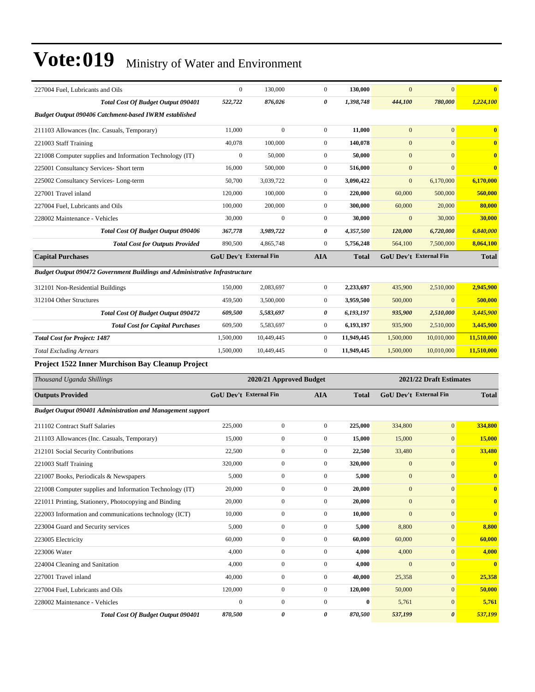| 227004 Fuel, Lubricants and Oils                                                                                | $\mathbf{0}$                  | 130,000                              | $\boldsymbol{0}$                     | 130,000         | $\mathbf{0}$                         | $\mathbf{0}$                 | $\overline{\mathbf{0}}$ |
|-----------------------------------------------------------------------------------------------------------------|-------------------------------|--------------------------------------|--------------------------------------|-----------------|--------------------------------------|------------------------------|-------------------------|
| <b>Total Cost Of Budget Output 090401</b>                                                                       | 522,722                       | 876,026                              | 0                                    | 1,398,748       | 444,100                              | 780,000                      | 1,224,100               |
| <b>Budget Output 090406 Catchment-based IWRM established</b>                                                    |                               |                                      |                                      |                 |                                      |                              |                         |
| 211103 Allowances (Inc. Casuals, Temporary)                                                                     | 11,000                        | $\mathbf{0}$                         | $\boldsymbol{0}$                     | 11,000          | $\overline{0}$                       | $\mathbf{0}$                 | $\bf{0}$                |
| 221003 Staff Training                                                                                           | 40,078                        | 100,000                              | $\boldsymbol{0}$                     | 140,078         | $\mathbf{0}$                         | $\mathbf{0}$                 | $\bf{0}$                |
| 221008 Computer supplies and Information Technology (IT)                                                        | $\boldsymbol{0}$              | 50,000                               | $\boldsymbol{0}$                     | 50,000          | $\overline{0}$                       | $\mathbf{0}$                 | $\bf{0}$                |
| 225001 Consultancy Services- Short term                                                                         | 16,000                        | 500,000                              | $\boldsymbol{0}$                     | 516,000         | $\boldsymbol{0}$                     | $\mathbf{0}$                 | $\bf{0}$                |
| 225002 Consultancy Services-Long-term                                                                           | 50,700                        | 3,039,722                            | $\boldsymbol{0}$                     | 3,090,422       | $\boldsymbol{0}$                     | 6,170,000                    | 6,170,000               |
| 227001 Travel inland                                                                                            | 120,000                       | 100,000                              | $\boldsymbol{0}$                     | 220,000         | 60,000                               | 500,000                      | 560,000                 |
| 227004 Fuel, Lubricants and Oils                                                                                | 100,000                       | 200,000                              | $\boldsymbol{0}$                     | 300,000         | 60,000                               | 20,000                       | 80,000                  |
| 228002 Maintenance - Vehicles                                                                                   | 30,000                        | $\boldsymbol{0}$                     | $\boldsymbol{0}$                     | 30,000          | $\mathbf{0}$                         | 30,000                       | 30,000                  |
| Total Cost Of Budget Output 090406                                                                              | 367,778                       | 3,989,722                            | 0                                    | 4,357,500       | 120,000                              | 6,720,000                    | 6,840,000               |
| <b>Total Cost for Outputs Provided</b>                                                                          | 890,500                       | 4,865,748                            | $\boldsymbol{0}$                     | 5,756,248       | 564,100                              | 7,500,000                    | 8,064,100               |
| <b>Capital Purchases</b>                                                                                        | GoU Dev't External Fin        |                                      | <b>AIA</b>                           | <b>Total</b>    | GoU Dev't External Fin               |                              | <b>Total</b>            |
| <b>Budget Output 090472 Government Buildings and Administrative Infrastructure</b>                              |                               |                                      |                                      |                 |                                      |                              |                         |
| 312101 Non-Residential Buildings                                                                                | 150,000                       | 2,083,697                            | $\boldsymbol{0}$                     | 2,233,697       | 435,900                              | 2,510,000                    | 2,945,900               |
| 312104 Other Structures                                                                                         | 459,500                       | 3,500,000                            | $\boldsymbol{0}$                     | 3,959,500       | 500,000                              | $\mathbf{0}$                 | 500,000                 |
| <b>Total Cost Of Budget Output 090472</b>                                                                       | 609,500                       | 5,583,697                            | 0                                    | 6,193,197       | 935,900                              | 2,510,000                    | 3,445,900               |
| <b>Total Cost for Capital Purchases</b>                                                                         | 609,500                       | 5,583,697                            | $\boldsymbol{0}$                     | 6,193,197       | 935,900                              | 2,510,000                    | 3,445,900               |
| <b>Total Cost for Project: 1487</b>                                                                             | 1,500,000                     | 10,449,445                           | $\boldsymbol{0}$                     | 11,949,445      | 1,500,000                            | 10,010,000                   | 11,510,000              |
| <b>Total Excluding Arrears</b>                                                                                  | 1,500,000                     | 10,449,445                           | $\boldsymbol{0}$                     | 11,949,445      | 1,500,000                            | 10,010,000                   | 11,510,000              |
| <b>Project 1522 Inner Murchison Bay Cleanup Project</b>                                                         |                               |                                      |                                      |                 |                                      |                              |                         |
| Thousand Uganda Shillings                                                                                       |                               | 2020/21 Approved Budget              |                                      |                 |                                      | 2021/22 Draft Estimates      |                         |
| <b>Outputs Provided</b>                                                                                         | <b>GoU Dev't External Fin</b> |                                      | <b>AIA</b>                           | <b>Total</b>    | <b>GoU Dev't External Fin</b>        |                              | <b>Total</b>            |
| <b>Budget Output 090401 Administration and Management support</b>                                               |                               |                                      |                                      |                 |                                      |                              |                         |
|                                                                                                                 |                               |                                      |                                      |                 |                                      |                              |                         |
|                                                                                                                 |                               |                                      |                                      |                 |                                      |                              |                         |
| 211102 Contract Staff Salaries                                                                                  | 225,000                       | $\boldsymbol{0}$                     | $\boldsymbol{0}$                     | 225,000         | 334,800                              | $\mathbf{0}$                 | 334,800                 |
| 211103 Allowances (Inc. Casuals, Temporary)                                                                     | 15,000                        | $\boldsymbol{0}$                     | $\boldsymbol{0}$                     | 15,000          | 15,000                               | $\mathbf{0}$                 | 15,000                  |
| 212101 Social Security Contributions                                                                            | 22,500                        | $\boldsymbol{0}$                     | $\boldsymbol{0}$                     | 22,500          | 33,480                               | $\mathbf{0}$                 | 33,480                  |
| 221003 Staff Training                                                                                           | 320,000                       | $\boldsymbol{0}$                     | $\boldsymbol{0}$                     | 320,000         | $\mathbf{0}$                         | $\mathbf{0}$                 | $\bf{0}$                |
| 221007 Books, Periodicals & Newspapers                                                                          | 5,000<br>20,000               | $\boldsymbol{0}$<br>$\boldsymbol{0}$ | $\boldsymbol{0}$<br>$\boldsymbol{0}$ | 5,000<br>20,000 | $\boldsymbol{0}$<br>$\boldsymbol{0}$ | $\mathbf{0}$<br>$\mathbf{0}$ | $\bf{0}$<br>$\bf{0}$    |
| 221008 Computer supplies and Information Technology (IT)                                                        | 20,000                        | $\boldsymbol{0}$                     | $\boldsymbol{0}$                     | 20,000          | $\mathbf{0}$                         | $\mathbf{0}$                 | $\bf{0}$                |
| 221011 Printing, Stationery, Photocopying and Binding<br>222003 Information and communications technology (ICT) | 10,000                        | $\boldsymbol{0}$                     | $\boldsymbol{0}$                     | 10,000          | $\boldsymbol{0}$                     | $\mathbf{0}$                 | $\bf{0}$                |
| 223004 Guard and Security services                                                                              | 5,000                         | $\boldsymbol{0}$                     | $\boldsymbol{0}$                     | 5,000           | 8,800                                | $\mathbf{0}$                 | 8,800                   |
| 223005 Electricity                                                                                              | 60,000                        | $\boldsymbol{0}$                     | $\boldsymbol{0}$                     | 60,000          | 60,000                               | $\mathbf{0}$                 | 60,000                  |
| 223006 Water                                                                                                    | 4,000                         | $\boldsymbol{0}$                     | $\boldsymbol{0}$                     | 4,000           | 4,000                                | $\mathbf{0}$                 | 4,000                   |
| 224004 Cleaning and Sanitation                                                                                  | 4,000                         | $\boldsymbol{0}$                     | $\boldsymbol{0}$                     | 4,000           | $\mathbf{0}$                         | $\mathbf{0}$                 | $\mathbf{0}$            |
| 227001 Travel inland                                                                                            | 40,000                        | $\boldsymbol{0}$                     | $\boldsymbol{0}$                     | 40,000          | 25,358                               | $\boldsymbol{0}$             | 25,358                  |
| 227004 Fuel, Lubricants and Oils                                                                                | 120,000                       | $\boldsymbol{0}$                     | $\boldsymbol{0}$                     | 120,000         | 50,000                               | $\mathbf{0}$                 | 50,000                  |
| 228002 Maintenance - Vehicles                                                                                   | $\boldsymbol{0}$              | $\boldsymbol{0}$                     | $\boldsymbol{0}$                     | $\bf{0}$        | 5,761                                | $\boldsymbol{0}$             | 5,761                   |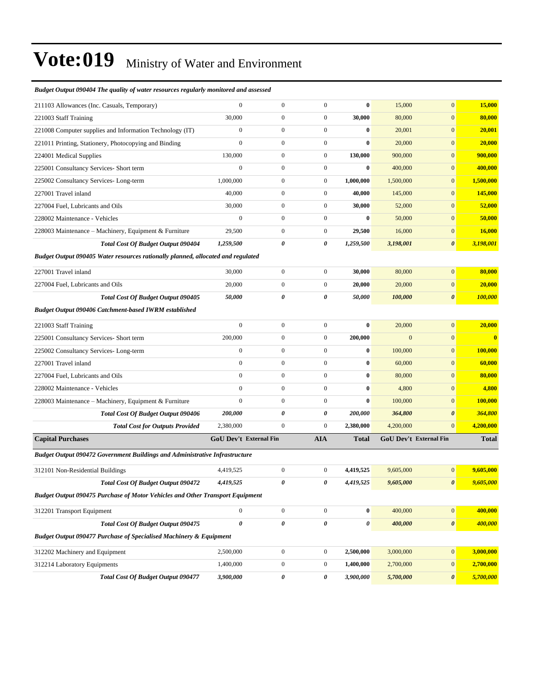#### *Budget Output 090404 The quality of water resources regularly monitored and assessed*

| 211103 Allowances (Inc. Casuals, Temporary)                                      | $\mathbf{0}$           | $\mathbf{0}$     | $\mathbf{0}$     | $\bf{0}$       | 15,000       | $\mathbf{0}$           | 15,000       |
|----------------------------------------------------------------------------------|------------------------|------------------|------------------|----------------|--------------|------------------------|--------------|
| 221003 Staff Training                                                            | 30,000                 | $\boldsymbol{0}$ | $\boldsymbol{0}$ | 30,000         | 80,000       | $\mathbf{0}$           | 80,000       |
| 221008 Computer supplies and Information Technology (IT)                         | $\boldsymbol{0}$       | $\boldsymbol{0}$ | $\boldsymbol{0}$ | $\bf{0}$       | 20,001       | $\mathbf{0}$           | 20,001       |
| 221011 Printing, Stationery, Photocopying and Binding                            | $\mathbf{0}$           | $\boldsymbol{0}$ | $\boldsymbol{0}$ | $\bf{0}$       | 20,000       | $\mathbf{0}$           | 20,000       |
| 224001 Medical Supplies                                                          | 130,000                | $\boldsymbol{0}$ | $\boldsymbol{0}$ | 130,000        | 900,000      | $\mathbf{0}$           | 900,000      |
| 225001 Consultancy Services- Short term                                          | $\mathbf{0}$           | $\overline{0}$   | $\boldsymbol{0}$ | $\bf{0}$       | 400,000      | $\mathbf{0}$           | 400,000      |
| 225002 Consultancy Services-Long-term                                            | 1,000,000              | $\boldsymbol{0}$ | $\boldsymbol{0}$ | 1,000,000      | 1,500,000    | $\mathbf{0}$           | 1,500,000    |
| 227001 Travel inland                                                             | 40,000                 | $\boldsymbol{0}$ | $\boldsymbol{0}$ | 40,000         | 145,000      | $\mathbf{0}$           | 145,000      |
| 227004 Fuel, Lubricants and Oils                                                 | 30,000                 | $\boldsymbol{0}$ | $\boldsymbol{0}$ | 30,000         | 52,000       | $\mathbf{0}$           | 52,000       |
| 228002 Maintenance - Vehicles                                                    | $\mathbf{0}$           | $\boldsymbol{0}$ | $\boldsymbol{0}$ | $\bf{0}$       | 50,000       | $\mathbf{0}$           | 50,000       |
| 228003 Maintenance - Machinery, Equipment & Furniture                            | 29,500                 | $\boldsymbol{0}$ | $\boldsymbol{0}$ | 29,500         | 16,000       | $\mathbf{0}$           | 16,000       |
| <b>Total Cost Of Budget Output 090404</b>                                        | 1,259,500              | 0                | 0                | 1,259,500      | 3,198,001    | $\boldsymbol{\theta}$  | 3,198,001    |
| Budget Output 090405 Water resources rationally planned, allocated and regulated |                        |                  |                  |                |              |                        |              |
| 227001 Travel inland                                                             | 30,000                 | $\boldsymbol{0}$ | $\boldsymbol{0}$ | 30,000         | 80,000       | $\mathbf{0}$           | 80,000       |
| 227004 Fuel, Lubricants and Oils                                                 | 20,000                 | $\boldsymbol{0}$ | $\boldsymbol{0}$ | 20,000         | 20,000       | $\boldsymbol{0}$       | 20,000       |
| Total Cost Of Budget Output 090405                                               | 50,000                 | 0                | 0                | 50,000         | 100,000      | $\boldsymbol{\theta}$  | 100,000      |
| <b>Budget Output 090406 Catchment-based IWRM established</b>                     |                        |                  |                  |                |              |                        |              |
| 221003 Staff Training                                                            | $\mathbf{0}$           | $\boldsymbol{0}$ | $\boldsymbol{0}$ | $\bf{0}$       | 20,000       | $\boldsymbol{0}$       | 20,000       |
| 225001 Consultancy Services- Short term                                          | 200,000                | $\boldsymbol{0}$ | $\boldsymbol{0}$ | 200,000        | $\mathbf{0}$ | $\mathbf{0}$           | $\bf{0}$     |
| 225002 Consultancy Services-Long-term                                            | $\boldsymbol{0}$       | $\boldsymbol{0}$ | $\boldsymbol{0}$ | $\bf{0}$       | 100,000      | $\mathbf{0}$           | 100,000      |
| 227001 Travel inland                                                             | $\mathbf{0}$           | $\boldsymbol{0}$ | $\boldsymbol{0}$ | $\bf{0}$       | 60,000       | $\mathbf{0}$           | 60,000       |
| 227004 Fuel, Lubricants and Oils                                                 | $\mathbf{0}$           | $\boldsymbol{0}$ | $\boldsymbol{0}$ | $\bf{0}$       | 80,000       | $\mathbf{0}$           | 80,000       |
| 228002 Maintenance - Vehicles                                                    | $\mathbf{0}$           | $\overline{0}$   | $\mathbf{0}$     | $\bf{0}$       | 4,800        | $\mathbf{0}$           | 4,800        |
| 228003 Maintenance - Machinery, Equipment & Furniture                            | $\mathbf{0}$           | $\boldsymbol{0}$ | $\boldsymbol{0}$ | $\bf{0}$       | 100,000      | $\mathbf{0}$           | 100,000      |
| Total Cost Of Budget Output 090406                                               | 200,000                | 0                | 0                | 200,000        | 364,800      | $\boldsymbol{\theta}$  | 364,800      |
| <b>Total Cost for Outputs Provided</b>                                           | 2,380,000              | $\mathbf{0}$     | $\boldsymbol{0}$ | 2,380,000      | 4,200,000    | $\mathbf{0}$           | 4,200,000    |
| <b>Capital Purchases</b>                                                         | GoU Dev't External Fin |                  | AIA              | <b>Total</b>   |              | GoU Dev't External Fin | <b>Total</b> |
|                                                                                  |                        |                  |                  |                |              |                        |              |
| Budget Output 090472 Government Buildings and Administrative Infrastructure      |                        |                  |                  |                |              |                        |              |
| 312101 Non-Residential Buildings                                                 | 4,419,525              | $\boldsymbol{0}$ | $\overline{0}$   | 4,419,525      | 9,605,000    | $\mathbf{0}$           | 9,605,000    |
| <b>Total Cost Of Budget Output 090472</b>                                        | 4,419,525              | 0                | 0                | 4,419,525      | 9,605,000    | $\boldsymbol{\theta}$  | 9,605,000    |
| Budget Output 090475 Purchase of Motor Vehicles and Other Transport Equipment    |                        |                  |                  |                |              |                        |              |
| 312201 Transport Equipment                                                       | $\mathbf{0}$           | $\boldsymbol{0}$ | $\boldsymbol{0}$ | $\bf{0}$       | 400,000      | $\vert 0 \vert$        | 400,000      |
| Total Cost Of Budget Output 090475                                               | $\pmb{\theta}$         | 0                | $\pmb{\theta}$   | $\pmb{\theta}$ | 400,000      | $\boldsymbol{\theta}$  | 400,000      |
| <b>Budget Output 090477 Purchase of Specialised Machinery &amp; Equipment</b>    |                        |                  |                  |                |              |                        |              |
| 312202 Machinery and Equipment                                                   | 2,500,000              | $\boldsymbol{0}$ | $\boldsymbol{0}$ | 2,500,000      | 3,000,000    | $\mathbf{0}$           | 3,000,000    |
| 312214 Laboratory Equipments                                                     | 1,400,000              | $\boldsymbol{0}$ | $\boldsymbol{0}$ | 1,400,000      | 2,700,000    | $\mathbf{0}$           | 2,700,000    |
| Total Cost Of Budget Output 090477                                               | 3,900,000              | 0                | 0                | 3,900,000      | 5,700,000    | $\boldsymbol{\theta}$  | 5,700,000    |
|                                                                                  |                        |                  |                  |                |              |                        |              |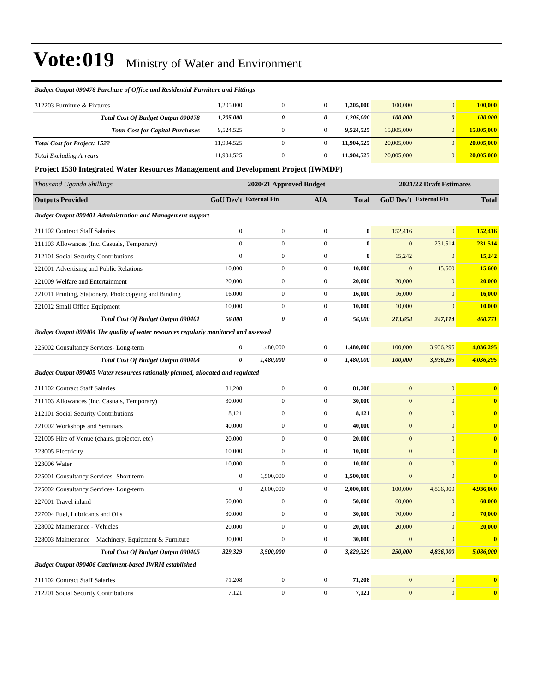*Budget Output 090478 Purchase of Office and Residential Furniture and Fittings*

| 312203 Furniture & Fixtures                                                          | 1,205,000                     | $\mathbf{0}$            | $\boldsymbol{0}$ | 1,205,000    | 100,000      | $\boldsymbol{0}$        | 100,000      |
|--------------------------------------------------------------------------------------|-------------------------------|-------------------------|------------------|--------------|--------------|-------------------------|--------------|
| <b>Total Cost Of Budget Output 090478</b>                                            | 1,205,000                     | 0                       | 0                | 1,205,000    | 100,000      | $\boldsymbol{\theta}$   | 100,000      |
| <b>Total Cost for Capital Purchases</b>                                              | 9,524,525                     | $\mathbf{0}$            | $\boldsymbol{0}$ | 9,524,525    | 15,805,000   | $\boldsymbol{0}$        | 15,805,000   |
| <b>Total Cost for Project: 1522</b>                                                  | 11,904,525                    | $\boldsymbol{0}$        | $\boldsymbol{0}$ | 11,904,525   | 20,005,000   | $\boldsymbol{0}$        | 20,005,000   |
| <b>Total Excluding Arrears</b>                                                       | 11,904,525                    | $\boldsymbol{0}$        | $\boldsymbol{0}$ | 11,904,525   | 20,005,000   | $\boldsymbol{0}$        | 20,005,000   |
| Project 1530 Integrated Water Resources Management and Development Project (IWMDP)   |                               |                         |                  |              |              |                         |              |
| Thousand Uganda Shillings                                                            |                               | 2020/21 Approved Budget |                  |              |              | 2021/22 Draft Estimates |              |
| <b>Outputs Provided</b>                                                              | <b>GoU Dev't External Fin</b> |                         | <b>AIA</b>       | <b>Total</b> |              | GoU Dev't External Fin  | <b>Total</b> |
| Budget Output 090401 Administration and Management support                           |                               |                         |                  |              |              |                         |              |
| 211102 Contract Staff Salaries                                                       | $\overline{0}$                | $\mathbf{0}$            | $\boldsymbol{0}$ | $\bf{0}$     | 152,416      | $\mathbf{0}$            | 152,416      |
| 211103 Allowances (Inc. Casuals, Temporary)                                          | $\overline{0}$                | $\boldsymbol{0}$        | $\boldsymbol{0}$ | $\bf{0}$     | $\mathbf{0}$ | 231,514                 | 231,514      |
| 212101 Social Security Contributions                                                 | $\mathbf{0}$                  | $\mathbf{0}$            | $\boldsymbol{0}$ | $\bf{0}$     | 15,242       | $\mathbf{0}$            | 15,242       |
| 221001 Advertising and Public Relations                                              | 10,000                        | $\boldsymbol{0}$        | $\boldsymbol{0}$ | 10,000       | $\mathbf{0}$ | 15,600                  | 15,600       |
| 221009 Welfare and Entertainment                                                     | 20,000                        | $\boldsymbol{0}$        | $\boldsymbol{0}$ | 20,000       | 20,000       | $\mathbf{0}$            | 20,000       |
| 221011 Printing, Stationery, Photocopying and Binding                                | 16,000                        | $\boldsymbol{0}$        | $\boldsymbol{0}$ | 16,000       | 16,000       | $\mathbf{0}$            | 16,000       |
| 221012 Small Office Equipment                                                        | 10,000                        | $\boldsymbol{0}$        | $\boldsymbol{0}$ | 10,000       | 10,000       | $\mathbf{0}$            | 10,000       |
| Total Cost Of Budget Output 090401                                                   | 56,000                        | 0                       | 0                | 56,000       | 213,658      | 247,114                 | 460,771      |
| Budget Output 090404 The quality of water resources regularly monitored and assessed |                               |                         |                  |              |              |                         |              |
| 225002 Consultancy Services-Long-term                                                | $\mathbf{0}$                  | 1,480,000               | $\boldsymbol{0}$ | 1,480,000    | 100,000      | 3,936,295               | 4,036,295    |
| <b>Total Cost Of Budget Output 090404</b>                                            | 0                             | 1,480,000               | 0                | 1,480,000    | 100,000      | 3,936,295               | 4,036,295    |
| Budget Output 090405 Water resources rationally planned, allocated and regulated     |                               |                         |                  |              |              |                         |              |
| 211102 Contract Staff Salaries                                                       | 81,208                        | $\mathbf{0}$            | $\boldsymbol{0}$ | 81,208       | $\mathbf{0}$ | $\boldsymbol{0}$        | $\bf{0}$     |
| 211103 Allowances (Inc. Casuals, Temporary)                                          | 30,000                        | $\boldsymbol{0}$        | $\boldsymbol{0}$ | 30,000       | $\mathbf{0}$ | $\mathbf{0}$            | $\bf{0}$     |
| 212101 Social Security Contributions                                                 | 8,121                         | $\mathbf{0}$            | $\boldsymbol{0}$ | 8,121        | $\mathbf{0}$ | $\boldsymbol{0}$        | $\bf{0}$     |
| 221002 Workshops and Seminars                                                        | 40,000                        | $\boldsymbol{0}$        | $\boldsymbol{0}$ | 40,000       | $\mathbf{0}$ | $\boldsymbol{0}$        | $\bf{0}$     |
| 221005 Hire of Venue (chairs, projector, etc)                                        | 20,000                        | $\mathbf{0}$            | $\boldsymbol{0}$ | 20,000       | $\mathbf{0}$ | $\boldsymbol{0}$        | $\bf{0}$     |
| 223005 Electricity                                                                   | 10,000                        | $\mathbf{0}$            | $\boldsymbol{0}$ | 10,000       | $\mathbf{0}$ | $\mathbf{0}$            | $\bf{0}$     |
| 223006 Water                                                                         | 10,000                        | $\boldsymbol{0}$        | $\boldsymbol{0}$ | 10,000       | $\mathbf{0}$ | $\boldsymbol{0}$        | $\bf{0}$     |
| 225001 Consultancy Services- Short term                                              | $\boldsymbol{0}$              | 1,500,000               | $\boldsymbol{0}$ | 1,500,000    | $\mathbf{0}$ | $\mathbf{0}$            | $\bf{0}$     |
| 225002 Consultancy Services-Long-term                                                | $\mathbf{0}$                  | 2,000,000               | $\boldsymbol{0}$ | 2,000,000    | 100,000      | 4,836,000               | 4,936,000    |
| 227001 Travel inland                                                                 | 50,000                        | $\bf{0}$                | 0                | 50,000       | 60,000       | $\mathbf{0}$            | 60,000       |
| 227004 Fuel, Lubricants and Oils                                                     | 30,000                        | $\boldsymbol{0}$        | $\boldsymbol{0}$ | 30,000       | 70,000       | $\boldsymbol{0}$        | 70,000       |
| 228002 Maintenance - Vehicles                                                        | 20,000                        | $\boldsymbol{0}$        | $\boldsymbol{0}$ | 20,000       | 20,000       | $\boldsymbol{0}$        | 20,000       |
| 228003 Maintenance - Machinery, Equipment & Furniture                                | 30,000                        | $\boldsymbol{0}$        | $\boldsymbol{0}$ | 30,000       | $\mathbf{0}$ | $\boldsymbol{0}$        | $\bf{0}$     |
| Total Cost Of Budget Output 090405                                                   | 329,329                       | 3,500,000               | 0                | 3,829,329    | 250,000      | 4,836,000               | 5,086,000    |
| <b>Budget Output 090406 Catchment-based IWRM established</b>                         |                               |                         |                  |              |              |                         |              |
|                                                                                      |                               |                         |                  |              |              |                         |              |

211102 Contract Staff Salaries 71,208 0 0 **71,208** 0 0 **0** 212201 Social Security Contributions 7,121 0 0 **7,121** 0 0 **0**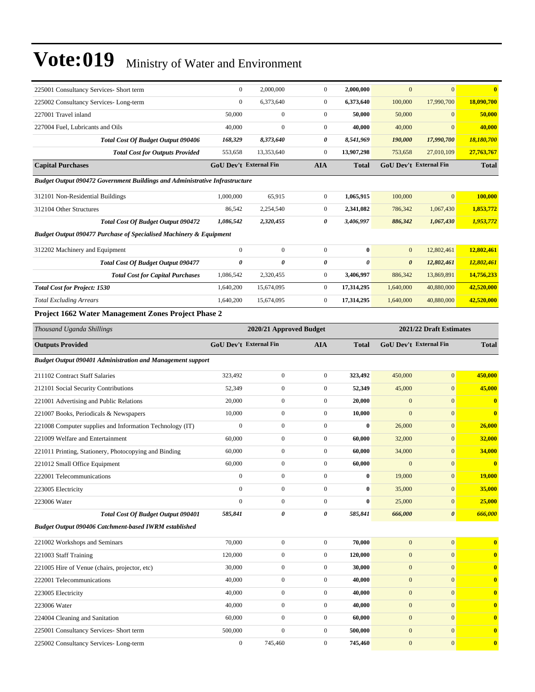| 225001 Consultancy Services- Short term                                       | $\mathbf{0}$                  | 2,000,000               | $\boldsymbol{0}$ | 2,000,000             | $\mathbf{0}$          | $\mathbf{0}$                  | $\bf{0}$                |
|-------------------------------------------------------------------------------|-------------------------------|-------------------------|------------------|-----------------------|-----------------------|-------------------------------|-------------------------|
| 225002 Consultancy Services-Long-term                                         | $\mathbf{0}$                  | 6,373,640               | $\boldsymbol{0}$ | 6,373,640             | 100,000               | 17,990,700                    | 18,090,700              |
| 227001 Travel inland                                                          | 50,000                        | $\boldsymbol{0}$        | $\boldsymbol{0}$ | 50,000                | 50,000                | $\mathbf{0}$                  | 50,000                  |
| 227004 Fuel, Lubricants and Oils                                              | 40,000                        | $\mathbf{0}$            | $\boldsymbol{0}$ | 40,000                | 40,000                | $\mathbf{0}$                  | 40,000                  |
| Total Cost Of Budget Output 090406                                            | 168,329                       | 8,373,640               | 0                | 8,541,969             | 190,000               | 17,990,700                    | 18,180,700              |
| <b>Total Cost for Outputs Provided</b>                                        | 553,658                       | 13,353,640              | $\boldsymbol{0}$ | 13,907,298            | 753,658               | 27,010,109                    | 27,763,767              |
| <b>Capital Purchases</b>                                                      | <b>GoU Dev't External Fin</b> |                         | <b>AIA</b>       | <b>Total</b>          |                       | GoU Dev't External Fin        | <b>Total</b>            |
| Budget Output 090472 Government Buildings and Administrative Infrastructure   |                               |                         |                  |                       |                       |                               |                         |
| 312101 Non-Residential Buildings                                              | 1,000,000                     | 65,915                  | $\boldsymbol{0}$ | 1,065,915             | 100,000               | $\mathbf{0}$                  | 100,000                 |
| 312104 Other Structures                                                       | 86,542                        | 2,254,540               | $\boldsymbol{0}$ | 2,341,082             | 786,342               | 1,067,430                     | 1,853,772               |
| <b>Total Cost Of Budget Output 090472</b>                                     | 1,086,542                     | 2,320,455               | 0                | 3,406,997             | 886,342               | 1,067,430                     | 1,953,772               |
| <b>Budget Output 090477 Purchase of Specialised Machinery &amp; Equipment</b> |                               |                         |                  |                       |                       |                               |                         |
| 312202 Machinery and Equipment                                                | $\mathbf{0}$                  | $\boldsymbol{0}$        | $\mathbf{0}$     | $\bf{0}$              | $\mathbf{0}$          | 12,802,461                    | 12,802,461              |
| <b>Total Cost Of Budget Output 090477</b>                                     | $\pmb{\theta}$                | $\theta$                | 0                | $\boldsymbol{\theta}$ | $\boldsymbol{\theta}$ | 12,802,461                    | 12,802,461              |
| <b>Total Cost for Capital Purchases</b>                                       | 1,086,542                     | 2,320,455               | $\boldsymbol{0}$ | 3,406,997             | 886,342               | 13,869,891                    | 14,756,233              |
| <b>Total Cost for Project: 1530</b>                                           | 1,640,200                     | 15,674,095              | $\boldsymbol{0}$ | 17,314,295            | 1,640,000             | 40,880,000                    | 42,520,000              |
| <b>Total Excluding Arrears</b>                                                | 1,640,200                     | 15,674,095              | $\boldsymbol{0}$ | 17,314,295            | 1,640,000             | 40,880,000                    | 42,520,000              |
| Project 1662 Water Management Zones Project Phase 2                           |                               |                         |                  |                       |                       |                               |                         |
| Thousand Uganda Shillings                                                     |                               | 2020/21 Approved Budget |                  |                       |                       | 2021/22 Draft Estimates       |                         |
| <b>Outputs Provided</b>                                                       | <b>GoU Dev't External Fin</b> |                         | <b>AIA</b>       | <b>Total</b>          |                       | <b>GoU Dev't External Fin</b> | <b>Total</b>            |
| <b>Budget Output 090401 Administration and Management support</b>             |                               |                         |                  |                       |                       |                               |                         |
| 211102 Contract Staff Salaries                                                | 323,492                       | $\boldsymbol{0}$        | $\boldsymbol{0}$ | 323,492               | 450,000               | $\mathbf{0}$                  | 450,000                 |
| 212101 Social Security Contributions                                          | 52,349                        | $\boldsymbol{0}$        | $\boldsymbol{0}$ | 52,349                | 45,000                | $\mathbf{0}$                  | 45,000                  |
| 221001 Advertising and Public Relations                                       | 20,000                        | $\overline{0}$          | $\mathbf{0}$     | 20,000                | $\mathbf{0}$          | $\mathbf{0}$                  | $\bf{0}$                |
| 221007 Books, Periodicals & Newspapers                                        | 10,000                        | $\boldsymbol{0}$        | $\boldsymbol{0}$ | 10,000                | $\mathbf{0}$          | $\mathbf{0}$                  | $\overline{\mathbf{0}}$ |
| 221008 Computer supplies and Information Technology (IT)                      | $\mathbf{0}$                  | $\boldsymbol{0}$        | $\boldsymbol{0}$ | $\bf{0}$              | 26,000                | $\boldsymbol{0}$              | 26,000                  |
| 221009 Welfare and Entertainment                                              | 60,000                        | $\boldsymbol{0}$        | $\boldsymbol{0}$ | 60,000                | 32,000                | $\mathbf{0}$                  | 32,000                  |
| 221011 Printing, Stationery, Photocopying and Binding                         | 60,000                        | $\boldsymbol{0}$        | $\boldsymbol{0}$ | 60,000                | 34,000                | $\mathbf{0}$                  | 34,000                  |
| 221012 Small Office Equipment                                                 | 60,000                        | $\boldsymbol{0}$        | $\boldsymbol{0}$ | 60,000                | $\boldsymbol{0}$      | $\mathbf{0}$                  | $\bf{0}$                |
| 222001 Telecommunications                                                     | $\boldsymbol{0}$              | $\boldsymbol{0}$        | $\boldsymbol{0}$ | 0                     | 19,000                | $\mathbf{0}$                  | 19,000                  |
| 223005 Electricity                                                            | $\mathbf{0}$                  | $\boldsymbol{0}$        | $\overline{0}$   | $\bf{0}$              | 35,000                | $\boldsymbol{0}$              | 35,000                  |
| 223006 Water                                                                  | $\mathbf{0}$                  | $\overline{0}$          | $\overline{0}$   | $\bf{0}$              | 25,000                | $\mathbf{0}$                  | 25,000                  |
| Total Cost Of Budget Output 090401                                            | 585,841                       | 0                       | 0                | 585,841               | 666,000               | $\boldsymbol{\theta}$         | 666,000                 |
| Budget Output 090406 Catchment-based IWRM established                         |                               |                         |                  |                       |                       |                               |                         |
| 221002 Workshops and Seminars                                                 | 70,000                        | $\boldsymbol{0}$        | $\boldsymbol{0}$ | 70,000                | $\boldsymbol{0}$      | $\mathbf{0}$                  | $\bf{0}$                |
| 221003 Staff Training                                                         | 120,000                       | $\boldsymbol{0}$        | $\boldsymbol{0}$ | 120,000               | $\mathbf{0}$          | $\mathbf{0}$                  | $\bf{0}$                |
| 221005 Hire of Venue (chairs, projector, etc)                                 | 30,000                        | $\boldsymbol{0}$        | $\boldsymbol{0}$ | 30,000                | $\mathbf{0}$          | $\mathbf{0}$                  | $\bf{0}$                |
| 222001 Telecommunications                                                     | 40,000                        | $\boldsymbol{0}$        | $\boldsymbol{0}$ | 40,000                | $\boldsymbol{0}$      | $\mathbf{0}$                  | $\bf{0}$                |
| 223005 Electricity                                                            | 40,000                        | $\boldsymbol{0}$        | $\boldsymbol{0}$ | 40,000                | $\boldsymbol{0}$      | $\mathbf{0}$                  | $\bf{0}$                |
| 223006 Water                                                                  | 40,000                        | $\boldsymbol{0}$        | $\boldsymbol{0}$ | 40,000                | $\boldsymbol{0}$      | $\mathbf{0}$                  | $\bf{0}$                |
| 224004 Cleaning and Sanitation                                                | 60,000                        | $\mathbf{0}$            | $\boldsymbol{0}$ | 60,000                | $\mathbf{0}$          | $\mathbf{0}$                  | $\bf{0}$                |
| 225001 Consultancy Services- Short term                                       |                               |                         |                  |                       | $\mathbf{0}$          |                               |                         |
|                                                                               | 500,000                       | $\boldsymbol{0}$        | $\boldsymbol{0}$ | 500,000               |                       | $\mathbf{0}$                  | $\bf{0}$                |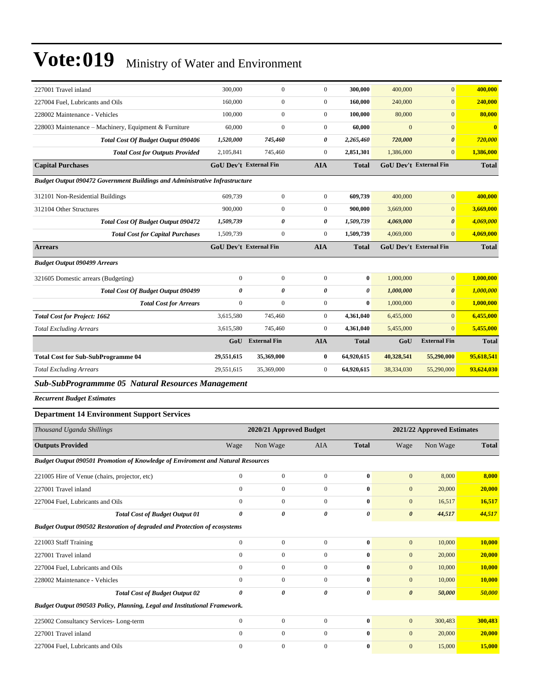| 227001 Travel inland                                                                   | 300,000          | $\boldsymbol{0}$              | $\boldsymbol{0}$ | 300,000      | 400,000               | $\mathbf{0}$               | 400,000      |
|----------------------------------------------------------------------------------------|------------------|-------------------------------|------------------|--------------|-----------------------|----------------------------|--------------|
| 227004 Fuel, Lubricants and Oils                                                       | 160,000          | $\boldsymbol{0}$              | $\boldsymbol{0}$ | 160,000      | 240,000               | $\mathbf{0}$               | 240,000      |
| 228002 Maintenance - Vehicles                                                          | 100,000          | $\boldsymbol{0}$              | $\boldsymbol{0}$ | 100,000      | 80,000                | $\mathbf{0}$               | 80,000       |
| 228003 Maintenance - Machinery, Equipment & Furniture                                  | 60,000           | $\overline{0}$                | $\boldsymbol{0}$ | 60,000       | $\overline{0}$        | $\mathbf{0}$               | $\bf{0}$     |
| <b>Total Cost Of Budget Output 090406</b>                                              | 1,520,000        | 745,460                       | 0                | 2,265,460    | 720,000               | $\boldsymbol{\theta}$      | 720,000      |
| <b>Total Cost for Outputs Provided</b>                                                 | 2,105,841        | 745,460                       | $\boldsymbol{0}$ | 2,851,301    | 1,386,000             | $\mathbf{0}$               | 1,386,000    |
| <b>Capital Purchases</b>                                                               |                  | <b>GoU Dev't External Fin</b> | <b>AIA</b>       | <b>Total</b> |                       | GoU Dev't External Fin     | <b>Total</b> |
| Budget Output 090472 Government Buildings and Administrative Infrastructure            |                  |                               |                  |              |                       |                            |              |
| 312101 Non-Residential Buildings                                                       | 609,739          | $\boldsymbol{0}$              | $\boldsymbol{0}$ | 609,739      | 400,000               | $\overline{0}$             | 400,000      |
| 312104 Other Structures                                                                | 900,000          | $\boldsymbol{0}$              | $\mathbf{0}$     | 900,000      | 3,669,000             | $\mathbf{0}$               | 3,669,000    |
| <b>Total Cost Of Budget Output 090472</b>                                              | 1,509,739        | 0                             | 0                | 1,509,739    | 4,069,000             | $\boldsymbol{\theta}$      | 4,069,000    |
| <b>Total Cost for Capital Purchases</b>                                                | 1,509,739        | $\boldsymbol{0}$              | $\boldsymbol{0}$ | 1,509,739    | 4,069,000             | $\overline{0}$             | 4,069,000    |
| <b>Arrears</b>                                                                         |                  | GoU Dev't External Fin        | <b>AIA</b>       | <b>Total</b> |                       | GoU Dev't External Fin     | <b>Total</b> |
| <b>Budget Output 090499 Arrears</b>                                                    |                  |                               |                  |              |                       |                            |              |
| 321605 Domestic arrears (Budgeting)                                                    | $\boldsymbol{0}$ | $\boldsymbol{0}$              | $\boldsymbol{0}$ | $\bf{0}$     | 1,000,000             | $\mathbf{0}$               | 1,000,000    |
| Total Cost Of Budget Output 090499                                                     | $\theta$         | 0                             | 0                | 0            | 1,000,000             | $\boldsymbol{\theta}$      | 1,000,000    |
| <b>Total Cost for Arrears</b>                                                          | $\boldsymbol{0}$ | $\boldsymbol{0}$              | $\boldsymbol{0}$ | $\bf{0}$     | 1,000,000             | $\overline{0}$             | 1,000,000    |
| <b>Total Cost for Project: 1662</b>                                                    | 3,615,580        | 745,460                       | $\boldsymbol{0}$ | 4,361,040    | 6,455,000             | $\mathbf{0}$               | 6,455,000    |
| <b>Total Excluding Arrears</b>                                                         | 3,615,580        | 745,460                       | $\boldsymbol{0}$ | 4,361,040    | 5,455,000             | $\overline{0}$             | 5,455,000    |
|                                                                                        | GoU              | <b>External Fin</b>           | <b>AIA</b>       | <b>Total</b> | GoU                   | <b>External Fin</b>        | <b>Total</b> |
| <b>Total Cost for Sub-SubProgramme 04</b>                                              | 29,551,615       | 35,369,000                    | $\bf{0}$         | 64,920,615   | 40,328,541            | 55,290,000                 | 95,618,541   |
| <b>Total Excluding Arrears</b>                                                         | 29,551,615       | 35,369,000                    | $\boldsymbol{0}$ | 64,920,615   | 38,334,030            | 55,290,000                 | 93,624,030   |
| Sub-SubProgrammme 05 Natural Resources Management                                      |                  |                               |                  |              |                       |                            |              |
| <b>Recurrent Budget Estimates</b>                                                      |                  |                               |                  |              |                       |                            |              |
| <b>Department 14 Environment Support Services</b>                                      |                  |                               |                  |              |                       |                            |              |
| Thousand Uganda Shillings                                                              |                  | 2020/21 Approved Budget       |                  |              |                       | 2021/22 Approved Estimates |              |
| <b>Outputs Provided</b>                                                                | Wage             | Non Wage                      | AIA              | <b>Total</b> | Wage                  | Non Wage                   | <b>Total</b> |
| <b>Budget Output 090501 Promotion of Knowledge of Enviroment and Natural Resources</b> |                  |                               |                  |              |                       |                            |              |
| 221005 Hire of Venue (chairs, projector, etc)                                          | $\boldsymbol{0}$ | $\boldsymbol{0}$              | $\boldsymbol{0}$ | $\bf{0}$     | $\mathbf{0}$          | 8,000                      | 8,000        |
| 227001 Travel inland                                                                   | $\boldsymbol{0}$ | $\boldsymbol{0}$              | $\boldsymbol{0}$ | $\bf{0}$     | $\mathbf{0}$          | 20,000                     | 20,000       |
| 227004 Fuel, Lubricants and Oils                                                       | $\boldsymbol{0}$ | $\boldsymbol{0}$              | $\boldsymbol{0}$ | 0            | $\boldsymbol{0}$      | 16,517                     | 16,517       |
| <b>Total Cost of Budget Output 01</b>                                                  | $\pmb{\theta}$   | 0                             | 0                | 0            | $\boldsymbol{\theta}$ | 44,517                     | 44,517       |
| Budget Output 090502 Restoration of degraded and Protection of ecosystems              |                  |                               |                  |              |                       |                            |              |
| 221003 Staff Training                                                                  | $\boldsymbol{0}$ | $\boldsymbol{0}$              | $\boldsymbol{0}$ | 0            | $\boldsymbol{0}$      | 10,000                     | 10,000       |
| 227001 Travel inland                                                                   | $\boldsymbol{0}$ | $\boldsymbol{0}$              | $\boldsymbol{0}$ | $\bf{0}$     | $\boldsymbol{0}$      | 20,000                     | 20,000       |
| 227004 Fuel, Lubricants and Oils                                                       | $\boldsymbol{0}$ | $\boldsymbol{0}$              | $\boldsymbol{0}$ | $\bf{0}$     | $\boldsymbol{0}$      | 10,000                     | 10,000       |
| 228002 Maintenance - Vehicles                                                          | $\boldsymbol{0}$ | $\boldsymbol{0}$              | $\boldsymbol{0}$ | $\bf{0}$     | $\boldsymbol{0}$      | 10,000                     | 10,000       |
| <b>Total Cost of Budget Output 02</b>                                                  | 0                | 0                             | 0                | 0            | $\boldsymbol{\theta}$ | 50,000                     | 50,000       |
| Budget Output 090503 Policy, Planning, Legal and Institutional Framework.              |                  |                               |                  |              |                       |                            |              |
| 225002 Consultancy Services-Long-term                                                  | $\boldsymbol{0}$ | $\boldsymbol{0}$              | $\boldsymbol{0}$ | 0            | $\mathbf{0}$          | 300,483                    | 300,483      |
| 227001 Travel inland                                                                   | $\boldsymbol{0}$ | $\boldsymbol{0}$              | $\boldsymbol{0}$ | $\bf{0}$     | $\mathbf{0}$          | 20,000                     | 20,000       |
| 227004 Fuel, Lubricants and Oils                                                       | $\boldsymbol{0}$ | $\boldsymbol{0}$              | $\boldsymbol{0}$ | $\bf{0}$     | $\boldsymbol{0}$      | 15,000                     | 15,000       |
|                                                                                        |                  |                               |                  |              |                       |                            |              |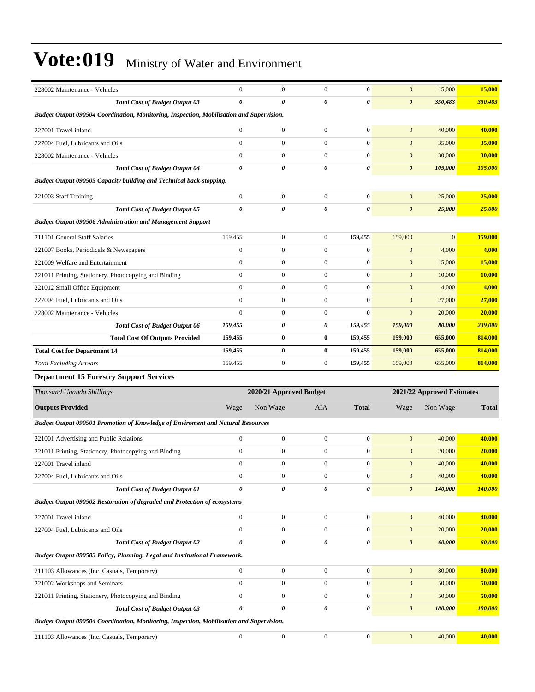| 228002 Maintenance - Vehicles                                                                   | $\boldsymbol{0}$      | $\mathbf{0}$            | $\mathbf{0}$     | $\bf{0}$              | $\boldsymbol{0}$      | 15,000                     | 15,000       |
|-------------------------------------------------------------------------------------------------|-----------------------|-------------------------|------------------|-----------------------|-----------------------|----------------------------|--------------|
| <b>Total Cost of Budget Output 03</b>                                                           | $\boldsymbol{\theta}$ | $\boldsymbol{\theta}$   | 0                | $\boldsymbol{\theta}$ | $\boldsymbol{\theta}$ | 350,483                    | 350,483      |
| Budget Output 090504 Coordination, Monitoring, Inspection, Mobilisation and Supervision.        |                       |                         |                  |                       |                       |                            |              |
| 227001 Travel inland                                                                            | $\mathbf{0}$          | $\boldsymbol{0}$        | $\boldsymbol{0}$ | $\bf{0}$              | $\boldsymbol{0}$      | 40,000                     | 40,000       |
| 227004 Fuel, Lubricants and Oils                                                                | $\mathbf{0}$          | $\boldsymbol{0}$        | $\boldsymbol{0}$ | $\bf{0}$              | $\mathbf{0}$          | 35,000                     | 35,000       |
| 228002 Maintenance - Vehicles                                                                   | $\mathbf{0}$          | $\boldsymbol{0}$        | $\boldsymbol{0}$ | $\bf{0}$              | $\mathbf{0}$          | 30,000                     | 30,000       |
| <b>Total Cost of Budget Output 04</b>                                                           | $\boldsymbol{\theta}$ | $\boldsymbol{\theta}$   | 0                | 0                     | $\boldsymbol{\theta}$ | 105,000                    | 105,000      |
| <b>Budget Output 090505 Capacity building and Technical back-stopping.</b>                      |                       |                         |                  |                       |                       |                            |              |
| 221003 Staff Training                                                                           | $\boldsymbol{0}$      | $\boldsymbol{0}$        | $\boldsymbol{0}$ | $\bf{0}$              | $\mathbf{0}$          | 25,000                     | 25,000       |
| <b>Total Cost of Budget Output 05</b>                                                           | $\boldsymbol{\theta}$ | 0                       | 0                | 0                     | $\boldsymbol{\theta}$ | 25,000                     | 25,000       |
| <b>Budget Output 090506 Administration and Management Support</b>                               |                       |                         |                  |                       |                       |                            |              |
| 211101 General Staff Salaries                                                                   | 159,455               | $\boldsymbol{0}$        | $\boldsymbol{0}$ | 159,455               | 159,000               | $\overline{0}$             | 159,000      |
| 221007 Books, Periodicals & Newspapers                                                          | $\boldsymbol{0}$      | $\boldsymbol{0}$        | $\boldsymbol{0}$ | $\bf{0}$              | $\mathbf{0}$          | 4,000                      | 4,000        |
| 221009 Welfare and Entertainment                                                                | $\boldsymbol{0}$      | $\boldsymbol{0}$        | $\boldsymbol{0}$ | $\bf{0}$              | $\boldsymbol{0}$      | 15,000                     | 15,000       |
| 221011 Printing, Stationery, Photocopying and Binding                                           | $\mathbf{0}$          | $\boldsymbol{0}$        | $\boldsymbol{0}$ | $\bf{0}$              | $\mathbf{0}$          | 10,000                     | 10,000       |
| 221012 Small Office Equipment                                                                   | $\mathbf{0}$          | $\boldsymbol{0}$        | $\boldsymbol{0}$ | $\bf{0}$              | $\mathbf{0}$          | 4,000                      | 4,000        |
| 227004 Fuel, Lubricants and Oils                                                                | $\mathbf{0}$          | $\boldsymbol{0}$        | $\boldsymbol{0}$ | $\bf{0}$              | $\mathbf{0}$          | 27,000                     | 27,000       |
| 228002 Maintenance - Vehicles                                                                   | $\mathbf{0}$          | $\boldsymbol{0}$        | $\boldsymbol{0}$ | $\bf{0}$              | $\mathbf{0}$          | 20,000                     | 20,000       |
| <b>Total Cost of Budget Output 06</b>                                                           | 159,455               | 0                       | 0                | 159,455               | 159,000               | 80,000                     | 239,000      |
| <b>Total Cost Of Outputs Provided</b>                                                           | 159,455               | $\bf{0}$                | $\bf{0}$         | 159,455               | 159,000               | 655,000                    | 814,000      |
| <b>Total Cost for Department 14</b>                                                             | 159,455               | $\bf{0}$                | $\bf{0}$         | 159,455               | 159,000               | 655,000                    | 814,000      |
|                                                                                                 | 159,455               | $\boldsymbol{0}$        | $\boldsymbol{0}$ | 159,455               | 159,000               | 655,000                    | 814,000      |
| <b>Total Excluding Arrears</b>                                                                  |                       |                         |                  |                       |                       |                            |              |
| <b>Department 15 Forestry Support Services</b>                                                  |                       |                         |                  |                       |                       |                            |              |
| Thousand Uganda Shillings                                                                       |                       | 2020/21 Approved Budget |                  |                       |                       | 2021/22 Approved Estimates |              |
| <b>Outputs Provided</b>                                                                         | Wage                  | Non Wage                | <b>AIA</b>       | <b>Total</b>          | Wage                  | Non Wage                   | <b>Total</b> |
| <b>Budget Output 090501 Promotion of Knowledge of Enviroment and Natural Resources</b>          |                       |                         |                  |                       |                       |                            |              |
| 221001 Advertising and Public Relations                                                         | $\boldsymbol{0}$      | $\boldsymbol{0}$        | $\boldsymbol{0}$ | $\bf{0}$              | $\mathbf{0}$          | 40,000                     | 40,000       |
| 221011 Printing, Stationery, Photocopying and Binding                                           | $\boldsymbol{0}$      | $\boldsymbol{0}$        | $\boldsymbol{0}$ | $\bf{0}$              | $\mathbf{0}$          | 20,000                     | 20,000       |
| 227001 Travel inland                                                                            | $\boldsymbol{0}$      | $\boldsymbol{0}$        | $\boldsymbol{0}$ | $\bf{0}$              | $\boldsymbol{0}$      | 40,000                     | 40,000       |
| 227004 Fuel, Lubricants and Oils                                                                | $\bf{0}$              | $\boldsymbol{0}$        | $\boldsymbol{0}$ | $\bf{0}$              | $\boldsymbol{0}$      | 40,000                     | 40,000       |
| <b>Total Cost of Budget Output 01</b>                                                           | 0                     | 0                       | 0                | $\boldsymbol{\theta}$ | $\boldsymbol{\theta}$ | 140,000                    | 140,000      |
| Budget Output 090502 Restoration of degraded and Protection of ecosystems                       |                       |                         |                  |                       |                       |                            |              |
| 227001 Travel inland                                                                            | $\boldsymbol{0}$      | $\boldsymbol{0}$        | $\boldsymbol{0}$ | $\bf{0}$              | $\mathbf{0}$          | 40,000                     | 40,000       |
| 227004 Fuel, Lubricants and Oils                                                                | $\boldsymbol{0}$      | $\boldsymbol{0}$        | $\boldsymbol{0}$ | $\bf{0}$              | $\mathbf{0}$          | 20,000                     | 20,000       |
| <b>Total Cost of Budget Output 02</b>                                                           | $\boldsymbol{\theta}$ | 0                       | 0                | 0                     | $\boldsymbol{\theta}$ | 60,000                     | 60,000       |
| Budget Output 090503 Policy, Planning, Legal and Institutional Framework.                       |                       |                         |                  |                       |                       |                            |              |
| 211103 Allowances (Inc. Casuals, Temporary)                                                     | $\boldsymbol{0}$      | $\boldsymbol{0}$        | $\boldsymbol{0}$ | $\bf{0}$              | $\mathbf{0}$          | 80,000                     | 80,000       |
| 221002 Workshops and Seminars                                                                   | $\boldsymbol{0}$      | $\boldsymbol{0}$        | $\boldsymbol{0}$ | $\bf{0}$              | $\boldsymbol{0}$      | 50,000                     | 50,000       |
| 221011 Printing, Stationery, Photocopying and Binding                                           | $\boldsymbol{0}$      | $\boldsymbol{0}$        | $\boldsymbol{0}$ | $\bf{0}$              | $\boldsymbol{0}$      | 50,000                     | 50,000       |
| <b>Total Cost of Budget Output 03</b>                                                           | $\boldsymbol{\theta}$ | 0                       | 0                | 0                     | $\boldsymbol{\theta}$ | 180,000                    | 180,000      |
| <b>Budget Output 090504 Coordination, Monitoring, Inspection, Mobilisation and Supervision.</b> |                       |                         |                  |                       |                       |                            |              |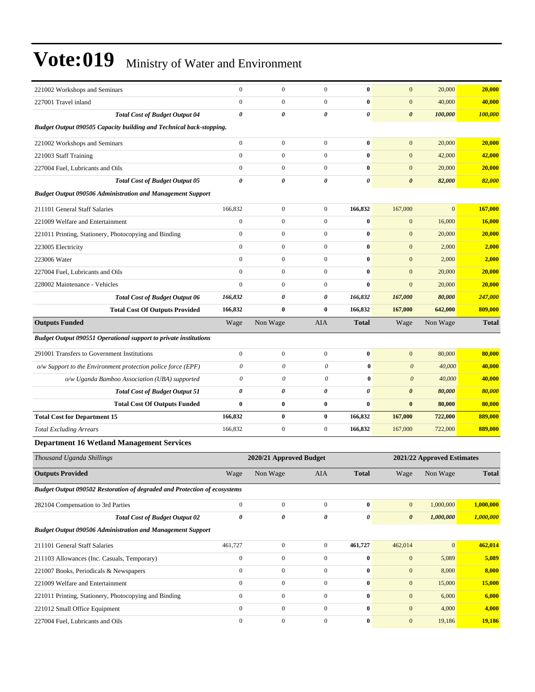| $\boldsymbol{0}$<br>$\boldsymbol{0}$<br>$\mathbf{0}$<br>$\bf{0}$<br>40,000<br>$\mathbf{0}$<br>40,000<br>0<br>100,000<br><b>Total Cost of Budget Output 04</b><br>0<br>0<br>0<br>$\boldsymbol{\theta}$<br>100,000<br>$\mathbf{0}$<br>$\boldsymbol{0}$<br>$\mathbf{0}$<br>$\bf{0}$<br>$\mathbf{0}$<br>20,000<br>20,000<br>$\overline{0}$<br>$\boldsymbol{0}$<br>$\boldsymbol{0}$<br>$\bf{0}$<br>$\mathbf{0}$<br>42,000<br>42,000<br>$\overline{0}$<br>$\boldsymbol{0}$<br>$\boldsymbol{0}$<br>$\bf{0}$<br>20,000<br>$\mathbf{0}$<br>20,000<br>0<br>$\theta$<br>$\boldsymbol{\theta}$<br>82,000<br>0<br>$\boldsymbol{\theta}$<br>82,000<br><b>Total Cost of Budget Output 05</b><br>$\mathbf{0}$<br>167,000<br>166,832<br>$\boldsymbol{0}$<br>$\mathbf{0}$<br>166,832<br>167,000<br>$\boldsymbol{0}$<br>$\mathbf{0}$<br>$\mathbf{0}$<br>$\bf{0}$<br>$\mathbf{0}$<br>16,000<br>16,000<br>221009 Welfare and Entertainment<br>$\boldsymbol{0}$<br>$\boldsymbol{0}$<br>$\boldsymbol{0}$<br>$\bf{0}$<br>$\mathbf{0}$<br>20,000<br>20,000<br>$\overline{0}$<br>$\boldsymbol{0}$<br>$\boldsymbol{0}$<br>2,000<br>$\bf{0}$<br>$\mathbf{0}$<br>2,000<br>$\overline{0}$<br>$\boldsymbol{0}$<br>$\mathbf{0}$<br>$\bf{0}$<br>$\mathbf{0}$<br>2,000<br>2,000<br>$\boldsymbol{0}$<br>$\boldsymbol{0}$<br>$\boldsymbol{0}$<br>$\bf{0}$<br>$\mathbf{0}$<br>20,000<br>20,000<br>$\mathbf{0}$<br>$\bf{0}$<br>$\overline{0}$<br>$\mathbf{0}$<br>$\mathbf{0}$<br>20,000<br>20,000<br><b>Total Cost of Budget Output 06</b><br>166,832<br>0<br>$\boldsymbol{\theta}$<br>166,832<br>167,000<br>247,000<br>80,000<br>809,000<br><b>Total Cost Of Outputs Provided</b><br>166,832<br>$\bf{0}$<br>$\bf{0}$<br>166,832<br>167,000<br>642,000<br>Wage<br>Non Wage<br>AIA<br><b>Total</b><br><b>Total</b><br>Wage<br>Non Wage<br>$\boldsymbol{0}$<br>$\boldsymbol{0}$<br>$\mathbf{0}$<br>$\bf{0}$<br>80,000<br>$\mathbf{0}$<br>80,000<br>$\theta$<br>o/w Support to the Environment protection police force (EPF)<br>$\theta$<br>0<br>$\bf{0}$<br>$\theta$<br>40,000<br>40,000<br>$\theta$<br>$\theta$<br>$\theta$<br>$\bf{0}$<br>$\boldsymbol{\theta}$<br>40,000<br>40,000<br>o/w Uganda Bamboo Association (UBA) supported<br>0<br><b>Total Cost of Budget Output 51</b><br>0<br>0<br>$\boldsymbol{\theta}$<br>$\boldsymbol{\theta}$<br>80,000<br>80,000<br>$\bf{0}$<br>$\bf{0}$<br>80,000<br><b>Total Cost Of Outputs Funded</b><br>$\bf{0}$<br>$\bf{0}$<br>$\bf{0}$<br>80,000<br>166,832<br>$\bf{0}$<br>166,832<br>889,000<br>$\bf{0}$<br>167,000<br>722,000<br>166,832<br>$\boldsymbol{0}$<br>$\mathbf{0}$<br>166,832<br>167,000<br>722,000<br>889,000<br>2020/21 Approved Budget<br>2021/22 Approved Estimates<br>Thousand Uganda Shillings<br>Wage<br>Wage<br><b>Total</b><br><b>Total</b><br>Non Wage<br>Non Wage<br>AIA<br>$\mathbf{0}$<br>$\boldsymbol{0}$<br>$\boldsymbol{0}$<br>$\pmb{0}$<br>$\mathbf{0}$<br>1,000,000<br>1,000,000<br>$\pmb{\theta}$<br>0<br>$\pmb{\theta}$<br>$\pmb{\theta}$<br>$\pmb{\theta}$<br>1,000,000<br><b>Total Cost of Budget Output 02</b><br>1,000,000<br>$\boldsymbol{0}$<br>$\mathbf{0}$<br>$\boldsymbol{0}$<br>462,014<br>461,727<br>461,727<br>462,014<br>$\boldsymbol{0}$<br>$\boldsymbol{0}$<br>$\boldsymbol{0}$<br>5,089<br>5,089<br>$\bf{0}$<br>$\boldsymbol{0}$<br>$\boldsymbol{0}$<br>$\boldsymbol{0}$<br>8,000<br>$\boldsymbol{0}$<br>$\bf{0}$<br>$\mathbf{0}$<br>8,000<br>$\boldsymbol{0}$<br>$\boldsymbol{0}$<br>$\boldsymbol{0}$<br>$\pmb{0}$<br>$\boldsymbol{0}$<br>15,000<br>15,000<br>$\boldsymbol{0}$<br>$\boldsymbol{0}$<br>$\boldsymbol{0}$<br>6,000<br>$\bf{0}$<br>$\boldsymbol{0}$<br>6,000<br>$\boldsymbol{0}$<br>$\boldsymbol{0}$<br>$\overline{0}$<br>4,000<br>$\bf{0}$<br>$\boldsymbol{0}$<br>4,000<br>$\boldsymbol{0}$ | 221002 Workshops and Seminars    | $\boldsymbol{0}$ | $\boldsymbol{0}$ | $\mathbf{0}$     | $\bf{0}$  | $\mathbf{0}$     | 20,000 | 20,000 |
|--------------------------------------------------------------------------------------------------------------------------------------------------------------------------------------------------------------------------------------------------------------------------------------------------------------------------------------------------------------------------------------------------------------------------------------------------------------------------------------------------------------------------------------------------------------------------------------------------------------------------------------------------------------------------------------------------------------------------------------------------------------------------------------------------------------------------------------------------------------------------------------------------------------------------------------------------------------------------------------------------------------------------------------------------------------------------------------------------------------------------------------------------------------------------------------------------------------------------------------------------------------------------------------------------------------------------------------------------------------------------------------------------------------------------------------------------------------------------------------------------------------------------------------------------------------------------------------------------------------------------------------------------------------------------------------------------------------------------------------------------------------------------------------------------------------------------------------------------------------------------------------------------------------------------------------------------------------------------------------------------------------------------------------------------------------------------------------------------------------------------------------------------------------------------------------------------------------------------------------------------------------------------------------------------------------------------------------------------------------------------------------------------------------------------------------------------------------------------------------------------------------------------------------------------------------------------------------------------------------------------------------------------------------------------------------------------------------------------------------------------------------------------------------------------------------------------------------------------------------------------------------------------------------------------------------------------------------------------------------------------------------------------------------------------------------------------------------------------------------------------------------------------------------------------------------------------------------------------------------------------------------------------------------------------------------------------------------------------------------------------------------------------------------------------------------------------------------------------------------------------------------------------------------------------------------------------------------------------------------------------------------------------------------------------------------------------------------------------------------------------------------|----------------------------------|------------------|------------------|------------------|-----------|------------------|--------|--------|
| <b>Budget Output 090505 Capacity building and Technical back-stopping.</b><br>221002 Workshops and Seminars<br>221003 Staff Training<br>227004 Fuel, Lubricants and Oils<br><b>Budget Output 090506 Administration and Management Support</b><br>211101 General Staff Salaries<br>221011 Printing, Stationery, Photocopying and Binding<br>223005 Electricity<br>223006 Water<br>227004 Fuel, Lubricants and Oils<br>228002 Maintenance - Vehicles<br><b>Outputs Funded</b><br><b>Budget Output 090551 Operational support to private institutions</b><br>291001 Transfers to Government Institutions<br><b>Total Cost for Department 15</b><br><b>Total Excluding Arrears</b><br><b>Department 16 Wetland Management Services</b><br><b>Outputs Provided</b><br>Budget Output 090502 Restoration of degraded and Protection of ecosystems<br>282104 Compensation to 3rd Parties<br><b>Budget Output 090506 Administration and Management Support</b><br>211101 General Staff Salaries<br>211103 Allowances (Inc. Casuals, Temporary)<br>221007 Books, Periodicals & Newspapers<br>221009 Welfare and Entertainment<br>221011 Printing, Stationery, Photocopying and Binding<br>221012 Small Office Equipment                                                                                                                                                                                                                                                                                                                                                                                                                                                                                                                                                                                                                                                                                                                                                                                                                                                                                                                                                                                                                                                                                                                                                                                                                                                                                                                                                                                                                                                                                                                                                                                                                                                                                                                                                                                                                                                                                                                                                                                                                                                                                                                                                                                                                                                                                                                                                                                                                                                                                                                                                | 227001 Travel inland             |                  |                  |                  |           |                  |        |        |
|                                                                                                                                                                                                                                                                                                                                                                                                                                                                                                                                                                                                                                                                                                                                                                                                                                                                                                                                                                                                                                                                                                                                                                                                                                                                                                                                                                                                                                                                                                                                                                                                                                                                                                                                                                                                                                                                                                                                                                                                                                                                                                                                                                                                                                                                                                                                                                                                                                                                                                                                                                                                                                                                                                                                                                                                                                                                                                                                                                                                                                                                                                                                                                                                                                                                                                                                                                                                                                                                                                                                                                                                                                                                                                                                                              |                                  |                  |                  |                  |           |                  |        |        |
|                                                                                                                                                                                                                                                                                                                                                                                                                                                                                                                                                                                                                                                                                                                                                                                                                                                                                                                                                                                                                                                                                                                                                                                                                                                                                                                                                                                                                                                                                                                                                                                                                                                                                                                                                                                                                                                                                                                                                                                                                                                                                                                                                                                                                                                                                                                                                                                                                                                                                                                                                                                                                                                                                                                                                                                                                                                                                                                                                                                                                                                                                                                                                                                                                                                                                                                                                                                                                                                                                                                                                                                                                                                                                                                                                              |                                  |                  |                  |                  |           |                  |        |        |
|                                                                                                                                                                                                                                                                                                                                                                                                                                                                                                                                                                                                                                                                                                                                                                                                                                                                                                                                                                                                                                                                                                                                                                                                                                                                                                                                                                                                                                                                                                                                                                                                                                                                                                                                                                                                                                                                                                                                                                                                                                                                                                                                                                                                                                                                                                                                                                                                                                                                                                                                                                                                                                                                                                                                                                                                                                                                                                                                                                                                                                                                                                                                                                                                                                                                                                                                                                                                                                                                                                                                                                                                                                                                                                                                                              |                                  |                  |                  |                  |           |                  |        |        |
|                                                                                                                                                                                                                                                                                                                                                                                                                                                                                                                                                                                                                                                                                                                                                                                                                                                                                                                                                                                                                                                                                                                                                                                                                                                                                                                                                                                                                                                                                                                                                                                                                                                                                                                                                                                                                                                                                                                                                                                                                                                                                                                                                                                                                                                                                                                                                                                                                                                                                                                                                                                                                                                                                                                                                                                                                                                                                                                                                                                                                                                                                                                                                                                                                                                                                                                                                                                                                                                                                                                                                                                                                                                                                                                                                              |                                  |                  |                  |                  |           |                  |        |        |
|                                                                                                                                                                                                                                                                                                                                                                                                                                                                                                                                                                                                                                                                                                                                                                                                                                                                                                                                                                                                                                                                                                                                                                                                                                                                                                                                                                                                                                                                                                                                                                                                                                                                                                                                                                                                                                                                                                                                                                                                                                                                                                                                                                                                                                                                                                                                                                                                                                                                                                                                                                                                                                                                                                                                                                                                                                                                                                                                                                                                                                                                                                                                                                                                                                                                                                                                                                                                                                                                                                                                                                                                                                                                                                                                                              |                                  |                  |                  |                  |           |                  |        |        |
|                                                                                                                                                                                                                                                                                                                                                                                                                                                                                                                                                                                                                                                                                                                                                                                                                                                                                                                                                                                                                                                                                                                                                                                                                                                                                                                                                                                                                                                                                                                                                                                                                                                                                                                                                                                                                                                                                                                                                                                                                                                                                                                                                                                                                                                                                                                                                                                                                                                                                                                                                                                                                                                                                                                                                                                                                                                                                                                                                                                                                                                                                                                                                                                                                                                                                                                                                                                                                                                                                                                                                                                                                                                                                                                                                              |                                  |                  |                  |                  |           |                  |        |        |
|                                                                                                                                                                                                                                                                                                                                                                                                                                                                                                                                                                                                                                                                                                                                                                                                                                                                                                                                                                                                                                                                                                                                                                                                                                                                                                                                                                                                                                                                                                                                                                                                                                                                                                                                                                                                                                                                                                                                                                                                                                                                                                                                                                                                                                                                                                                                                                                                                                                                                                                                                                                                                                                                                                                                                                                                                                                                                                                                                                                                                                                                                                                                                                                                                                                                                                                                                                                                                                                                                                                                                                                                                                                                                                                                                              |                                  |                  |                  |                  |           |                  |        |        |
|                                                                                                                                                                                                                                                                                                                                                                                                                                                                                                                                                                                                                                                                                                                                                                                                                                                                                                                                                                                                                                                                                                                                                                                                                                                                                                                                                                                                                                                                                                                                                                                                                                                                                                                                                                                                                                                                                                                                                                                                                                                                                                                                                                                                                                                                                                                                                                                                                                                                                                                                                                                                                                                                                                                                                                                                                                                                                                                                                                                                                                                                                                                                                                                                                                                                                                                                                                                                                                                                                                                                                                                                                                                                                                                                                              |                                  |                  |                  |                  |           |                  |        |        |
|                                                                                                                                                                                                                                                                                                                                                                                                                                                                                                                                                                                                                                                                                                                                                                                                                                                                                                                                                                                                                                                                                                                                                                                                                                                                                                                                                                                                                                                                                                                                                                                                                                                                                                                                                                                                                                                                                                                                                                                                                                                                                                                                                                                                                                                                                                                                                                                                                                                                                                                                                                                                                                                                                                                                                                                                                                                                                                                                                                                                                                                                                                                                                                                                                                                                                                                                                                                                                                                                                                                                                                                                                                                                                                                                                              |                                  |                  |                  |                  |           |                  |        |        |
|                                                                                                                                                                                                                                                                                                                                                                                                                                                                                                                                                                                                                                                                                                                                                                                                                                                                                                                                                                                                                                                                                                                                                                                                                                                                                                                                                                                                                                                                                                                                                                                                                                                                                                                                                                                                                                                                                                                                                                                                                                                                                                                                                                                                                                                                                                                                                                                                                                                                                                                                                                                                                                                                                                                                                                                                                                                                                                                                                                                                                                                                                                                                                                                                                                                                                                                                                                                                                                                                                                                                                                                                                                                                                                                                                              |                                  |                  |                  |                  |           |                  |        |        |
|                                                                                                                                                                                                                                                                                                                                                                                                                                                                                                                                                                                                                                                                                                                                                                                                                                                                                                                                                                                                                                                                                                                                                                                                                                                                                                                                                                                                                                                                                                                                                                                                                                                                                                                                                                                                                                                                                                                                                                                                                                                                                                                                                                                                                                                                                                                                                                                                                                                                                                                                                                                                                                                                                                                                                                                                                                                                                                                                                                                                                                                                                                                                                                                                                                                                                                                                                                                                                                                                                                                                                                                                                                                                                                                                                              |                                  |                  |                  |                  |           |                  |        |        |
|                                                                                                                                                                                                                                                                                                                                                                                                                                                                                                                                                                                                                                                                                                                                                                                                                                                                                                                                                                                                                                                                                                                                                                                                                                                                                                                                                                                                                                                                                                                                                                                                                                                                                                                                                                                                                                                                                                                                                                                                                                                                                                                                                                                                                                                                                                                                                                                                                                                                                                                                                                                                                                                                                                                                                                                                                                                                                                                                                                                                                                                                                                                                                                                                                                                                                                                                                                                                                                                                                                                                                                                                                                                                                                                                                              |                                  |                  |                  |                  |           |                  |        |        |
|                                                                                                                                                                                                                                                                                                                                                                                                                                                                                                                                                                                                                                                                                                                                                                                                                                                                                                                                                                                                                                                                                                                                                                                                                                                                                                                                                                                                                                                                                                                                                                                                                                                                                                                                                                                                                                                                                                                                                                                                                                                                                                                                                                                                                                                                                                                                                                                                                                                                                                                                                                                                                                                                                                                                                                                                                                                                                                                                                                                                                                                                                                                                                                                                                                                                                                                                                                                                                                                                                                                                                                                                                                                                                                                                                              |                                  |                  |                  |                  |           |                  |        |        |
|                                                                                                                                                                                                                                                                                                                                                                                                                                                                                                                                                                                                                                                                                                                                                                                                                                                                                                                                                                                                                                                                                                                                                                                                                                                                                                                                                                                                                                                                                                                                                                                                                                                                                                                                                                                                                                                                                                                                                                                                                                                                                                                                                                                                                                                                                                                                                                                                                                                                                                                                                                                                                                                                                                                                                                                                                                                                                                                                                                                                                                                                                                                                                                                                                                                                                                                                                                                                                                                                                                                                                                                                                                                                                                                                                              |                                  |                  |                  |                  |           |                  |        |        |
|                                                                                                                                                                                                                                                                                                                                                                                                                                                                                                                                                                                                                                                                                                                                                                                                                                                                                                                                                                                                                                                                                                                                                                                                                                                                                                                                                                                                                                                                                                                                                                                                                                                                                                                                                                                                                                                                                                                                                                                                                                                                                                                                                                                                                                                                                                                                                                                                                                                                                                                                                                                                                                                                                                                                                                                                                                                                                                                                                                                                                                                                                                                                                                                                                                                                                                                                                                                                                                                                                                                                                                                                                                                                                                                                                              |                                  |                  |                  |                  |           |                  |        |        |
|                                                                                                                                                                                                                                                                                                                                                                                                                                                                                                                                                                                                                                                                                                                                                                                                                                                                                                                                                                                                                                                                                                                                                                                                                                                                                                                                                                                                                                                                                                                                                                                                                                                                                                                                                                                                                                                                                                                                                                                                                                                                                                                                                                                                                                                                                                                                                                                                                                                                                                                                                                                                                                                                                                                                                                                                                                                                                                                                                                                                                                                                                                                                                                                                                                                                                                                                                                                                                                                                                                                                                                                                                                                                                                                                                              |                                  |                  |                  |                  |           |                  |        |        |
|                                                                                                                                                                                                                                                                                                                                                                                                                                                                                                                                                                                                                                                                                                                                                                                                                                                                                                                                                                                                                                                                                                                                                                                                                                                                                                                                                                                                                                                                                                                                                                                                                                                                                                                                                                                                                                                                                                                                                                                                                                                                                                                                                                                                                                                                                                                                                                                                                                                                                                                                                                                                                                                                                                                                                                                                                                                                                                                                                                                                                                                                                                                                                                                                                                                                                                                                                                                                                                                                                                                                                                                                                                                                                                                                                              |                                  |                  |                  |                  |           |                  |        |        |
|                                                                                                                                                                                                                                                                                                                                                                                                                                                                                                                                                                                                                                                                                                                                                                                                                                                                                                                                                                                                                                                                                                                                                                                                                                                                                                                                                                                                                                                                                                                                                                                                                                                                                                                                                                                                                                                                                                                                                                                                                                                                                                                                                                                                                                                                                                                                                                                                                                                                                                                                                                                                                                                                                                                                                                                                                                                                                                                                                                                                                                                                                                                                                                                                                                                                                                                                                                                                                                                                                                                                                                                                                                                                                                                                                              |                                  |                  |                  |                  |           |                  |        |        |
|                                                                                                                                                                                                                                                                                                                                                                                                                                                                                                                                                                                                                                                                                                                                                                                                                                                                                                                                                                                                                                                                                                                                                                                                                                                                                                                                                                                                                                                                                                                                                                                                                                                                                                                                                                                                                                                                                                                                                                                                                                                                                                                                                                                                                                                                                                                                                                                                                                                                                                                                                                                                                                                                                                                                                                                                                                                                                                                                                                                                                                                                                                                                                                                                                                                                                                                                                                                                                                                                                                                                                                                                                                                                                                                                                              |                                  |                  |                  |                  |           |                  |        |        |
|                                                                                                                                                                                                                                                                                                                                                                                                                                                                                                                                                                                                                                                                                                                                                                                                                                                                                                                                                                                                                                                                                                                                                                                                                                                                                                                                                                                                                                                                                                                                                                                                                                                                                                                                                                                                                                                                                                                                                                                                                                                                                                                                                                                                                                                                                                                                                                                                                                                                                                                                                                                                                                                                                                                                                                                                                                                                                                                                                                                                                                                                                                                                                                                                                                                                                                                                                                                                                                                                                                                                                                                                                                                                                                                                                              |                                  |                  |                  |                  |           |                  |        |        |
|                                                                                                                                                                                                                                                                                                                                                                                                                                                                                                                                                                                                                                                                                                                                                                                                                                                                                                                                                                                                                                                                                                                                                                                                                                                                                                                                                                                                                                                                                                                                                                                                                                                                                                                                                                                                                                                                                                                                                                                                                                                                                                                                                                                                                                                                                                                                                                                                                                                                                                                                                                                                                                                                                                                                                                                                                                                                                                                                                                                                                                                                                                                                                                                                                                                                                                                                                                                                                                                                                                                                                                                                                                                                                                                                                              |                                  |                  |                  |                  |           |                  |        |        |
|                                                                                                                                                                                                                                                                                                                                                                                                                                                                                                                                                                                                                                                                                                                                                                                                                                                                                                                                                                                                                                                                                                                                                                                                                                                                                                                                                                                                                                                                                                                                                                                                                                                                                                                                                                                                                                                                                                                                                                                                                                                                                                                                                                                                                                                                                                                                                                                                                                                                                                                                                                                                                                                                                                                                                                                                                                                                                                                                                                                                                                                                                                                                                                                                                                                                                                                                                                                                                                                                                                                                                                                                                                                                                                                                                              |                                  |                  |                  |                  |           |                  |        |        |
|                                                                                                                                                                                                                                                                                                                                                                                                                                                                                                                                                                                                                                                                                                                                                                                                                                                                                                                                                                                                                                                                                                                                                                                                                                                                                                                                                                                                                                                                                                                                                                                                                                                                                                                                                                                                                                                                                                                                                                                                                                                                                                                                                                                                                                                                                                                                                                                                                                                                                                                                                                                                                                                                                                                                                                                                                                                                                                                                                                                                                                                                                                                                                                                                                                                                                                                                                                                                                                                                                                                                                                                                                                                                                                                                                              |                                  |                  |                  |                  |           |                  |        |        |
|                                                                                                                                                                                                                                                                                                                                                                                                                                                                                                                                                                                                                                                                                                                                                                                                                                                                                                                                                                                                                                                                                                                                                                                                                                                                                                                                                                                                                                                                                                                                                                                                                                                                                                                                                                                                                                                                                                                                                                                                                                                                                                                                                                                                                                                                                                                                                                                                                                                                                                                                                                                                                                                                                                                                                                                                                                                                                                                                                                                                                                                                                                                                                                                                                                                                                                                                                                                                                                                                                                                                                                                                                                                                                                                                                              |                                  |                  |                  |                  |           |                  |        |        |
|                                                                                                                                                                                                                                                                                                                                                                                                                                                                                                                                                                                                                                                                                                                                                                                                                                                                                                                                                                                                                                                                                                                                                                                                                                                                                                                                                                                                                                                                                                                                                                                                                                                                                                                                                                                                                                                                                                                                                                                                                                                                                                                                                                                                                                                                                                                                                                                                                                                                                                                                                                                                                                                                                                                                                                                                                                                                                                                                                                                                                                                                                                                                                                                                                                                                                                                                                                                                                                                                                                                                                                                                                                                                                                                                                              |                                  |                  |                  |                  |           |                  |        |        |
|                                                                                                                                                                                                                                                                                                                                                                                                                                                                                                                                                                                                                                                                                                                                                                                                                                                                                                                                                                                                                                                                                                                                                                                                                                                                                                                                                                                                                                                                                                                                                                                                                                                                                                                                                                                                                                                                                                                                                                                                                                                                                                                                                                                                                                                                                                                                                                                                                                                                                                                                                                                                                                                                                                                                                                                                                                                                                                                                                                                                                                                                                                                                                                                                                                                                                                                                                                                                                                                                                                                                                                                                                                                                                                                                                              |                                  |                  |                  |                  |           |                  |        |        |
|                                                                                                                                                                                                                                                                                                                                                                                                                                                                                                                                                                                                                                                                                                                                                                                                                                                                                                                                                                                                                                                                                                                                                                                                                                                                                                                                                                                                                                                                                                                                                                                                                                                                                                                                                                                                                                                                                                                                                                                                                                                                                                                                                                                                                                                                                                                                                                                                                                                                                                                                                                                                                                                                                                                                                                                                                                                                                                                                                                                                                                                                                                                                                                                                                                                                                                                                                                                                                                                                                                                                                                                                                                                                                                                                                              |                                  |                  |                  |                  |           |                  |        |        |
|                                                                                                                                                                                                                                                                                                                                                                                                                                                                                                                                                                                                                                                                                                                                                                                                                                                                                                                                                                                                                                                                                                                                                                                                                                                                                                                                                                                                                                                                                                                                                                                                                                                                                                                                                                                                                                                                                                                                                                                                                                                                                                                                                                                                                                                                                                                                                                                                                                                                                                                                                                                                                                                                                                                                                                                                                                                                                                                                                                                                                                                                                                                                                                                                                                                                                                                                                                                                                                                                                                                                                                                                                                                                                                                                                              |                                  |                  |                  |                  |           |                  |        |        |
|                                                                                                                                                                                                                                                                                                                                                                                                                                                                                                                                                                                                                                                                                                                                                                                                                                                                                                                                                                                                                                                                                                                                                                                                                                                                                                                                                                                                                                                                                                                                                                                                                                                                                                                                                                                                                                                                                                                                                                                                                                                                                                                                                                                                                                                                                                                                                                                                                                                                                                                                                                                                                                                                                                                                                                                                                                                                                                                                                                                                                                                                                                                                                                                                                                                                                                                                                                                                                                                                                                                                                                                                                                                                                                                                                              |                                  |                  |                  |                  |           |                  |        |        |
|                                                                                                                                                                                                                                                                                                                                                                                                                                                                                                                                                                                                                                                                                                                                                                                                                                                                                                                                                                                                                                                                                                                                                                                                                                                                                                                                                                                                                                                                                                                                                                                                                                                                                                                                                                                                                                                                                                                                                                                                                                                                                                                                                                                                                                                                                                                                                                                                                                                                                                                                                                                                                                                                                                                                                                                                                                                                                                                                                                                                                                                                                                                                                                                                                                                                                                                                                                                                                                                                                                                                                                                                                                                                                                                                                              |                                  |                  |                  |                  |           |                  |        |        |
|                                                                                                                                                                                                                                                                                                                                                                                                                                                                                                                                                                                                                                                                                                                                                                                                                                                                                                                                                                                                                                                                                                                                                                                                                                                                                                                                                                                                                                                                                                                                                                                                                                                                                                                                                                                                                                                                                                                                                                                                                                                                                                                                                                                                                                                                                                                                                                                                                                                                                                                                                                                                                                                                                                                                                                                                                                                                                                                                                                                                                                                                                                                                                                                                                                                                                                                                                                                                                                                                                                                                                                                                                                                                                                                                                              |                                  |                  |                  |                  |           |                  |        |        |
|                                                                                                                                                                                                                                                                                                                                                                                                                                                                                                                                                                                                                                                                                                                                                                                                                                                                                                                                                                                                                                                                                                                                                                                                                                                                                                                                                                                                                                                                                                                                                                                                                                                                                                                                                                                                                                                                                                                                                                                                                                                                                                                                                                                                                                                                                                                                                                                                                                                                                                                                                                                                                                                                                                                                                                                                                                                                                                                                                                                                                                                                                                                                                                                                                                                                                                                                                                                                                                                                                                                                                                                                                                                                                                                                                              |                                  |                  |                  |                  |           |                  |        |        |
|                                                                                                                                                                                                                                                                                                                                                                                                                                                                                                                                                                                                                                                                                                                                                                                                                                                                                                                                                                                                                                                                                                                                                                                                                                                                                                                                                                                                                                                                                                                                                                                                                                                                                                                                                                                                                                                                                                                                                                                                                                                                                                                                                                                                                                                                                                                                                                                                                                                                                                                                                                                                                                                                                                                                                                                                                                                                                                                                                                                                                                                                                                                                                                                                                                                                                                                                                                                                                                                                                                                                                                                                                                                                                                                                                              |                                  |                  |                  |                  |           |                  |        |        |
|                                                                                                                                                                                                                                                                                                                                                                                                                                                                                                                                                                                                                                                                                                                                                                                                                                                                                                                                                                                                                                                                                                                                                                                                                                                                                                                                                                                                                                                                                                                                                                                                                                                                                                                                                                                                                                                                                                                                                                                                                                                                                                                                                                                                                                                                                                                                                                                                                                                                                                                                                                                                                                                                                                                                                                                                                                                                                                                                                                                                                                                                                                                                                                                                                                                                                                                                                                                                                                                                                                                                                                                                                                                                                                                                                              |                                  |                  |                  |                  |           |                  |        |        |
|                                                                                                                                                                                                                                                                                                                                                                                                                                                                                                                                                                                                                                                                                                                                                                                                                                                                                                                                                                                                                                                                                                                                                                                                                                                                                                                                                                                                                                                                                                                                                                                                                                                                                                                                                                                                                                                                                                                                                                                                                                                                                                                                                                                                                                                                                                                                                                                                                                                                                                                                                                                                                                                                                                                                                                                                                                                                                                                                                                                                                                                                                                                                                                                                                                                                                                                                                                                                                                                                                                                                                                                                                                                                                                                                                              |                                  |                  |                  |                  |           |                  |        |        |
|                                                                                                                                                                                                                                                                                                                                                                                                                                                                                                                                                                                                                                                                                                                                                                                                                                                                                                                                                                                                                                                                                                                                                                                                                                                                                                                                                                                                                                                                                                                                                                                                                                                                                                                                                                                                                                                                                                                                                                                                                                                                                                                                                                                                                                                                                                                                                                                                                                                                                                                                                                                                                                                                                                                                                                                                                                                                                                                                                                                                                                                                                                                                                                                                                                                                                                                                                                                                                                                                                                                                                                                                                                                                                                                                                              |                                  |                  |                  |                  |           |                  |        |        |
|                                                                                                                                                                                                                                                                                                                                                                                                                                                                                                                                                                                                                                                                                                                                                                                                                                                                                                                                                                                                                                                                                                                                                                                                                                                                                                                                                                                                                                                                                                                                                                                                                                                                                                                                                                                                                                                                                                                                                                                                                                                                                                                                                                                                                                                                                                                                                                                                                                                                                                                                                                                                                                                                                                                                                                                                                                                                                                                                                                                                                                                                                                                                                                                                                                                                                                                                                                                                                                                                                                                                                                                                                                                                                                                                                              |                                  |                  |                  |                  |           |                  |        |        |
|                                                                                                                                                                                                                                                                                                                                                                                                                                                                                                                                                                                                                                                                                                                                                                                                                                                                                                                                                                                                                                                                                                                                                                                                                                                                                                                                                                                                                                                                                                                                                                                                                                                                                                                                                                                                                                                                                                                                                                                                                                                                                                                                                                                                                                                                                                                                                                                                                                                                                                                                                                                                                                                                                                                                                                                                                                                                                                                                                                                                                                                                                                                                                                                                                                                                                                                                                                                                                                                                                                                                                                                                                                                                                                                                                              |                                  |                  |                  |                  |           |                  |        |        |
|                                                                                                                                                                                                                                                                                                                                                                                                                                                                                                                                                                                                                                                                                                                                                                                                                                                                                                                                                                                                                                                                                                                                                                                                                                                                                                                                                                                                                                                                                                                                                                                                                                                                                                                                                                                                                                                                                                                                                                                                                                                                                                                                                                                                                                                                                                                                                                                                                                                                                                                                                                                                                                                                                                                                                                                                                                                                                                                                                                                                                                                                                                                                                                                                                                                                                                                                                                                                                                                                                                                                                                                                                                                                                                                                                              | 227004 Fuel, Lubricants and Oils |                  | $\boldsymbol{0}$ | $\boldsymbol{0}$ | $\pmb{0}$ | $\boldsymbol{0}$ | 19,186 | 19,186 |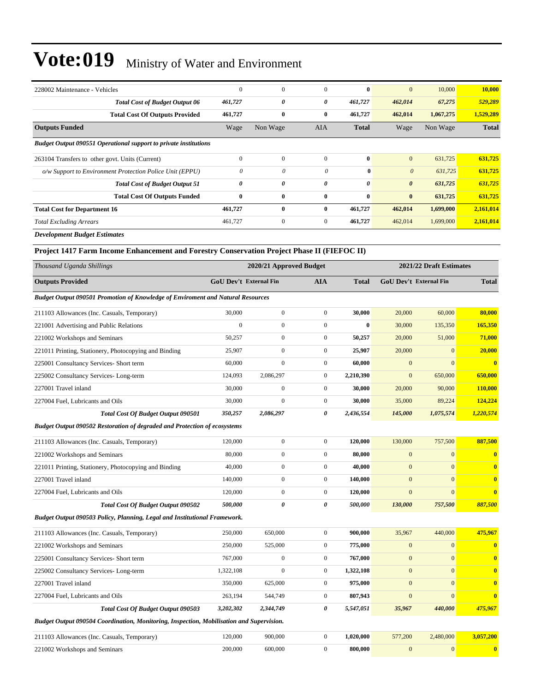| 228002 Maintenance - Vehicles                                           | $\mathbf{0}$ | $\mathbf{0}$ | $\mathbf{0}$   | $\bf{0}$     | $\mathbf{0}$          | 10,000    | 10,000       |
|-------------------------------------------------------------------------|--------------|--------------|----------------|--------------|-----------------------|-----------|--------------|
| <b>Total Cost of Budget Output 06</b>                                   | 461,727      | 0            | 0              | 461,727      | 462,014               | 67,275    | 529,289      |
| <b>Total Cost Of Outputs Provided</b>                                   | 461,727      | $\bf{0}$     | $\bf{0}$       | 461,727      | 462,014               | 1,067,275 | 1,529,289    |
| <b>Outputs Funded</b>                                                   | Wage         | Non Wage     | <b>AIA</b>     | <b>Total</b> | Wage                  | Non Wage  | <b>Total</b> |
| <b>Budget Output 090551 Operational support to private institutions</b> |              |              |                |              |                       |           |              |
| 263104 Transfers to other govt. Units (Current)                         | $\mathbf{0}$ | $\Omega$     | $\Omega$       | $\mathbf{0}$ | $\mathbf{0}$          | 631,725   | 631,725      |
| o/w Support to Environment Protection Police Unit (EPPU)                | $\theta$     | 0            | $\theta$       | $\bf{0}$     | $\theta$              | 631,725   | 631,725      |
| <b>Total Cost of Budget Output 51</b>                                   | 0            | 0            | 0              | 0            | $\boldsymbol{\theta}$ | 631,725   | 631,725      |
| <b>Total Cost Of Outputs Funded</b>                                     | $\bf{0}$     | $\bf{0}$     | $\bf{0}$       | $\bf{0}$     | $\bf{0}$              | 631,725   | 631,725      |
| <b>Total Cost for Department 16</b>                                     | 461,727      | $\bf{0}$     | $\bf{0}$       | 461,727      | 462,014               | 1,699,000 | 2,161,014    |
| <b>Total Excluding Arrears</b>                                          | 461,727      | $\mathbf{0}$ | $\overline{0}$ | 461,727      | 462,014               | 1,699,000 | 2,161,014    |
| <b>Development Budget Estimates</b>                                     |              |              |                |              |                       |           |              |

#### **Project 1417 Farm Income Enhancement and Forestry Conservation Project Phase II (FIEFOC II)**

| Thousand Uganda Shillings                                                                | 2020/21 Approved Budget<br>2021/22 Draft Estimates |                  |                       |              |                               |                |                         |
|------------------------------------------------------------------------------------------|----------------------------------------------------|------------------|-----------------------|--------------|-------------------------------|----------------|-------------------------|
| <b>Outputs Provided</b>                                                                  | <b>GoU Dev't External Fin</b>                      |                  | <b>AIA</b>            | <b>Total</b> | <b>GoU Dev't External Fin</b> |                | <b>Total</b>            |
| <b>Budget Output 090501 Promotion of Knowledge of Enviroment and Natural Resources</b>   |                                                    |                  |                       |              |                               |                |                         |
| 211103 Allowances (Inc. Casuals, Temporary)                                              | 30,000                                             | $\boldsymbol{0}$ | $\boldsymbol{0}$      | 30,000       | 20,000                        | 60,000         | 80,000                  |
| 221001 Advertising and Public Relations                                                  | $\overline{0}$                                     | $\boldsymbol{0}$ | $\boldsymbol{0}$      | $\bf{0}$     | 30,000                        | 135,350        | 165,350                 |
| 221002 Workshops and Seminars                                                            | 50,257                                             | $\overline{0}$   | $\mathbf{0}$          | 50,257       | 20,000                        | 51,000         | 71,000                  |
| 221011 Printing, Stationery, Photocopying and Binding                                    | 25,907                                             | $\overline{0}$   | $\overline{0}$        | 25,907       | 20,000                        | $\overline{0}$ | 20,000                  |
| 225001 Consultancy Services- Short term                                                  | 60,000                                             | $\boldsymbol{0}$ | $\boldsymbol{0}$      | 60,000       | $\mathbf{0}$                  | $\overline{0}$ | $\bf{0}$                |
| 225002 Consultancy Services-Long-term                                                    | 124,093                                            | 2,086,297        | $\boldsymbol{0}$      | 2,210,390    | $\mathbf{0}$                  | 650,000        | 650,000                 |
| 227001 Travel inland                                                                     | 30,000                                             | $\boldsymbol{0}$ | $\boldsymbol{0}$      | 30,000       | 20,000                        | 90,000         | 110,000                 |
| 227004 Fuel, Lubricants and Oils                                                         | 30,000                                             | $\overline{0}$   | $\mathbf{0}$          | 30.000       | 35,000                        | 89,224         | 124,224                 |
| Total Cost Of Budget Output 090501                                                       | 350,257                                            | 2,086,297        | 0                     | 2,436,554    | 145,000                       | 1,075,574      | 1,220,574               |
| Budget Output 090502 Restoration of degraded and Protection of ecosystems                |                                                    |                  |                       |              |                               |                |                         |
| 211103 Allowances (Inc. Casuals, Temporary)                                              | 120,000                                            | $\overline{0}$   | $\mathbf{0}$          | 120,000      | 130,000                       | 757,500        | 887,500                 |
| 221002 Workshops and Seminars                                                            | 80,000                                             | $\overline{0}$   | $\mathbf{0}$          | 80,000       | $\mathbf{0}$                  | $\mathbf{0}$   | $\mathbf{0}$            |
| 221011 Printing, Stationery, Photocopying and Binding                                    | 40,000                                             | $\overline{0}$   | $\boldsymbol{0}$      | 40,000       | $\mathbf{0}$                  | $\mathbf{0}$   | $\bf{0}$                |
| 227001 Travel inland                                                                     | 140,000                                            | $\boldsymbol{0}$ | $\mathbf{0}$          | 140,000      | $\overline{0}$                | $\overline{0}$ | $\overline{\mathbf{0}}$ |
| 227004 Fuel, Lubricants and Oils                                                         | 120,000                                            | $\mathbf{0}$     | $\boldsymbol{0}$      | 120,000      | $\boldsymbol{0}$              | $\mathbf{0}$   | $\overline{\mathbf{0}}$ |
| <b>Total Cost Of Budget Output 090502</b>                                                | 500,000                                            | $\theta$         | $\boldsymbol{\theta}$ | 500,000      | 130,000                       | 757,500        | 887,500                 |
| Budget Output 090503 Policy, Planning, Legal and Institutional Framework.                |                                                    |                  |                       |              |                               |                |                         |
| 211103 Allowances (Inc. Casuals, Temporary)                                              | 250,000                                            | 650,000          | $\boldsymbol{0}$      | 900,000      | 35,967                        | 440,000        | 475,967                 |
| 221002 Workshops and Seminars                                                            | 250,000                                            | 525,000          | $\mathbf{0}$          | 775,000      | $\mathbf{0}$                  | $\mathbf{0}$   | $\overline{\mathbf{0}}$ |
| 225001 Consultancy Services- Short term                                                  | 767,000                                            | $\boldsymbol{0}$ | $\boldsymbol{0}$      | 767,000      | $\mathbf{0}$                  | $\overline{0}$ | $\overline{\mathbf{0}}$ |
| 225002 Consultancy Services-Long-term                                                    | 1,322,108                                          | $\overline{0}$   | $\boldsymbol{0}$      | 1,322,108    | $\mathbf{0}$                  | $\mathbf{0}$   | $\overline{\mathbf{0}}$ |
| 227001 Travel inland                                                                     | 350,000                                            | 625,000          | $\overline{0}$        | 975,000      | $\overline{0}$                | $\overline{0}$ | $\overline{\mathbf{0}}$ |
| 227004 Fuel, Lubricants and Oils                                                         | 263,194                                            | 544,749          | $\boldsymbol{0}$      | 807,943      | $\mathbf{0}$                  | $\overline{0}$ | $\bf{0}$                |
| <b>Total Cost Of Budget Output 090503</b>                                                | 3,202,302                                          | 2,344,749        | $\boldsymbol{\theta}$ | 5,547,051    | 35,967                        | 440,000        | 475,967                 |
| Budget Output 090504 Coordination, Monitoring, Inspection, Mobilisation and Supervision. |                                                    |                  |                       |              |                               |                |                         |
| 211103 Allowances (Inc. Casuals, Temporary)                                              | 120,000                                            | 900,000          | $\boldsymbol{0}$      | 1,020,000    | 577,200                       | 2,480,000      | 3,057,200               |
| 221002 Workshops and Seminars                                                            | 200,000                                            | 600,000          | $\mathbf{0}$          | 800,000      | $\mathbf{0}$                  | $\overline{0}$ | $\overline{\mathbf{0}}$ |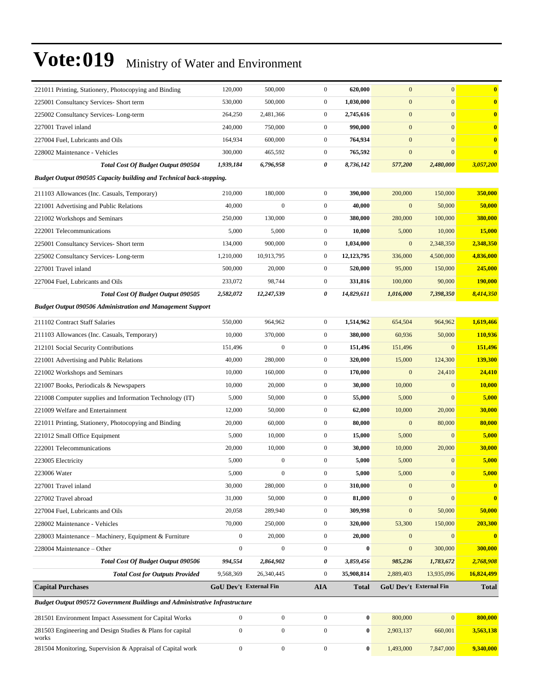| 221011 Printing, Stationery, Photocopying and Binding                       | 120,000                | 500,000          | $\boldsymbol{0}$ | 620,000          | $\mathbf{0}$     | $\mathbf{0}$           | $\bf{0}$                |
|-----------------------------------------------------------------------------|------------------------|------------------|------------------|------------------|------------------|------------------------|-------------------------|
| 225001 Consultancy Services- Short term                                     | 530,000                | 500,000          | $\boldsymbol{0}$ | 1,030,000        | $\boldsymbol{0}$ | $\mathbf{0}$           | $\overline{\mathbf{0}}$ |
| 225002 Consultancy Services-Long-term                                       | 264,250                | 2,481,366        | $\boldsymbol{0}$ | 2,745,616        | $\mathbf{0}$     | $\mathbf{0}$           | $\bf{0}$                |
| 227001 Travel inland                                                        | 240,000                | 750,000          | $\boldsymbol{0}$ | 990,000          | $\mathbf{0}$     | $\overline{0}$         | $\bf{0}$                |
| 227004 Fuel, Lubricants and Oils                                            | 164,934                | 600,000          | $\boldsymbol{0}$ | 764,934          | $\mathbf{0}$     | $\mathbf{0}$           | $\bf{0}$                |
| 228002 Maintenance - Vehicles                                               | 300,000                | 465,592          | $\boldsymbol{0}$ | 765,592          | $\mathbf{0}$     | $\mathbf{0}$           | $\bf{0}$                |
| <b>Total Cost Of Budget Output 090504</b>                                   | 1,939,184              | 6,796,958        | 0                | 8,736,142        | 577,200          | 2,480,000              | 3,057,200               |
| Budget Output 090505 Capacity building and Technical back-stopping.         |                        |                  |                  |                  |                  |                        |                         |
| 211103 Allowances (Inc. Casuals, Temporary)                                 | 210,000                | 180,000          | $\boldsymbol{0}$ | 390,000          | 200,000          | 150,000                | 350,000                 |
| 221001 Advertising and Public Relations                                     | 40,000                 | $\boldsymbol{0}$ | $\boldsymbol{0}$ | 40,000           | $\boldsymbol{0}$ | 50,000                 | 50,000                  |
| 221002 Workshops and Seminars                                               | 250,000                | 130,000          | $\boldsymbol{0}$ | 380,000          | 280,000          | 100,000                | 380,000                 |
| 222001 Telecommunications                                                   | 5,000                  | 5,000            | $\boldsymbol{0}$ | 10,000           | 5,000            | 10,000                 | 15,000                  |
| 225001 Consultancy Services- Short term                                     | 134,000                | 900,000          | $\boldsymbol{0}$ | 1,034,000        | $\boldsymbol{0}$ | 2,348,350              | 2,348,350               |
| 225002 Consultancy Services-Long-term                                       | 1,210,000              | 10,913,795       | $\boldsymbol{0}$ | 12, 123, 795     | 336,000          | 4,500,000              | 4,836,000               |
| 227001 Travel inland                                                        | 500,000                | 20,000           | $\boldsymbol{0}$ | 520,000          | 95,000           | 150,000                | 245,000                 |
| 227004 Fuel, Lubricants and Oils                                            | 233,072                | 98,744           | $\boldsymbol{0}$ | 331,816          | 100,000          | 90,000                 | 190,000                 |
| <b>Total Cost Of Budget Output 090505</b>                                   | 2,582,072              | 12,247,539       | 0                | 14,829,611       | 1,016,000        | 7,398,350              | 8,414,350               |
| <b>Budget Output 090506 Administration and Management Support</b>           |                        |                  |                  |                  |                  |                        |                         |
| 211102 Contract Staff Salaries                                              | 550,000                | 964,962          | $\boldsymbol{0}$ | 1,514,962        | 654,504          | 964,962                | 1,619,466               |
| 211103 Allowances (Inc. Casuals, Temporary)                                 | 10,000                 | 370,000          | $\boldsymbol{0}$ | 380,000          | 60,936           | 50,000                 | 110,936                 |
| 212101 Social Security Contributions                                        | 151,496                | $\mathbf{0}$     | $\boldsymbol{0}$ | 151,496          | 151,496          | $\mathbf{0}$           | 151,496                 |
| 221001 Advertising and Public Relations                                     | 40,000                 | 280,000          | $\boldsymbol{0}$ | 320,000          | 15,000           | 124,300                | 139,300                 |
| 221002 Workshops and Seminars                                               | 10,000                 | 160,000          | $\boldsymbol{0}$ | 170,000          | $\mathbf{0}$     | 24,410                 | 24,410                  |
| 221007 Books, Periodicals & Newspapers                                      | 10,000                 | 20,000           | $\boldsymbol{0}$ | 30,000           | 10,000           | $\mathbf{0}$           | 10,000                  |
| 221008 Computer supplies and Information Technology (IT)                    | 5,000                  | 50,000           | $\boldsymbol{0}$ | 55,000           | 5,000            | $\boldsymbol{0}$       | 5,000                   |
| 221009 Welfare and Entertainment                                            | 12,000                 | 50,000           | $\boldsymbol{0}$ | 62,000           | 10,000           | 20,000                 | 30,000                  |
| 221011 Printing, Stationery, Photocopying and Binding                       | 20,000                 | 60,000           | $\boldsymbol{0}$ | 80,000           | $\mathbf{0}$     | 80,000                 | 80,000                  |
| 221012 Small Office Equipment                                               | 5,000                  | 10,000           | $\boldsymbol{0}$ | 15,000           | 5,000            | $\mathbf{0}$           | 5,000                   |
| 222001 Telecommunications                                                   | 20,000                 | 10,000           | $\boldsymbol{0}$ | 30,000           | 10,000           | 20,000                 | 30,000                  |
| 223005 Electricity                                                          | 5,000                  | $\boldsymbol{0}$ | $\boldsymbol{0}$ | 5,000            | 5,000            | $\mathbf{0}$           | 5,000                   |
| 223006 Water                                                                | 5,000                  | $\boldsymbol{0}$ | $\overline{0}$   | 5,000            | 5,000            | $\boldsymbol{0}$       | 5,000                   |
| 227001 Travel inland                                                        | 30,000                 | 280,000          | $\boldsymbol{0}$ | 310,000          | $\boldsymbol{0}$ | $\mathbf{0}$           | $\bf{0}$                |
| 227002 Travel abroad                                                        | 31,000                 | 50,000           | $\boldsymbol{0}$ | 81,000           | $\boldsymbol{0}$ | $\mathbf{0}$           | $\bf{0}$                |
| 227004 Fuel, Lubricants and Oils                                            | 20,058                 | 289,940          | $\boldsymbol{0}$ | 309,998          | $\boldsymbol{0}$ | 50,000                 | 50,000                  |
| 228002 Maintenance - Vehicles                                               | 70,000                 | 250,000          | $\boldsymbol{0}$ | 320,000          | 53,300           | 150,000                | 203,300                 |
| 228003 Maintenance – Machinery, Equipment & Furniture                       | $\boldsymbol{0}$       | 20,000           | $\boldsymbol{0}$ | 20,000           | $\mathbf{0}$     | $\boldsymbol{0}$       | $\bf{0}$                |
| 228004 Maintenance – Other                                                  | $\boldsymbol{0}$       | $\boldsymbol{0}$ | $\boldsymbol{0}$ | $\bf{0}$         | $\boldsymbol{0}$ | 300,000                | 300,000                 |
| Total Cost Of Budget Output 090506                                          | 994,554                | 2,864,902        | 0                | 3,859,456        | 985,236          | 1,783,672              | 2,768,908               |
| <b>Total Cost for Outputs Provided</b>                                      | 9,568,369              | 26,340,445       | $\boldsymbol{0}$ | 35,908,814       | 2,889,403        | 13,935,096             | 16,824,499              |
| <b>Capital Purchases</b>                                                    | GoU Dev't External Fin |                  | <b>AIA</b>       | <b>Total</b>     |                  | GoU Dev't External Fin | <b>Total</b>            |
| Budget Output 090572 Government Buildings and Administrative Infrastructure |                        |                  |                  |                  |                  |                        |                         |
| 281501 Environment Impact Assessment for Capital Works                      | $\boldsymbol{0}$       | $\boldsymbol{0}$ | $\boldsymbol{0}$ | 0                | 800,000          | $\mathbf{0}$           | 800,000                 |
| 281503 Engineering and Design Studies & Plans for capital<br>works          | $\boldsymbol{0}$       | $\boldsymbol{0}$ | $\boldsymbol{0}$ | $\boldsymbol{0}$ | 2,903,137        | 660,001                | 3,563,138               |
| 281504 Monitoring, Supervision & Appraisal of Capital work                  | $\boldsymbol{0}$       | $\boldsymbol{0}$ | $\boldsymbol{0}$ | $\bf{0}$         | 1,493,000        | 7,847,000              | 9,340,000               |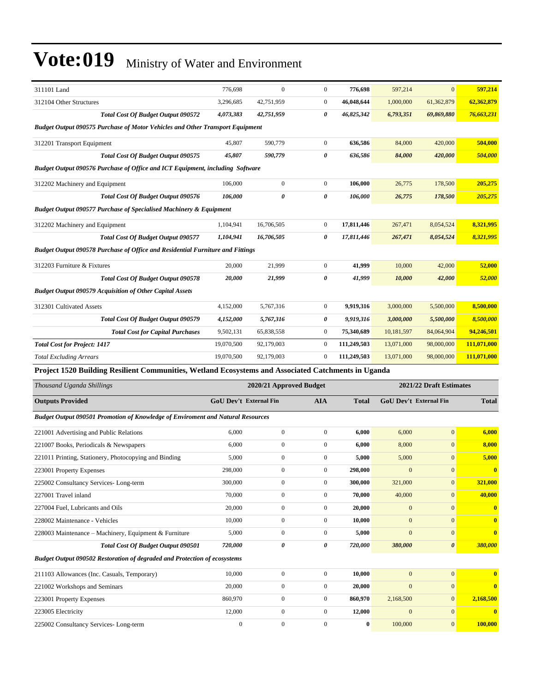| 311101 Land                                                                                         | 776,698                | $\boldsymbol{0}$        | $\boldsymbol{0}$      | 776,698      | 597,214                | $\mathbf{0}$            | 597,214      |
|-----------------------------------------------------------------------------------------------------|------------------------|-------------------------|-----------------------|--------------|------------------------|-------------------------|--------------|
| 312104 Other Structures                                                                             | 3,296,685              | 42,751,959              | $\boldsymbol{0}$      | 46,048,644   | 1,000,000              | 61,362,879              | 62,362,879   |
| <b>Total Cost Of Budget Output 090572</b>                                                           | 4,073,383              | 42,751,959              | 0                     | 46,825,342   | 6,793,351              | 69,869,880              | 76,663,231   |
| <b>Budget Output 090575 Purchase of Motor Vehicles and Other Transport Equipment</b>                |                        |                         |                       |              |                        |                         |              |
| 312201 Transport Equipment                                                                          | 45,807                 | 590,779                 | $\boldsymbol{0}$      | 636,586      | 84,000                 | 420,000                 | 504,000      |
| Total Cost Of Budget Output 090575                                                                  | 45,807                 | 590,779                 | 0                     | 636,586      | 84,000                 | 420,000                 | 504,000      |
| Budget Output 090576 Purchase of Office and ICT Equipment, including Software                       |                        |                         |                       |              |                        |                         |              |
| 312202 Machinery and Equipment                                                                      | 106,000                | $\boldsymbol{0}$        | $\mathbf{0}$          | 106,000      | 26,775                 | 178,500                 | 205,275      |
| Total Cost Of Budget Output 090576                                                                  | 106,000                | $\theta$                | $\boldsymbol{\theta}$ | 106,000      | 26,775                 | 178,500                 | 205,275      |
| <b>Budget Output 090577 Purchase of Specialised Machinery &amp; Equipment</b>                       |                        |                         |                       |              |                        |                         |              |
| 312202 Machinery and Equipment                                                                      | 1,104,941              | 16,706,505              | $\boldsymbol{0}$      | 17,811,446   | 267,471                | 8,054,524               | 8,321,995    |
| Total Cost Of Budget Output 090577                                                                  | 1,104,941              | 16,706,505              | 0                     | 17,811,446   | 267,471                | 8,054,524               | 8,321,995    |
| <b>Budget Output 090578 Purchase of Office and Residential Furniture and Fittings</b>               |                        |                         |                       |              |                        |                         |              |
| 312203 Furniture & Fixtures                                                                         | 20,000                 | 21,999                  | $\boldsymbol{0}$      | 41,999       | 10,000                 | 42,000                  | 52,000       |
| <b>Total Cost Of Budget Output 090578</b>                                                           | 20,000                 | 21,999                  | 0                     | 41,999       | 10,000                 | 42,000                  | 52,000       |
| <b>Budget Output 090579 Acquisition of Other Capital Assets</b>                                     |                        |                         |                       |              |                        |                         |              |
| 312301 Cultivated Assets                                                                            | 4,152,000              | 5,767,316               | $\boldsymbol{0}$      | 9,919,316    | 3,000,000              | 5,500,000               | 8,500,000    |
| Total Cost Of Budget Output 090579                                                                  | 4,152,000              | 5,767,316               | 0                     | 9,919,316    | 3,000,000              | 5,500,000               | 8,500,000    |
| <b>Total Cost for Capital Purchases</b>                                                             | 9,502,131              | 65,838,558              | $\boldsymbol{0}$      | 75,340,689   | 10,181,597             | 84,064,904              | 94,246,501   |
| <b>Total Cost for Project: 1417</b>                                                                 | 19,070,500             | 92,179,003              | $\boldsymbol{0}$      | 111,249,503  | 13,071,000             | 98,000,000              | 111,071,000  |
| <b>Total Excluding Arrears</b>                                                                      | 19,070,500             | 92,179,003              | $\boldsymbol{0}$      | 111,249,503  | 13,071,000             | 98,000,000              | 111,071,000  |
| Project 1520 Building Resilient Communities, Wetland Ecosystems and Associated Catchments in Uganda |                        |                         |                       |              |                        |                         |              |
| Thousand Uganda Shillings                                                                           |                        | 2020/21 Approved Budget |                       |              |                        | 2021/22 Draft Estimates |              |
| <b>Outputs Provided</b>                                                                             | GoU Dev't External Fin |                         | <b>AIA</b>            | <b>Total</b> | GoU Dev't External Fin |                         | <b>Total</b> |
| <b>Budget Output 090501 Promotion of Knowledge of Enviroment and Natural Resources</b>              |                        |                         |                       |              |                        |                         |              |
| 221001 Advertising and Public Relations                                                             | 6,000                  | $\boldsymbol{0}$        | $\boldsymbol{0}$      | 6,000        | 6,000                  | $\boldsymbol{0}$        | 6,000        |
| 221007 Books, Periodicals & Newspapers                                                              | 6,000                  | $\boldsymbol{0}$        | $\mathbf{0}$          | 6,000        | 8,000                  | $\boldsymbol{0}$        | 8,000        |
| 221011 Printing, Stationery, Photocopying and Binding                                               | 5,000                  | $\boldsymbol{0}$        | $\boldsymbol{0}$      | 5,000        | 5,000                  | $\mathbf{0}$            | 5,000        |
| 223001 Property Expenses                                                                            | 298,000                | $\boldsymbol{0}$        | $\boldsymbol{0}$      | 298,000      | $\boldsymbol{0}$       | $\boldsymbol{0}$        |              |
| 225002 Consultancy Services-Long-term                                                               | 300,000                | $\boldsymbol{0}$        | $\boldsymbol{0}$      | 300,000      | 321,000                | $\mathbf{0}$            | 321,000      |
| 227001 Travel inland                                                                                | 70,000                 | $\boldsymbol{0}$        | $\boldsymbol{0}$      | 70,000       | 40,000                 | $\boldsymbol{0}$        | 40,000       |
| 227004 Fuel, Lubricants and Oils                                                                    | 20,000                 | $\boldsymbol{0}$        | $\boldsymbol{0}$      | 20,000       | $\mathbf{0}$           | $\mathbf{0}$            | $\bf{0}$     |
| 228002 Maintenance - Vehicles                                                                       | 10,000                 | $\boldsymbol{0}$        | $\boldsymbol{0}$      | 10,000       | $\mathbf{0}$           | $\mathbf{0}$            | $\bf{0}$     |
| 228003 Maintenance - Machinery, Equipment & Furniture                                               | 5,000                  | $\boldsymbol{0}$        | $\boldsymbol{0}$      | 5,000        | $\mathbf{0}$           | $\mathbf{0}$            | $\bf{0}$     |
| Total Cost Of Budget Output 090501                                                                  | 720,000                | 0                       | 0                     | 720,000      | 380,000                | $\boldsymbol{\theta}$   | 380,000      |
| <b>Budget Output 090502 Restoration of degraded and Protection of ecosystems</b>                    |                        |                         |                       |              |                        |                         |              |
| 211103 Allowances (Inc. Casuals, Temporary)                                                         | 10,000                 | $\boldsymbol{0}$        | $\boldsymbol{0}$      | 10,000       | $\boldsymbol{0}$       | $\mathbf{0}$            | $\bf{0}$     |
| 221002 Workshops and Seminars                                                                       | 20,000                 | $\boldsymbol{0}$        | $\boldsymbol{0}$      | 20,000       | $\boldsymbol{0}$       | $\mathbf{0}$            | $\mathbf{0}$ |
| 223001 Property Expenses                                                                            | 860,970                | $\boldsymbol{0}$        | $\boldsymbol{0}$      | 860,970      | 2,168,500              | $\mathbf{0}$            | 2,168,500    |
| 223005 Electricity                                                                                  | 12,000                 |                         | $\boldsymbol{0}$      | 12,000       | $\boldsymbol{0}$       | $\mathbf{0}$            | $\bf{0}$     |
|                                                                                                     |                        | $\boldsymbol{0}$        |                       |              |                        |                         |              |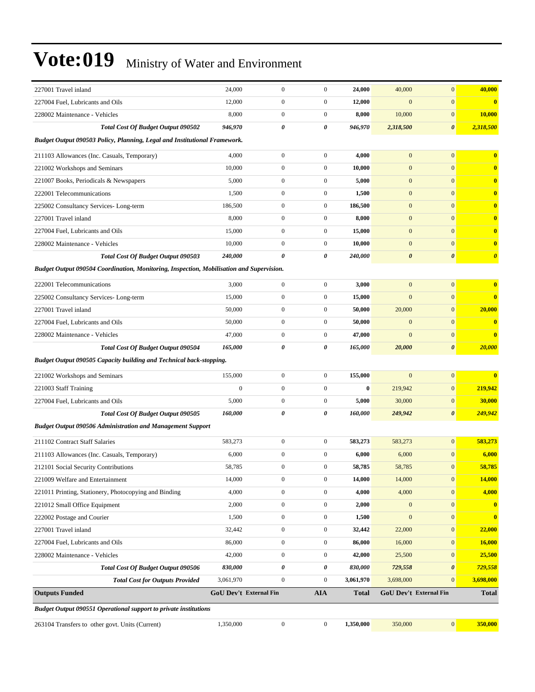| 227001 Travel inland                                                                     | 24,000       | $\boldsymbol{0}$       | $\boldsymbol{0}$      | 24,000       | 40,000                | $\overline{0}$         | 40,000                  |
|------------------------------------------------------------------------------------------|--------------|------------------------|-----------------------|--------------|-----------------------|------------------------|-------------------------|
| 227004 Fuel, Lubricants and Oils                                                         | 12,000       | $\mathbf{0}$           | $\boldsymbol{0}$      | 12,000       | $\mathbf{0}$          | $\mathbf{0}$           | $\bf{0}$                |
| 228002 Maintenance - Vehicles                                                            | 8,000        | $\boldsymbol{0}$       | $\boldsymbol{0}$      | 8,000        | 10,000                | $\overline{0}$         | 10,000                  |
| <b>Total Cost Of Budget Output 090502</b>                                                | 946,970      | $\boldsymbol{\theta}$  | $\boldsymbol{\theta}$ | 946,970      | 2,318,500             | $\boldsymbol{\theta}$  | 2,318,500               |
| Budget Output 090503 Policy, Planning, Legal and Institutional Framework.                |              |                        |                       |              |                       |                        |                         |
| 211103 Allowances (Inc. Casuals, Temporary)                                              | 4,000        | $\boldsymbol{0}$       | $\boldsymbol{0}$      | 4,000        | $\mathbf{0}$          | $\mathbf{0}$           | $\bf{0}$                |
| 221002 Workshops and Seminars                                                            | 10,000       | $\mathbf{0}$           | $\boldsymbol{0}$      | 10,000       | $\mathbf{0}$          | $\mathbf{0}$           | $\bf{0}$                |
| 221007 Books, Periodicals & Newspapers                                                   | 5,000        | $\mathbf{0}$           | $\boldsymbol{0}$      | 5,000        | $\mathbf{0}$          | $\overline{0}$         | $\bf{0}$                |
| 222001 Telecommunications                                                                | 1,500        | $\boldsymbol{0}$       | $\boldsymbol{0}$      | 1,500        | $\mathbf{0}$          | $\mathbf{0}$           | $\overline{\mathbf{0}}$ |
| 225002 Consultancy Services-Long-term                                                    | 186,500      | $\mathbf{0}$           | $\boldsymbol{0}$      | 186,500      | $\mathbf{0}$          | $\overline{0}$         | $\bf{0}$                |
| 227001 Travel inland                                                                     | 8,000        | $\mathbf{0}$           | $\boldsymbol{0}$      | 8,000        | $\mathbf{0}$          | $\overline{0}$         | $\bf{0}$                |
| 227004 Fuel, Lubricants and Oils                                                         | 15,000       | $\mathbf{0}$           | $\boldsymbol{0}$      | 15,000       | $\mathbf{0}$          | $\mathbf{0}$           | $\bf{0}$                |
| 228002 Maintenance - Vehicles                                                            | 10,000       | $\mathbf{0}$           | $\boldsymbol{0}$      | 10,000       | $\mathbf{0}$          | $\mathbf{0}$           | $\bf{0}$                |
| Total Cost Of Budget Output 090503                                                       | 240,000      | $\boldsymbol{\theta}$  | 0                     | 240,000      | $\boldsymbol{\theta}$ | 0                      | $\boldsymbol{\theta}$   |
| Budget Output 090504 Coordination, Monitoring, Inspection, Mobilisation and Supervision. |              |                        |                       |              |                       |                        |                         |
| 222001 Telecommunications                                                                | 3,000        | $\boldsymbol{0}$       | $\boldsymbol{0}$      | 3,000        | $\overline{0}$        | $\mathbf{0}$           | $\bf{0}$                |
| 225002 Consultancy Services-Long-term                                                    | 15,000       | $\boldsymbol{0}$       | $\boldsymbol{0}$      | 15,000       | $\mathbf{0}$          | $\mathbf{0}$           | $\bf{0}$                |
| 227001 Travel inland                                                                     | 50,000       | $\mathbf{0}$           | $\boldsymbol{0}$      | 50,000       | 20,000                | $\mathbf{0}$           | 20,000                  |
| 227004 Fuel, Lubricants and Oils                                                         | 50,000       | $\mathbf{0}$           | $\boldsymbol{0}$      | 50,000       | $\mathbf{0}$          | $\overline{0}$         | $\bf{0}$                |
| 228002 Maintenance - Vehicles                                                            | 47,000       | $\boldsymbol{0}$       | $\boldsymbol{0}$      | 47,000       | $\mathbf{0}$          | $\mathbf{0}$           | $\overline{\mathbf{0}}$ |
| Total Cost Of Budget Output 090504                                                       | 165,000      | $\boldsymbol{\theta}$  | 0                     | 165,000      | 20,000                | $\boldsymbol{\theta}$  | 20,000                  |
| <b>Budget Output 090505 Capacity building and Technical back-stopping.</b>               |              |                        |                       |              |                       |                        |                         |
| 221002 Workshops and Seminars                                                            | 155,000      | $\boldsymbol{0}$       | $\boldsymbol{0}$      | 155,000      | $\overline{0}$        | $\mathbf{0}$           | $\bf{0}$                |
| 221003 Staff Training                                                                    | $\mathbf{0}$ | $\mathbf{0}$           | $\boldsymbol{0}$      | $\bf{0}$     | 219,942               | $\mathbf{0}$           | 219,942                 |
| 227004 Fuel, Lubricants and Oils                                                         | 5,000        | $\mathbf{0}$           | $\boldsymbol{0}$      | 5,000        | 30,000                | $\mathbf{0}$           | 30,000                  |
| Total Cost Of Budget Output 090505                                                       | 160,000      | 0                      | 0                     | 160,000      | 249,942               | 0                      | 249,942                 |
| <b>Budget Output 090506 Administration and Management Support</b>                        |              |                        |                       |              |                       |                        |                         |
| 211102 Contract Staff Salaries                                                           | 583,273      | $\mathbf{0}$           | $\boldsymbol{0}$      | 583,273      | 583,273               | $\mathbf{0}$           | 583,273                 |
| 211103 Allowances (Inc. Casuals, Temporary)                                              | 6,000        | $\boldsymbol{0}$       | $\boldsymbol{0}$      | 6,000        | 6,000                 | $\mathbf{0}$           | 6,000                   |
| 212101 Social Security Contributions                                                     | 58,785       | $\Omega$               | $\overline{0}$        | 58,785       | 58,785                | $\Omega$               | 58,785                  |
| 221009 Welfare and Entertainment                                                         | 14,000       | $\boldsymbol{0}$       | $\boldsymbol{0}$      | 14,000       | 14,000                | $\boldsymbol{0}$       | 14,000                  |
| 221011 Printing, Stationery, Photocopying and Binding                                    | 4,000        | $\boldsymbol{0}$       | $\boldsymbol{0}$      | 4,000        | 4,000                 | $\boldsymbol{0}$       | 4,000                   |
| 221012 Small Office Equipment                                                            | 2,000        | $\boldsymbol{0}$       | $\boldsymbol{0}$      | 2,000        | $\boldsymbol{0}$      | 0                      | $\bf{0}$                |
| 222002 Postage and Courier                                                               | 1,500        | $\boldsymbol{0}$       | $\boldsymbol{0}$      | 1,500        | $\boldsymbol{0}$      | $\boldsymbol{0}$       | $\bf{0}$                |
| 227001 Travel inland                                                                     | 32,442       | $\boldsymbol{0}$       | $\boldsymbol{0}$      | 32,442       | 22,000                | $\boldsymbol{0}$       | 22,000                  |
| 227004 Fuel, Lubricants and Oils                                                         | 86,000       | $\boldsymbol{0}$       | $\boldsymbol{0}$      | 86,000       | 16,000                | $\boldsymbol{0}$       | <b>16,000</b>           |
| 228002 Maintenance - Vehicles                                                            | 42,000       | $\boldsymbol{0}$       | $\boldsymbol{0}$      | 42,000       | 25,500                | $\boldsymbol{0}$       | 25,500                  |
| Total Cost Of Budget Output 090506                                                       | 830,000      | $\pmb{\theta}$         | 0                     | 830,000      | 729,558               | $\boldsymbol{\theta}$  | 729,558                 |
| <b>Total Cost for Outputs Provided</b>                                                   | 3,061,970    | $\boldsymbol{0}$       | $\boldsymbol{0}$      | 3,061,970    | 3,698,000             | $\mathbf{0}$           | 3,698,000               |
| <b>Outputs Funded</b>                                                                    |              | GoU Dev't External Fin | <b>AIA</b>            | <b>Total</b> |                       | GoU Dev't External Fin | <b>Total</b>            |
| Budget Output 090551 Operational support to private institutions                         |              |                        |                       |              |                       |                        |                         |
| 263104 Transfers to other govt. Units (Current)                                          | 1,350,000    | $\boldsymbol{0}$       | $\boldsymbol{0}$      | 1,350,000    | 350,000               | $\vert 0 \vert$        | 350,000                 |
|                                                                                          |              |                        |                       |              |                       |                        |                         |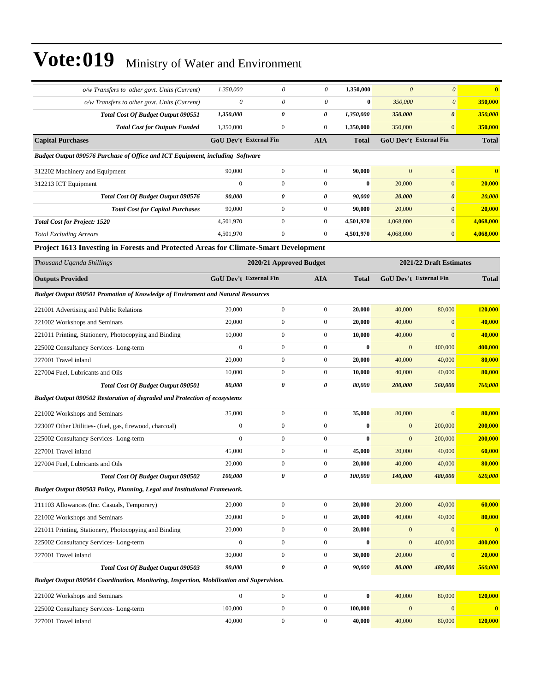| o/w Transfers to other govt. Units (Current)                                             | 1,350,000        | 0                             | 0                     | 1,350,000    | $\theta$         | $\boldsymbol{\theta}$         | $\bf{0}$     |
|------------------------------------------------------------------------------------------|------------------|-------------------------------|-----------------------|--------------|------------------|-------------------------------|--------------|
| o/w Transfers to other govt. Units (Current)                                             | $\theta$         | 0                             | 0                     | $\bf{0}$     | 350,000          | $\boldsymbol{\theta}$         | 350,000      |
| Total Cost Of Budget Output 090551                                                       | 1,350,000        | 0                             | $\boldsymbol{\theta}$ | 1,350,000    | 350,000          | $\boldsymbol{\theta}$         | 350,000      |
| <b>Total Cost for Outputs Funded</b>                                                     | 1,350,000        | $\boldsymbol{0}$              | $\mathbf{0}$          | 1,350,000    | 350,000          | $\overline{0}$                | 350,000      |
| <b>Capital Purchases</b>                                                                 |                  | <b>GoU Dev't External Fin</b> | AIA                   | <b>Total</b> |                  | <b>GoU Dev't External Fin</b> | <b>Total</b> |
| Budget Output 090576 Purchase of Office and ICT Equipment, including Software            |                  |                               |                       |              |                  |                               |              |
| 312202 Machinery and Equipment                                                           | 90,000           | $\mathbf{0}$                  | $\mathbf{0}$          | 90,000       | $\overline{0}$   | $\overline{0}$                | $\bf{0}$     |
| 312213 ICT Equipment                                                                     | $\mathbf{0}$     | $\mathbf{0}$                  | $\mathbf{0}$          | $\bf{0}$     | 20,000           | $\mathbf{0}$                  | 20,000       |
| Total Cost Of Budget Output 090576                                                       | 90,000           | 0                             | 0                     | 90,000       | 20,000           | $\boldsymbol{\theta}$         | 20,000       |
| <b>Total Cost for Capital Purchases</b>                                                  | 90,000           | $\mathbf{0}$                  | $\boldsymbol{0}$      | 90,000       | 20,000           | $\mathbf{0}$                  | 20,000       |
| <b>Total Cost for Project: 1520</b>                                                      | 4,501,970        | $\boldsymbol{0}$              | $\boldsymbol{0}$      | 4,501,970    | 4,068,000        | $\overline{0}$                | 4,068,000    |
| <b>Total Excluding Arrears</b>                                                           | 4,501,970        | $\mathbf{0}$                  | $\theta$              | 4,501,970    | 4,068,000        | $\overline{0}$                | 4,068,000    |
| Project 1613 Investing in Forests and Protected Areas for Climate-Smart Development      |                  |                               |                       |              |                  |                               |              |
| Thousand Uganda Shillings                                                                |                  | 2020/21 Approved Budget       |                       |              |                  | 2021/22 Draft Estimates       |              |
| <b>Outputs Provided</b>                                                                  |                  | GoU Dev't External Fin        | <b>AIA</b>            | <b>Total</b> |                  | GoU Dev't External Fin        | <b>Total</b> |
| <b>Budget Output 090501 Promotion of Knowledge of Enviroment and Natural Resources</b>   |                  |                               |                       |              |                  |                               |              |
| 221001 Advertising and Public Relations                                                  | 20,000           | $\boldsymbol{0}$              | $\boldsymbol{0}$      | 20,000       | 40,000           | 80,000                        | 120,000      |
| 221002 Workshops and Seminars                                                            | 20,000           | $\boldsymbol{0}$              | $\mathbf{0}$          | 20,000       | 40,000           | $\mathbf{0}$                  | 40,000       |
| 221011 Printing, Stationery, Photocopying and Binding                                    | 10,000           | $\mathbf{0}$                  | $\mathbf{0}$          | 10,000       | 40,000           | $\overline{0}$                | 40,000       |
| 225002 Consultancy Services-Long-term                                                    | $\mathbf{0}$     | $\boldsymbol{0}$              | $\mathbf{0}$          | $\bf{0}$     | $\mathbf{0}$     | 400,000                       | 400,000      |
| 227001 Travel inland                                                                     | 20,000           | $\mathbf{0}$                  | $\mathbf{0}$          | 20,000       | 40,000           | 40,000                        | 80,000       |
| 227004 Fuel, Lubricants and Oils                                                         | 10,000           | $\boldsymbol{0}$              | $\mathbf{0}$          | 10,000       | 40,000           | 40,000                        | 80,000       |
| <b>Total Cost Of Budget Output 090501</b>                                                | 80,000           | 0                             | 0                     | 80,000       | 200,000          | 560,000                       | 760,000      |
| <b>Budget Output 090502 Restoration of degraded and Protection of ecosystems</b>         |                  |                               |                       |              |                  |                               |              |
| 221002 Workshops and Seminars                                                            | 35,000           | $\mathbf{0}$                  | $\mathbf{0}$          | 35,000       | 80,000           | $\overline{0}$                | 80,000       |
| 223007 Other Utilities- (fuel, gas, firewood, charcoal)                                  | $\boldsymbol{0}$ | $\mathbf{0}$                  | $\boldsymbol{0}$      | $\bf{0}$     | $\mathbf{0}$     | 200,000                       | 200,000      |
| 225002 Consultancy Services-Long-term                                                    | $\mathbf{0}$     | $\mathbf{0}$                  | $\mathbf{0}$          | $\bf{0}$     | $\mathbf{0}$     | 200,000                       | 200,000      |
| 227001 Travel inland                                                                     | 45,000           | $\boldsymbol{0}$              | $\boldsymbol{0}$      | 45,000       | 20,000           | 40,000                        | 60,000       |
| 227004 Fuel, Lubricants and Oils                                                         | 20,000           | $\mathbf{0}$                  | $\mathbf{0}$          | 20,000       | 40,000           | 40,000                        | 80,000       |
| Total Cost Of Budget Output 090502                                                       | 100,000          | 0                             | $\pmb{\theta}$        | 100,000      | 140,000          | 480,000                       | 620,000      |
| Budget Output 090503 Policy, Planning, Legal and Institutional Framework.                |                  |                               |                       |              |                  |                               |              |
| 211103 Allowances (Inc. Casuals, Temporary)                                              | 20,000           | $\boldsymbol{0}$              | $\mathbf{0}$          | 20,000       | 20,000           | 40,000                        | 60,000       |
| 221002 Workshops and Seminars                                                            | 20,000           | $\boldsymbol{0}$              | $\boldsymbol{0}$      | 20,000       | 40,000           | 40,000                        | 80,000       |
| 221011 Printing, Stationery, Photocopying and Binding                                    | 20,000           | $\boldsymbol{0}$              | $\boldsymbol{0}$      | 20,000       | $\boldsymbol{0}$ | $\boldsymbol{0}$              | $\mathbf{0}$ |
| 225002 Consultancy Services-Long-term                                                    | $\boldsymbol{0}$ | $\boldsymbol{0}$              | $\boldsymbol{0}$      | $\bf{0}$     | $\boldsymbol{0}$ | 400,000                       | 400,000      |
| 227001 Travel inland                                                                     | 30,000           | $\boldsymbol{0}$              | $\boldsymbol{0}$      | 30,000       | 20,000           | $\mathbf{0}$                  | 20,000       |
| Total Cost Of Budget Output 090503                                                       | 90,000           | $\boldsymbol{\theta}$         | 0                     | 90,000       | 80,000           | 480,000                       | 560,000      |
| Budget Output 090504 Coordination, Monitoring, Inspection, Mobilisation and Supervision. |                  |                               |                       |              |                  |                               |              |
| 221002 Workshops and Seminars                                                            | $\boldsymbol{0}$ | $\boldsymbol{0}$              | $\boldsymbol{0}$      | $\bf{0}$     | 40,000           | 80,000                        | 120,000      |
| 225002 Consultancy Services-Long-term                                                    | 100,000          | $\boldsymbol{0}$              | $\mathbf{0}$          | 100,000      | $\boldsymbol{0}$ | $\mathbf{0}$                  | $\bf{0}$     |
| 227001 Travel inland                                                                     | 40,000           | $\boldsymbol{0}$              | $\boldsymbol{0}$      | 40,000       | 40,000           | 80,000                        | 120,000      |
|                                                                                          |                  |                               |                       |              |                  |                               |              |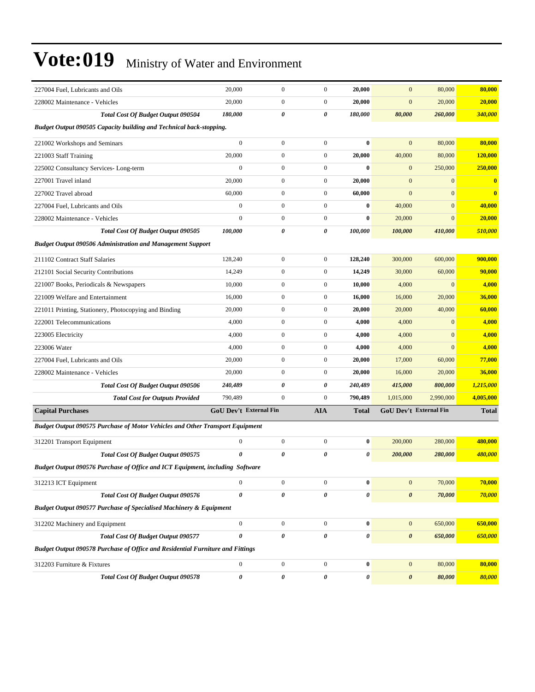| 227004 Fuel, Lubricants and Oils                                               | 20,000                 | $\mathbf{0}$     | $\boldsymbol{0}$ | 20,000       | $\mathbf{0}$          | 80,000                 | 80,000                  |
|--------------------------------------------------------------------------------|------------------------|------------------|------------------|--------------|-----------------------|------------------------|-------------------------|
| 228002 Maintenance - Vehicles                                                  | 20,000                 | $\boldsymbol{0}$ | $\boldsymbol{0}$ | 20,000       | $\mathbf{0}$          | 20,000                 | 20,000                  |
| <b>Total Cost Of Budget Output 090504</b>                                      | 180,000                | 0                | 0                | 180,000      | 80,000                | 260,000                | 340,000                 |
| Budget Output 090505 Capacity building and Technical back-stopping.            |                        |                  |                  |              |                       |                        |                         |
| 221002 Workshops and Seminars                                                  | $\overline{0}$         | $\boldsymbol{0}$ | $\boldsymbol{0}$ | $\bf{0}$     | $\overline{0}$        | 80,000                 | 80,000                  |
| 221003 Staff Training                                                          | 20,000                 | $\boldsymbol{0}$ | $\boldsymbol{0}$ | 20,000       | 40,000                | 80,000                 | 120,000                 |
| 225002 Consultancy Services-Long-term                                          | $\boldsymbol{0}$       | $\boldsymbol{0}$ | $\boldsymbol{0}$ | $\bf{0}$     | $\mathbf{0}$          | 250,000                | 250,000                 |
| 227001 Travel inland                                                           | 20,000                 | $\boldsymbol{0}$ | $\boldsymbol{0}$ | 20,000       | $\mathbf{0}$          | $\mathbf{0}$           | $\mathbf{0}$            |
| 227002 Travel abroad                                                           | 60,000                 | $\boldsymbol{0}$ | $\boldsymbol{0}$ | 60,000       | $\mathbf{0}$          | $\mathbf{0}$           | $\overline{\mathbf{0}}$ |
| 227004 Fuel, Lubricants and Oils                                               | $\overline{0}$         | $\boldsymbol{0}$ | $\boldsymbol{0}$ | 0            | 40,000                | $\mathbf{0}$           | 40,000                  |
| 228002 Maintenance - Vehicles                                                  | $\mathbf{0}$           | $\boldsymbol{0}$ | $\boldsymbol{0}$ | 0            | 20,000                | $\mathbf{0}$           | 20,000                  |
| Total Cost Of Budget Output 090505                                             | 100,000                | 0                | 0                | 100,000      | 100,000               | 410,000                | 510,000                 |
| <b>Budget Output 090506 Administration and Management Support</b>              |                        |                  |                  |              |                       |                        |                         |
| 211102 Contract Staff Salaries                                                 | 128,240                | $\boldsymbol{0}$ | $\boldsymbol{0}$ | 128,240      | 300,000               | 600,000                | 900,000                 |
| 212101 Social Security Contributions                                           | 14,249                 | $\mathbf{0}$     | $\boldsymbol{0}$ | 14,249       | 30,000                | 60,000                 | 90,000                  |
| 221007 Books, Periodicals & Newspapers                                         | 10,000                 | $\boldsymbol{0}$ | $\boldsymbol{0}$ | 10,000       | 4,000                 | $\mathbf{0}$           | 4,000                   |
| 221009 Welfare and Entertainment                                               | 16,000                 | $\mathbf{0}$     | $\boldsymbol{0}$ | 16,000       | 16,000                | 20,000                 | 36,000                  |
| 221011 Printing, Stationery, Photocopying and Binding                          | 20,000                 | $\boldsymbol{0}$ | $\boldsymbol{0}$ | 20,000       | 20,000                | 40,000                 | 60,000                  |
| 222001 Telecommunications                                                      | 4,000                  | $\boldsymbol{0}$ | $\boldsymbol{0}$ | 4,000        | 4,000                 | $\mathbf{0}$           | 4,000                   |
| 223005 Electricity                                                             | 4,000                  | $\boldsymbol{0}$ | $\boldsymbol{0}$ | 4,000        | 4,000                 | $\mathbf{0}$           | 4,000                   |
| 223006 Water                                                                   | 4,000                  | $\boldsymbol{0}$ | $\boldsymbol{0}$ | 4,000        | 4,000                 | $\mathbf{0}$           | 4,000                   |
| 227004 Fuel, Lubricants and Oils                                               | 20,000                 | $\boldsymbol{0}$ | $\boldsymbol{0}$ | 20,000       | 17,000                | 60,000                 | 77,000                  |
| 228002 Maintenance - Vehicles                                                  | 20,000                 | $\boldsymbol{0}$ | $\boldsymbol{0}$ | 20,000       | 16,000                | 20,000                 | 36,000                  |
| <b>Total Cost Of Budget Output 090506</b>                                      | 240,489                | $\pmb{\theta}$   | 0                | 240,489      | 415,000               | 800,000                | 1,215,000               |
| <b>Total Cost for Outputs Provided</b>                                         | 790,489                | $\mathbf{0}$     | $\boldsymbol{0}$ | 790,489      | 1,015,000             | 2,990,000              | 4,005,000               |
| <b>Capital Purchases</b>                                                       | GoU Dev't External Fin |                  | <b>AIA</b>       | <b>Total</b> |                       | GoU Dev't External Fin | <b>Total</b>            |
| Budget Output 090575 Purchase of Motor Vehicles and Other Transport Equipment  |                        |                  |                  |              |                       |                        |                         |
| 312201 Transport Equipment                                                     | $\mathbf{0}$           | $\boldsymbol{0}$ | $\boldsymbol{0}$ | $\bf{0}$     | 200,000               | 280,000                | 480,000                 |
| Total Cost Of Budget Output 090575                                             | 0                      | 0                | 0                | 0            | 200,000               | 280,000                | 480,000                 |
| Budget Output 090576 Purchase of Office and ICT Equipment, including Software  |                        |                  |                  |              |                       |                        |                         |
| 312213 ICT Equipment                                                           | $\overline{0}$         | $\boldsymbol{0}$ | $\boldsymbol{0}$ | $\bf{0}$     | $\mathbf{0}$          | 70,000                 | 70,000                  |
| Total Cost Of Budget Output 090576                                             | 0                      | 0                | 0                | 0            | $\boldsymbol{\theta}$ | 70,000                 | 70,000                  |
| Budget Output 090577 Purchase of Specialised Machinery & Equipment             |                        |                  |                  |              |                       |                        |                         |
|                                                                                |                        |                  |                  |              |                       |                        |                         |
| 312202 Machinery and Equipment                                                 | $\overline{0}$         | $\boldsymbol{0}$ | $\boldsymbol{0}$ | $\bf{0}$     | $\mathbf{0}$          | 650,000                | 650,000                 |
| Total Cost Of Budget Output 090577                                             | 0                      | $\pmb{\theta}$   | 0                | 0            | $\boldsymbol{\theta}$ | 650,000                | 650,000                 |
| Budget Output 090578 Purchase of Office and Residential Furniture and Fittings |                        |                  |                  |              |                       |                        |                         |
| 312203 Furniture & Fixtures                                                    | $\boldsymbol{0}$       | $\boldsymbol{0}$ | $\boldsymbol{0}$ | $\bf{0}$     | $\mathbf{0}$          | 80,000                 | 80,000                  |
| <b>Total Cost Of Budget Output 090578</b>                                      | 0                      | $\pmb{\theta}$   | $\pmb{\theta}$   | 0            | $\pmb{\theta}$        | 80,000                 | 80,000                  |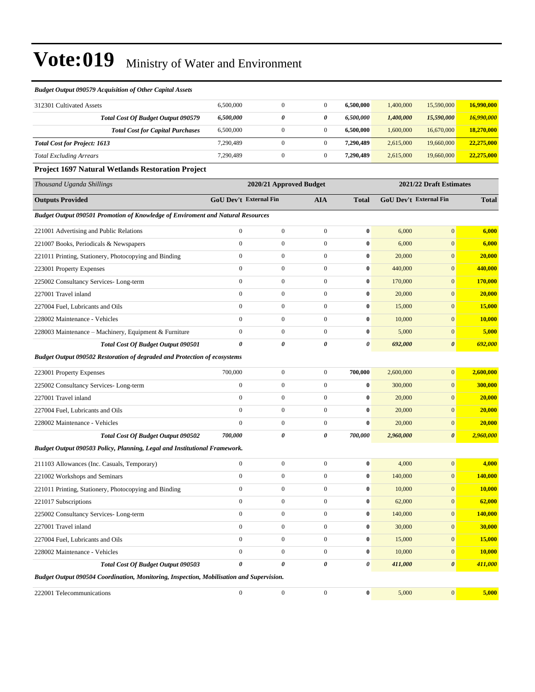#### *Budget Output 090579 Acquisition of Other Capital Assets*

| 312301 Cultivated Assets                  | 6.500,000 |   | 6.500.000 | 1.400.000 | 15,590,000 | 16,990,000 |
|-------------------------------------------|-----------|---|-----------|-----------|------------|------------|
| <b>Total Cost Of Budget Output 090579</b> | 6,500,000 | 0 | 6.500.000 | 1,400,000 | 15,590,000 | 16,990,000 |
| <b>Total Cost for Capital Purchases</b>   | 6,500,000 |   | 6.500.000 | 1.600.000 | 16,670,000 | 18,270,000 |
| <b>Total Cost for Project: 1613</b>       | 7,290,489 |   | 7.290.489 | 2.615,000 | 19,660,000 | 22,275,000 |
| <b>Total Excluding Arrears</b>            | 7,290,489 |   | 7.290.489 | 2.615,000 | 19,660,000 | 22,275,000 |

#### **Project 1697 Natural Wetlands Restoration Project**

| Thousand Uganda Shillings                                                                |                               | 2020/21 Approved Budget |                       |                       |           | 2021/22 Draft Estimates |              |  |
|------------------------------------------------------------------------------------------|-------------------------------|-------------------------|-----------------------|-----------------------|-----------|-------------------------|--------------|--|
| <b>Outputs Provided</b>                                                                  | <b>GoU Dev't External Fin</b> |                         | AIA                   | <b>Total</b>          |           | GoU Dev't External Fin  | <b>Total</b> |  |
| Budget Output 090501 Promotion of Knowledge of Enviroment and Natural Resources          |                               |                         |                       |                       |           |                         |              |  |
| 221001 Advertising and Public Relations                                                  | $\mathbf{0}$                  | $\overline{0}$          | $\mathbf{0}$          | $\mathbf{0}$          | 6,000     | $\overline{0}$          | 6,000        |  |
| 221007 Books, Periodicals & Newspapers                                                   | $\mathbf{0}$                  | $\boldsymbol{0}$        | $\boldsymbol{0}$      | $\bf{0}$              | 6,000     | $\mathbf{0}$            | 6,000        |  |
| 221011 Printing, Stationery, Photocopying and Binding                                    | $\mathbf{0}$                  | $\mathbf{0}$            | $\mathbf{0}$          | $\bf{0}$              | 20,000    | $\boldsymbol{0}$        | 20,000       |  |
| 223001 Property Expenses                                                                 | $\mathbf{0}$                  | $\overline{0}$          | $\boldsymbol{0}$      | $\bf{0}$              | 440,000   | $\mathbf{0}$            | 440,000      |  |
| 225002 Consultancy Services-Long-term                                                    | $\mathbf{0}$                  | $\boldsymbol{0}$        | $\boldsymbol{0}$      | $\bf{0}$              | 170,000   | $\mathbf{0}$            | 170,000      |  |
| 227001 Travel inland                                                                     | $\mathbf{0}$                  | $\overline{0}$          | $\overline{0}$        | $\bf{0}$              | 20,000    | $\overline{0}$          | 20,000       |  |
| 227004 Fuel, Lubricants and Oils                                                         | $\mathbf{0}$                  | $\boldsymbol{0}$        | $\boldsymbol{0}$      | $\bf{0}$              | 15,000    | $\mathbf{0}$            | 15,000       |  |
| 228002 Maintenance - Vehicles                                                            | $\theta$                      | $\overline{0}$          | $\boldsymbol{0}$      | $\bf{0}$              | 10,000    | $\mathbf{0}$            | 10,000       |  |
| 228003 Maintenance – Machinery, Equipment & Furniture                                    | $\mathbf{0}$                  | $\overline{0}$          | $\mathbf{0}$          | $\bf{0}$              | 5,000     | $\mathbf{0}$            | 5,000        |  |
| <b>Total Cost Of Budget Output 090501</b>                                                | $\theta$                      | $\theta$                | 0                     | $\boldsymbol{\theta}$ | 692,000   | $\pmb{\theta}$          | 692,000      |  |
| Budget Output 090502 Restoration of degraded and Protection of ecosystems                |                               |                         |                       |                       |           |                         |              |  |
| 223001 Property Expenses                                                                 | 700,000                       | $\boldsymbol{0}$        | $\boldsymbol{0}$      | 700,000               | 2,600,000 | $\mathbf{0}$            | 2,600,000    |  |
| 225002 Consultancy Services-Long-term                                                    | $\mathbf{0}$                  | $\overline{0}$          | $\overline{0}$        | $\bf{0}$              | 300,000   | $\overline{0}$          | 300,000      |  |
| 227001 Travel inland                                                                     | $\mathbf{0}$                  | $\overline{0}$          | $\boldsymbol{0}$      | $\bf{0}$              | 20,000    | $\mathbf{0}$            | 20,000       |  |
| 227004 Fuel, Lubricants and Oils                                                         | $\boldsymbol{0}$              | $\overline{0}$          | $\boldsymbol{0}$      | $\bf{0}$              | 20,000    | $\mathbf{0}$            | 20,000       |  |
| 228002 Maintenance - Vehicles                                                            | $\mathbf{0}$                  | $\overline{0}$          | $\mathbf{0}$          | $\bf{0}$              | 20,000    | $\mathbf{0}$            | 20,000       |  |
| <b>Total Cost Of Budget Output 090502</b>                                                | 700,000                       | 0                       | 0                     | 700,000               | 2,960,000 | $\boldsymbol{\theta}$   | 2,960,000    |  |
| Budget Output 090503 Policy, Planning, Legal and Institutional Framework.                |                               |                         |                       |                       |           |                         |              |  |
| 211103 Allowances (Inc. Casuals, Temporary)                                              | $\mathbf{0}$                  | $\boldsymbol{0}$        | $\boldsymbol{0}$      | $\bf{0}$              | 4,000     | $\mathbf{0}$            | 4,000        |  |
| 221002 Workshops and Seminars                                                            | $\mathbf{0}$                  | $\overline{0}$          | $\overline{0}$        | $\bf{0}$              | 140,000   | $\mathbf{0}$            | 140,000      |  |
| 221011 Printing, Stationery, Photocopying and Binding                                    | $\mathbf{0}$                  | $\boldsymbol{0}$        | $\mathbf{0}$          | $\bf{0}$              | 10,000    | $\mathbf{0}$            | 10,000       |  |
| 221017 Subscriptions                                                                     | $\mathbf{0}$                  | $\mathbf{0}$            | $\boldsymbol{0}$      | $\bf{0}$              | 62,000    | $\mathbf{0}$            | 62,000       |  |
| 225002 Consultancy Services-Long-term                                                    | $\mathbf{0}$                  | $\boldsymbol{0}$        | $\mathbf{0}$          | $\bf{0}$              | 140,000   | $\mathbf{0}$            | 140,000      |  |
| 227001 Travel inland                                                                     | $\mathbf{0}$                  | $\overline{0}$          | $\boldsymbol{0}$      | $\bf{0}$              | 30,000    | $\mathbf{0}$            | 30,000       |  |
| 227004 Fuel, Lubricants and Oils                                                         | $\mathbf{0}$                  | $\overline{0}$          | $\overline{0}$        | $\bf{0}$              | 15,000    | $\overline{0}$          | 15,000       |  |
| 228002 Maintenance - Vehicles                                                            | $\mathbf{0}$                  | $\overline{0}$          | $\mathbf{0}$          | $\bf{0}$              | 10,000    | $\overline{0}$          | 10,000       |  |
| <b>Total Cost Of Budget Output 090503</b>                                                | $\boldsymbol{\theta}$         | $\boldsymbol{\theta}$   | $\boldsymbol{\theta}$ | 0                     | 411,000   | $\boldsymbol{\theta}$   | 411,000      |  |
| Budget Output 090504 Coordination, Monitoring, Inspection, Mobilisation and Supervision. |                               |                         |                       |                       |           |                         |              |  |
| 222001 Telecommunications                                                                | $\mathbf{0}$                  | $\boldsymbol{0}$        | $\boldsymbol{0}$      | $\bf{0}$              | 5,000     | $\mathbf{0}$            | 5,000        |  |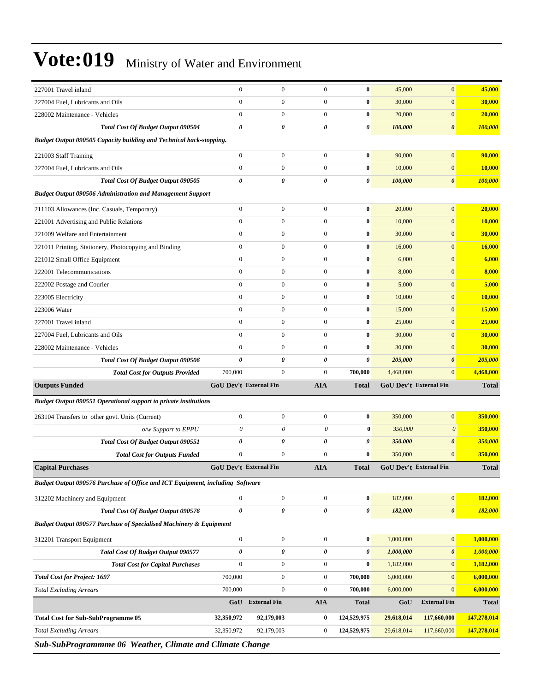| 227001 Travel inland                                                          | $\mathbf{0}$                  | $\boldsymbol{0}$    | $\mathbf{0}$          | $\bf{0}$              | 45,000     | $\mathbf{0}$                  | 45,000       |
|-------------------------------------------------------------------------------|-------------------------------|---------------------|-----------------------|-----------------------|------------|-------------------------------|--------------|
| 227004 Fuel, Lubricants and Oils                                              | $\mathbf{0}$                  | $\boldsymbol{0}$    | $\boldsymbol{0}$      | $\bf{0}$              | 30,000     | $\mathbf{0}$                  | 30,000       |
| 228002 Maintenance - Vehicles                                                 | $\mathbf{0}$                  | $\mathbf{0}$        | $\boldsymbol{0}$      | $\bf{0}$              | 20,000     | $\mathbf{0}$                  | 20,000       |
| Total Cost Of Budget Output 090504                                            | 0                             | 0                   | 0                     | 0                     | 100,000    | $\boldsymbol{\theta}$         | 100,000      |
| Budget Output 090505 Capacity building and Technical back-stopping.           |                               |                     |                       |                       |            |                               |              |
| 221003 Staff Training                                                         | $\boldsymbol{0}$              | $\boldsymbol{0}$    | $\boldsymbol{0}$      | $\bf{0}$              | 90,000     | $\mathbf{0}$                  | 90,000       |
| 227004 Fuel, Lubricants and Oils                                              | $\mathbf{0}$                  | $\boldsymbol{0}$    | $\mathbf{0}$          | $\bf{0}$              | 10,000     | $\mathbf{0}$                  | 10,000       |
| Total Cost Of Budget Output 090505                                            | 0                             | 0                   | $\boldsymbol{\theta}$ | 0                     | 100,000    | $\boldsymbol{\theta}$         | 100,000      |
| <b>Budget Output 090506 Administration and Management Support</b>             |                               |                     |                       |                       |            |                               |              |
| 211103 Allowances (Inc. Casuals, Temporary)                                   | $\boldsymbol{0}$              | $\boldsymbol{0}$    | $\boldsymbol{0}$      | $\bf{0}$              | 20,000     | $\mathbf{0}$                  | 20,000       |
| 221001 Advertising and Public Relations                                       | $\mathbf{0}$                  | $\boldsymbol{0}$    | $\mathbf{0}$          | $\bf{0}$              | 10,000     | $\mathbf{0}$                  | 10,000       |
| 221009 Welfare and Entertainment                                              | $\mathbf{0}$                  | $\overline{0}$      | $\boldsymbol{0}$      | $\bf{0}$              | 30,000     | $\mathbf{0}$                  | 30,000       |
| 221011 Printing, Stationery, Photocopying and Binding                         | $\mathbf{0}$                  | $\boldsymbol{0}$    | $\boldsymbol{0}$      | $\bf{0}$              | 16,000     | $\mathbf{0}$                  | 16,000       |
| 221012 Small Office Equipment                                                 | $\mathbf{0}$                  | $\overline{0}$      | $\boldsymbol{0}$      | $\bf{0}$              | 6,000      | $\mathbf{0}$                  | 6,000        |
| 222001 Telecommunications                                                     | $\mathbf{0}$                  | $\boldsymbol{0}$    | $\boldsymbol{0}$      | $\bf{0}$              | 8,000      | $\mathbf{0}$                  | 8,000        |
| 222002 Postage and Courier                                                    | $\mathbf{0}$                  | $\overline{0}$      | $\boldsymbol{0}$      | $\bf{0}$              | 5,000      | $\mathbf{0}$                  | 5,000        |
| 223005 Electricity                                                            | $\mathbf{0}$                  | $\overline{0}$      | $\boldsymbol{0}$      | $\bf{0}$              | 10,000     | $\mathbf{0}$                  | 10,000       |
| 223006 Water                                                                  | $\mathbf{0}$                  | $\boldsymbol{0}$    | $\boldsymbol{0}$      | $\bf{0}$              | 15,000     | $\mathbf{0}$                  | 15,000       |
| 227001 Travel inland                                                          | $\mathbf{0}$                  | $\overline{0}$      | $\boldsymbol{0}$      | $\bf{0}$              | 25,000     | $\mathbf{0}$                  | 25,000       |
| 227004 Fuel, Lubricants and Oils                                              | $\mathbf{0}$                  | $\boldsymbol{0}$    | $\boldsymbol{0}$      | $\bf{0}$              | 30,000     | $\mathbf{0}$                  | 30,000       |
| 228002 Maintenance - Vehicles                                                 | $\mathbf{0}$                  | $\overline{0}$      | $\overline{0}$        | $\bf{0}$              | 30,000     | $\overline{0}$                | 30,000       |
| Total Cost Of Budget Output 090506                                            | 0                             | 0                   | 0                     | $\boldsymbol{\theta}$ | 205,000    | $\boldsymbol{\theta}$         | 205,000      |
| <b>Total Cost for Outputs Provided</b>                                        | 700,000                       | $\boldsymbol{0}$    | $\mathbf{0}$          | 700,000               | 4,468,000  | $\mathbf{0}$                  | 4,468,000    |
| <b>Outputs Funded</b>                                                         | GoU Dev't External Fin        |                     | <b>AIA</b>            | Total                 |            | GoU Dev't External Fin        | <b>Total</b> |
| <b>Budget Output 090551 Operational support to private institutions</b>       |                               |                     |                       |                       |            |                               |              |
| 263104 Transfers to other govt. Units (Current)                               | $\mathbf{0}$                  | $\overline{0}$      | $\boldsymbol{0}$      | $\bf{0}$              | 350,000    | $\mathbf{0}$                  | 350,000      |
| o/w Support to EPPU                                                           | 0                             | 0                   | $\boldsymbol{\theta}$ | $\bf{0}$              | 350,000    | $\boldsymbol{\theta}$         | 350,000      |
| Total Cost Of Budget Output 090551                                            | 0                             | 0                   | 0                     | 0                     | 350,000    | $\boldsymbol{\theta}$         | 350,000      |
| <b>Total Cost for Outputs Funded</b>                                          | $\mathbf{0}$                  | $\overline{0}$      | $\overline{0}$        | $\bf{0}$              | 350,000    | $\mathbf{0}$                  | 350,000      |
| <b>Capital Purchases</b>                                                      | <b>GoU Dev't External Fin</b> |                     | <b>AIA</b>            | <b>Total</b>          |            | <b>GoU Dev't External Fin</b> | <b>Total</b> |
| Budget Output 090576 Purchase of Office and ICT Equipment, including Software |                               |                     |                       |                       |            |                               |              |
| 312202 Machinery and Equipment                                                | $\mathbf{0}$                  | $\boldsymbol{0}$    | $\boldsymbol{0}$      | $\pmb{0}$             | 182,000    | $\boldsymbol{0}$              | 182,000      |
| Total Cost Of Budget Output 090576                                            | $\pmb{\theta}$                | 0                   | 0                     | 0                     | 182,000    | $\boldsymbol{\theta}$         | 182,000      |
| Budget Output 090577 Purchase of Specialised Machinery & Equipment            |                               |                     |                       |                       |            |                               |              |
| 312201 Transport Equipment                                                    | $\boldsymbol{0}$              | $\boldsymbol{0}$    | $\boldsymbol{0}$      | $\bf{0}$              | 1,000,000  | $\mathbf{0}$                  | 1,000,000    |
| Total Cost Of Budget Output 090577                                            | 0                             | 0                   | 0                     | 0                     | 1,000,000  | $\boldsymbol{\theta}$         | 1,000,000    |
| <b>Total Cost for Capital Purchases</b>                                       | $\boldsymbol{0}$              | $\boldsymbol{0}$    | $\boldsymbol{0}$      | $\bf{0}$              | 1,182,000  | $\mathbf{0}$                  | 1,182,000    |
| <b>Total Cost for Project: 1697</b>                                           | 700,000                       | $\boldsymbol{0}$    | $\boldsymbol{0}$      | 700,000               | 6,000,000  | $\mathbf{0}$                  | 6,000,000    |
| <b>Total Excluding Arrears</b>                                                |                               |                     |                       |                       |            |                               |              |
|                                                                               | 700,000                       | $\boldsymbol{0}$    | $\boldsymbol{0}$      | 700,000               | 6,000,000  | $\mathbf{0}$                  | 6,000,000    |
|                                                                               | GoU                           | <b>External Fin</b> | <b>AIA</b>            | <b>Total</b>          | GoU        | <b>External Fin</b>           | <b>Total</b> |
| <b>Total Cost for Sub-SubProgramme 05</b>                                     | 32,350,972                    | 92,179,003          | $\bf{0}$              | 124,529,975           | 29,618,014 | 117,660,000                   | 147,278,014  |
| <b>Total Excluding Arrears</b>                                                | 32,350,972                    | 92,179,003          | $\boldsymbol{0}$      | 124,529,975           | 29,618,014 | 117,660,000                   | 147,278,014  |

*Sub-SubProgrammme 06 Weather, Climate and Climate Change*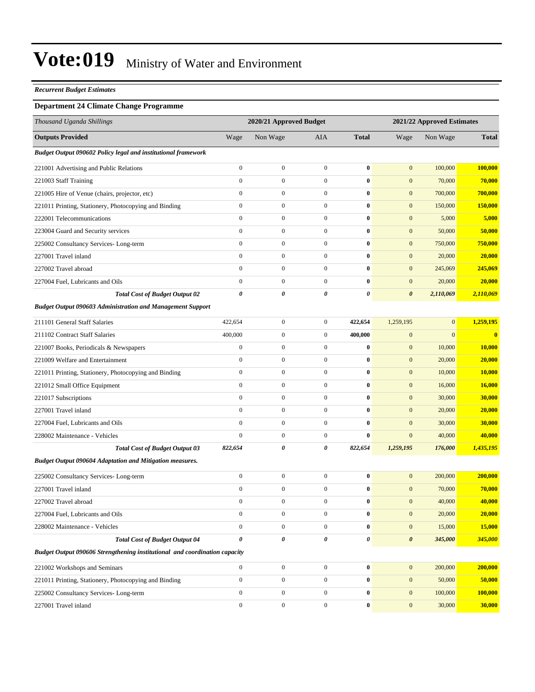#### *Recurrent Budget Estimates*

#### **Department 24 Climate Change Programme**

| Thousand Uganda Shillings                                                  |                       | 2020/21 Approved Budget |                  |                  |                       | 2021/22 Approved Estimates |              |  |
|----------------------------------------------------------------------------|-----------------------|-------------------------|------------------|------------------|-----------------------|----------------------------|--------------|--|
| <b>Outputs Provided</b>                                                    | Wage                  | Non Wage                | <b>AIA</b>       | <b>Total</b>     | Wage                  | Non Wage                   | <b>Total</b> |  |
| Budget Output 090602 Policy legal and institutional framework              |                       |                         |                  |                  |                       |                            |              |  |
| 221001 Advertising and Public Relations                                    | $\boldsymbol{0}$      | $\boldsymbol{0}$        | $\boldsymbol{0}$ | $\bf{0}$         | $\mathbf{0}$          | 100,000                    | 100,000      |  |
| 221003 Staff Training                                                      | $\boldsymbol{0}$      | $\boldsymbol{0}$        | $\boldsymbol{0}$ | $\bf{0}$         | $\mathbf{0}$          | 70,000                     | 70,000       |  |
| 221005 Hire of Venue (chairs, projector, etc)                              | $\boldsymbol{0}$      | $\boldsymbol{0}$        | $\boldsymbol{0}$ | $\bf{0}$         | $\boldsymbol{0}$      | 700,000                    | 700,000      |  |
| 221011 Printing, Stationery, Photocopying and Binding                      | $\boldsymbol{0}$      | $\boldsymbol{0}$        | $\boldsymbol{0}$ | $\bf{0}$         | $\mathbf{0}$          | 150,000                    | 150,000      |  |
| 222001 Telecommunications                                                  | $\boldsymbol{0}$      | $\boldsymbol{0}$        | $\boldsymbol{0}$ | $\bf{0}$         | $\mathbf{0}$          | 5,000                      | 5,000        |  |
| 223004 Guard and Security services                                         | $\boldsymbol{0}$      | $\boldsymbol{0}$        | $\boldsymbol{0}$ | $\bf{0}$         | $\mathbf{0}$          | 50,000                     | 50,000       |  |
| 225002 Consultancy Services-Long-term                                      | $\boldsymbol{0}$      | $\boldsymbol{0}$        | $\boldsymbol{0}$ | $\bf{0}$         | $\mathbf{0}$          | 750,000                    | 750,000      |  |
| 227001 Travel inland                                                       | $\boldsymbol{0}$      | $\boldsymbol{0}$        | $\boldsymbol{0}$ | $\bf{0}$         | $\mathbf{0}$          | 20,000                     | 20,000       |  |
| 227002 Travel abroad                                                       | $\overline{0}$        | $\boldsymbol{0}$        | $\boldsymbol{0}$ | $\bf{0}$         | $\mathbf{0}$          | 245,069                    | 245,069      |  |
| 227004 Fuel, Lubricants and Oils                                           | $\boldsymbol{0}$      | $\boldsymbol{0}$        | $\boldsymbol{0}$ | $\bf{0}$         | $\boldsymbol{0}$      | 20,000                     | 20,000       |  |
| <b>Total Cost of Budget Output 02</b>                                      | 0                     | 0                       | 0                | 0                | $\boldsymbol{\theta}$ | 2,110,069                  | 2,110,069    |  |
| <b>Budget Output 090603 Administration and Management Support</b>          |                       |                         |                  |                  |                       |                            |              |  |
| 211101 General Staff Salaries                                              | 422,654               | $\boldsymbol{0}$        | $\mathbf{0}$     | 422,654          | 1,259,195             | $\mathbf{0}$               | 1,259,195    |  |
| 211102 Contract Staff Salaries                                             | 400,000               | $\boldsymbol{0}$        | $\mathbf{0}$     | 400,000          | $\mathbf{0}$          | $\mathbf{0}$               | $\bf{0}$     |  |
| 221007 Books, Periodicals & Newspapers                                     | $\boldsymbol{0}$      | $\boldsymbol{0}$        | $\boldsymbol{0}$ | $\bf{0}$         | $\mathbf{0}$          | 10,000                     | 10,000       |  |
| 221009 Welfare and Entertainment                                           | $\boldsymbol{0}$      | $\boldsymbol{0}$        | $\boldsymbol{0}$ | $\bf{0}$         | $\mathbf{0}$          | 20,000                     | 20,000       |  |
| 221011 Printing, Stationery, Photocopying and Binding                      | $\boldsymbol{0}$      | $\boldsymbol{0}$        | $\boldsymbol{0}$ | $\bf{0}$         | $\boldsymbol{0}$      | 10,000                     | 10,000       |  |
| 221012 Small Office Equipment                                              | $\overline{0}$        | $\boldsymbol{0}$        | $\boldsymbol{0}$ | $\bf{0}$         | $\mathbf{0}$          | 16,000                     | 16,000       |  |
| 221017 Subscriptions                                                       | $\boldsymbol{0}$      | $\boldsymbol{0}$        | $\boldsymbol{0}$ | $\bf{0}$         | $\mathbf{0}$          | 30,000                     | 30,000       |  |
| 227001 Travel inland                                                       | $\boldsymbol{0}$      | $\boldsymbol{0}$        | $\boldsymbol{0}$ | $\bf{0}$         | $\mathbf{0}$          | 20,000                     | 20,000       |  |
| 227004 Fuel, Lubricants and Oils                                           | $\overline{0}$        | $\boldsymbol{0}$        | $\boldsymbol{0}$ | $\bf{0}$         | $\mathbf{0}$          | 30,000                     | 30,000       |  |
| 228002 Maintenance - Vehicles                                              | $\boldsymbol{0}$      | $\boldsymbol{0}$        | $\mathbf{0}$     | $\bf{0}$         | $\mathbf{0}$          | 40,000                     | 40,000       |  |
| <b>Total Cost of Budget Output 03</b>                                      | 822,654               | 0                       | 0                | 822,654          | 1,259,195             | 176,000                    | 1,435,195    |  |
| <b>Budget Output 090604 Adaptation and Mitigation measures.</b>            |                       |                         |                  |                  |                       |                            |              |  |
| 225002 Consultancy Services-Long-term                                      | $\boldsymbol{0}$      | $\boldsymbol{0}$        | $\boldsymbol{0}$ | $\bf{0}$         | $\mathbf{0}$          | 200,000                    | 200,000      |  |
| 227001 Travel inland                                                       | $\boldsymbol{0}$      | $\boldsymbol{0}$        | $\boldsymbol{0}$ | $\bf{0}$         | $\mathbf{0}$          | 70,000                     | 70,000       |  |
| 227002 Travel abroad                                                       | $\boldsymbol{0}$      | $\boldsymbol{0}$        | $\mathbf{0}$     | $\bf{0}$         | $\mathbf{0}$          | 40,000                     | 40,000       |  |
| 227004 Fuel, Lubricants and Oils                                           | $\boldsymbol{0}$      | $\boldsymbol{0}$        | $\boldsymbol{0}$ | $\bf{0}$         | $\boldsymbol{0}$      | 20,000                     | 20,000       |  |
| 228002 Maintenance - Vehicles                                              | $\boldsymbol{0}$      | $\boldsymbol{0}$        | $\mathbf{0}$     | $\bf{0}$         | $\mathbf{0}$          | 15,000                     | 15,000       |  |
| <b>Total Cost of Budget Output 04</b>                                      | $\boldsymbol{\theta}$ | 0                       | 0                | $\pmb{\theta}$   | $\boldsymbol{\theta}$ | 345,000                    | 345,000      |  |
| Budget Output 090606 Strengthening institutional and coordination capacity |                       |                         |                  |                  |                       |                            |              |  |
| 221002 Workshops and Seminars                                              | $\overline{0}$        | $\boldsymbol{0}$        | $\boldsymbol{0}$ | $\bf{0}$         | $\mathbf{0}$          | 200,000                    | 200,000      |  |
| 221011 Printing, Stationery, Photocopying and Binding                      | $\boldsymbol{0}$      | $\boldsymbol{0}$        | $\boldsymbol{0}$ | $\boldsymbol{0}$ | $\mathbf{0}$          | 50,000                     | 50,000       |  |
| 225002 Consultancy Services-Long-term                                      | $\boldsymbol{0}$      | $\boldsymbol{0}$        | $\boldsymbol{0}$ | $\bf{0}$         | $\boldsymbol{0}$      | 100,000                    | 100,000      |  |
| 227001 Travel inland                                                       | $\mathbf{0}$          | $\boldsymbol{0}$        | $\boldsymbol{0}$ | $\bf{0}$         | $\mathbf{0}$          | 30,000                     | 30,000       |  |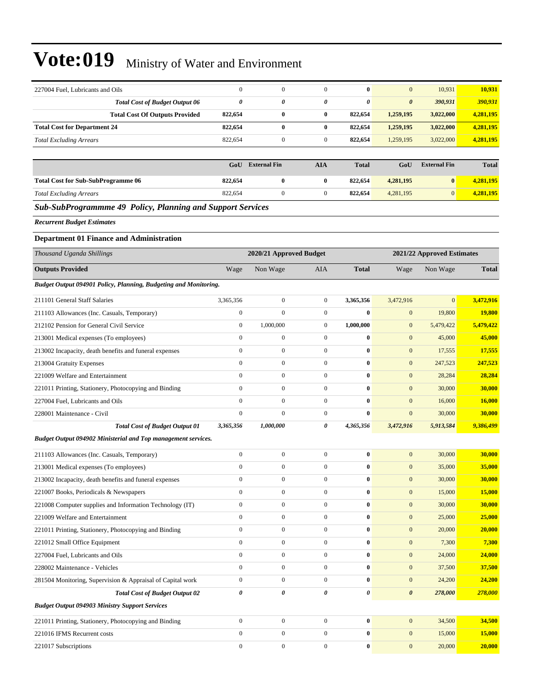| 227004 Fuel, Lubricants and Oils                                 | $\boldsymbol{0}$      | $\boldsymbol{0}$        | $\boldsymbol{0}$ | $\bf{0}$         | $\mathbf{0}$          | 10,931                     | 10,931       |
|------------------------------------------------------------------|-----------------------|-------------------------|------------------|------------------|-----------------------|----------------------------|--------------|
| <b>Total Cost of Budget Output 06</b>                            | $\boldsymbol{\theta}$ | 0                       | 0                | 0                | $\boldsymbol{\theta}$ | 390,931                    | 390,931      |
| <b>Total Cost Of Outputs Provided</b>                            | 822,654               | 0                       | $\bf{0}$         | 822,654          | 1,259,195             | 3,022,000                  | 4,281,195    |
| <b>Total Cost for Department 24</b>                              | 822,654               | 0                       | $\bf{0}$         | 822,654          | 1,259,195             | 3,022,000                  | 4,281,195    |
| <b>Total Excluding Arrears</b>                                   | 822,654               | $\boldsymbol{0}$        | $\boldsymbol{0}$ | 822,654          | 1,259,195             | 3,022,000                  | 4,281,195    |
|                                                                  |                       |                         |                  |                  |                       |                            |              |
|                                                                  | GoU                   | <b>External Fin</b>     | <b>AIA</b>       | <b>Total</b>     | GoU                   | <b>External Fin</b>        | <b>Total</b> |
| <b>Total Cost for Sub-SubProgramme 06</b>                        | 822,654               | $\bf{0}$                | $\bf{0}$         | 822,654          | 4,281,195             | $\bf{0}$                   | 4,281,195    |
| <b>Total Excluding Arrears</b>                                   | 822,654               | $\boldsymbol{0}$        | $\mathbf{0}$     | 822,654          | 4,281,195             | $\overline{0}$             | 4,281,195    |
| Sub-SubProgrammme 49 Policy, Planning and Support Services       |                       |                         |                  |                  |                       |                            |              |
| <b>Recurrent Budget Estimates</b>                                |                       |                         |                  |                  |                       |                            |              |
| <b>Department 01 Finance and Administration</b>                  |                       |                         |                  |                  |                       |                            |              |
| Thousand Uganda Shillings                                        |                       | 2020/21 Approved Budget |                  |                  |                       | 2021/22 Approved Estimates |              |
| <b>Outputs Provided</b>                                          | Wage                  | Non Wage                | AIA              | Total            | Wage                  | Non Wage                   | <b>Total</b> |
| Budget Output 094901 Policy, Planning, Budgeting and Monitoring. |                       |                         |                  |                  |                       |                            |              |
| 211101 General Staff Salaries                                    | 3,365,356             | $\boldsymbol{0}$        | $\boldsymbol{0}$ | 3,365,356        | 3,472,916             | $\mathbf{0}$               | 3,472,916    |
| 211103 Allowances (Inc. Casuals, Temporary)                      | $\boldsymbol{0}$      | $\mathbf{0}$            | $\boldsymbol{0}$ | $\bf{0}$         | $\boldsymbol{0}$      | 19,800                     | 19,800       |
| 212102 Pension for General Civil Service                         | $\boldsymbol{0}$      | 1,000,000               | $\boldsymbol{0}$ | 1,000,000        | $\mathbf{0}$          | 5,479,422                  | 5,479,422    |
| 213001 Medical expenses (To employees)                           | $\boldsymbol{0}$      | $\mathbf{0}$            | $\boldsymbol{0}$ | $\bf{0}$         | $\mathbf{0}$          | 45,000                     | 45,000       |
| 213002 Incapacity, death benefits and funeral expenses           | $\boldsymbol{0}$      | $\boldsymbol{0}$        | $\boldsymbol{0}$ | $\bf{0}$         | $\boldsymbol{0}$      | 17,555                     | 17,555       |
| 213004 Gratuity Expenses                                         | $\boldsymbol{0}$      | $\boldsymbol{0}$        | $\boldsymbol{0}$ | $\bf{0}$         | $\boldsymbol{0}$      | 247,523                    | 247,523      |
| 221009 Welfare and Entertainment                                 | $\boldsymbol{0}$      | $\boldsymbol{0}$        | $\boldsymbol{0}$ | $\bf{0}$         | $\boldsymbol{0}$      | 28,284                     | 28,284       |
| 221011 Printing, Stationery, Photocopying and Binding            | $\mathbf{0}$          | $\mathbf{0}$            | $\boldsymbol{0}$ | $\bf{0}$         | $\mathbf{0}$          | 30,000                     | 30,000       |
| 227004 Fuel, Lubricants and Oils                                 | $\boldsymbol{0}$      | $\boldsymbol{0}$        | $\boldsymbol{0}$ | $\bf{0}$         | $\mathbf{0}$          | 16,000                     | 16,000       |
| 228001 Maintenance - Civil                                       | $\boldsymbol{0}$      | $\overline{0}$          | $\boldsymbol{0}$ | $\bf{0}$         | $\boldsymbol{0}$      | 30,000                     | 30,000       |
| <b>Total Cost of Budget Output 01</b>                            | 3,365,356             | 1,000,000               | 0                | 4,365,356        | 3,472,916             | 5,913,584                  | 9,386,499    |
| Budget Output 094902 Ministerial and Top management services.    |                       |                         |                  |                  |                       |                            |              |
| 211103 Allowances (Inc. Casuals, Temporary)                      | $\boldsymbol{0}$      | $\boldsymbol{0}$        | $\boldsymbol{0}$ | $\bf{0}$         | $\boldsymbol{0}$      | 30,000                     | 30,000       |
| 213001 Medical expenses (To employees)                           | $\boldsymbol{0}$      | $\boldsymbol{0}$        | $\boldsymbol{0}$ | $\bf{0}$         | $\mathbf{0}$          | 35,000                     | 35,000       |
| 213002 Incapacity, death benefits and funeral expenses           | $\boldsymbol{0}$      | $\boldsymbol{0}$        | $\boldsymbol{0}$ | $\bf{0}$         | $\boldsymbol{0}$      | 30,000                     | 30,000       |
| 221007 Books, Periodicals & Newspapers                           | $\boldsymbol{0}$      | $\boldsymbol{0}$        | $\boldsymbol{0}$ | $\bf{0}$         | $\boldsymbol{0}$      | 15,000                     | 15,000       |
| 221008 Computer supplies and Information Technology (IT)         | $\boldsymbol{0}$      | $\boldsymbol{0}$        | $\boldsymbol{0}$ | $\boldsymbol{0}$ | $\mathbf{0}$          | 30,000                     | 30,000       |
| 221009 Welfare and Entertainment                                 | $\boldsymbol{0}$      | $\boldsymbol{0}$        | $\boldsymbol{0}$ | $\boldsymbol{0}$ | $\boldsymbol{0}$      | 25,000                     | 25,000       |
| 221011 Printing, Stationery, Photocopying and Binding            | $\boldsymbol{0}$      | $\boldsymbol{0}$        | $\boldsymbol{0}$ | $\boldsymbol{0}$ | $\mathbf{0}$          | 20,000                     | 20,000       |
| 221012 Small Office Equipment                                    | $\boldsymbol{0}$      | $\boldsymbol{0}$        | $\overline{0}$   | $\bf{0}$         | $\boldsymbol{0}$      | 7,300                      | 7,300        |
| 227004 Fuel, Lubricants and Oils                                 | $\boldsymbol{0}$      | $\boldsymbol{0}$        | $\boldsymbol{0}$ | $\bf{0}$         | $\boldsymbol{0}$      | 24,000                     | 24,000       |
| 228002 Maintenance - Vehicles                                    | $\boldsymbol{0}$      | $\boldsymbol{0}$        | $\boldsymbol{0}$ | $\bf{0}$         | $\boldsymbol{0}$      | 37,500                     | 37,500       |
| 281504 Monitoring, Supervision & Appraisal of Capital work       | $\boldsymbol{0}$      | $\boldsymbol{0}$        | $\boldsymbol{0}$ | $\bf{0}$         | $\boldsymbol{0}$      | 24,200                     | 24,200       |
| <b>Total Cost of Budget Output 02</b>                            | $\boldsymbol{\theta}$ | $\boldsymbol{\theta}$   | 0                | 0                | $\pmb{\theta}$        | 278,000                    | 278,000      |
| <b>Budget Output 094903 Ministry Support Services</b>            |                       |                         |                  |                  |                       |                            |              |
| 221011 Printing, Stationery, Photocopying and Binding            | $\boldsymbol{0}$      | $\boldsymbol{0}$        | $\mathbf{0}$     | 0                | $\boldsymbol{0}$      | 34,500                     | 34,500       |
| 221016 IFMS Recurrent costs                                      | $\boldsymbol{0}$      | $\boldsymbol{0}$        | $\boldsymbol{0}$ | $\bf{0}$         | $\boldsymbol{0}$      | 15,000                     | 15,000       |
| 221017 Subscriptions                                             | $\boldsymbol{0}$      | $\boldsymbol{0}$        | $\boldsymbol{0}$ | $\bf{0}$         | $\boldsymbol{0}$      | 20,000                     | 20,000       |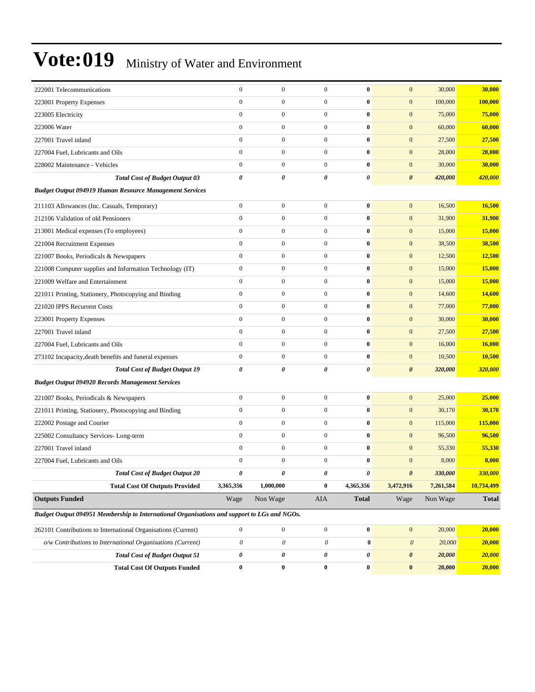| $\overline{0}$<br>$\boldsymbol{0}$<br>$\boldsymbol{0}$<br>$\bf{0}$<br>$\mathbf{0}$<br>100,000<br>100,000<br>223001 Property Expenses<br>$\overline{0}$<br>$\mathbf{0}$<br>$\boldsymbol{0}$<br>75,000<br>223005 Electricity<br>$\bf{0}$<br>$\boldsymbol{0}$<br>75,000<br>$\overline{0}$<br>$\boldsymbol{0}$<br>$\bf{0}$<br>$\boldsymbol{0}$<br>$\mathbf{0}$<br>60,000<br>60,000<br>223006 Water<br>$\overline{0}$<br>$\boldsymbol{0}$<br>$\mathbf{0}$<br>$\bf{0}$<br>227001 Travel inland<br>$\mathbf{0}$<br>27,500<br>27,500<br>$\overline{0}$<br>$\mathbf{0}$<br>$\boldsymbol{0}$<br>$\bf{0}$<br>$\mathbf{0}$<br>28,000<br>28,000<br>227004 Fuel, Lubricants and Oils<br>$\overline{0}$<br>$\boldsymbol{0}$<br>$\bf{0}$<br>$\boldsymbol{0}$<br>$\boldsymbol{0}$<br>30,000<br>30,000<br>228002 Maintenance - Vehicles<br>0<br>$\boldsymbol{\theta}$<br>$\boldsymbol{\theta}$<br>420,000<br>420,000<br><b>Total Cost of Budget Output 03</b><br>0<br>0<br><b>Budget Output 094919 Human Resource Management Services</b><br>$\overline{0}$<br>$\boldsymbol{0}$<br>$\mathbf{0}$<br>$\bf{0}$<br>$\mathbf{0}$<br>16,500<br>16,500<br>211103 Allowances (Inc. Casuals, Temporary)<br>$\boldsymbol{0}$<br>$\boldsymbol{0}$<br>$\mathbf{0}$<br>$\bf{0}$<br>212106 Validation of old Pensioners<br>$\mathbf{0}$<br>31,900<br>31,900<br>$\boldsymbol{0}$<br>$\boldsymbol{0}$<br>$\boldsymbol{0}$<br>$\bf{0}$<br>$\boldsymbol{0}$<br>15,000<br>15,000<br>213001 Medical expenses (To employees)<br>$\overline{0}$<br>$\boldsymbol{0}$<br>221004 Recruitment Expenses<br>$\boldsymbol{0}$<br>$\bf{0}$<br>$\mathbf{0}$<br>38,500<br>38,500<br>$\overline{0}$<br>$\mathbf{0}$<br>$\boldsymbol{0}$<br>$\mathbf{0}$<br>221007 Books, Periodicals & Newspapers<br>$\bf{0}$<br>12,500<br>12,500<br>$\boldsymbol{0}$<br>$\boldsymbol{0}$<br>$\mathbf{0}$<br>$\bf{0}$<br>$\boldsymbol{0}$<br>15,000<br>15,000<br>221008 Computer supplies and Information Technology (IT)<br>$\boldsymbol{0}$<br>$\boldsymbol{0}$<br>$\mathbf{0}$<br>$\bf{0}$<br>15,000<br>221009 Welfare and Entertainment<br>$\mathbf{0}$<br>15,000<br>$\boldsymbol{0}$<br>$\boldsymbol{0}$<br>$\boldsymbol{0}$<br>$\bf{0}$<br>$\mathbf{0}$<br>14,600<br>14,600<br>221011 Printing, Stationery, Photocopying and Binding<br>$\overline{0}$<br>$\boldsymbol{0}$<br>$\boldsymbol{0}$<br>221020 IPPS Recurrent Costs<br>$\bf{0}$<br>$\mathbf{0}$<br>77,000<br>77,000<br>$\overline{0}$<br>$\mathbf{0}$<br>$\boldsymbol{0}$<br>$\mathbf{0}$<br>$\bf{0}$<br>30,000<br>30,000<br>223001 Property Expenses<br>$\overline{0}$<br>$\boldsymbol{0}$<br>$\mathbf{0}$<br>$\bf{0}$<br>$\mathbf{0}$<br>27,500<br>27,500<br>227001 Travel inland<br>$\overline{0}$<br>$\boldsymbol{0}$<br>$\mathbf{0}$<br>$\bf{0}$<br>227004 Fuel, Lubricants and Oils<br>$\mathbf{0}$<br>16,000<br>16,000<br>$\boldsymbol{0}$<br>$\boldsymbol{0}$<br>$\boldsymbol{0}$<br>$\bf{0}$<br>$\boldsymbol{0}$<br>10,500<br>10,500<br>273102 Incapacity, death benefits and funeral expenses<br>0<br>0<br><b>Total Cost of Budget Output 19</b><br>0<br>0<br>$\boldsymbol{\theta}$<br>320,000<br>320,000<br><b>Budget Output 094920 Records Management Services</b><br>$\boldsymbol{0}$<br>$\boldsymbol{0}$<br>$\boldsymbol{0}$<br>$\boldsymbol{0}$<br>25,000<br>25,000<br>221007 Books, Periodicals & Newspapers<br>$\bf{0}$<br>$\overline{0}$<br>$\mathbf{0}$<br>$\mathbf{0}$<br>$\bf{0}$<br>$\overline{0}$<br>30,170<br>30,170<br>221011 Printing, Stationery, Photocopying and Binding<br>$\overline{0}$<br>$\boldsymbol{0}$<br>$\boldsymbol{0}$<br>115,000<br>222002 Postage and Courier<br>$\bf{0}$<br>$\mathbf{0}$<br>115,000<br>$\boldsymbol{0}$<br>$\boldsymbol{0}$<br>$\boldsymbol{0}$<br>96,500<br>96,500<br>225002 Consultancy Services-Long-term<br>$\bf{0}$<br>$\mathbf{0}$<br>$\boldsymbol{0}$<br>$\mathbf{0}$<br>$\boldsymbol{0}$<br>227001 Travel inland<br>$\bf{0}$<br>$\mathbf{0}$<br>55,330<br>55,330<br>$\overline{0}$<br>$\overline{0}$<br>$\boldsymbol{0}$<br>$\bf{0}$<br>$\boldsymbol{0}$<br>8,000<br>8,000<br>227004 Fuel, Lubricants and Oils<br>$\boldsymbol{\theta}$<br>330,000<br>0<br>0<br>0<br>$\boldsymbol{\theta}$<br>330,000<br><b>Total Cost of Budget Output 20</b><br><b>Total Cost Of Outputs Provided</b><br>3,365,356<br>1,000,000<br>$\bf{0}$<br>4,365,356<br>3,472,916<br>7,261,584<br>10,734,499<br><b>Outputs Funded</b><br>Wage<br>Non Wage<br>AIA<br><b>Total</b><br>Non Wage<br><b>Total</b><br>Wage<br>Budget Output 094951 Membership to International Organisations and support to LGs and NGOs.<br>$\boldsymbol{0}$<br>$\boldsymbol{0}$<br>$\boldsymbol{0}$<br>$\boldsymbol{0}$<br>$\mathbf{0}$<br>20,000<br>20,000<br>262101 Contributions to International Organisations (Current)<br>$\boldsymbol{\mathit{0}}$<br>$\boldsymbol{\mathit{0}}$<br>$\mathcal O$<br>$\pmb{0}$<br>o/w Contributions to International Organisations (Current)<br>$\boldsymbol{\theta}$<br>20,000<br>20,000<br><b>Total Cost of Budget Output 51</b><br>0<br>0<br>0<br>0<br>$\boldsymbol{\theta}$<br>20,000<br>20,000<br>$\boldsymbol{0}$<br>$\boldsymbol{0}$<br>$\bf{0}$<br>$\pmb{0}$<br>$\boldsymbol{0}$<br>20,000<br>20,000<br><b>Total Cost Of Outputs Funded</b> | 222001 Telecommunications | $\boldsymbol{0}$ | $\boldsymbol{0}$ | $\mathbf{0}$ | $\bf{0}$ | $\mathbf{0}$ | 30,000 | 30,000 |
|-------------------------------------------------------------------------------------------------------------------------------------------------------------------------------------------------------------------------------------------------------------------------------------------------------------------------------------------------------------------------------------------------------------------------------------------------------------------------------------------------------------------------------------------------------------------------------------------------------------------------------------------------------------------------------------------------------------------------------------------------------------------------------------------------------------------------------------------------------------------------------------------------------------------------------------------------------------------------------------------------------------------------------------------------------------------------------------------------------------------------------------------------------------------------------------------------------------------------------------------------------------------------------------------------------------------------------------------------------------------------------------------------------------------------------------------------------------------------------------------------------------------------------------------------------------------------------------------------------------------------------------------------------------------------------------------------------------------------------------------------------------------------------------------------------------------------------------------------------------------------------------------------------------------------------------------------------------------------------------------------------------------------------------------------------------------------------------------------------------------------------------------------------------------------------------------------------------------------------------------------------------------------------------------------------------------------------------------------------------------------------------------------------------------------------------------------------------------------------------------------------------------------------------------------------------------------------------------------------------------------------------------------------------------------------------------------------------------------------------------------------------------------------------------------------------------------------------------------------------------------------------------------------------------------------------------------------------------------------------------------------------------------------------------------------------------------------------------------------------------------------------------------------------------------------------------------------------------------------------------------------------------------------------------------------------------------------------------------------------------------------------------------------------------------------------------------------------------------------------------------------------------------------------------------------------------------------------------------------------------------------------------------------------------------------------------------------------------------------------------------------------------------------------------------------------------------------------------------------------------------------------------------------------------------------------------------------------------------------------------------------------------------------------------------------------------------------------------------------------------------------------------------------------------------------------------------------------------------------------------------------------------------------------------------------------------------------------------------------------------------------------------------------------------------------------------------------------------------------------------------------------------------------------------------------------------------------------------------------------------------------------------------------------------------------------------------------------------------------------------------------------------------------------------------------------------------------------------------------------------------------------------------------------------------------------------------------------------------------------------------------------------------------------------------------------------------------------------------------------------------------------------------------------------------------------------------------------|---------------------------|------------------|------------------|--------------|----------|--------------|--------|--------|
|                                                                                                                                                                                                                                                                                                                                                                                                                                                                                                                                                                                                                                                                                                                                                                                                                                                                                                                                                                                                                                                                                                                                                                                                                                                                                                                                                                                                                                                                                                                                                                                                                                                                                                                                                                                                                                                                                                                                                                                                                                                                                                                                                                                                                                                                                                                                                                                                                                                                                                                                                                                                                                                                                                                                                                                                                                                                                                                                                                                                                                                                                                                                                                                                                                                                                                                                                                                                                                                                                                                                                                                                                                                                                                                                                                                                                                                                                                                                                                                                                                                                                                                                                                                                                                                                                                                                                                                                                                                                                                                                                                                                                                                                                                                                                                                                                                                                                                                                                                                                                                                                                                                                                                                                             |                           |                  |                  |              |          |              |        |        |
|                                                                                                                                                                                                                                                                                                                                                                                                                                                                                                                                                                                                                                                                                                                                                                                                                                                                                                                                                                                                                                                                                                                                                                                                                                                                                                                                                                                                                                                                                                                                                                                                                                                                                                                                                                                                                                                                                                                                                                                                                                                                                                                                                                                                                                                                                                                                                                                                                                                                                                                                                                                                                                                                                                                                                                                                                                                                                                                                                                                                                                                                                                                                                                                                                                                                                                                                                                                                                                                                                                                                                                                                                                                                                                                                                                                                                                                                                                                                                                                                                                                                                                                                                                                                                                                                                                                                                                                                                                                                                                                                                                                                                                                                                                                                                                                                                                                                                                                                                                                                                                                                                                                                                                                                             |                           |                  |                  |              |          |              |        |        |
|                                                                                                                                                                                                                                                                                                                                                                                                                                                                                                                                                                                                                                                                                                                                                                                                                                                                                                                                                                                                                                                                                                                                                                                                                                                                                                                                                                                                                                                                                                                                                                                                                                                                                                                                                                                                                                                                                                                                                                                                                                                                                                                                                                                                                                                                                                                                                                                                                                                                                                                                                                                                                                                                                                                                                                                                                                                                                                                                                                                                                                                                                                                                                                                                                                                                                                                                                                                                                                                                                                                                                                                                                                                                                                                                                                                                                                                                                                                                                                                                                                                                                                                                                                                                                                                                                                                                                                                                                                                                                                                                                                                                                                                                                                                                                                                                                                                                                                                                                                                                                                                                                                                                                                                                             |                           |                  |                  |              |          |              |        |        |
|                                                                                                                                                                                                                                                                                                                                                                                                                                                                                                                                                                                                                                                                                                                                                                                                                                                                                                                                                                                                                                                                                                                                                                                                                                                                                                                                                                                                                                                                                                                                                                                                                                                                                                                                                                                                                                                                                                                                                                                                                                                                                                                                                                                                                                                                                                                                                                                                                                                                                                                                                                                                                                                                                                                                                                                                                                                                                                                                                                                                                                                                                                                                                                                                                                                                                                                                                                                                                                                                                                                                                                                                                                                                                                                                                                                                                                                                                                                                                                                                                                                                                                                                                                                                                                                                                                                                                                                                                                                                                                                                                                                                                                                                                                                                                                                                                                                                                                                                                                                                                                                                                                                                                                                                             |                           |                  |                  |              |          |              |        |        |
|                                                                                                                                                                                                                                                                                                                                                                                                                                                                                                                                                                                                                                                                                                                                                                                                                                                                                                                                                                                                                                                                                                                                                                                                                                                                                                                                                                                                                                                                                                                                                                                                                                                                                                                                                                                                                                                                                                                                                                                                                                                                                                                                                                                                                                                                                                                                                                                                                                                                                                                                                                                                                                                                                                                                                                                                                                                                                                                                                                                                                                                                                                                                                                                                                                                                                                                                                                                                                                                                                                                                                                                                                                                                                                                                                                                                                                                                                                                                                                                                                                                                                                                                                                                                                                                                                                                                                                                                                                                                                                                                                                                                                                                                                                                                                                                                                                                                                                                                                                                                                                                                                                                                                                                                             |                           |                  |                  |              |          |              |        |        |
|                                                                                                                                                                                                                                                                                                                                                                                                                                                                                                                                                                                                                                                                                                                                                                                                                                                                                                                                                                                                                                                                                                                                                                                                                                                                                                                                                                                                                                                                                                                                                                                                                                                                                                                                                                                                                                                                                                                                                                                                                                                                                                                                                                                                                                                                                                                                                                                                                                                                                                                                                                                                                                                                                                                                                                                                                                                                                                                                                                                                                                                                                                                                                                                                                                                                                                                                                                                                                                                                                                                                                                                                                                                                                                                                                                                                                                                                                                                                                                                                                                                                                                                                                                                                                                                                                                                                                                                                                                                                                                                                                                                                                                                                                                                                                                                                                                                                                                                                                                                                                                                                                                                                                                                                             |                           |                  |                  |              |          |              |        |        |
|                                                                                                                                                                                                                                                                                                                                                                                                                                                                                                                                                                                                                                                                                                                                                                                                                                                                                                                                                                                                                                                                                                                                                                                                                                                                                                                                                                                                                                                                                                                                                                                                                                                                                                                                                                                                                                                                                                                                                                                                                                                                                                                                                                                                                                                                                                                                                                                                                                                                                                                                                                                                                                                                                                                                                                                                                                                                                                                                                                                                                                                                                                                                                                                                                                                                                                                                                                                                                                                                                                                                                                                                                                                                                                                                                                                                                                                                                                                                                                                                                                                                                                                                                                                                                                                                                                                                                                                                                                                                                                                                                                                                                                                                                                                                                                                                                                                                                                                                                                                                                                                                                                                                                                                                             |                           |                  |                  |              |          |              |        |        |
|                                                                                                                                                                                                                                                                                                                                                                                                                                                                                                                                                                                                                                                                                                                                                                                                                                                                                                                                                                                                                                                                                                                                                                                                                                                                                                                                                                                                                                                                                                                                                                                                                                                                                                                                                                                                                                                                                                                                                                                                                                                                                                                                                                                                                                                                                                                                                                                                                                                                                                                                                                                                                                                                                                                                                                                                                                                                                                                                                                                                                                                                                                                                                                                                                                                                                                                                                                                                                                                                                                                                                                                                                                                                                                                                                                                                                                                                                                                                                                                                                                                                                                                                                                                                                                                                                                                                                                                                                                                                                                                                                                                                                                                                                                                                                                                                                                                                                                                                                                                                                                                                                                                                                                                                             |                           |                  |                  |              |          |              |        |        |
|                                                                                                                                                                                                                                                                                                                                                                                                                                                                                                                                                                                                                                                                                                                                                                                                                                                                                                                                                                                                                                                                                                                                                                                                                                                                                                                                                                                                                                                                                                                                                                                                                                                                                                                                                                                                                                                                                                                                                                                                                                                                                                                                                                                                                                                                                                                                                                                                                                                                                                                                                                                                                                                                                                                                                                                                                                                                                                                                                                                                                                                                                                                                                                                                                                                                                                                                                                                                                                                                                                                                                                                                                                                                                                                                                                                                                                                                                                                                                                                                                                                                                                                                                                                                                                                                                                                                                                                                                                                                                                                                                                                                                                                                                                                                                                                                                                                                                                                                                                                                                                                                                                                                                                                                             |                           |                  |                  |              |          |              |        |        |
|                                                                                                                                                                                                                                                                                                                                                                                                                                                                                                                                                                                                                                                                                                                                                                                                                                                                                                                                                                                                                                                                                                                                                                                                                                                                                                                                                                                                                                                                                                                                                                                                                                                                                                                                                                                                                                                                                                                                                                                                                                                                                                                                                                                                                                                                                                                                                                                                                                                                                                                                                                                                                                                                                                                                                                                                                                                                                                                                                                                                                                                                                                                                                                                                                                                                                                                                                                                                                                                                                                                                                                                                                                                                                                                                                                                                                                                                                                                                                                                                                                                                                                                                                                                                                                                                                                                                                                                                                                                                                                                                                                                                                                                                                                                                                                                                                                                                                                                                                                                                                                                                                                                                                                                                             |                           |                  |                  |              |          |              |        |        |
|                                                                                                                                                                                                                                                                                                                                                                                                                                                                                                                                                                                                                                                                                                                                                                                                                                                                                                                                                                                                                                                                                                                                                                                                                                                                                                                                                                                                                                                                                                                                                                                                                                                                                                                                                                                                                                                                                                                                                                                                                                                                                                                                                                                                                                                                                                                                                                                                                                                                                                                                                                                                                                                                                                                                                                                                                                                                                                                                                                                                                                                                                                                                                                                                                                                                                                                                                                                                                                                                                                                                                                                                                                                                                                                                                                                                                                                                                                                                                                                                                                                                                                                                                                                                                                                                                                                                                                                                                                                                                                                                                                                                                                                                                                                                                                                                                                                                                                                                                                                                                                                                                                                                                                                                             |                           |                  |                  |              |          |              |        |        |
|                                                                                                                                                                                                                                                                                                                                                                                                                                                                                                                                                                                                                                                                                                                                                                                                                                                                                                                                                                                                                                                                                                                                                                                                                                                                                                                                                                                                                                                                                                                                                                                                                                                                                                                                                                                                                                                                                                                                                                                                                                                                                                                                                                                                                                                                                                                                                                                                                                                                                                                                                                                                                                                                                                                                                                                                                                                                                                                                                                                                                                                                                                                                                                                                                                                                                                                                                                                                                                                                                                                                                                                                                                                                                                                                                                                                                                                                                                                                                                                                                                                                                                                                                                                                                                                                                                                                                                                                                                                                                                                                                                                                                                                                                                                                                                                                                                                                                                                                                                                                                                                                                                                                                                                                             |                           |                  |                  |              |          |              |        |        |
|                                                                                                                                                                                                                                                                                                                                                                                                                                                                                                                                                                                                                                                                                                                                                                                                                                                                                                                                                                                                                                                                                                                                                                                                                                                                                                                                                                                                                                                                                                                                                                                                                                                                                                                                                                                                                                                                                                                                                                                                                                                                                                                                                                                                                                                                                                                                                                                                                                                                                                                                                                                                                                                                                                                                                                                                                                                                                                                                                                                                                                                                                                                                                                                                                                                                                                                                                                                                                                                                                                                                                                                                                                                                                                                                                                                                                                                                                                                                                                                                                                                                                                                                                                                                                                                                                                                                                                                                                                                                                                                                                                                                                                                                                                                                                                                                                                                                                                                                                                                                                                                                                                                                                                                                             |                           |                  |                  |              |          |              |        |        |
|                                                                                                                                                                                                                                                                                                                                                                                                                                                                                                                                                                                                                                                                                                                                                                                                                                                                                                                                                                                                                                                                                                                                                                                                                                                                                                                                                                                                                                                                                                                                                                                                                                                                                                                                                                                                                                                                                                                                                                                                                                                                                                                                                                                                                                                                                                                                                                                                                                                                                                                                                                                                                                                                                                                                                                                                                                                                                                                                                                                                                                                                                                                                                                                                                                                                                                                                                                                                                                                                                                                                                                                                                                                                                                                                                                                                                                                                                                                                                                                                                                                                                                                                                                                                                                                                                                                                                                                                                                                                                                                                                                                                                                                                                                                                                                                                                                                                                                                                                                                                                                                                                                                                                                                                             |                           |                  |                  |              |          |              |        |        |
|                                                                                                                                                                                                                                                                                                                                                                                                                                                                                                                                                                                                                                                                                                                                                                                                                                                                                                                                                                                                                                                                                                                                                                                                                                                                                                                                                                                                                                                                                                                                                                                                                                                                                                                                                                                                                                                                                                                                                                                                                                                                                                                                                                                                                                                                                                                                                                                                                                                                                                                                                                                                                                                                                                                                                                                                                                                                                                                                                                                                                                                                                                                                                                                                                                                                                                                                                                                                                                                                                                                                                                                                                                                                                                                                                                                                                                                                                                                                                                                                                                                                                                                                                                                                                                                                                                                                                                                                                                                                                                                                                                                                                                                                                                                                                                                                                                                                                                                                                                                                                                                                                                                                                                                                             |                           |                  |                  |              |          |              |        |        |
|                                                                                                                                                                                                                                                                                                                                                                                                                                                                                                                                                                                                                                                                                                                                                                                                                                                                                                                                                                                                                                                                                                                                                                                                                                                                                                                                                                                                                                                                                                                                                                                                                                                                                                                                                                                                                                                                                                                                                                                                                                                                                                                                                                                                                                                                                                                                                                                                                                                                                                                                                                                                                                                                                                                                                                                                                                                                                                                                                                                                                                                                                                                                                                                                                                                                                                                                                                                                                                                                                                                                                                                                                                                                                                                                                                                                                                                                                                                                                                                                                                                                                                                                                                                                                                                                                                                                                                                                                                                                                                                                                                                                                                                                                                                                                                                                                                                                                                                                                                                                                                                                                                                                                                                                             |                           |                  |                  |              |          |              |        |        |
|                                                                                                                                                                                                                                                                                                                                                                                                                                                                                                                                                                                                                                                                                                                                                                                                                                                                                                                                                                                                                                                                                                                                                                                                                                                                                                                                                                                                                                                                                                                                                                                                                                                                                                                                                                                                                                                                                                                                                                                                                                                                                                                                                                                                                                                                                                                                                                                                                                                                                                                                                                                                                                                                                                                                                                                                                                                                                                                                                                                                                                                                                                                                                                                                                                                                                                                                                                                                                                                                                                                                                                                                                                                                                                                                                                                                                                                                                                                                                                                                                                                                                                                                                                                                                                                                                                                                                                                                                                                                                                                                                                                                                                                                                                                                                                                                                                                                                                                                                                                                                                                                                                                                                                                                             |                           |                  |                  |              |          |              |        |        |
|                                                                                                                                                                                                                                                                                                                                                                                                                                                                                                                                                                                                                                                                                                                                                                                                                                                                                                                                                                                                                                                                                                                                                                                                                                                                                                                                                                                                                                                                                                                                                                                                                                                                                                                                                                                                                                                                                                                                                                                                                                                                                                                                                                                                                                                                                                                                                                                                                                                                                                                                                                                                                                                                                                                                                                                                                                                                                                                                                                                                                                                                                                                                                                                                                                                                                                                                                                                                                                                                                                                                                                                                                                                                                                                                                                                                                                                                                                                                                                                                                                                                                                                                                                                                                                                                                                                                                                                                                                                                                                                                                                                                                                                                                                                                                                                                                                                                                                                                                                                                                                                                                                                                                                                                             |                           |                  |                  |              |          |              |        |        |
|                                                                                                                                                                                                                                                                                                                                                                                                                                                                                                                                                                                                                                                                                                                                                                                                                                                                                                                                                                                                                                                                                                                                                                                                                                                                                                                                                                                                                                                                                                                                                                                                                                                                                                                                                                                                                                                                                                                                                                                                                                                                                                                                                                                                                                                                                                                                                                                                                                                                                                                                                                                                                                                                                                                                                                                                                                                                                                                                                                                                                                                                                                                                                                                                                                                                                                                                                                                                                                                                                                                                                                                                                                                                                                                                                                                                                                                                                                                                                                                                                                                                                                                                                                                                                                                                                                                                                                                                                                                                                                                                                                                                                                                                                                                                                                                                                                                                                                                                                                                                                                                                                                                                                                                                             |                           |                  |                  |              |          |              |        |        |
|                                                                                                                                                                                                                                                                                                                                                                                                                                                                                                                                                                                                                                                                                                                                                                                                                                                                                                                                                                                                                                                                                                                                                                                                                                                                                                                                                                                                                                                                                                                                                                                                                                                                                                                                                                                                                                                                                                                                                                                                                                                                                                                                                                                                                                                                                                                                                                                                                                                                                                                                                                                                                                                                                                                                                                                                                                                                                                                                                                                                                                                                                                                                                                                                                                                                                                                                                                                                                                                                                                                                                                                                                                                                                                                                                                                                                                                                                                                                                                                                                                                                                                                                                                                                                                                                                                                                                                                                                                                                                                                                                                                                                                                                                                                                                                                                                                                                                                                                                                                                                                                                                                                                                                                                             |                           |                  |                  |              |          |              |        |        |
|                                                                                                                                                                                                                                                                                                                                                                                                                                                                                                                                                                                                                                                                                                                                                                                                                                                                                                                                                                                                                                                                                                                                                                                                                                                                                                                                                                                                                                                                                                                                                                                                                                                                                                                                                                                                                                                                                                                                                                                                                                                                                                                                                                                                                                                                                                                                                                                                                                                                                                                                                                                                                                                                                                                                                                                                                                                                                                                                                                                                                                                                                                                                                                                                                                                                                                                                                                                                                                                                                                                                                                                                                                                                                                                                                                                                                                                                                                                                                                                                                                                                                                                                                                                                                                                                                                                                                                                                                                                                                                                                                                                                                                                                                                                                                                                                                                                                                                                                                                                                                                                                                                                                                                                                             |                           |                  |                  |              |          |              |        |        |
|                                                                                                                                                                                                                                                                                                                                                                                                                                                                                                                                                                                                                                                                                                                                                                                                                                                                                                                                                                                                                                                                                                                                                                                                                                                                                                                                                                                                                                                                                                                                                                                                                                                                                                                                                                                                                                                                                                                                                                                                                                                                                                                                                                                                                                                                                                                                                                                                                                                                                                                                                                                                                                                                                                                                                                                                                                                                                                                                                                                                                                                                                                                                                                                                                                                                                                                                                                                                                                                                                                                                                                                                                                                                                                                                                                                                                                                                                                                                                                                                                                                                                                                                                                                                                                                                                                                                                                                                                                                                                                                                                                                                                                                                                                                                                                                                                                                                                                                                                                                                                                                                                                                                                                                                             |                           |                  |                  |              |          |              |        |        |
|                                                                                                                                                                                                                                                                                                                                                                                                                                                                                                                                                                                                                                                                                                                                                                                                                                                                                                                                                                                                                                                                                                                                                                                                                                                                                                                                                                                                                                                                                                                                                                                                                                                                                                                                                                                                                                                                                                                                                                                                                                                                                                                                                                                                                                                                                                                                                                                                                                                                                                                                                                                                                                                                                                                                                                                                                                                                                                                                                                                                                                                                                                                                                                                                                                                                                                                                                                                                                                                                                                                                                                                                                                                                                                                                                                                                                                                                                                                                                                                                                                                                                                                                                                                                                                                                                                                                                                                                                                                                                                                                                                                                                                                                                                                                                                                                                                                                                                                                                                                                                                                                                                                                                                                                             |                           |                  |                  |              |          |              |        |        |
|                                                                                                                                                                                                                                                                                                                                                                                                                                                                                                                                                                                                                                                                                                                                                                                                                                                                                                                                                                                                                                                                                                                                                                                                                                                                                                                                                                                                                                                                                                                                                                                                                                                                                                                                                                                                                                                                                                                                                                                                                                                                                                                                                                                                                                                                                                                                                                                                                                                                                                                                                                                                                                                                                                                                                                                                                                                                                                                                                                                                                                                                                                                                                                                                                                                                                                                                                                                                                                                                                                                                                                                                                                                                                                                                                                                                                                                                                                                                                                                                                                                                                                                                                                                                                                                                                                                                                                                                                                                                                                                                                                                                                                                                                                                                                                                                                                                                                                                                                                                                                                                                                                                                                                                                             |                           |                  |                  |              |          |              |        |        |
|                                                                                                                                                                                                                                                                                                                                                                                                                                                                                                                                                                                                                                                                                                                                                                                                                                                                                                                                                                                                                                                                                                                                                                                                                                                                                                                                                                                                                                                                                                                                                                                                                                                                                                                                                                                                                                                                                                                                                                                                                                                                                                                                                                                                                                                                                                                                                                                                                                                                                                                                                                                                                                                                                                                                                                                                                                                                                                                                                                                                                                                                                                                                                                                                                                                                                                                                                                                                                                                                                                                                                                                                                                                                                                                                                                                                                                                                                                                                                                                                                                                                                                                                                                                                                                                                                                                                                                                                                                                                                                                                                                                                                                                                                                                                                                                                                                                                                                                                                                                                                                                                                                                                                                                                             |                           |                  |                  |              |          |              |        |        |
|                                                                                                                                                                                                                                                                                                                                                                                                                                                                                                                                                                                                                                                                                                                                                                                                                                                                                                                                                                                                                                                                                                                                                                                                                                                                                                                                                                                                                                                                                                                                                                                                                                                                                                                                                                                                                                                                                                                                                                                                                                                                                                                                                                                                                                                                                                                                                                                                                                                                                                                                                                                                                                                                                                                                                                                                                                                                                                                                                                                                                                                                                                                                                                                                                                                                                                                                                                                                                                                                                                                                                                                                                                                                                                                                                                                                                                                                                                                                                                                                                                                                                                                                                                                                                                                                                                                                                                                                                                                                                                                                                                                                                                                                                                                                                                                                                                                                                                                                                                                                                                                                                                                                                                                                             |                           |                  |                  |              |          |              |        |        |
|                                                                                                                                                                                                                                                                                                                                                                                                                                                                                                                                                                                                                                                                                                                                                                                                                                                                                                                                                                                                                                                                                                                                                                                                                                                                                                                                                                                                                                                                                                                                                                                                                                                                                                                                                                                                                                                                                                                                                                                                                                                                                                                                                                                                                                                                                                                                                                                                                                                                                                                                                                                                                                                                                                                                                                                                                                                                                                                                                                                                                                                                                                                                                                                                                                                                                                                                                                                                                                                                                                                                                                                                                                                                                                                                                                                                                                                                                                                                                                                                                                                                                                                                                                                                                                                                                                                                                                                                                                                                                                                                                                                                                                                                                                                                                                                                                                                                                                                                                                                                                                                                                                                                                                                                             |                           |                  |                  |              |          |              |        |        |
|                                                                                                                                                                                                                                                                                                                                                                                                                                                                                                                                                                                                                                                                                                                                                                                                                                                                                                                                                                                                                                                                                                                                                                                                                                                                                                                                                                                                                                                                                                                                                                                                                                                                                                                                                                                                                                                                                                                                                                                                                                                                                                                                                                                                                                                                                                                                                                                                                                                                                                                                                                                                                                                                                                                                                                                                                                                                                                                                                                                                                                                                                                                                                                                                                                                                                                                                                                                                                                                                                                                                                                                                                                                                                                                                                                                                                                                                                                                                                                                                                                                                                                                                                                                                                                                                                                                                                                                                                                                                                                                                                                                                                                                                                                                                                                                                                                                                                                                                                                                                                                                                                                                                                                                                             |                           |                  |                  |              |          |              |        |        |
|                                                                                                                                                                                                                                                                                                                                                                                                                                                                                                                                                                                                                                                                                                                                                                                                                                                                                                                                                                                                                                                                                                                                                                                                                                                                                                                                                                                                                                                                                                                                                                                                                                                                                                                                                                                                                                                                                                                                                                                                                                                                                                                                                                                                                                                                                                                                                                                                                                                                                                                                                                                                                                                                                                                                                                                                                                                                                                                                                                                                                                                                                                                                                                                                                                                                                                                                                                                                                                                                                                                                                                                                                                                                                                                                                                                                                                                                                                                                                                                                                                                                                                                                                                                                                                                                                                                                                                                                                                                                                                                                                                                                                                                                                                                                                                                                                                                                                                                                                                                                                                                                                                                                                                                                             |                           |                  |                  |              |          |              |        |        |
|                                                                                                                                                                                                                                                                                                                                                                                                                                                                                                                                                                                                                                                                                                                                                                                                                                                                                                                                                                                                                                                                                                                                                                                                                                                                                                                                                                                                                                                                                                                                                                                                                                                                                                                                                                                                                                                                                                                                                                                                                                                                                                                                                                                                                                                                                                                                                                                                                                                                                                                                                                                                                                                                                                                                                                                                                                                                                                                                                                                                                                                                                                                                                                                                                                                                                                                                                                                                                                                                                                                                                                                                                                                                                                                                                                                                                                                                                                                                                                                                                                                                                                                                                                                                                                                                                                                                                                                                                                                                                                                                                                                                                                                                                                                                                                                                                                                                                                                                                                                                                                                                                                                                                                                                             |                           |                  |                  |              |          |              |        |        |
|                                                                                                                                                                                                                                                                                                                                                                                                                                                                                                                                                                                                                                                                                                                                                                                                                                                                                                                                                                                                                                                                                                                                                                                                                                                                                                                                                                                                                                                                                                                                                                                                                                                                                                                                                                                                                                                                                                                                                                                                                                                                                                                                                                                                                                                                                                                                                                                                                                                                                                                                                                                                                                                                                                                                                                                                                                                                                                                                                                                                                                                                                                                                                                                                                                                                                                                                                                                                                                                                                                                                                                                                                                                                                                                                                                                                                                                                                                                                                                                                                                                                                                                                                                                                                                                                                                                                                                                                                                                                                                                                                                                                                                                                                                                                                                                                                                                                                                                                                                                                                                                                                                                                                                                                             |                           |                  |                  |              |          |              |        |        |
|                                                                                                                                                                                                                                                                                                                                                                                                                                                                                                                                                                                                                                                                                                                                                                                                                                                                                                                                                                                                                                                                                                                                                                                                                                                                                                                                                                                                                                                                                                                                                                                                                                                                                                                                                                                                                                                                                                                                                                                                                                                                                                                                                                                                                                                                                                                                                                                                                                                                                                                                                                                                                                                                                                                                                                                                                                                                                                                                                                                                                                                                                                                                                                                                                                                                                                                                                                                                                                                                                                                                                                                                                                                                                                                                                                                                                                                                                                                                                                                                                                                                                                                                                                                                                                                                                                                                                                                                                                                                                                                                                                                                                                                                                                                                                                                                                                                                                                                                                                                                                                                                                                                                                                                                             |                           |                  |                  |              |          |              |        |        |
|                                                                                                                                                                                                                                                                                                                                                                                                                                                                                                                                                                                                                                                                                                                                                                                                                                                                                                                                                                                                                                                                                                                                                                                                                                                                                                                                                                                                                                                                                                                                                                                                                                                                                                                                                                                                                                                                                                                                                                                                                                                                                                                                                                                                                                                                                                                                                                                                                                                                                                                                                                                                                                                                                                                                                                                                                                                                                                                                                                                                                                                                                                                                                                                                                                                                                                                                                                                                                                                                                                                                                                                                                                                                                                                                                                                                                                                                                                                                                                                                                                                                                                                                                                                                                                                                                                                                                                                                                                                                                                                                                                                                                                                                                                                                                                                                                                                                                                                                                                                                                                                                                                                                                                                                             |                           |                  |                  |              |          |              |        |        |
|                                                                                                                                                                                                                                                                                                                                                                                                                                                                                                                                                                                                                                                                                                                                                                                                                                                                                                                                                                                                                                                                                                                                                                                                                                                                                                                                                                                                                                                                                                                                                                                                                                                                                                                                                                                                                                                                                                                                                                                                                                                                                                                                                                                                                                                                                                                                                                                                                                                                                                                                                                                                                                                                                                                                                                                                                                                                                                                                                                                                                                                                                                                                                                                                                                                                                                                                                                                                                                                                                                                                                                                                                                                                                                                                                                                                                                                                                                                                                                                                                                                                                                                                                                                                                                                                                                                                                                                                                                                                                                                                                                                                                                                                                                                                                                                                                                                                                                                                                                                                                                                                                                                                                                                                             |                           |                  |                  |              |          |              |        |        |
|                                                                                                                                                                                                                                                                                                                                                                                                                                                                                                                                                                                                                                                                                                                                                                                                                                                                                                                                                                                                                                                                                                                                                                                                                                                                                                                                                                                                                                                                                                                                                                                                                                                                                                                                                                                                                                                                                                                                                                                                                                                                                                                                                                                                                                                                                                                                                                                                                                                                                                                                                                                                                                                                                                                                                                                                                                                                                                                                                                                                                                                                                                                                                                                                                                                                                                                                                                                                                                                                                                                                                                                                                                                                                                                                                                                                                                                                                                                                                                                                                                                                                                                                                                                                                                                                                                                                                                                                                                                                                                                                                                                                                                                                                                                                                                                                                                                                                                                                                                                                                                                                                                                                                                                                             |                           |                  |                  |              |          |              |        |        |
|                                                                                                                                                                                                                                                                                                                                                                                                                                                                                                                                                                                                                                                                                                                                                                                                                                                                                                                                                                                                                                                                                                                                                                                                                                                                                                                                                                                                                                                                                                                                                                                                                                                                                                                                                                                                                                                                                                                                                                                                                                                                                                                                                                                                                                                                                                                                                                                                                                                                                                                                                                                                                                                                                                                                                                                                                                                                                                                                                                                                                                                                                                                                                                                                                                                                                                                                                                                                                                                                                                                                                                                                                                                                                                                                                                                                                                                                                                                                                                                                                                                                                                                                                                                                                                                                                                                                                                                                                                                                                                                                                                                                                                                                                                                                                                                                                                                                                                                                                                                                                                                                                                                                                                                                             |                           |                  |                  |              |          |              |        |        |
|                                                                                                                                                                                                                                                                                                                                                                                                                                                                                                                                                                                                                                                                                                                                                                                                                                                                                                                                                                                                                                                                                                                                                                                                                                                                                                                                                                                                                                                                                                                                                                                                                                                                                                                                                                                                                                                                                                                                                                                                                                                                                                                                                                                                                                                                                                                                                                                                                                                                                                                                                                                                                                                                                                                                                                                                                                                                                                                                                                                                                                                                                                                                                                                                                                                                                                                                                                                                                                                                                                                                                                                                                                                                                                                                                                                                                                                                                                                                                                                                                                                                                                                                                                                                                                                                                                                                                                                                                                                                                                                                                                                                                                                                                                                                                                                                                                                                                                                                                                                                                                                                                                                                                                                                             |                           |                  |                  |              |          |              |        |        |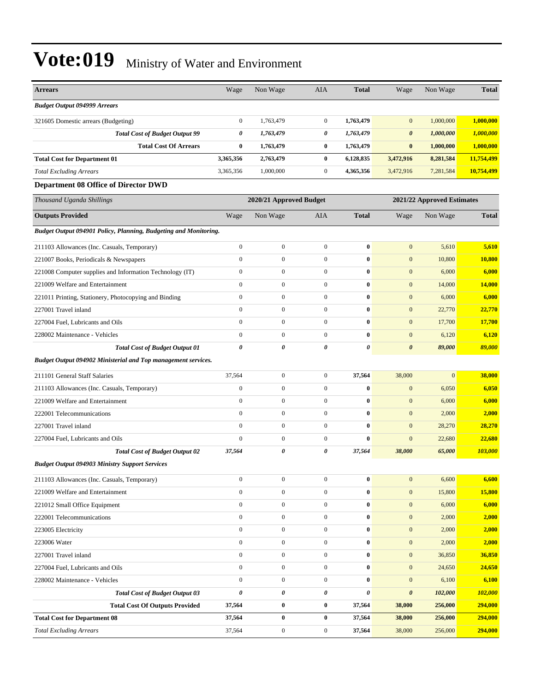| <b>Arrears</b>                                                   | Wage                  | Non Wage                | <b>AIA</b>       | <b>Total</b> | Wage                  | Non Wage                   | <b>Total</b> |
|------------------------------------------------------------------|-----------------------|-------------------------|------------------|--------------|-----------------------|----------------------------|--------------|
| <b>Budget Output 094999 Arrears</b>                              |                       |                         |                  |              |                       |                            |              |
| 321605 Domestic arrears (Budgeting)                              | $\mathbf{0}$          | 1,763,479               | $\mathbf{0}$     | 1,763,479    | $\mathbf{0}$          | 1,000,000                  | 1,000,000    |
| <b>Total Cost of Budget Output 99</b>                            | 0                     | 1,763,479               | 0                | 1,763,479    | $\boldsymbol{\theta}$ | 1,000,000                  | 1,000,000    |
| <b>Total Cost Of Arrears</b>                                     | $\bf{0}$              | 1,763,479               | $\bf{0}$         | 1,763,479    | $\bf{0}$              | 1,000,000                  | 1,000,000    |
| <b>Total Cost for Department 01</b>                              | 3,365,356             | 2,763,479               | $\bf{0}$         | 6,128,835    | 3,472,916             | 8,281,584                  | 11,754,499   |
| <b>Total Excluding Arrears</b>                                   | 3,365,356             | 1,000,000               | $\mathbf{0}$     | 4,365,356    | 3,472,916             | 7,281,584                  | 10,754,499   |
| <b>Department 08 Office of Director DWD</b>                      |                       |                         |                  |              |                       |                            |              |
| Thousand Uganda Shillings                                        |                       | 2020/21 Approved Budget |                  |              |                       | 2021/22 Approved Estimates |              |
| <b>Outputs Provided</b>                                          | Wage                  | Non Wage                | <b>AIA</b>       | <b>Total</b> | Wage                  | Non Wage                   | <b>Total</b> |
| Budget Output 094901 Policy, Planning, Budgeting and Monitoring. |                       |                         |                  |              |                       |                            |              |
| 211103 Allowances (Inc. Casuals, Temporary)                      | $\boldsymbol{0}$      | $\boldsymbol{0}$        | $\overline{0}$   | $\bf{0}$     | $\overline{0}$        | 5,610                      | 5,610        |
| 221007 Books, Periodicals & Newspapers                           | $\mathbf{0}$          | $\boldsymbol{0}$        | $\overline{0}$   | $\bf{0}$     | $\mathbf{0}$          | 10,800                     | 10,800       |
| 221008 Computer supplies and Information Technology (IT)         | $\boldsymbol{0}$      | $\boldsymbol{0}$        | $\overline{0}$   | $\bf{0}$     | $\mathbf{0}$          | 6,000                      | 6,000        |
| 221009 Welfare and Entertainment                                 | $\mathbf{0}$          | $\boldsymbol{0}$        | $\overline{0}$   | $\bf{0}$     | $\mathbf{0}$          | 14,000                     | 14,000       |
| 221011 Printing, Stationery, Photocopying and Binding            | $\mathbf{0}$          | $\boldsymbol{0}$        | $\overline{0}$   | $\bf{0}$     | $\mathbf{0}$          | 6,000                      | 6,000        |
| 227001 Travel inland                                             | $\mathbf{0}$          | $\boldsymbol{0}$        | $\overline{0}$   | $\bf{0}$     | $\mathbf{0}$          | 22,770                     | 22,770       |
| 227004 Fuel, Lubricants and Oils                                 | $\mathbf{0}$          | $\boldsymbol{0}$        | $\mathbf{0}$     | $\bf{0}$     | $\mathbf{0}$          | 17,700                     | 17,700       |
| 228002 Maintenance - Vehicles                                    | $\mathbf{0}$          | $\boldsymbol{0}$        | $\overline{0}$   | $\bf{0}$     | $\mathbf{0}$          | 6,120                      | 6,120        |
| <b>Total Cost of Budget Output 01</b>                            | $\boldsymbol{\theta}$ | $\boldsymbol{\theta}$   | 0                | 0            | $\boldsymbol{\theta}$ | 89,000                     | 89,000       |
| Budget Output 094902 Ministerial and Top management services.    |                       |                         |                  |              |                       |                            |              |
| 211101 General Staff Salaries                                    | 37,564                | $\boldsymbol{0}$        | $\mathbf{0}$     | 37,564       | 38,000                | $\mathbf{0}$               | 38,000       |
| 211103 Allowances (Inc. Casuals, Temporary)                      | $\boldsymbol{0}$      | $\boldsymbol{0}$        | $\overline{0}$   | $\bf{0}$     | $\mathbf{0}$          | 6,050                      | 6,050        |
| 221009 Welfare and Entertainment                                 | $\mathbf{0}$          | $\boldsymbol{0}$        | $\overline{0}$   | $\bf{0}$     | $\mathbf{0}$          | 6,000                      | 6,000        |
| 222001 Telecommunications                                        | $\mathbf{0}$          | $\boldsymbol{0}$        | $\overline{0}$   | $\mathbf{0}$ | $\mathbf{0}$          | 2,000                      | 2,000        |
| 227001 Travel inland                                             | $\mathbf{0}$          | $\boldsymbol{0}$        | $\overline{0}$   | $\bf{0}$     | $\mathbf{0}$          | 28,270                     | 28,270       |
| 227004 Fuel, Lubricants and Oils                                 | $\mathbf{0}$          | $\boldsymbol{0}$        | $\overline{0}$   | $\bf{0}$     | $\mathbf{0}$          | 22,680                     | 22,680       |
| <b>Total Cost of Budget Output 02</b>                            | 37,564                | 0                       | 0                | 37,564       | 38,000                | 65,000                     | 103,000      |
| <b>Budget Output 094903 Ministry Support Services</b>            |                       |                         |                  |              |                       |                            |              |
| 211103 Allowances (Inc. Casuals, Temporary)                      | $\boldsymbol{0}$      | $\boldsymbol{0}$        | $\overline{0}$   | $\bf{0}$     | $\mathbf{0}$          | 6,600                      | 6,600        |
| 221009 Welfare and Entertainment                                 | $\boldsymbol{0}$      | $\boldsymbol{0}$        | $\overline{0}$   | $\bf{0}$     | $\mathbf{0}$          | 15,800                     | 15,800       |
| 221012 Small Office Equipment                                    | $\mathbf{0}$          | $\boldsymbol{0}$        | $\overline{0}$   | $\bf{0}$     | $\mathbf{0}$          | 6,000                      | 6,000        |
| 222001 Telecommunications                                        | $\boldsymbol{0}$      | $\boldsymbol{0}$        | $\boldsymbol{0}$ | $\bf{0}$     | $\mathbf{0}$          | 2,000                      | 2,000        |
| 223005 Electricity                                               | $\boldsymbol{0}$      | $\boldsymbol{0}$        | $\overline{0}$   | $\bf{0}$     | $\mathbf{0}$          | 2,000                      | 2,000        |
| 223006 Water                                                     | $\mathbf{0}$          | $\boldsymbol{0}$        | $\overline{0}$   | $\bf{0}$     | $\mathbf{0}$          | 2,000                      | 2,000        |
| 227001 Travel inland                                             | $\boldsymbol{0}$      | $\boldsymbol{0}$        | $\mathbf{0}$     | $\bf{0}$     | $\mathbf{0}$          | 36,850                     | 36,850       |
| 227004 Fuel, Lubricants and Oils                                 | $\mathbf{0}$          | $\boldsymbol{0}$        | $\overline{0}$   | $\bf{0}$     | $\mathbf{0}$          | 24,650                     | 24,650       |
| 228002 Maintenance - Vehicles                                    | $\boldsymbol{0}$      | $\boldsymbol{0}$        | $\boldsymbol{0}$ | $\bf{0}$     | $\mathbf{0}$          | 6,100                      | 6,100        |
| <b>Total Cost of Budget Output 03</b>                            | $\boldsymbol{\theta}$ | 0                       | 0                | 0            | $\pmb{\theta}$        | 102,000                    | 102,000      |
| <b>Total Cost Of Outputs Provided</b>                            | 37,564                | $\bf{0}$                | $\bf{0}$         | 37,564       | 38,000                | 256,000                    | 294,000      |
| <b>Total Cost for Department 08</b>                              | 37,564                | $\bf{0}$                | $\bf{0}$         | 37,564       | 38,000                | 256,000                    | 294,000      |
| <b>Total Excluding Arrears</b>                                   | 37,564                | $\boldsymbol{0}$        | $\boldsymbol{0}$ | 37,564       | 38,000                | 256,000                    | 294,000      |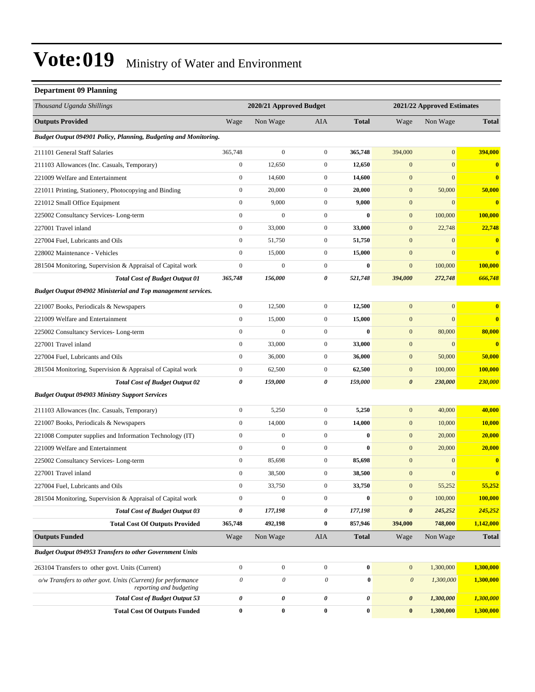#### **Department 09 Planning**

| Thousand Uganda Shillings                                                               |                           | 2020/21 Approved Budget |                       |                | 2021/22 Approved Estimates |                  |                         |
|-----------------------------------------------------------------------------------------|---------------------------|-------------------------|-----------------------|----------------|----------------------------|------------------|-------------------------|
| <b>Outputs Provided</b>                                                                 | Wage                      | Non Wage                | AIA                   | <b>Total</b>   | Wage                       | Non Wage         | <b>Total</b>            |
| <b>Budget Output 094901 Policy, Planning, Budgeting and Monitoring.</b>                 |                           |                         |                       |                |                            |                  |                         |
| 211101 General Staff Salaries                                                           | 365,748                   | $\mathbf{0}$            | $\mathbf{0}$          | 365,748        | 394,000                    | $\mathbf{0}$     | 394,000                 |
| 211103 Allowances (Inc. Casuals, Temporary)                                             | $\boldsymbol{0}$          | 12,650                  | $\mathbf{0}$          | 12,650         | $\mathbf{0}$               | $\mathbf{0}$     | $\bf{0}$                |
| 221009 Welfare and Entertainment                                                        | $\boldsymbol{0}$          | 14,600                  | $\mathbf{0}$          | 14,600         | $\mathbf{0}$               | $\mathbf{0}$     | $\bf{0}$                |
| 221011 Printing, Stationery, Photocopying and Binding                                   | $\boldsymbol{0}$          | 20,000                  | $\mathbf{0}$          | 20,000         | $\boldsymbol{0}$           | 50,000           | 50,000                  |
| 221012 Small Office Equipment                                                           | $\boldsymbol{0}$          | 9,000                   | $\mathbf{0}$          | 9,000          | $\boldsymbol{0}$           | $\mathbf{0}$     | $\overline{\mathbf{0}}$ |
| 225002 Consultancy Services-Long-term                                                   | $\boldsymbol{0}$          | $\mathbf{0}$            | $\mathbf{0}$          | $\bf{0}$       | $\mathbf{0}$               | 100,000          | 100,000                 |
| 227001 Travel inland                                                                    | $\mathbf{0}$              | 33,000                  | $\mathbf{0}$          | 33,000         | $\boldsymbol{0}$           | 22,748           | 22,748                  |
| 227004 Fuel, Lubricants and Oils                                                        | $\boldsymbol{0}$          | 51,750                  | $\mathbf{0}$          | 51,750         | $\mathbf{0}$               | $\mathbf{0}$     | $\bf{0}$                |
| 228002 Maintenance - Vehicles                                                           | $\boldsymbol{0}$          | 15,000                  | $\mathbf{0}$          | 15,000         | $\boldsymbol{0}$           | $\boldsymbol{0}$ | $\bf{0}$                |
| 281504 Monitoring, Supervision & Appraisal of Capital work                              | $\boldsymbol{0}$          | $\boldsymbol{0}$        | $\mathbf{0}$          | $\bf{0}$       | $\mathbf{0}$               | 100,000          | 100,000                 |
| <b>Total Cost of Budget Output 01</b>                                                   | 365,748                   | 156,000                 | 0                     | 521,748        | 394,000                    | 272,748          | 666,748                 |
| Budget Output 094902 Ministerial and Top management services.                           |                           |                         |                       |                |                            |                  |                         |
| 221007 Books, Periodicals & Newspapers                                                  | $\boldsymbol{0}$          | 12,500                  | $\mathbf{0}$          | 12,500         | $\boldsymbol{0}$           | $\mathbf{0}$     | $\bf{0}$                |
| 221009 Welfare and Entertainment                                                        | $\boldsymbol{0}$          | 15,000                  | $\mathbf{0}$          | 15,000         | $\boldsymbol{0}$           | $\overline{0}$   | $\bf{0}$                |
| 225002 Consultancy Services-Long-term                                                   | $\boldsymbol{0}$          | $\mathbf{0}$            | $\mathbf{0}$          | $\bf{0}$       | $\boldsymbol{0}$           | 80,000           | 80,000                  |
| 227001 Travel inland                                                                    | $\boldsymbol{0}$          | 33,000                  | $\mathbf{0}$          | 33,000         | $\boldsymbol{0}$           | $\overline{0}$   | $\bf{0}$                |
| 227004 Fuel, Lubricants and Oils                                                        | $\boldsymbol{0}$          | 36,000                  | $\mathbf{0}$          | 36,000         | $\mathbf{0}$               | 50,000           | 50,000                  |
| 281504 Monitoring, Supervision & Appraisal of Capital work                              | $\boldsymbol{0}$          | 62,500                  | $\mathbf{0}$          | 62,500         | $\boldsymbol{0}$           | 100,000          | 100,000                 |
| <b>Total Cost of Budget Output 02</b>                                                   | 0                         | 159,000                 | 0                     | 159,000        | $\boldsymbol{\theta}$      | 230,000          | 230,000                 |
| <b>Budget Output 094903 Ministry Support Services</b>                                   |                           |                         |                       |                |                            |                  |                         |
| 211103 Allowances (Inc. Casuals, Temporary)                                             | $\boldsymbol{0}$          | 5,250                   | $\mathbf{0}$          | 5,250          | $\boldsymbol{0}$           | 40,000           | 40,000                  |
| 221007 Books, Periodicals & Newspapers                                                  | $\boldsymbol{0}$          | 14,000                  | $\mathbf{0}$          | 14,000         | $\mathbf{0}$               | 10,000           | 10,000                  |
| 221008 Computer supplies and Information Technology (IT)                                | $\boldsymbol{0}$          | $\mathbf{0}$            | $\mathbf{0}$          | $\bf{0}$       | $\boldsymbol{0}$           | 20,000           | 20,000                  |
| 221009 Welfare and Entertainment                                                        | $\boldsymbol{0}$          | $\mathbf{0}$            | $\mathbf{0}$          | $\bf{0}$       | $\boldsymbol{0}$           | 20,000           | 20,000                  |
| 225002 Consultancy Services-Long-term                                                   | $\boldsymbol{0}$          | 85,698                  | $\mathbf{0}$          | 85,698         | $\boldsymbol{0}$           | $\overline{0}$   | $\bf{0}$                |
| 227001 Travel inland                                                                    | $\boldsymbol{0}$          | 38,500                  | $\mathbf{0}$          | 38,500         | $\mathbf{0}$               | $\mathbf{0}$     | $\bf{0}$                |
| 227004 Fuel. Lubricants and Oils                                                        | $\boldsymbol{0}$          | 33,750                  | 0                     | 33,750         | $\mathbf{0}$               | 55,252           | 55,252                  |
| 281504 Monitoring, Supervision & Appraisal of Capital work                              | $\boldsymbol{0}$          | $\boldsymbol{0}$        | $\boldsymbol{0}$      | $\bf{0}$       | $\boldsymbol{0}$           | 100,000          | 100,000                 |
| <b>Total Cost of Budget Output 03</b>                                                   | $\pmb{\theta}$            | 177,198                 | $\boldsymbol{\theta}$ | 177,198        | $\pmb{\theta}$             | 245,252          | 245,252                 |
| <b>Total Cost Of Outputs Provided</b>                                                   | 365,748                   | 492,198                 | $\boldsymbol{0}$      | 857,946        | 394,000                    | 748,000          | 1,142,000               |
| <b>Outputs Funded</b>                                                                   | Wage                      | Non Wage                | AIA                   | <b>Total</b>   | Wage                       | Non Wage         | <b>Total</b>            |
| <b>Budget Output 094953 Transfers to other Government Units</b>                         |                           |                         |                       |                |                            |                  |                         |
| 263104 Transfers to other govt. Units (Current)                                         | $\boldsymbol{0}$          | $\boldsymbol{0}$        | $\boldsymbol{0}$      | $\pmb{0}$      | $\mathbf{0}$               | 1,300,000        | 1,300,000               |
| o/w Transfers to other govt. Units (Current) for performance<br>reporting and budgeting | $\boldsymbol{\mathit{0}}$ | 0                       | 0                     | $\bf{0}$       | $\boldsymbol{\theta}$      | 1,300,000        | 1,300,000               |
| <b>Total Cost of Budget Output 53</b>                                                   | 0                         | $\pmb{\theta}$          | $\pmb{\theta}$        | $\pmb{\theta}$ | 0                          | 1,300,000        | 1,300,000               |
| <b>Total Cost Of Outputs Funded</b>                                                     | $\pmb{0}$                 | $\pmb{0}$               | $\boldsymbol{0}$      | $\bf{0}$       | $\bf{0}$                   | 1,300,000        | 1,300,000               |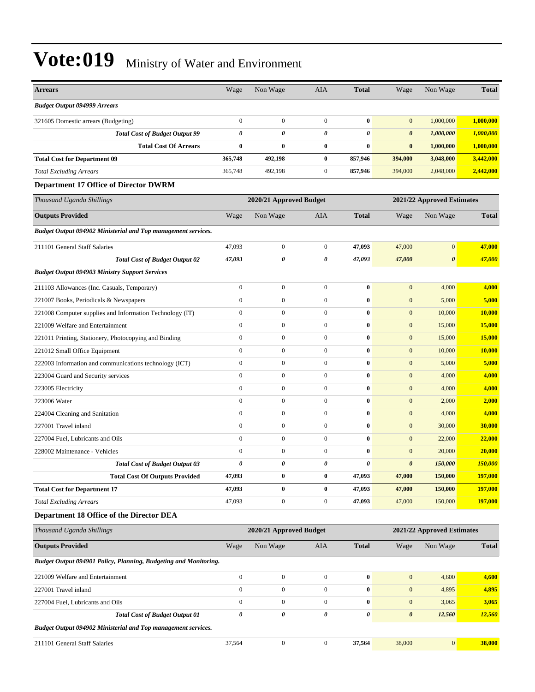| <b>Arrears</b>                                                   | Wage                  | Non Wage                | AIA              | <b>Total</b>     | Wage                  | Non Wage                   | <b>Total</b>  |
|------------------------------------------------------------------|-----------------------|-------------------------|------------------|------------------|-----------------------|----------------------------|---------------|
| <b>Budget Output 094999 Arrears</b>                              |                       |                         |                  |                  |                       |                            |               |
| 321605 Domestic arrears (Budgeting)                              | $\mathbf{0}$          | $\boldsymbol{0}$        | $\boldsymbol{0}$ | $\bf{0}$         | $\mathbf{0}$          | 1,000,000                  | 1,000,000     |
| <b>Total Cost of Budget Output 99</b>                            | $\boldsymbol{\theta}$ | 0                       | $\theta$         | 0                | $\boldsymbol{\theta}$ | 1,000,000                  | 1,000,000     |
| <b>Total Cost Of Arrears</b>                                     | $\bf{0}$              | $\bf{0}$                | $\bf{0}$         | $\bf{0}$         | $\bf{0}$              | 1,000,000                  | 1,000,000     |
| <b>Total Cost for Department 09</b>                              | 365,748               | 492,198                 | $\bf{0}$         | 857,946          | 394,000               | 3,048,000                  | 3,442,000     |
| <b>Total Excluding Arrears</b>                                   | 365,748               | 492,198                 | $\boldsymbol{0}$ | 857,946          | 394,000               | 2,048,000                  | 2,442,000     |
| <b>Department 17 Office of Director DWRM</b>                     |                       |                         |                  |                  |                       |                            |               |
| Thousand Uganda Shillings                                        |                       | 2020/21 Approved Budget |                  |                  |                       | 2021/22 Approved Estimates |               |
| <b>Outputs Provided</b>                                          | Wage                  | Non Wage                | AIA              | <b>Total</b>     | Wage                  | Non Wage                   | <b>Total</b>  |
| Budget Output 094902 Ministerial and Top management services.    |                       |                         |                  |                  |                       |                            |               |
| 211101 General Staff Salaries                                    | 47,093                | $\boldsymbol{0}$        | $\boldsymbol{0}$ | 47,093           | 47,000                | $\mathbf{0}$               | 47,000        |
| <b>Total Cost of Budget Output 02</b>                            | 47,093                | 0                       | 0                | 47,093           | 47,000                | $\boldsymbol{\theta}$      | 47,000        |
| <b>Budget Output 094903 Ministry Support Services</b>            |                       |                         |                  |                  |                       |                            |               |
| 211103 Allowances (Inc. Casuals, Temporary)                      | $\boldsymbol{0}$      | $\boldsymbol{0}$        | $\boldsymbol{0}$ | $\bf{0}$         | $\mathbf{0}$          | 4,000                      | 4,000         |
| 221007 Books, Periodicals & Newspapers                           | $\mathbf{0}$          | $\boldsymbol{0}$        | $\boldsymbol{0}$ | $\bf{0}$         | $\mathbf{0}$          | 5,000                      | 5,000         |
| 221008 Computer supplies and Information Technology (IT)         | $\boldsymbol{0}$      | $\mathbf{0}$            | $\boldsymbol{0}$ | $\bf{0}$         | $\mathbf{0}$          | 10,000                     | 10,000        |
| 221009 Welfare and Entertainment                                 | $\mathbf{0}$          | $\boldsymbol{0}$        | $\boldsymbol{0}$ | $\bf{0}$         | $\mathbf{0}$          | 15,000                     | 15,000        |
| 221011 Printing, Stationery, Photocopying and Binding            | $\mathbf{0}$          | $\mathbf{0}$            | $\boldsymbol{0}$ | $\bf{0}$         | $\mathbf{0}$          | 15,000                     | 15,000        |
| 221012 Small Office Equipment                                    | $\boldsymbol{0}$      | $\mathbf{0}$            | $\boldsymbol{0}$ | $\bf{0}$         | $\mathbf{0}$          | 10,000                     | 10,000        |
| 222003 Information and communications technology (ICT)           | $\boldsymbol{0}$      | $\boldsymbol{0}$        | $\boldsymbol{0}$ | $\bf{0}$         | $\mathbf{0}$          | 5,000                      | 5,000         |
| 223004 Guard and Security services                               | $\mathbf{0}$          | $\overline{0}$          | $\boldsymbol{0}$ | $\bf{0}$         | $\mathbf{0}$          | 4,000                      | 4,000         |
| 223005 Electricity                                               | $\mathbf{0}$          | $\boldsymbol{0}$        | $\boldsymbol{0}$ | $\bf{0}$         | $\mathbf{0}$          | 4,000                      | 4,000         |
| 223006 Water                                                     | $\mathbf{0}$          | $\mathbf{0}$            | $\overline{0}$   | $\bf{0}$         | $\mathbf{0}$          | 2,000                      | 2,000         |
| 224004 Cleaning and Sanitation                                   | $\mathbf{0}$          | $\mathbf{0}$            | $\boldsymbol{0}$ | $\bf{0}$         | $\mathbf{0}$          | 4,000                      | 4,000         |
| 227001 Travel inland                                             | $\mathbf{0}$          | $\boldsymbol{0}$        | $\mathbf{0}$     | $\bf{0}$         | $\bf{0}$              | 30,000                     | 30,000        |
| 227004 Fuel, Lubricants and Oils                                 | $\boldsymbol{0}$      | $\boldsymbol{0}$        | $\overline{0}$   | $\bf{0}$         | $\mathbf{0}$          | 22,000                     | 22,000        |
| 228002 Maintenance - Vehicles                                    | $\boldsymbol{0}$      | $\boldsymbol{0}$        | $\boldsymbol{0}$ | $\bf{0}$         | $\mathbf{0}$          | 20,000                     | 20,000        |
| <b>Total Cost of Budget Output 03</b>                            | 0                     | 0                       | 0                | 0                | $\boldsymbol{\theta}$ | 150,000                    | 150,000       |
| <b>Total Cost Of Outputs Provided</b>                            | 47,093                | $\boldsymbol{0}$        | $\bf{0}$         | 47,093           | 47,000                | 150,000                    | 197,000       |
| <b>Total Cost for Department 17</b>                              | 47,093                | $\bf{0}$                | $\bf{0}$         | 47,093           | 47,000                | 150,000                    | 197,000       |
| <b>Total Excluding Arrears</b>                                   | 47,093                | $\boldsymbol{0}$        | $\boldsymbol{0}$ | 47,093           | 47,000                | 150,000                    | 197,000       |
| Department 18 Office of the Director DEA                         |                       |                         |                  |                  |                       |                            |               |
| Thousand Uganda Shillings                                        |                       | 2020/21 Approved Budget |                  |                  |                       | 2021/22 Approved Estimates |               |
| <b>Outputs Provided</b>                                          | Wage                  | Non Wage                | AIA              | <b>Total</b>     | Wage                  | Non Wage                   | <b>Total</b>  |
| Budget Output 094901 Policy, Planning, Budgeting and Monitoring. |                       |                         |                  |                  |                       |                            |               |
| 221009 Welfare and Entertainment                                 | $\boldsymbol{0}$      | $\boldsymbol{0}$        | $\boldsymbol{0}$ | $\bf{0}$         | $\boldsymbol{0}$      | 4,600                      | 4,600         |
| 227001 Travel inland                                             | $\boldsymbol{0}$      | $\boldsymbol{0}$        | $\boldsymbol{0}$ | $\boldsymbol{0}$ | $\boldsymbol{0}$      | 4,895                      | 4,895         |
| 227004 Fuel, Lubricants and Oils                                 | $\boldsymbol{0}$      | $\boldsymbol{0}$        | $\boldsymbol{0}$ | $\bf{0}$         | $\mathbf{0}$          | 3,065                      | 3,065         |
| <b>Total Cost of Budget Output 01</b>                            | $\boldsymbol{\theta}$ | 0                       | 0                | 0                | $\boldsymbol{\theta}$ | 12,560                     | <b>12,560</b> |
| Budget Output 094902 Ministerial and Top management services.    |                       |                         |                  |                  |                       |                            |               |
| 211101 General Staff Salaries                                    | 37,564                | $\boldsymbol{0}$        | $\boldsymbol{0}$ | 37,564           | 38,000                | 0                          | 38,000        |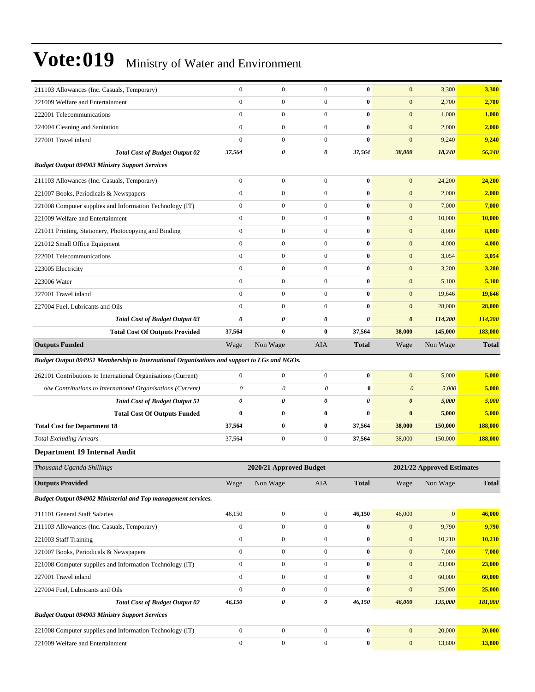| 211103 Allowances (Inc. Casuals, Temporary)                                                 | $\overline{0}$                       | $\mathbf{0}$                         | $\mathbf{0}$                     | $\bf{0}$                     | $\mathbf{0}$                     | 3,300            | 3,300            |
|---------------------------------------------------------------------------------------------|--------------------------------------|--------------------------------------|----------------------------------|------------------------------|----------------------------------|------------------|------------------|
| 221009 Welfare and Entertainment                                                            | $\overline{0}$                       | $\boldsymbol{0}$                     | $\mathbf{0}$                     | $\bf{0}$                     | $\mathbf{0}$                     | 2,700            | 2,700            |
| 222001 Telecommunications                                                                   | $\overline{0}$                       | $\boldsymbol{0}$                     | $\mathbf{0}$                     | $\bf{0}$                     | $\mathbf{0}$                     | 1,000            | 1,000            |
| 224004 Cleaning and Sanitation                                                              | $\boldsymbol{0}$                     | $\boldsymbol{0}$                     | $\mathbf{0}$                     | $\bf{0}$                     | $\mathbf{0}$                     | 2,000            | 2,000            |
| 227001 Travel inland                                                                        | $\overline{0}$                       | $\boldsymbol{0}$                     | $\boldsymbol{0}$                 | $\bf{0}$                     | $\mathbf{0}$                     | 9,240            | 9,240            |
| <b>Total Cost of Budget Output 02</b>                                                       | 37,564                               | $\boldsymbol{\theta}$                | 0                                | 37,564                       | 38,000                           | 18,240           | 56,240           |
| <b>Budget Output 094903 Ministry Support Services</b>                                       |                                      |                                      |                                  |                              |                                  |                  |                  |
| 211103 Allowances (Inc. Casuals, Temporary)                                                 | $\boldsymbol{0}$                     | $\boldsymbol{0}$                     | $\mathbf{0}$                     | $\bf{0}$                     | $\mathbf{0}$                     | 24,200           | 24,200           |
| 221007 Books, Periodicals & Newspapers                                                      | $\overline{0}$                       | $\boldsymbol{0}$                     | $\mathbf{0}$                     | $\bf{0}$                     | $\mathbf{0}$                     | 2,000            | 2,000            |
| 221008 Computer supplies and Information Technology (IT)                                    | $\boldsymbol{0}$                     | $\boldsymbol{0}$                     | $\mathbf{0}$                     | $\bf{0}$                     | $\mathbf{0}$                     | 7,000            | 7,000            |
| 221009 Welfare and Entertainment                                                            | $\overline{0}$                       | $\boldsymbol{0}$                     | $\mathbf{0}$                     | $\bf{0}$                     | $\mathbf{0}$                     | 10,000           | <b>10,000</b>    |
| 221011 Printing, Stationery, Photocopying and Binding                                       | $\boldsymbol{0}$                     | $\boldsymbol{0}$                     | $\mathbf{0}$                     | $\bf{0}$                     | $\mathbf{0}$                     | 8,000            | 8,000            |
| 221012 Small Office Equipment                                                               | $\boldsymbol{0}$                     | $\boldsymbol{0}$                     | $\boldsymbol{0}$                 | $\bf{0}$                     | $\mathbf{0}$                     | 4,000            | 4,000            |
| 222001 Telecommunications                                                                   | $\overline{0}$                       | $\boldsymbol{0}$                     | $\mathbf{0}$                     | $\bf{0}$                     | $\mathbf{0}$                     | 3,054            | 3,054            |
| 223005 Electricity                                                                          | $\boldsymbol{0}$                     | $\boldsymbol{0}$                     | $\mathbf{0}$                     | $\bf{0}$                     | $\mathbf{0}$                     | 3,200            | 3,200            |
| 223006 Water                                                                                | $\overline{0}$                       | $\boldsymbol{0}$                     | $\mathbf{0}$                     | $\bf{0}$                     | $\mathbf{0}$                     | 5,100            | 5,100            |
| 227001 Travel inland                                                                        | $\overline{0}$                       | $\boldsymbol{0}$                     | $\mathbf{0}$                     | $\bf{0}$                     | $\mathbf{0}$                     | 19,646           | 19,646           |
| 227004 Fuel, Lubricants and Oils                                                            | $\overline{0}$                       | $\boldsymbol{0}$                     | $\boldsymbol{0}$                 | $\bf{0}$                     | $\mathbf{0}$                     | 28,000           | 28,000           |
| <b>Total Cost of Budget Output 03</b>                                                       | 0                                    | 0                                    | 0                                | $\boldsymbol{\theta}$        | $\boldsymbol{\theta}$            | 114,200          | 114,200          |
| <b>Total Cost Of Outputs Provided</b>                                                       | 37,564                               | $\bf{0}$                             | $\bf{0}$                         | 37,564                       | 38,000                           | 145,000          | 183,000          |
| <b>Outputs Funded</b>                                                                       | Wage                                 | Non Wage                             | AIA                              | <b>Total</b>                 | Wage                             | Non Wage         | <b>Total</b>     |
| Budget Output 094951 Membership to International Organisations and support to LGs and NGOs. |                                      |                                      |                                  |                              |                                  |                  |                  |
| 262101 Contributions to International Organisations (Current)                               | $\boldsymbol{0}$                     | $\boldsymbol{0}$                     | $\mathbf{0}$                     | $\bf{0}$                     | $\boldsymbol{0}$                 | 5,000            | 5,000            |
| o/w Contributions to International Organisations (Current)                                  | $\boldsymbol{\theta}$                | 0                                    | 0                                | $\bf{0}$                     | $\boldsymbol{0}$                 | 5,000            | 5,000            |
| <b>Total Cost of Budget Output 51</b>                                                       | 0                                    | 0                                    | 0                                | 0                            | $\boldsymbol{\theta}$            | 5,000            | 5,000            |
| <b>Total Cost Of Outputs Funded</b>                                                         | $\bf{0}$                             | $\bf{0}$                             | $\bf{0}$                         | $\bf{0}$                     | $\bf{0}$                         | 5,000            | 5,000            |
| <b>Total Cost for Department 18</b>                                                         | 37,564                               | $\bf{0}$                             | $\bf{0}$                         | 37,564                       | 38,000                           | 150,000          | 188,000          |
| <b>Total Excluding Arrears</b>                                                              | 37,564                               | $\boldsymbol{0}$                     | $\mathbf{0}$                     | 37,564                       | 38,000                           | 150,000          | 188,000          |
| <b>Department 19 Internal Audit</b>                                                         |                                      |                                      |                                  |                              |                                  |                  |                  |
| Thousand Uganda Shillings                                                                   | 2020/21 Approved Budget              |                                      |                                  |                              | 2021/22 Approved Estimates       |                  |                  |
| <b>Outputs Provided</b>                                                                     | Wage                                 | Non Wage                             | AIA                              | <b>Total</b>                 | Wage                             | Non Wage         | <b>Total</b>     |
| Budget Output 094902 Ministerial and Top management services.                               |                                      |                                      |                                  |                              |                                  |                  |                  |
| 211101 General Staff Salaries                                                               | 46,150                               | $\boldsymbol{0}$                     | $\mathbf{0}$                     | 46,150                       | 46,000                           | $\boldsymbol{0}$ | 46,000           |
| 211103 Allowances (Inc. Casuals, Temporary)                                                 | $\boldsymbol{0}$                     | $\boldsymbol{0}$                     | $\boldsymbol{0}$                 | $\bf{0}$                     | $\mathbf{0}$                     | 9,790            | 9,790            |
| 221003 Staff Training                                                                       | $\boldsymbol{0}$                     | $\boldsymbol{0}$                     | $\boldsymbol{0}$                 | $\pmb{0}$                    | $\boldsymbol{0}$                 | 10,210           | 10,210           |
| 221007 Books, Periodicals & Newspapers                                                      | $\boldsymbol{0}$                     | $\boldsymbol{0}$                     | $\boldsymbol{0}$                 | $\bf{0}$                     | $\mathbf{0}$                     | 7,000            | 7,000            |
| 221008 Computer supplies and Information Technology (IT)                                    | $\boldsymbol{0}$                     | $\boldsymbol{0}$                     | $\mathbf{0}$                     | $\bf{0}$                     | $\boldsymbol{0}$                 | 23,000           | 23,000           |
| 227001 Travel inland                                                                        | $\boldsymbol{0}$                     | $\boldsymbol{0}$                     | $\mathbf{0}$                     | $\bf{0}$                     | $\mathbf{0}$                     | 60,000           | 60,000           |
| 227004 Fuel, Lubricants and Oils                                                            | $\boldsymbol{0}$                     | $\boldsymbol{0}$                     | $\boldsymbol{0}$                 | $\bf{0}$                     | $\mathbf{0}$                     | 25,000           | 25,000           |
| <b>Total Cost of Budget Output 02</b>                                                       | 46,150                               | 0                                    | $\pmb{\theta}$                   | 46,150                       | 46,000                           | 135,000          | 181,000          |
| <b>Budget Output 094903 Ministry Support Services</b>                                       |                                      |                                      |                                  |                              |                                  |                  |                  |
| 221008 Computer supplies and Information Technology (IT)                                    |                                      |                                      |                                  |                              |                                  |                  |                  |
|                                                                                             |                                      |                                      |                                  |                              |                                  |                  |                  |
| 221009 Welfare and Entertainment                                                            | $\boldsymbol{0}$<br>$\boldsymbol{0}$ | $\boldsymbol{0}$<br>$\boldsymbol{0}$ | $\mathbf{0}$<br>$\boldsymbol{0}$ | $\bf{0}$<br>$\boldsymbol{0}$ | $\mathbf{0}$<br>$\boldsymbol{0}$ | 20,000<br>13,800 | 20,000<br>13,800 |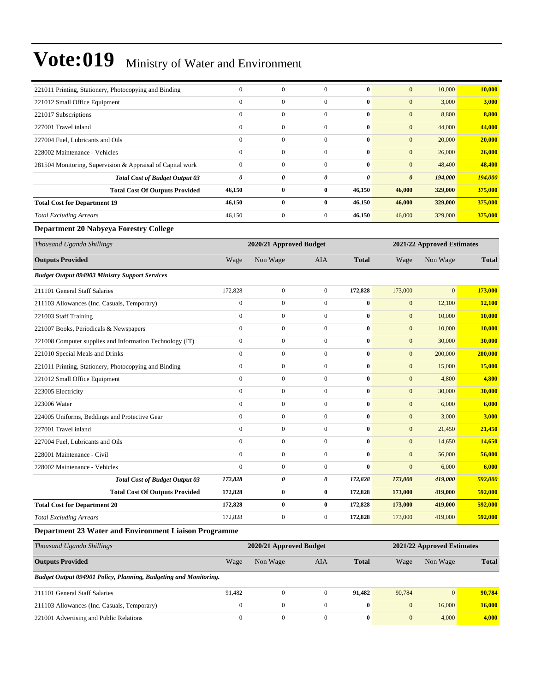| 221011 Printing, Stationery, Photocopying and Binding      | $\Omega$     | $\mathbf{0}$ | $\mathbf{0}$   | $\mathbf{0}$ | $\mathbf{0}$          | 10,000  | 10,000         |
|------------------------------------------------------------|--------------|--------------|----------------|--------------|-----------------------|---------|----------------|
| 221012 Small Office Equipment                              | $\Omega$     | $\mathbf{0}$ | $\Omega$       | $\bf{0}$     | $\mathbf{0}$          | 3,000   | 3,000          |
| 221017 Subscriptions                                       | $\Omega$     | $\mathbf{0}$ | $\mathbf{0}$   | $\mathbf{0}$ | $\mathbf{0}$          | 8,800   | 8,800          |
| 227001 Travel inland                                       | $\Omega$     | $\mathbf{0}$ | $\Omega$       | $\bf{0}$     | $\mathbf{0}$          | 44,000  | 44,000         |
| 227004 Fuel, Lubricants and Oils                           | $\Omega$     | $\mathbf{0}$ | $\Omega$       | $\mathbf{0}$ | $\mathbf{0}$          | 20,000  | 20,000         |
| 228002 Maintenance - Vehicles                              | $\mathbf{0}$ | $\mathbf{0}$ | $\mathbf{0}$   | $\bf{0}$     | $\mathbf{0}$          | 26,000  | 26,000         |
| 281504 Monitoring, Supervision & Appraisal of Capital work | $\mathbf{0}$ | $\mathbf{0}$ | $\overline{0}$ | $\bf{0}$     | $\mathbf{0}$          | 48,400  | 48,400         |
| <b>Total Cost of Budget Output 03</b>                      | 0            | 0            | 0              | 0            | $\boldsymbol{\theta}$ | 194.000 | <b>194,000</b> |
| <b>Total Cost Of Outputs Provided</b>                      | 46,150       | $\bf{0}$     | $\bf{0}$       | 46,150       | 46,000                | 329,000 | 375,000        |
| <b>Total Cost for Department 19</b>                        | 46,150       | $\bf{0}$     | $\bf{0}$       | 46,150       | 46,000                | 329,000 | 375,000        |
| <b>Total Excluding Arrears</b>                             | 46,150       | $\mathbf{0}$ | $\overline{0}$ | 46,150       | 46,000                | 329,000 | 375,000        |

#### **Department 20 Nabyeya Forestry College**

| Thousand Uganda Shillings                                | 2020/21 Approved Budget |                  |                  |              |              | 2021/22 Approved Estimates |              |  |
|----------------------------------------------------------|-------------------------|------------------|------------------|--------------|--------------|----------------------------|--------------|--|
| <b>Outputs Provided</b>                                  | Wage                    | Non Wage         | <b>AIA</b>       | <b>Total</b> | Wage         | Non Wage                   | <b>Total</b> |  |
| <b>Budget Output 094903 Ministry Support Services</b>    |                         |                  |                  |              |              |                            |              |  |
| 211101 General Staff Salaries                            | 172,828                 | $\mathbf{0}$     | $\overline{0}$   | 172,828      | 173,000      | $\overline{0}$             | 173,000      |  |
| 211103 Allowances (Inc. Casuals, Temporary)              | $\mathbf{0}$            | $\overline{0}$   | $\mathbf{0}$     | $\bf{0}$     | $\mathbf{0}$ | 12,100                     | 12,100       |  |
| 221003 Staff Training                                    | $\mathbf{0}$            | $\overline{0}$   | $\mathbf{0}$     | $\bf{0}$     | $\mathbf{0}$ | 10,000                     | 10,000       |  |
| 221007 Books, Periodicals & Newspapers                   | $\mathbf{0}$            | $\overline{0}$   | $\mathbf{0}$     | $\bf{0}$     | $\mathbf{0}$ | 10,000                     | 10,000       |  |
| 221008 Computer supplies and Information Technology (IT) | $\mathbf{0}$            | $\mathbf{0}$     | $\overline{0}$   | $\bf{0}$     | $\mathbf{0}$ | 30,000                     | 30,000       |  |
| 221010 Special Meals and Drinks                          | $\mathbf{0}$            | $\overline{0}$   | $\mathbf{0}$     | $\bf{0}$     | $\mathbf{0}$ | 200,000                    | 200,000      |  |
| 221011 Printing, Stationery, Photocopying and Binding    | $\mathbf{0}$            | $\overline{0}$   | $\mathbf{0}$     | $\bf{0}$     | $\mathbf{0}$ | 15,000                     | 15,000       |  |
| 221012 Small Office Equipment                            | $\mathbf{0}$            | $\overline{0}$   | $\mathbf{0}$     | $\bf{0}$     | $\mathbf{0}$ | 4,800                      | 4,800        |  |
| 223005 Electricity                                       | $\mathbf{0}$            | $\mathbf{0}$     | $\mathbf{0}$     | $\bf{0}$     | $\mathbf{0}$ | 30,000                     | 30,000       |  |
| 223006 Water                                             | $\mathbf{0}$            | $\overline{0}$   | $\overline{0}$   | $\bf{0}$     | $\mathbf{0}$ | 6,000                      | 6,000        |  |
| 224005 Uniforms, Beddings and Protective Gear            | $\mathbf{0}$            | $\overline{0}$   | $\mathbf{0}$     | $\mathbf{0}$ | $\mathbf{0}$ | 3,000                      | 3,000        |  |
| 227001 Travel inland                                     | $\mathbf{0}$            | $\boldsymbol{0}$ | $\mathbf{0}$     | $\bf{0}$     | $\mathbf{0}$ | 21,450                     | 21,450       |  |
| 227004 Fuel, Lubricants and Oils                         | $\mathbf{0}$            | $\boldsymbol{0}$ | $\mathbf{0}$     | $\mathbf{0}$ | $\mathbf{0}$ | 14,650                     | 14,650       |  |
| 228001 Maintenance - Civil                               | $\Omega$                | $\overline{0}$   | $\mathbf{0}$     | $\bf{0}$     | $\mathbf{0}$ | 56,000                     | 56,000       |  |
| 228002 Maintenance - Vehicles                            | $\Omega$                | $\overline{0}$   | $\mathbf{0}$     | $\bf{0}$     | $\mathbf{0}$ | 6,000                      | 6,000        |  |
| <b>Total Cost of Budget Output 03</b>                    | 172,828                 | 0                | 0                | 172,828      | 173,000      | 419,000                    | 592,000      |  |
| <b>Total Cost Of Outputs Provided</b>                    | 172,828                 | $\bf{0}$         | $\bf{0}$         | 172,828      | 173,000      | 419,000                    | 592,000      |  |
| <b>Total Cost for Department 20</b>                      | 172,828                 | $\bf{0}$         | $\bf{0}$         | 172,828      | 173,000      | 419,000                    | 592,000      |  |
| <b>Total Excluding Arrears</b>                           | 172,828                 | $\boldsymbol{0}$ | $\boldsymbol{0}$ | 172,828      | 173,000      | 419,000                    | 592,000      |  |

#### **Department 23 Water and Environment Liaison Programme**

| Thousand Uganda Shillings                                        |          | 2020/21 Approved Budget |          |              |              | 2021/22 Approved Estimates |              |  |
|------------------------------------------------------------------|----------|-------------------------|----------|--------------|--------------|----------------------------|--------------|--|
| <b>Outputs Provided</b>                                          | Wage     | Non Wage                | AIA      | <b>Total</b> | Wage         | Non Wage                   | <b>Total</b> |  |
| Budget Output 094901 Policy, Planning, Budgeting and Monitoring. |          |                         |          |              |              |                            |              |  |
| 211101 General Staff Salaries                                    | 91.482   |                         | $\Omega$ | 91.482       | 90,784       | $\vert 0 \vert$            | 90.784       |  |
| 211103 Allowances (Inc. Casuals, Temporary)                      | $\Omega$ |                         |          | $\mathbf{0}$ | $\mathbf{0}$ | 16,000                     | 16,000       |  |
| 221001 Advertising and Public Relations                          | $\Omega$ |                         | $\Omega$ | $\mathbf{0}$ | $\mathbf{0}$ | 4.000                      | 4,000        |  |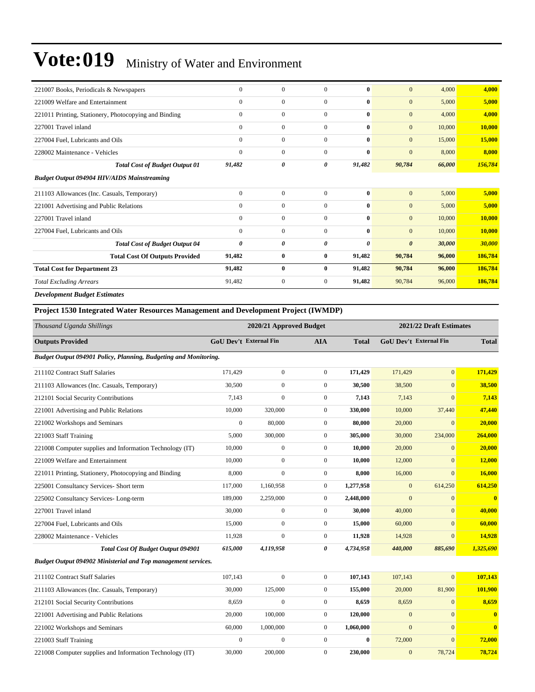| 221007 Books, Periodicals & Newspapers                | $\Omega$     | $\Omega$         | $\Omega$       | $\bf{0}$              | $\mathbf{0}$          | 4,000  | 4,000   |
|-------------------------------------------------------|--------------|------------------|----------------|-----------------------|-----------------------|--------|---------|
| 221009 Welfare and Entertainment                      | $\mathbf{0}$ | $\mathbf{0}$     | $\Omega$       | $\bf{0}$              | $\mathbf{0}$          | 5,000  | 5,000   |
| 221011 Printing, Stationery, Photocopying and Binding | $\mathbf{0}$ | $\mathbf{0}$     | $\Omega$       | $\mathbf{0}$          | $\mathbf{0}$          | 4,000  | 4,000   |
| 227001 Travel inland                                  | $\mathbf{0}$ | $\mathbf{0}$     | $\overline{0}$ | $\bf{0}$              | $\mathbf{0}$          | 10,000 | 10,000  |
| 227004 Fuel, Lubricants and Oils                      | $\mathbf{0}$ | $\mathbf{0}$     | $\overline{0}$ | $\bf{0}$              | $\mathbf{0}$          | 15,000 | 15,000  |
| 228002 Maintenance - Vehicles                         | $\Omega$     | $\mathbf{0}$     | $\overline{0}$ | $\bf{0}$              | $\mathbf{0}$          | 8,000  | 8,000   |
| <b>Total Cost of Budget Output 01</b>                 | 91,482       | 0                | 0              | 91,482                | 90,784                | 66,000 | 156,784 |
| <b>Budget Output 094904 HIV/AIDS Mainstreaming</b>    |              |                  |                |                       |                       |        |         |
| 211103 Allowances (Inc. Casuals, Temporary)           | $\mathbf{0}$ | $\mathbf{0}$     | $\overline{0}$ | $\bf{0}$              | $\mathbf{0}$          | 5,000  | 5,000   |
| 221001 Advertising and Public Relations               | $\Omega$     | $\mathbf{0}$     | $\overline{0}$ | $\bf{0}$              | $\mathbf{0}$          | 5,000  | 5,000   |
| 227001 Travel inland                                  | $\mathbf{0}$ | $\mathbf{0}$     | $\Omega$       | $\bf{0}$              | $\mathbf{0}$          | 10,000 | 10,000  |
| 227004 Fuel, Lubricants and Oils                      | $\mathbf{0}$ | $\mathbf{0}$     | $\overline{0}$ | $\bf{0}$              | $\mathbf{0}$          | 10,000 | 10,000  |
| <b>Total Cost of Budget Output 04</b>                 | 0            | 0                | 0              | $\boldsymbol{\theta}$ | $\boldsymbol{\theta}$ | 30,000 | 30,000  |
| <b>Total Cost Of Outputs Provided</b>                 | 91,482       | $\bf{0}$         | $\bf{0}$       | 91,482                | 90,784                | 96,000 | 186,784 |
| <b>Total Cost for Department 23</b>                   | 91,482       | $\bf{0}$         | $\bf{0}$       | 91,482                | 90,784                | 96,000 | 186,784 |
| <b>Total Excluding Arrears</b>                        | 91,482       | $\boldsymbol{0}$ | $\overline{0}$ | 91,482                | 90,784                | 96,000 | 186,784 |
| <b>Development Budget Estimates</b>                   |              |                  |                |                       |                       |        |         |

#### **Project 1530 Integrated Water Resources Management and Development Project (IWMDP)**

| Thousand Uganda Shillings                                        | 2020/21 Approved Budget |                               | 2021/22 Draft Estimates |              |                |                               |                         |  |  |
|------------------------------------------------------------------|-------------------------|-------------------------------|-------------------------|--------------|----------------|-------------------------------|-------------------------|--|--|
| <b>Outputs Provided</b>                                          |                         | <b>GoU Dev't External Fin</b> | <b>AIA</b>              | <b>Total</b> |                | <b>GoU Dev't External Fin</b> | <b>Total</b>            |  |  |
| Budget Output 094901 Policy, Planning, Budgeting and Monitoring. |                         |                               |                         |              |                |                               |                         |  |  |
| 211102 Contract Staff Salaries                                   | 171.429                 | $\overline{0}$                | $\overline{0}$          | 171,429      | 171,429        | $\overline{0}$                | 171,429                 |  |  |
| 211103 Allowances (Inc. Casuals, Temporary)                      | 30,500                  | $\overline{0}$                | $\boldsymbol{0}$        | 30,500       | 38,500         | $\overline{0}$                | 38,500                  |  |  |
| 212101 Social Security Contributions                             | 7,143                   | $\mathbf{0}$                  | $\overline{0}$          | 7,143        | 7,143          | $\overline{0}$                | 7,143                   |  |  |
| 221001 Advertising and Public Relations                          | 10,000                  | 320,000                       | $\overline{0}$          | 330,000      | 10,000         | 37,440                        | 47,440                  |  |  |
| 221002 Workshops and Seminars                                    | $\mathbf{0}$            | 80,000                        | $\mathbf{0}$            | 80.000       | 20,000         | $\overline{0}$                | 20,000                  |  |  |
| 221003 Staff Training                                            | 5,000                   | 300,000                       | $\overline{0}$          | 305,000      | 30,000         | 234,000                       | 264,000                 |  |  |
| 221008 Computer supplies and Information Technology (IT)         | 10,000                  | $\overline{0}$                | $\mathbf{0}$            | 10,000       | 20,000         | $\overline{0}$                | 20,000                  |  |  |
| 221009 Welfare and Entertainment                                 | 10,000                  | $\overline{0}$                | $\overline{0}$          | 10,000       | 12,000         | $\Omega$                      | 12,000                  |  |  |
| 221011 Printing, Stationery, Photocopying and Binding            | 8,000                   | $\overline{0}$                | $\boldsymbol{0}$        | 8,000        | 16,000         | $\overline{0}$                | 16,000                  |  |  |
| 225001 Consultancy Services- Short term                          | 117,000                 | 1,160,958                     | $\overline{0}$          | 1,277,958    | $\overline{0}$ | 614,250                       | 614,250                 |  |  |
| 225002 Consultancy Services-Long-term                            | 189,000                 | 2,259,000                     | $\overline{0}$          | 2,448,000    | $\overline{0}$ | $\overline{0}$                | $\bf{0}$                |  |  |
| 227001 Travel inland                                             | 30,000                  | $\boldsymbol{0}$              | $\overline{0}$          | 30,000       | 40,000         | $\overline{0}$                | 40,000                  |  |  |
| 227004 Fuel, Lubricants and Oils                                 | 15,000                  | $\mathbf{0}$                  | $\boldsymbol{0}$        | 15,000       | 60,000         | $\overline{0}$                | 60,000                  |  |  |
| 228002 Maintenance - Vehicles                                    | 11,928                  | $\overline{0}$                | $\overline{0}$          | 11,928       | 14,928         | $\Omega$                      | 14,928                  |  |  |
| Total Cost Of Budget Output 094901                               | 615,000                 | 4,119,958                     | $\boldsymbol{\theta}$   | 4,734,958    | 440,000        | 885,690                       | 1,325,690               |  |  |
| Budget Output 094902 Ministerial and Top management services.    |                         |                               |                         |              |                |                               |                         |  |  |
| 211102 Contract Staff Salaries                                   | 107,143                 | $\overline{0}$                | $\overline{0}$          | 107,143      | 107,143        | $\Omega$                      | 107.143                 |  |  |
| 211103 Allowances (Inc. Casuals, Temporary)                      | 30,000                  | 125,000                       | $\boldsymbol{0}$        | 155,000      | 20,000         | 81,900                        | 101,900                 |  |  |
| 212101 Social Security Contributions                             | 8,659                   | $\Omega$                      | $\overline{0}$          | 8,659        | 8,659          | $\Omega$                      | 8,659                   |  |  |
| 221001 Advertising and Public Relations                          | 20,000                  | 100,000                       | $\mathbf{0}$            | 120,000      | $\overline{0}$ | $\overline{0}$                | $\bf{0}$                |  |  |
| 221002 Workshops and Seminars                                    | 60,000                  | 1,000,000                     | $\overline{0}$          | 1,060,000    | $\overline{0}$ | $\overline{0}$                | $\overline{\mathbf{0}}$ |  |  |
| 221003 Staff Training                                            | $\overline{0}$          | $\overline{0}$                | $\mathbf{0}$            | $\mathbf{0}$ | 72,000         | $\Omega$                      | 72,000                  |  |  |
| 221008 Computer supplies and Information Technology (IT)         | 30,000                  | 200,000                       | $\mathbf{0}$            | 230,000      | $\overline{0}$ | 78,724                        | 78,724                  |  |  |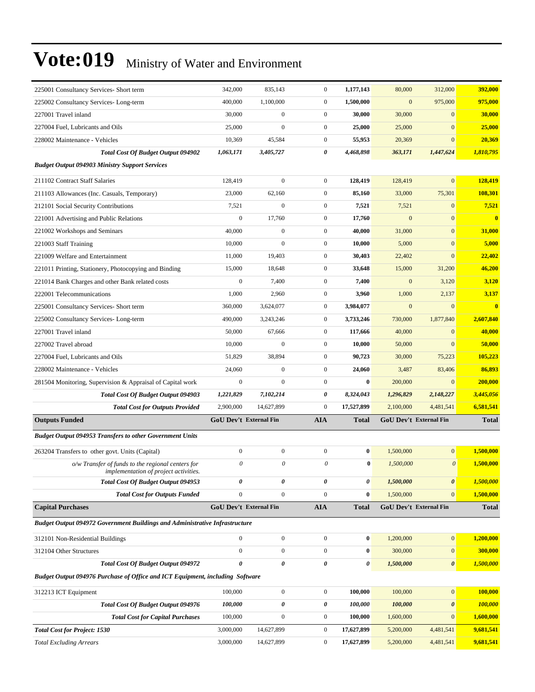| 225001 Consultancy Services- Short term                                                    | 342,000          | 835,143                       | $\boldsymbol{0}$      | 1,177,143             | 80,000           | 312,000                | 392,000      |
|--------------------------------------------------------------------------------------------|------------------|-------------------------------|-----------------------|-----------------------|------------------|------------------------|--------------|
| 225002 Consultancy Services-Long-term                                                      | 400,000          | 1,100,000                     | $\boldsymbol{0}$      | 1,500,000             | $\mathbf{0}$     | 975,000                | 975,000      |
| 227001 Travel inland                                                                       | 30,000           | $\boldsymbol{0}$              | $\mathbf{0}$          | 30,000                | 30,000           | $\mathbf{0}$           | 30,000       |
| 227004 Fuel, Lubricants and Oils                                                           | 25,000           | $\mathbf{0}$                  | $\mathbf{0}$          | 25,000                | 25,000           | $\overline{0}$         | 25,000       |
| 228002 Maintenance - Vehicles                                                              | 10,369           | 45,584                        | $\mathbf{0}$          | 55,953                | 20,369           | $\mathbf{0}$           | 20,369       |
| <b>Total Cost Of Budget Output 094902</b>                                                  | 1,063,171        | 3,405,727                     | $\boldsymbol{\theta}$ | 4,468,898             | 363,171          | 1,447,624              | 1,810,795    |
| <b>Budget Output 094903 Ministry Support Services</b>                                      |                  |                               |                       |                       |                  |                        |              |
| 211102 Contract Staff Salaries                                                             | 128,419          | $\mathbf{0}$                  | $\mathbf{0}$          | 128,419               | 128,419          | $\overline{0}$         | 128,419      |
| 211103 Allowances (Inc. Casuals, Temporary)                                                | 23,000           | 62,160                        | $\boldsymbol{0}$      | 85,160                | 33,000           | 75,301                 | 108,301      |
| 212101 Social Security Contributions                                                       | 7,521            | $\mathbf{0}$                  | $\boldsymbol{0}$      | 7,521                 | 7,521            | $\mathbf{0}$           | 7,521        |
| 221001 Advertising and Public Relations                                                    | $\boldsymbol{0}$ | 17,760                        | $\mathbf{0}$          | 17,760                | $\boldsymbol{0}$ | $\overline{0}$         | $\bf{0}$     |
| 221002 Workshops and Seminars                                                              | 40,000           | $\mathbf{0}$                  | $\mathbf{0}$          | 40,000                | 31,000           | $\overline{0}$         | 31,000       |
| 221003 Staff Training                                                                      | 10,000           | $\mathbf{0}$                  | $\mathbf{0}$          | 10,000                | 5,000            | $\overline{0}$         | 5,000        |
| 221009 Welfare and Entertainment                                                           | 11,000           | 19,403                        | $\mathbf{0}$          | 30,403                | 22,402           | $\overline{0}$         | 22,402       |
| 221011 Printing, Stationery, Photocopying and Binding                                      | 15,000           | 18,648                        | $\boldsymbol{0}$      | 33,648                | 15,000           | 31,200                 | 46,200       |
| 221014 Bank Charges and other Bank related costs                                           | $\boldsymbol{0}$ | 7,400                         | $\mathbf{0}$          | 7,400                 | $\mathbf{0}$     | 3,120                  | 3,120        |
| 222001 Telecommunications                                                                  | 1,000            | 2,960                         | $\boldsymbol{0}$      | 3,960                 | 1,000            | 2,137                  | 3,137        |
| 225001 Consultancy Services- Short term                                                    | 360,000          | 3,624,077                     | $\boldsymbol{0}$      | 3,984,077             | $\mathbf{0}$     | $\mathbf{0}$           | $\bf{0}$     |
| 225002 Consultancy Services-Long-term                                                      | 490,000          | 3,243,246                     | $\boldsymbol{0}$      | 3,733,246             | 730,000          | 1,877,840              | 2,607,840    |
| 227001 Travel inland                                                                       | 50,000           | 67,666                        | $\boldsymbol{0}$      | 117,666               | 40,000           | $\overline{0}$         | 40,000       |
| 227002 Travel abroad                                                                       | 10,000           | $\boldsymbol{0}$              | $\mathbf{0}$          | 10,000                | 50,000           | $\mathbf{0}$           | 50,000       |
| 227004 Fuel, Lubricants and Oils                                                           | 51,829           | 38,894                        | $\boldsymbol{0}$      | 90,723                | 30,000           | 75,223                 | 105,223      |
| 228002 Maintenance - Vehicles                                                              | 24,060           | $\mathbf{0}$                  | $\mathbf{0}$          | 24,060                | 3,487            | 83,406                 | 86,893       |
| 281504 Monitoring, Supervision & Appraisal of Capital work                                 | $\mathbf{0}$     | $\mathbf{0}$                  | $\boldsymbol{0}$      | $\bf{0}$              | 200,000          | $\mathbf{0}$           | 200,000      |
| Total Cost Of Budget Output 094903                                                         | 1,221,829        | 7,102,214                     | 0                     | 8,324,043             | 1,296,829        | 2,148,227              | 3,445,056    |
| <b>Total Cost for Outputs Provided</b>                                                     | 2,900,000        | 14,627,899                    | $\boldsymbol{0}$      | 17,527,899            | 2,100,000        | 4,481,541              | 6,581,541    |
| <b>Outputs Funded</b>                                                                      |                  | <b>GoU Dev't External Fin</b> | <b>AIA</b>            | <b>Total</b>          |                  | GoU Dev't External Fin | <b>Total</b> |
| <b>Budget Output 094953 Transfers to other Government Units</b>                            |                  |                               |                       |                       |                  |                        |              |
| 263204 Transfers to other govt. Units (Capital)                                            | $\boldsymbol{0}$ | $\boldsymbol{0}$              | $\mathbf{0}$          | $\bf{0}$              | 1,500,000        | $\overline{0}$         | 1,500,000    |
| o/w Transfer of funds to the regional centers for<br>implementation of project activities. | $\theta$         | $\theta$                      | $\theta$              | $\bf{0}$              | 1,500,000        | $\boldsymbol{\theta}$  | 1,500,000    |
| Total Cost Of Budget Output 094953                                                         | $\pmb{\theta}$   | 0                             | $\boldsymbol{\theta}$ | 0                     | 1,500,000        | $\pmb{\theta}$         | 1,500,000    |
| <b>Total Cost for Outputs Funded</b>                                                       | $\mathbf{0}$     | $\boldsymbol{0}$              | $\mathbf{0}$          | $\bf{0}$              | 1,500,000        | $\overline{0}$         | 1,500,000    |
| <b>Capital Purchases</b>                                                                   |                  | <b>GoU Dev't External Fin</b> | <b>AIA</b>            | <b>Total</b>          |                  | GoU Dev't External Fin | <b>Total</b> |
| <b>Budget Output 094972 Government Buildings and Administrative Infrastructure</b>         |                  |                               |                       |                       |                  |                        |              |
| 312101 Non-Residential Buildings                                                           | $\mathbf{0}$     | $\boldsymbol{0}$              | $\boldsymbol{0}$      | $\boldsymbol{0}$      | 1,200,000        | $\boldsymbol{0}$       | 1,200,000    |
| 312104 Other Structures                                                                    | $\boldsymbol{0}$ | $\boldsymbol{0}$              | $\boldsymbol{0}$      | $\bf{0}$              | 300,000          | $\boldsymbol{0}$       | 300,000      |
| Total Cost Of Budget Output 094972                                                         | 0                | 0                             | $\boldsymbol{\theta}$ | $\boldsymbol{\theta}$ | 1,500,000        | 0                      | 1,500,000    |
| Budget Output 094976 Purchase of Office and ICT Equipment, including Software              |                  |                               |                       |                       |                  |                        |              |
| 312213 ICT Equipment                                                                       | 100,000          | $\boldsymbol{0}$              | $\boldsymbol{0}$      | 100,000               | 100,000          | $\overline{0}$         | 100,000      |
| Total Cost Of Budget Output 094976                                                         | 100,000          | $\pmb{\theta}$                | $\boldsymbol{\theta}$ | 100,000               | 100,000          | 0                      | 100,000      |
| <b>Total Cost for Capital Purchases</b>                                                    | 100,000          | $\boldsymbol{0}$              | $\boldsymbol{0}$      | 100,000               | 1,600,000        | $\boldsymbol{0}$       | 1,600,000    |
| <b>Total Cost for Project: 1530</b>                                                        | 3,000,000        | 14,627,899                    | $\boldsymbol{0}$      | 17,627,899            | 5,200,000        | 4,481,541              | 9,681,541    |
| <b>Total Excluding Arrears</b>                                                             | 3,000,000        | 14,627,899                    | $\boldsymbol{0}$      | 17,627,899            | 5,200,000        | 4,481,541              | 9,681,541    |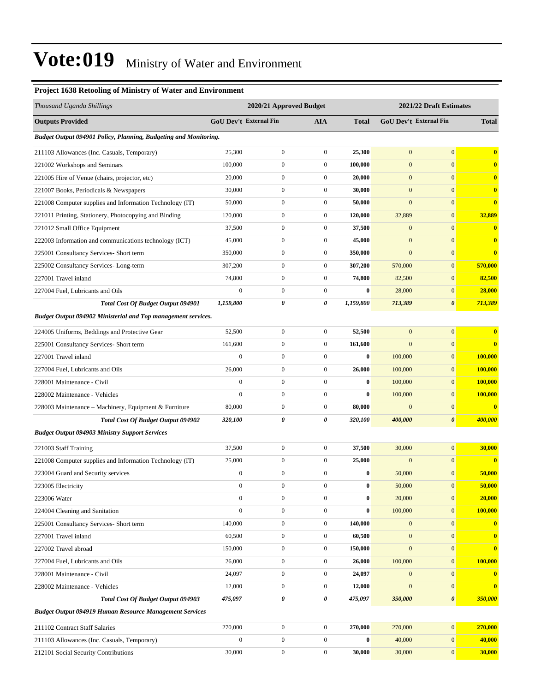#### **Project 1638 Retooling of Ministry of Water and Environment**

| Thousand Uganda Shillings                                        |                  | 2020/21 Approved Budget       |                  |                  |                  | 2021/22 Draft Estimates |                         |
|------------------------------------------------------------------|------------------|-------------------------------|------------------|------------------|------------------|-------------------------|-------------------------|
| <b>Outputs Provided</b>                                          |                  | <b>GoU Dev't External Fin</b> | <b>AIA</b>       | <b>Total</b>     |                  | GoU Dev't External Fin  | <b>Total</b>            |
| Budget Output 094901 Policy, Planning, Budgeting and Monitoring. |                  |                               |                  |                  |                  |                         |                         |
| 211103 Allowances (Inc. Casuals, Temporary)                      | 25,300           | $\boldsymbol{0}$              | $\boldsymbol{0}$ | 25,300           | $\mathbf{0}$     | $\mathbf{0}$            | $\bf{0}$                |
| 221002 Workshops and Seminars                                    | 100,000          | $\boldsymbol{0}$              | $\boldsymbol{0}$ | 100,000          | $\mathbf{0}$     | $\mathbf{0}$            | $\bf{0}$                |
| 221005 Hire of Venue (chairs, projector, etc)                    | 20,000           | $\mathbf{0}$                  | $\boldsymbol{0}$ | 20,000           | $\boldsymbol{0}$ | $\mathbf{0}$            | $\bf{0}$                |
| 221007 Books, Periodicals & Newspapers                           | 30,000           | $\boldsymbol{0}$              | $\boldsymbol{0}$ | 30,000           | $\mathbf{0}$     | $\mathbf{0}$            | $\bf{0}$                |
| 221008 Computer supplies and Information Technology (IT)         | 50,000           | $\boldsymbol{0}$              | $\boldsymbol{0}$ | 50,000           | $\mathbf{0}$     | $\mathbf{0}$            | $\bf{0}$                |
| 221011 Printing, Stationery, Photocopying and Binding            | 120,000          | $\boldsymbol{0}$              | $\boldsymbol{0}$ | 120,000          | 32,889           | $\mathbf{0}$            | 32,889                  |
| 221012 Small Office Equipment                                    | 37,500           | $\boldsymbol{0}$              | $\boldsymbol{0}$ | 37,500           | $\mathbf{0}$     | $\mathbf{0}$            | $\bf{0}$                |
| 222003 Information and communications technology (ICT)           | 45,000           | $\boldsymbol{0}$              | $\boldsymbol{0}$ | 45,000           | $\boldsymbol{0}$ | $\mathbf{0}$            | $\bf{0}$                |
| 225001 Consultancy Services- Short term                          | 350,000          | $\boldsymbol{0}$              | $\boldsymbol{0}$ | 350,000          | $\mathbf{0}$     | $\mathbf{0}$            | $\overline{\mathbf{0}}$ |
| 225002 Consultancy Services-Long-term                            | 307,200          | $\boldsymbol{0}$              | $\boldsymbol{0}$ | 307,200          | 570,000          | $\mathbf{0}$            | 570,000                 |
| 227001 Travel inland                                             | 74,800           | $\boldsymbol{0}$              | $\boldsymbol{0}$ | 74,800           | 82,500           | $\mathbf{0}$            | 82,500                  |
| 227004 Fuel, Lubricants and Oils                                 | $\mathbf{0}$     | $\boldsymbol{0}$              | $\boldsymbol{0}$ | $\bf{0}$         | 28,000           | $\mathbf{0}$            | 28,000                  |
| Total Cost Of Budget Output 094901                               | 1,159,800        | 0                             | 0                | 1,159,800        | 713,389          | $\boldsymbol{\theta}$   | 713,389                 |
| Budget Output 094902 Ministerial and Top management services.    |                  |                               |                  |                  |                  |                         |                         |
| 224005 Uniforms, Beddings and Protective Gear                    | 52,500           | $\boldsymbol{0}$              | $\boldsymbol{0}$ | 52,500           | $\mathbf{0}$     | $\mathbf{0}$            | $\bf{0}$                |
| 225001 Consultancy Services- Short term                          | 161,600          | $\boldsymbol{0}$              | $\boldsymbol{0}$ | 161,600          | $\mathbf{0}$     | $\mathbf{0}$            | $\bf{0}$                |
| 227001 Travel inland                                             | $\boldsymbol{0}$ | $\boldsymbol{0}$              | $\boldsymbol{0}$ | $\boldsymbol{0}$ | 100,000          | $\mathbf{0}$            | 100,000                 |
| 227004 Fuel, Lubricants and Oils                                 | 26,000           | $\boldsymbol{0}$              | $\boldsymbol{0}$ | 26,000           | 100,000          | $\mathbf{0}$            | 100,000                 |
| 228001 Maintenance - Civil                                       | $\mathbf{0}$     | $\mathbf{0}$                  | $\boldsymbol{0}$ | $\bf{0}$         | 100,000          | $\mathbf{0}$            | 100,000                 |
| 228002 Maintenance - Vehicles                                    | $\mathbf{0}$     | $\boldsymbol{0}$              | $\boldsymbol{0}$ | $\bf{0}$         | 100,000          | $\mathbf{0}$            | 100,000                 |
| 228003 Maintenance – Machinery, Equipment & Furniture            | 80,000           | $\boldsymbol{0}$              | $\boldsymbol{0}$ | 80,000           | $\mathbf{0}$     | $\boldsymbol{0}$        | $\bf{0}$                |
| <b>Total Cost Of Budget Output 094902</b>                        | 320,100          | 0                             | 0                | 320,100          | 400,000          | $\boldsymbol{\theta}$   | 400,000                 |
| <b>Budget Output 094903 Ministry Support Services</b>            |                  |                               |                  |                  |                  |                         |                         |
| 221003 Staff Training                                            | 37,500           | $\boldsymbol{0}$              | $\boldsymbol{0}$ | 37,500           | 30,000           | $\boldsymbol{0}$        | 30,000                  |
| 221008 Computer supplies and Information Technology (IT)         | 25,000           | $\mathbf{0}$                  | $\boldsymbol{0}$ | 25,000           | $\boldsymbol{0}$ | $\mathbf{0}$            | $\bf{0}$                |
| 223004 Guard and Security services                               | $\boldsymbol{0}$ | $\boldsymbol{0}$              | $\boldsymbol{0}$ | 0                | 50,000           | $\mathbf{0}$            | 50,000                  |
| 223005 Electricity                                               | $\boldsymbol{0}$ | $\boldsymbol{0}$              | $\boldsymbol{0}$ | $\bf{0}$         | 50,000           | $\boldsymbol{0}$        | 50,000                  |
| 223006 Water                                                     | $\mathbf{0}$     | $\boldsymbol{0}$              | $\boldsymbol{0}$ | $\bf{0}$         | 20,000           | $\mathbf{0}$            | 20,000                  |
| 224004 Cleaning and Sanitation                                   | $\boldsymbol{0}$ | $\boldsymbol{0}$              | $\boldsymbol{0}$ | $\bf{0}$         | 100,000          | $\boldsymbol{0}$        | 100,000                 |
| 225001 Consultancy Services- Short term                          | 140,000          | $\boldsymbol{0}$              | $\boldsymbol{0}$ | 140,000          | $\boldsymbol{0}$ | $\mathbf{0}$            | $\bf{0}$                |
| 227001 Travel inland                                             | 60,500           | $\boldsymbol{0}$              | $\boldsymbol{0}$ | 60,500           | $\boldsymbol{0}$ | $\mathbf{0}$            | $\bf{0}$                |
| 227002 Travel abroad                                             | 150,000          | $\boldsymbol{0}$              | $\boldsymbol{0}$ | 150,000          | $\boldsymbol{0}$ | $\mathbf{0}$            | $\bf{0}$                |
| 227004 Fuel, Lubricants and Oils                                 | 26,000           | $\boldsymbol{0}$              | $\boldsymbol{0}$ | 26,000           | 100,000          | $\mathbf{0}$            | 100,000                 |
| 228001 Maintenance - Civil                                       | 24,097           | $\boldsymbol{0}$              | $\boldsymbol{0}$ | 24,097           | $\boldsymbol{0}$ | $\mathbf{0}$            | $\bf{0}$                |
| 228002 Maintenance - Vehicles                                    | 12,000           | $\boldsymbol{0}$              | $\boldsymbol{0}$ | 12,000           | $\mathbf{0}$     | $\mathbf{0}$            | $\bf{0}$                |
| Total Cost Of Budget Output 094903                               | 475,097          | 0                             | 0                | 475,097          | 350,000          | $\boldsymbol{\theta}$   | 350,000                 |
| <b>Budget Output 094919 Human Resource Management Services</b>   |                  |                               |                  |                  |                  |                         |                         |
| 211102 Contract Staff Salaries                                   | 270,000          | $\boldsymbol{0}$              | $\boldsymbol{0}$ | 270,000          | 270,000          | $\mathbf{0}$            | 270,000                 |
| 211103 Allowances (Inc. Casuals, Temporary)                      | $\boldsymbol{0}$ | $\boldsymbol{0}$              | $\boldsymbol{0}$ | $\bf{0}$         | 40,000           | $\mathbf{0}$            | 40,000                  |
| 212101 Social Security Contributions                             | 30,000           | $\boldsymbol{0}$              | $\boldsymbol{0}$ | 30,000           | 30,000           | $\mathbf{0}$            | 30,000                  |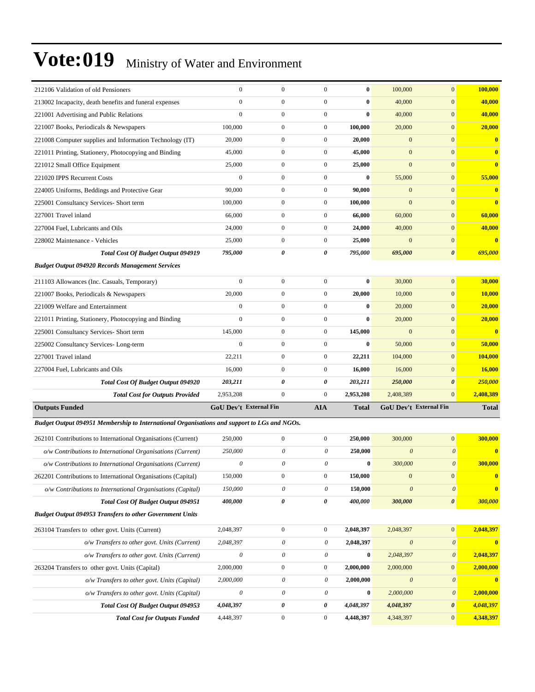| 212106 Validation of old Pensioners                                                         | $\mathbf{0}$                  | $\boldsymbol{0}$          | $\mathbf{0}$              | $\bf{0}$  | 100,000               | $\mathbf{0}$              | 100,000                 |
|---------------------------------------------------------------------------------------------|-------------------------------|---------------------------|---------------------------|-----------|-----------------------|---------------------------|-------------------------|
| 213002 Incapacity, death benefits and funeral expenses                                      | $\mathbf{0}$                  | $\boldsymbol{0}$          | $\overline{0}$            | $\bf{0}$  | 40,000                | $\mathbf{0}$              | 40,000                  |
| 221001 Advertising and Public Relations                                                     | $\mathbf{0}$                  | $\overline{0}$            | $\overline{0}$            | $\bf{0}$  | 40,000                | $\mathbf{0}$              | 40,000                  |
| 221007 Books, Periodicals & Newspapers                                                      | 100,000                       | $\boldsymbol{0}$          | $\boldsymbol{0}$          | 100,000   | 20,000                | $\mathbf{0}$              | 20,000                  |
| 221008 Computer supplies and Information Technology (IT)                                    | 20,000                        | $\boldsymbol{0}$          | $\boldsymbol{0}$          | 20,000    | $\mathbf{0}$          | $\mathbf{0}$              | $\bf{0}$                |
| 221011 Printing, Stationery, Photocopying and Binding                                       | 45,000                        | $\boldsymbol{0}$          | $\boldsymbol{0}$          | 45,000    | $\mathbf{0}$          | $\mathbf{0}$              | $\mathbf{0}$            |
| 221012 Small Office Equipment                                                               | 25,000                        | $\boldsymbol{0}$          | $\boldsymbol{0}$          | 25,000    | $\mathbf{0}$          | $\mathbf{0}$              | $\bf{0}$                |
| 221020 IPPS Recurrent Costs                                                                 | $\mathbf{0}$                  | $\mathbf{0}$              | $\boldsymbol{0}$          | $\bf{0}$  | 55,000                | $\mathbf{0}$              | 55,000                  |
| 224005 Uniforms, Beddings and Protective Gear                                               | 90,000                        | $\boldsymbol{0}$          | $\boldsymbol{0}$          | 90,000    | $\mathbf{0}$          | $\mathbf{0}$              | $\mathbf{0}$            |
| 225001 Consultancy Services- Short term                                                     | 100,000                       | $\boldsymbol{0}$          | $\boldsymbol{0}$          | 100.000   | $\mathbf{0}$          | $\mathbf{0}$              | $\bf{0}$                |
| 227001 Travel inland                                                                        | 66,000                        | $\boldsymbol{0}$          | $\boldsymbol{0}$          | 66,000    | 60,000                | $\mathbf{0}$              | 60,000                  |
| 227004 Fuel, Lubricants and Oils                                                            | 24,000                        | $\boldsymbol{0}$          | $\boldsymbol{0}$          | 24,000    | 40,000                | $\mathbf{0}$              | 40,000                  |
| 228002 Maintenance - Vehicles                                                               | 25,000                        | $\boldsymbol{0}$          | $\boldsymbol{0}$          | 25,000    | $\mathbf{0}$          | $\mathbf{0}$              | $\overline{\mathbf{0}}$ |
| Total Cost Of Budget Output 094919                                                          | 795,000                       | 0                         | 0                         | 795,000   | 695,000               | $\boldsymbol{\theta}$     | 695,000                 |
| <b>Budget Output 094920 Records Management Services</b>                                     |                               |                           |                           |           |                       |                           |                         |
| 211103 Allowances (Inc. Casuals, Temporary)                                                 | $\mathbf{0}$                  | $\boldsymbol{0}$          | $\boldsymbol{0}$          | $\bf{0}$  | 30,000                | $\mathbf{0}$              | 30,000                  |
| 221007 Books, Periodicals & Newspapers                                                      | 20,000                        | $\boldsymbol{0}$          | $\boldsymbol{0}$          | 20,000    | 10,000                | $\mathbf{0}$              | 10,000                  |
| 221009 Welfare and Entertainment                                                            | $\boldsymbol{0}$              | $\boldsymbol{0}$          | $\boldsymbol{0}$          | $\bf{0}$  | 20,000                | $\mathbf{0}$              | 20,000                  |
| 221011 Printing, Stationery, Photocopying and Binding                                       | $\mathbf{0}$                  | $\overline{0}$            | $\overline{0}$            | $\bf{0}$  | 20,000                | $\mathbf{0}$              | 20,000                  |
| 225001 Consultancy Services- Short term                                                     | 145,000                       | $\boldsymbol{0}$          | $\boldsymbol{0}$          | 145,000   | $\mathbf{0}$          | $\mathbf{0}$              | $\overline{\mathbf{0}}$ |
| 225002 Consultancy Services-Long-term                                                       | $\mathbf{0}$                  | $\boldsymbol{0}$          | $\boldsymbol{0}$          | $\bf{0}$  | 50,000                | $\mathbf{0}$              | 50,000                  |
| 227001 Travel inland                                                                        | 22,211                        | $\boldsymbol{0}$          | $\boldsymbol{0}$          | 22,211    | 104,000               | $\mathbf{0}$              | 104,000                 |
| 227004 Fuel, Lubricants and Oils                                                            | 16,000                        | $\boldsymbol{0}$          | $\boldsymbol{0}$          | 16,000    | 16,000                | $\mathbf{0}$              | 16,000                  |
| <b>Total Cost Of Budget Output 094920</b>                                                   | 203,211                       | 0                         | 0                         | 203,211   | 250,000               | $\boldsymbol{\theta}$     | 250,000                 |
| <b>Total Cost for Outputs Provided</b>                                                      | 2,953,208                     | $\boldsymbol{0}$          | $\overline{0}$            | 2,953,208 | 2,408,389             | $\mathbf{0}$              | 2,408,389               |
| <b>Outputs Funded</b>                                                                       | <b>GoU Dev't External Fin</b> |                           | <b>AIA</b>                | Total     |                       | GoU Dev't External Fin    | <b>Total</b>            |
| Budget Output 094951 Membership to International Organisations and support to LGs and NGOs. |                               |                           |                           |           |                       |                           |                         |
| 262101 Contributions to International Organisations (Current)                               | 250,000                       | $\boldsymbol{0}$          | $\boldsymbol{0}$          | 250,000   | 300,000               | $\boldsymbol{0}$          | 300,000                 |
| o/w Contributions to International Organisations (Current)                                  | 250,000                       | 0                         | $\boldsymbol{\theta}$     | 250,000   | $\boldsymbol{\theta}$ | $\boldsymbol{\theta}$     | $\overline{\mathbf{0}}$ |
| o/w Contributions to International Organisations (Current)                                  | $\boldsymbol{\mathit{0}}$     | $\theta$                  | $\theta$                  | $\bf{0}$  | 300,000               | $\boldsymbol{\theta}$     | 300,000                 |
| 262201 Contributions to International Organisations (Capital)                               | 150,000                       | $\boldsymbol{0}$          | $\boldsymbol{0}$          | 150,000   | $\mathbf{0}$          | $\boldsymbol{0}$          | $\bf{0}$                |
| o/w Contributions to International Organisations (Capital)                                  | 150,000                       | 0                         | $\boldsymbol{\theta}$     | 150,000   | $\boldsymbol{\theta}$ | $\boldsymbol{\mathit{0}}$ | $\bf{0}$                |
| <b>Total Cost Of Budget Output 094951</b>                                                   | 400,000                       | 0                         | 0                         | 400,000   | 300,000               | $\boldsymbol{\theta}$     | 300,000                 |
| <b>Budget Output 094953 Transfers to other Government Units</b>                             |                               |                           |                           |           |                       |                           |                         |
| 263104 Transfers to other govt. Units (Current)                                             | 2,048,397                     | $\boldsymbol{0}$          | $\boldsymbol{0}$          | 2,048,397 | 2,048,397             | $\mathbf{0}$              | 2,048,397               |
| o/w Transfers to other govt. Units (Current)                                                | 2,048,397                     | $\boldsymbol{\mathit{0}}$ | $\boldsymbol{\mathit{0}}$ | 2,048,397 | $\boldsymbol{\theta}$ | $\boldsymbol{\mathit{0}}$ | $\mathbf{0}$            |
| o/w Transfers to other govt. Units (Current)                                                | $\theta$                      | 0                         | $\theta$                  | $\bf{0}$  | 2,048,397             | $\boldsymbol{\mathit{0}}$ | 2,048,397               |
| 263204 Transfers to other govt. Units (Capital)                                             | 2,000,000                     | $\boldsymbol{0}$          | $\boldsymbol{0}$          | 2,000,000 | 2,000,000             | $\mathbf{0}$              | 2,000,000               |
| o/w Transfers to other govt. Units (Capital)                                                | 2,000,000                     | $\boldsymbol{\mathit{0}}$ | $\theta$                  | 2,000,000 | $\boldsymbol{\theta}$ | $\boldsymbol{\mathit{0}}$ | $\overline{\mathbf{0}}$ |
| o/w Transfers to other govt. Units (Capital)                                                | $\boldsymbol{\theta}$         | $\theta$                  | $\theta$                  | $\bf{0}$  | 2,000,000             | $\boldsymbol{\theta}$     | 2,000,000               |
| Total Cost Of Budget Output 094953                                                          | 4,048,397                     | 0                         | 0                         | 4,048,397 | 4,048,397             | $\boldsymbol{\theta}$     | 4,048,397               |
| <b>Total Cost for Outputs Funded</b>                                                        | 4,448,397                     | $\boldsymbol{0}$          |                           |           |                       |                           |                         |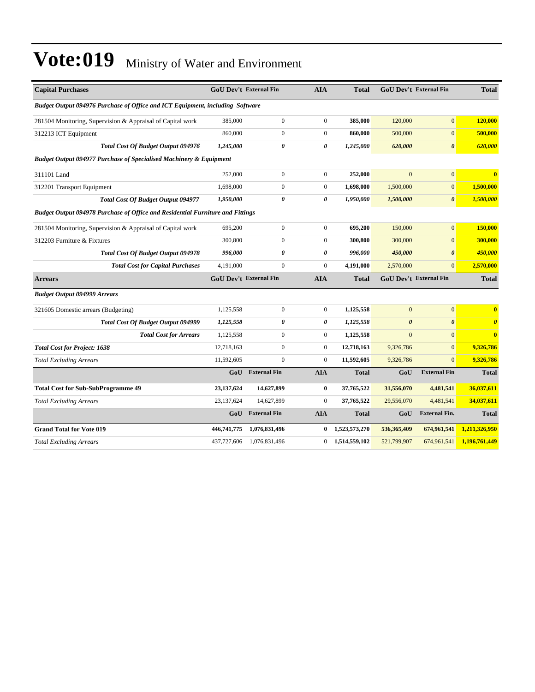| <b>Capital Purchases</b>                                                       | <b>GoU Dev't External Fin</b> |                         | <b>AIA</b>            | <b>Total</b>  |                       | <b>GoU Dev't External Fin</b> | <b>Total</b>            |  |
|--------------------------------------------------------------------------------|-------------------------------|-------------------------|-----------------------|---------------|-----------------------|-------------------------------|-------------------------|--|
| Budget Output 094976 Purchase of Office and ICT Equipment, including Software  |                               |                         |                       |               |                       |                               |                         |  |
| 281504 Monitoring, Supervision & Appraisal of Capital work                     | 385,000                       | $\overline{0}$          | $\mathbf{0}$          | 385,000       | 120,000               | $\mathbf{0}$                  | 120,000                 |  |
| 312213 ICT Equipment                                                           | 860,000                       | $\boldsymbol{0}$        | $\mathbf{0}$          | 860,000       | 500,000               | $\mathbf{0}$                  | 500,000                 |  |
| <b>Total Cost Of Budget Output 094976</b>                                      | 1,245,000                     | $\theta$                | $\boldsymbol{\theta}$ | 1,245,000     | 620,000               | $\boldsymbol{\theta}$         | 620,000                 |  |
| <b>Budget Output 094977 Purchase of Specialised Machinery &amp; Equipment</b>  |                               |                         |                       |               |                       |                               |                         |  |
| 311101 Land                                                                    | 252,000                       | $\mathbf{0}$            | $\boldsymbol{0}$      | 252,000       | $\mathbf{0}$          | $\mathbf{0}$                  | $\mathbf{0}$            |  |
| 312201 Transport Equipment                                                     | 1,698,000                     | $\overline{0}$          | $\overline{0}$        | 1,698,000     | 1,500,000             | $\mathbf{0}$                  | 1,500,000               |  |
| Total Cost Of Budget Output 094977                                             | 1,950,000                     | 0                       | 0                     | 1,950,000     | 1,500,000             | $\boldsymbol{\theta}$         | 1,500,000               |  |
| Budget Output 094978 Purchase of Office and Residential Furniture and Fittings |                               |                         |                       |               |                       |                               |                         |  |
| 281504 Monitoring, Supervision & Appraisal of Capital work                     | 695,200                       | $\overline{0}$          | $\overline{0}$        | 695,200       | 150,000               | $\overline{0}$                | 150,000                 |  |
| 312203 Furniture & Fixtures                                                    | 300,800                       | $\overline{0}$          | $\mathbf{0}$          | 300,800       | 300,000               | $\mathbf{0}$                  | 300,000                 |  |
| <b>Total Cost Of Budget Output 094978</b>                                      | 996,000                       | $\theta$                | $\boldsymbol{\theta}$ | 996,000       | 450,000               | $\boldsymbol{\theta}$         | 450,000                 |  |
| <b>Total Cost for Capital Purchases</b>                                        | 4,191,000                     | $\mathbf{0}$            | $\mathbf{0}$          | 4,191,000     | 2,570,000             | $\overline{0}$                | 2,570,000               |  |
| <b>Arrears</b>                                                                 | <b>GoU Dev't External Fin</b> |                         | <b>AIA</b>            | <b>Total</b>  |                       | <b>GoU Dev't External Fin</b> | <b>Total</b>            |  |
| <b>Budget Output 094999 Arrears</b>                                            |                               |                         |                       |               |                       |                               |                         |  |
| 321605 Domestic arrears (Budgeting)                                            | 1,125,558                     | $\overline{0}$          | $\overline{0}$        | 1,125,558     | $\mathbf{0}$          | $\overline{0}$                | $\overline{\mathbf{0}}$ |  |
| <b>Total Cost Of Budget Output 094999</b>                                      | 1,125,558                     | 0                       | 0                     | 1,125,558     | $\boldsymbol{\theta}$ | $\boldsymbol{\theta}$         | $\boldsymbol{\theta}$   |  |
| <b>Total Cost for Arrears</b>                                                  | 1,125,558                     | $\overline{0}$          | $\overline{0}$        | 1,125,558     | $\mathbf{0}$          | $\overline{0}$                | $\bf{0}$                |  |
| <b>Total Cost for Project: 1638</b>                                            | 12,718,163                    | $\overline{0}$          | $\mathbf{0}$          | 12,718,163    | 9,326,786             | $\overline{0}$                | 9,326,786               |  |
| <b>Total Excluding Arrears</b>                                                 | 11,592,605                    | $\overline{0}$          | $\mathbf{0}$          | 11,592,605    | 9,326,786             | $\overline{0}$                | 9,326,786               |  |
|                                                                                |                               | <b>GoU</b> External Fin | <b>AIA</b>            | <b>Total</b>  | GoU                   | <b>External Fin</b>           | <b>Total</b>            |  |
| <b>Total Cost for Sub-SubProgramme 49</b>                                      | 23,137,624                    | 14,627,899              | $\bf{0}$              | 37,765,522    | 31,556,070            | 4,481,541                     | 36,037,611              |  |
| <b>Total Excluding Arrears</b>                                                 | 23,137,624                    | 14,627,899              | $\boldsymbol{0}$      | 37,765,522    | 29,556,070            | 4,481,541                     | 34,037,611              |  |
|                                                                                | GoU                           | <b>External Fin</b>     | <b>AIA</b>            | <b>Total</b>  | GoU                   | <b>External Fin.</b>          | <b>Total</b>            |  |
| <b>Grand Total for Vote 019</b>                                                | 446,741,775                   | 1,076,831,496           | $\bf{0}$              | 1,523,573,270 | 536, 365, 409         | 674,961,541                   | 1,211,326,950           |  |
| <b>Total Excluding Arrears</b>                                                 | 437,727,606                   | 1,076,831,496           | $\mathbf{0}$          | 1,514,559,102 | 521,799,907           | 674,961,541                   | 1,196,761,449           |  |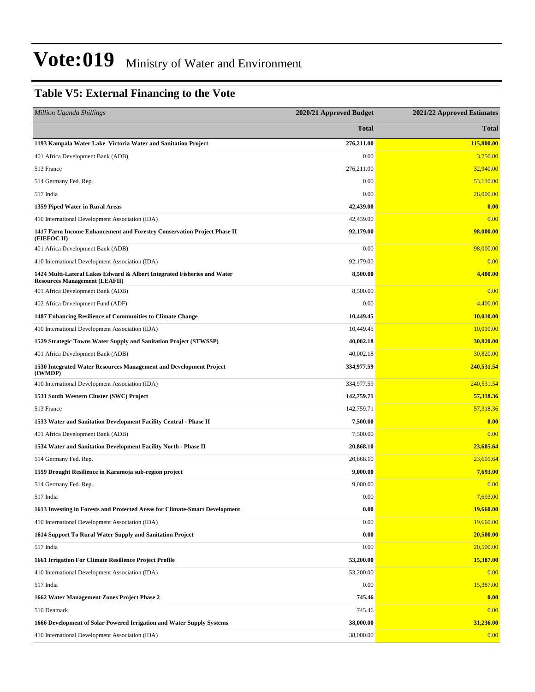#### **Table V5: External Financing to the Vote**

| Million Uganda Shillings                                                                                        | 2020/21 Approved Budget | 2021/22 Approved Estimates |
|-----------------------------------------------------------------------------------------------------------------|-------------------------|----------------------------|
|                                                                                                                 | <b>Total</b>            | <b>Total</b>               |
| 1193 Kampala Water Lake Victoria Water and Sanitation Project                                                   | 276,211.00              | 115,800.00                 |
| 401 Africa Development Bank (ADB)                                                                               | 0.00                    | 3,750.00                   |
| 513 France                                                                                                      | 276,211.00              | 32,940.00                  |
| 514 Germany Fed. Rep.                                                                                           | 0.00                    | 53,110.00                  |
| 517 India                                                                                                       | 0.00                    | 26,000.00                  |
| 1359 Piped Water in Rural Areas                                                                                 | 42,439.00               | 0.00                       |
| 410 International Development Association (IDA)                                                                 | 42,439.00               | 0.00 <sub>1</sub>          |
| 1417 Farm Income Enhancement and Forestry Conservation Project Phase II<br>(FIEFOC II)                          | 92,179.00               | 98,000.00                  |
| 401 Africa Development Bank (ADB)                                                                               | 0.00                    | 98,000.00                  |
| 410 International Development Association (IDA)                                                                 | 92,179.00               | 0.00                       |
| 1424 Multi-Lateral Lakes Edward & Albert Integrated Fisheries and Water<br><b>Resources Management (LEAFII)</b> | 8,500.00                | 4,400.00                   |
| 401 Africa Development Bank (ADB)                                                                               | 8,500.00                | 0.00 <sub>1</sub>          |
| 402 Africa Development Fund (ADF)                                                                               | 0.00                    | 4,400.00                   |
| 1487 Enhancing Resilience of Communities to Climate Change                                                      | 10,449.45               | 10,010.00                  |
| 410 International Development Association (IDA)                                                                 | 10,449.45               | 10,010.00                  |
| 1529 Strategic Towns Water Supply and Sanitation Project (STWSSP)                                               | 40,002.18               | 30,820.00                  |
| 401 Africa Development Bank (ADB)                                                                               | 40,002.18               | 30,820.00                  |
| 1530 Integrated Water Resources Management and Development Project<br>(IWMDP)                                   | 334,977.59              | 240,531.54                 |
| 410 International Development Association (IDA)                                                                 | 334,977.59              | 240,531.54                 |
| 1531 South Western Cluster (SWC) Project                                                                        | 142,759.71              | 57,318.36                  |
| 513 France                                                                                                      | 142,759.71              | 57,318.36                  |
| 1533 Water and Sanitation Development Facility Central - Phase II                                               | 7,500.00                | 0.00                       |
| 401 Africa Development Bank (ADB)                                                                               | 7,500.00                | 0.00                       |
| 1534 Water and Sanitation Development Facility North - Phase II                                                 | 20,868.10               | 23,605.64                  |
| 514 Germany Fed. Rep.                                                                                           | 20,868.10               | 23,605.64                  |
| 1559 Drought Resilience in Karamoja sub-region project                                                          | 9,000.00                | 7,693.00                   |
| 514 Germany Fed. Rep.                                                                                           | 9,000.00                | 0.00                       |
| 517 India                                                                                                       | 0.00                    | 7,693.00                   |
| 1613 Investing in Forests and Protected Areas for Climate-Smart Development                                     | 0.00                    | 19,660.00                  |
| 410 International Development Association (IDA)                                                                 | 0.00                    | 19,660.00                  |
| 1614 Support To Rural Water Supply and Sanitation Project                                                       | 0.00                    | 20,500.00                  |
| 517 India                                                                                                       | 0.00                    | 20,500.00                  |
| 1661 Irrigation For Climate Resilience Project Profile                                                          | 53,200.00               | 15,387.00                  |
| 410 International Development Association (IDA)                                                                 | 53,200.00               | 0.00                       |
| 517 India                                                                                                       | 0.00                    | 15,387.00                  |
| 1662 Water Management Zones Project Phase 2                                                                     | 745.46                  | 0.00                       |
| 510 Denmark                                                                                                     | 745.46                  | 0.00                       |
| 1666 Development of Solar Powered Irrigation and Water Supply Systems                                           | 38,000.00               | 31,236.00                  |
| 410 International Development Association (IDA)                                                                 | 38,000.00               | 0.00                       |